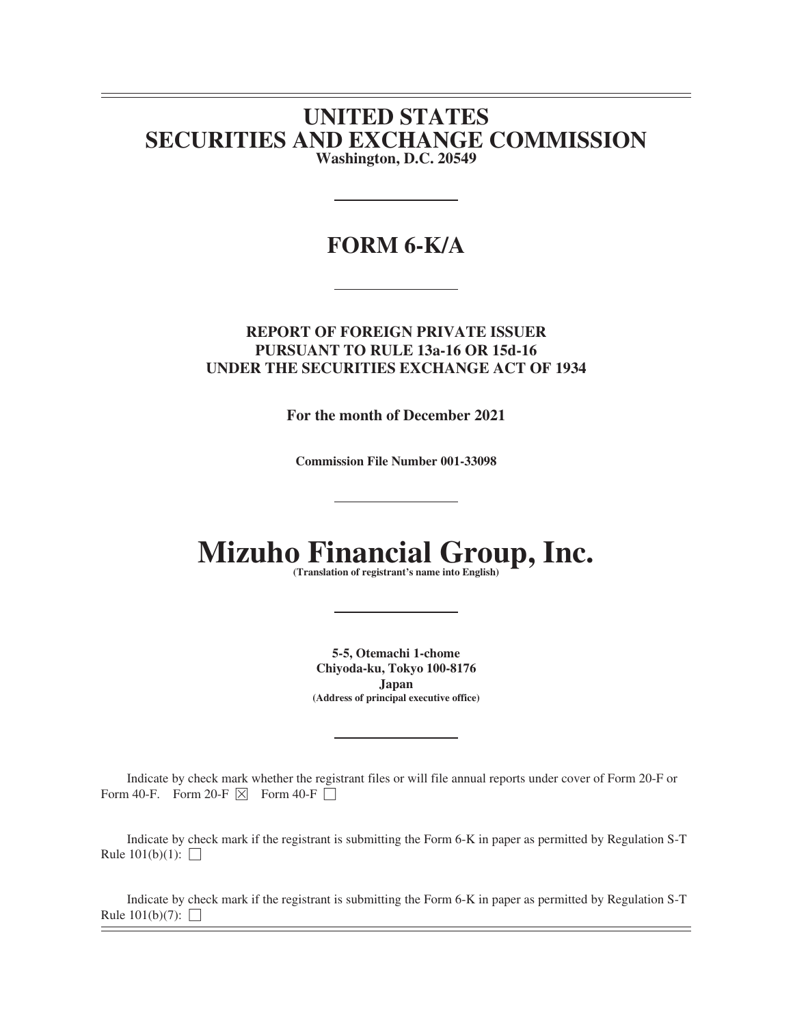# **UNITED STATES SECURITIES AND EXCHANGE COMMISSION Washington, D.C. 20549**

# **FORM 6-K/A**

# **REPORT OF FOREIGN PRIVATE ISSUER PURSUANT TO RULE 13a-16 OR 15d-16 UNDER THE SECURITIES EXCHANGE ACT OF 1934**

**For the month of December 2021**

**Commission File Number 001-33098**

# **Mizuho Financial Group, Inc. (Translation of registrant's name into English)**

**5-5, Otemachi 1-chome Chiyoda-ku, Tokyo 100-8176 Japan (Address of principal executive office)**

Indicate by check mark whether the registrant files or will file annual reports under cover of Form 20-F or Form 40-F. Form 20-F  $\overline{\times}$  Form 40-F  $\Box$ 

Indicate by check mark if the registrant is submitting the Form 6-K in paper as permitted by Regulation S-T Rule  $101(b)(1)$ :  $\Box$ 

Indicate by check mark if the registrant is submitting the Form 6-K in paper as permitted by Regulation S-T Rule  $101(b)(7)$ :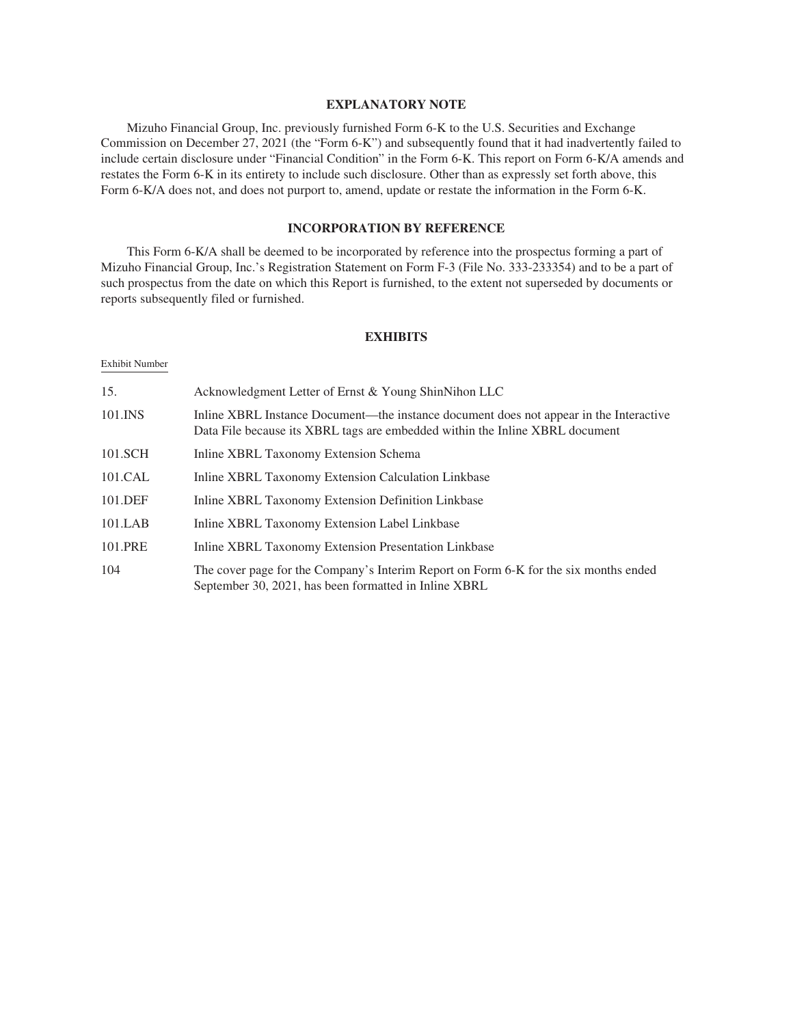# **EXPLANATORY NOTE**

Mizuho Financial Group, Inc. previously furnished Form 6-K to the U.S. Securities and Exchange Commission on December 27, 2021 (the "Form 6-K") and subsequently found that it had inadvertently failed to include certain disclosure under "Financial Condition" in the Form 6-K. This report on Form 6-K/A amends and restates the Form 6-K in its entirety to include such disclosure. Other than as expressly set forth above, this Form 6-K/A does not, and does not purport to, amend, update or restate the information in the Form 6-K.

# **INCORPORATION BY REFERENCE**

This Form 6-K/A shall be deemed to be incorporated by reference into the prospectus forming a part of Mizuho Financial Group, Inc.'s Registration Statement on Form F-3 (File No. 333-233354) and to be a part of such prospectus from the date on which this Report is furnished, to the extent not superseded by documents or reports subsequently filed or furnished.

# **EXHIBITS**

## Exhibit Number

| 15.     | Acknowledgment Letter of Ernst & Young ShinNihon LLC                                                                                                                   |
|---------|------------------------------------------------------------------------------------------------------------------------------------------------------------------------|
| 101.INS | Inline XBRL Instance Document—the instance document does not appear in the Interactive<br>Data File because its XBRL tags are embedded within the Inline XBRL document |
| 101.SCH | Inline XBRL Taxonomy Extension Schema                                                                                                                                  |
| 101.CAL | Inline XBRL Taxonomy Extension Calculation Linkbase                                                                                                                    |
| 101.DEF | Inline XBRL Taxonomy Extension Definition Linkbase                                                                                                                     |
| 101.LAB | Inline XBRL Taxonomy Extension Label Linkbase                                                                                                                          |
| 101.PRE | Inline XBRL Taxonomy Extension Presentation Linkbase                                                                                                                   |
| 104     | The cover page for the Company's Interim Report on Form 6-K for the six months ended<br>September 30, 2021, has been formatted in Inline XBRL                          |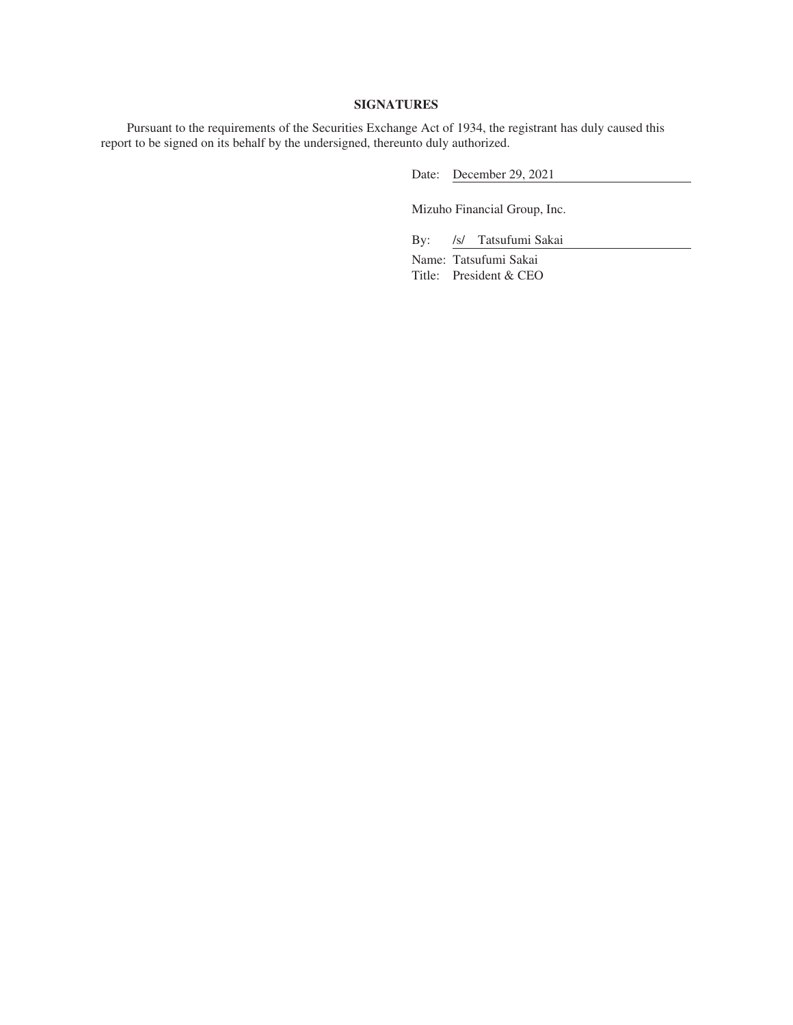# **SIGNATURES**

Pursuant to the requirements of the Securities Exchange Act of 1934, the registrant has duly caused this report to be signed on its behalf by the undersigned, thereunto duly authorized.

Date: December 29, 2021

Mizuho Financial Group, Inc.

By: /s/ Tatsufumi Sakai

Name: Tatsufumi Sakai Title: President & CEO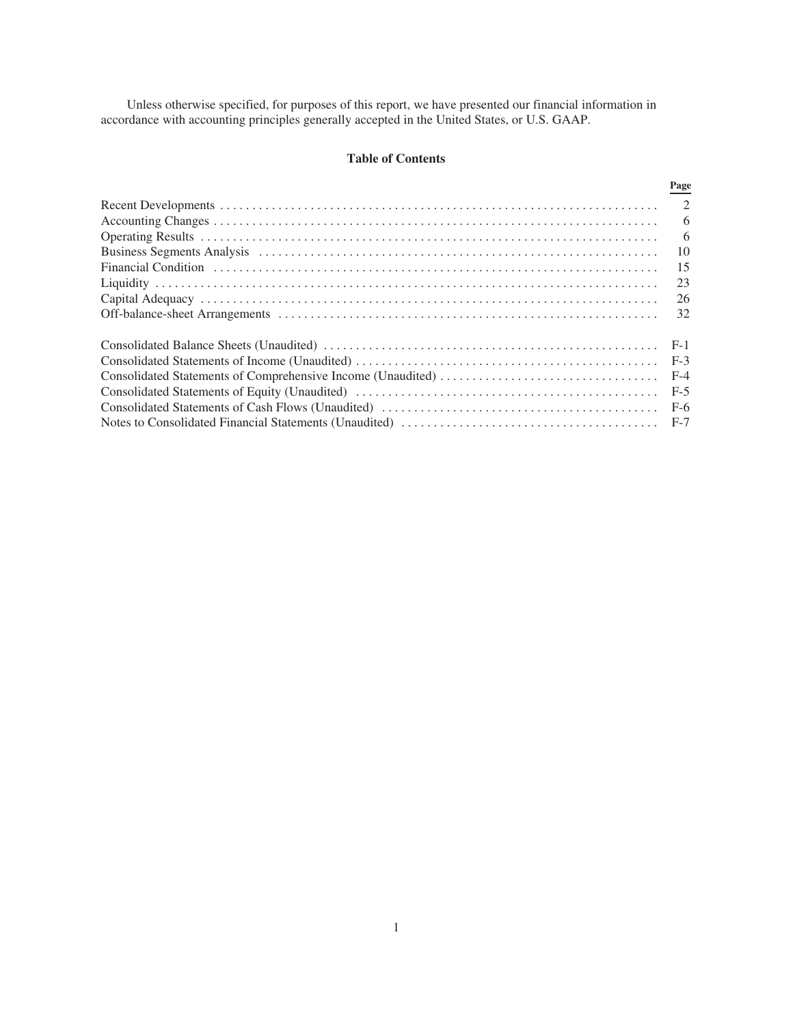Unless otherwise specified, for purposes of this report, we have presented our financial information in accordance with accounting principles generally accepted in the United States, or U.S. GAAP.

# **Table of Contents**

|                                                                                                                                                                                                                                | Page  |
|--------------------------------------------------------------------------------------------------------------------------------------------------------------------------------------------------------------------------------|-------|
|                                                                                                                                                                                                                                |       |
|                                                                                                                                                                                                                                | 6     |
|                                                                                                                                                                                                                                | 6     |
| Business Segments Analysis (and accommodation of the contract of the Analysis of the Contract of the Contract of the Business Segments Analysis (and accommodation of the Contract of the Contract of the Contract of the Cont | 10    |
| Financial Condition (and according to the control of the control of the control of the condition of the control of the control of the control of the control of the control of the control of the control of the control of th | 15    |
|                                                                                                                                                                                                                                | 23    |
|                                                                                                                                                                                                                                | 26    |
|                                                                                                                                                                                                                                | 32    |
|                                                                                                                                                                                                                                | $F-1$ |
|                                                                                                                                                                                                                                | $F-3$ |
|                                                                                                                                                                                                                                | $F-4$ |
|                                                                                                                                                                                                                                | $F-5$ |
|                                                                                                                                                                                                                                |       |
|                                                                                                                                                                                                                                |       |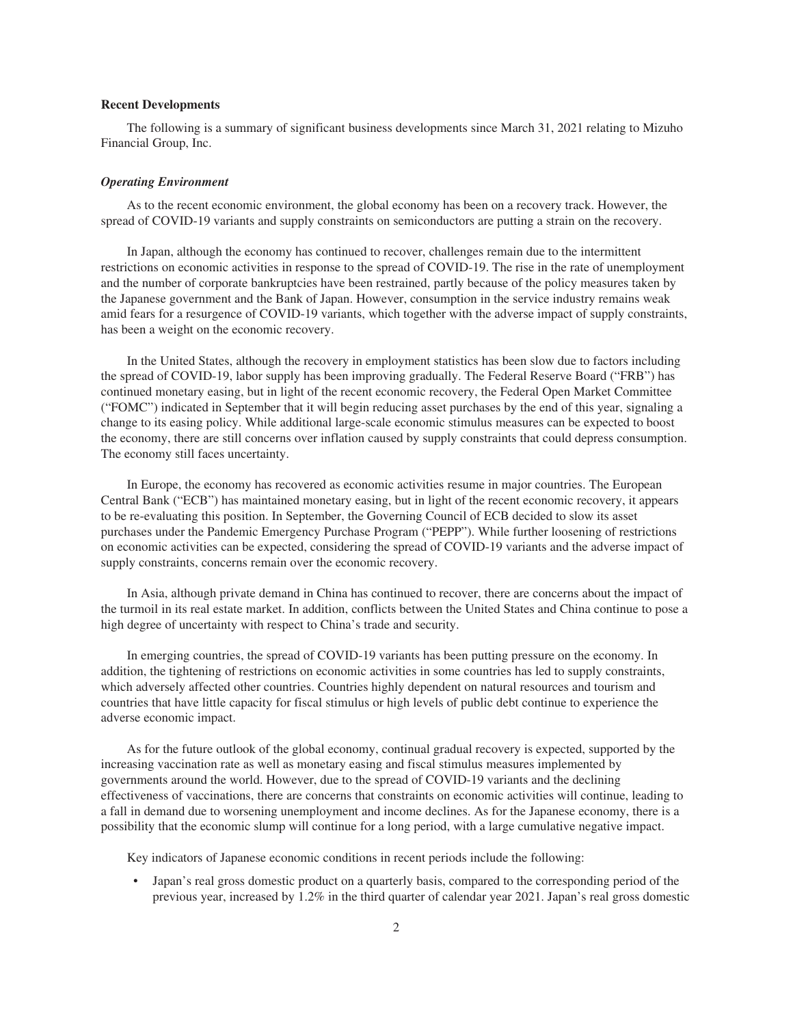# <span id="page-4-0"></span>**Recent Developments**

The following is a summary of significant business developments since March 31, 2021 relating to Mizuho Financial Group, Inc.

#### *Operating Environment*

As to the recent economic environment, the global economy has been on a recovery track. However, the spread of COVID-19 variants and supply constraints on semiconductors are putting a strain on the recovery.

In Japan, although the economy has continued to recover, challenges remain due to the intermittent restrictions on economic activities in response to the spread of COVID-19. The rise in the rate of unemployment and the number of corporate bankruptcies have been restrained, partly because of the policy measures taken by the Japanese government and the Bank of Japan. However, consumption in the service industry remains weak amid fears for a resurgence of COVID-19 variants, which together with the adverse impact of supply constraints, has been a weight on the economic recovery.

In the United States, although the recovery in employment statistics has been slow due to factors including the spread of COVID-19, labor supply has been improving gradually. The Federal Reserve Board ("FRB") has continued monetary easing, but in light of the recent economic recovery, the Federal Open Market Committee ("FOMC") indicated in September that it will begin reducing asset purchases by the end of this year, signaling a change to its easing policy. While additional large-scale economic stimulus measures can be expected to boost the economy, there are still concerns over inflation caused by supply constraints that could depress consumption. The economy still faces uncertainty.

In Europe, the economy has recovered as economic activities resume in major countries. The European Central Bank ("ECB") has maintained monetary easing, but in light of the recent economic recovery, it appears to be re-evaluating this position. In September, the Governing Council of ECB decided to slow its asset purchases under the Pandemic Emergency Purchase Program ("PEPP"). While further loosening of restrictions on economic activities can be expected, considering the spread of COVID-19 variants and the adverse impact of supply constraints, concerns remain over the economic recovery.

In Asia, although private demand in China has continued to recover, there are concerns about the impact of the turmoil in its real estate market. In addition, conflicts between the United States and China continue to pose a high degree of uncertainty with respect to China's trade and security.

In emerging countries, the spread of COVID-19 variants has been putting pressure on the economy. In addition, the tightening of restrictions on economic activities in some countries has led to supply constraints, which adversely affected other countries. Countries highly dependent on natural resources and tourism and countries that have little capacity for fiscal stimulus or high levels of public debt continue to experience the adverse economic impact.

As for the future outlook of the global economy, continual gradual recovery is expected, supported by the increasing vaccination rate as well as monetary easing and fiscal stimulus measures implemented by governments around the world. However, due to the spread of COVID-19 variants and the declining effectiveness of vaccinations, there are concerns that constraints on economic activities will continue, leading to a fall in demand due to worsening unemployment and income declines. As for the Japanese economy, there is a possibility that the economic slump will continue for a long period, with a large cumulative negative impact.

Key indicators of Japanese economic conditions in recent periods include the following:

• Japan's real gross domestic product on a quarterly basis, compared to the corresponding period of the previous year, increased by 1.2% in the third quarter of calendar year 2021. Japan's real gross domestic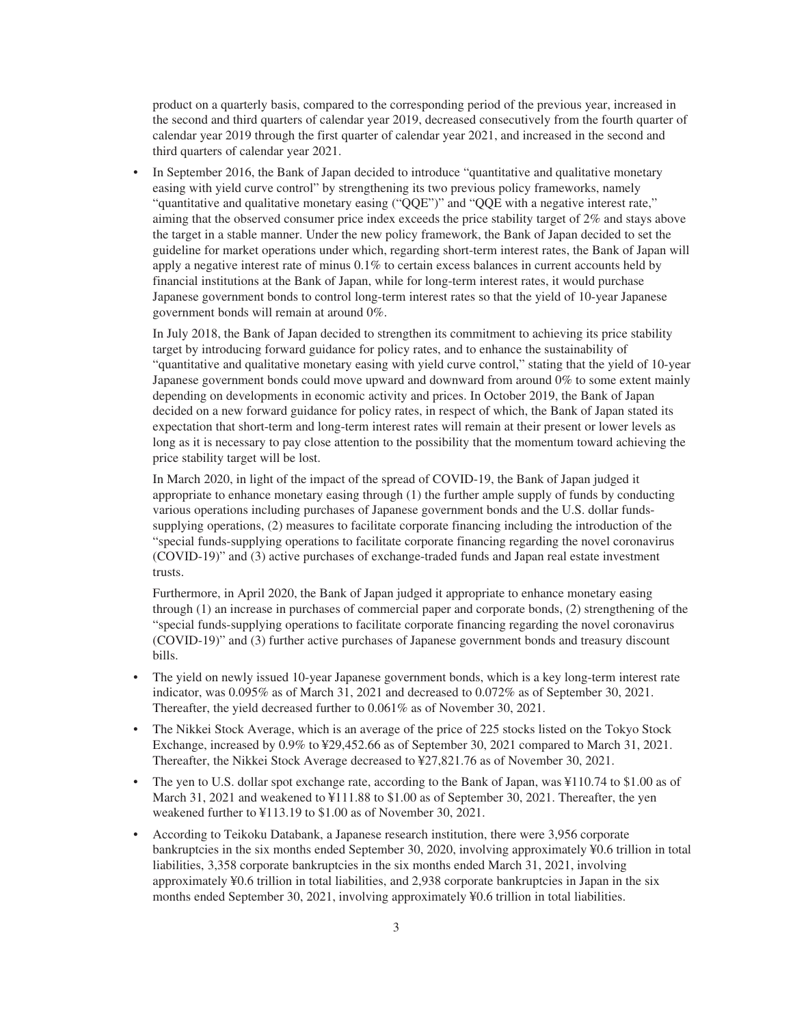product on a quarterly basis, compared to the corresponding period of the previous year, increased in the second and third quarters of calendar year 2019, decreased consecutively from the fourth quarter of calendar year 2019 through the first quarter of calendar year 2021, and increased in the second and third quarters of calendar year 2021.

• In September 2016, the Bank of Japan decided to introduce "quantitative and qualitative monetary easing with yield curve control" by strengthening its two previous policy frameworks, namely "quantitative and qualitative monetary easing ("QQE")" and "QQE with a negative interest rate," aiming that the observed consumer price index exceeds the price stability target of 2% and stays above the target in a stable manner. Under the new policy framework, the Bank of Japan decided to set the guideline for market operations under which, regarding short-term interest rates, the Bank of Japan will apply a negative interest rate of minus 0.1% to certain excess balances in current accounts held by financial institutions at the Bank of Japan, while for long-term interest rates, it would purchase Japanese government bonds to control long-term interest rates so that the yield of 10-year Japanese government bonds will remain at around 0%.

In July 2018, the Bank of Japan decided to strengthen its commitment to achieving its price stability target by introducing forward guidance for policy rates, and to enhance the sustainability of "quantitative and qualitative monetary easing with yield curve control," stating that the yield of 10-year Japanese government bonds could move upward and downward from around 0% to some extent mainly depending on developments in economic activity and prices. In October 2019, the Bank of Japan decided on a new forward guidance for policy rates, in respect of which, the Bank of Japan stated its expectation that short-term and long-term interest rates will remain at their present or lower levels as long as it is necessary to pay close attention to the possibility that the momentum toward achieving the price stability target will be lost.

In March 2020, in light of the impact of the spread of COVID-19, the Bank of Japan judged it appropriate to enhance monetary easing through (1) the further ample supply of funds by conducting various operations including purchases of Japanese government bonds and the U.S. dollar fundssupplying operations, (2) measures to facilitate corporate financing including the introduction of the "special funds-supplying operations to facilitate corporate financing regarding the novel coronavirus (COVID-19)" and (3) active purchases of exchange-traded funds and Japan real estate investment trusts.

Furthermore, in April 2020, the Bank of Japan judged it appropriate to enhance monetary easing through (1) an increase in purchases of commercial paper and corporate bonds, (2) strengthening of the "special funds-supplying operations to facilitate corporate financing regarding the novel coronavirus (COVID-19)" and (3) further active purchases of Japanese government bonds and treasury discount bills.

- The yield on newly issued 10-year Japanese government bonds, which is a key long-term interest rate indicator, was 0.095% as of March 31, 2021 and decreased to 0.072% as of September 30, 2021. Thereafter, the yield decreased further to 0.061% as of November 30, 2021.
- The Nikkei Stock Average, which is an average of the price of 225 stocks listed on the Tokyo Stock Exchange, increased by 0.9% to ¥29,452.66 as of September 30, 2021 compared to March 31, 2021. Thereafter, the Nikkei Stock Average decreased to ¥27,821.76 as of November 30, 2021.
- The yen to U.S. dollar spot exchange rate, according to the Bank of Japan, was ¥110.74 to \$1.00 as of March 31, 2021 and weakened to ¥111.88 to \$1.00 as of September 30, 2021. Thereafter, the yen weakened further to ¥113.19 to \$1.00 as of November 30, 2021.
- According to Teikoku Databank, a Japanese research institution, there were 3,956 corporate bankruptcies in the six months ended September 30, 2020, involving approximately ¥0.6 trillion in total liabilities, 3,358 corporate bankruptcies in the six months ended March 31, 2021, involving approximately ¥0.6 trillion in total liabilities, and 2,938 corporate bankruptcies in Japan in the six months ended September 30, 2021, involving approximately ¥0.6 trillion in total liabilities.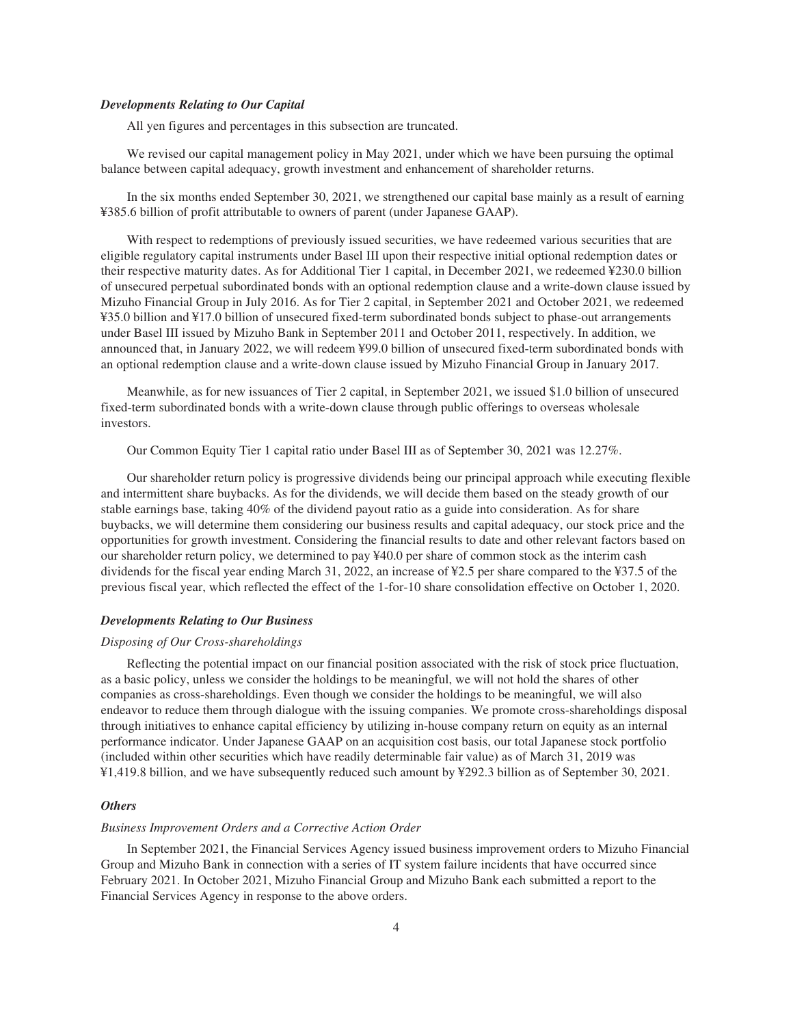# *Developments Relating to Our Capital*

All yen figures and percentages in this subsection are truncated.

We revised our capital management policy in May 2021, under which we have been pursuing the optimal balance between capital adequacy, growth investment and enhancement of shareholder returns.

In the six months ended September 30, 2021, we strengthened our capital base mainly as a result of earning ¥385.6 billion of profit attributable to owners of parent (under Japanese GAAP).

With respect to redemptions of previously issued securities, we have redeemed various securities that are eligible regulatory capital instruments under Basel III upon their respective initial optional redemption dates or their respective maturity dates. As for Additional Tier 1 capital, in December 2021, we redeemed ¥230.0 billion of unsecured perpetual subordinated bonds with an optional redemption clause and a write-down clause issued by Mizuho Financial Group in July 2016. As for Tier 2 capital, in September 2021 and October 2021, we redeemed ¥35.0 billion and ¥17.0 billion of unsecured fixed-term subordinated bonds subject to phase-out arrangements under Basel III issued by Mizuho Bank in September 2011 and October 2011, respectively. In addition, we announced that, in January 2022, we will redeem ¥99.0 billion of unsecured fixed-term subordinated bonds with an optional redemption clause and a write-down clause issued by Mizuho Financial Group in January 2017.

Meanwhile, as for new issuances of Tier 2 capital, in September 2021, we issued \$1.0 billion of unsecured fixed-term subordinated bonds with a write-down clause through public offerings to overseas wholesale investors.

Our Common Equity Tier 1 capital ratio under Basel III as of September 30, 2021 was 12.27%.

Our shareholder return policy is progressive dividends being our principal approach while executing flexible and intermittent share buybacks. As for the dividends, we will decide them based on the steady growth of our stable earnings base, taking 40% of the dividend payout ratio as a guide into consideration. As for share buybacks, we will determine them considering our business results and capital adequacy, our stock price and the opportunities for growth investment. Considering the financial results to date and other relevant factors based on our shareholder return policy, we determined to pay ¥40.0 per share of common stock as the interim cash dividends for the fiscal year ending March 31, 2022, an increase of ¥2.5 per share compared to the ¥37.5 of the previous fiscal year, which reflected the effect of the 1-for-10 share consolidation effective on October 1, 2020.

# *Developments Relating to Our Business*

# *Disposing of Our Cross-shareholdings*

Reflecting the potential impact on our financial position associated with the risk of stock price fluctuation, as a basic policy, unless we consider the holdings to be meaningful, we will not hold the shares of other companies as cross-shareholdings. Even though we consider the holdings to be meaningful, we will also endeavor to reduce them through dialogue with the issuing companies. We promote cross-shareholdings disposal through initiatives to enhance capital efficiency by utilizing in-house company return on equity as an internal performance indicator. Under Japanese GAAP on an acquisition cost basis, our total Japanese stock portfolio (included within other securities which have readily determinable fair value) as of March 31, 2019 was ¥1,419.8 billion, and we have subsequently reduced such amount by ¥292.3 billion as of September 30, 2021.

# *Others*

# *Business Improvement Orders and a Corrective Action Order*

In September 2021, the Financial Services Agency issued business improvement orders to Mizuho Financial Group and Mizuho Bank in connection with a series of IT system failure incidents that have occurred since February 2021. In October 2021, Mizuho Financial Group and Mizuho Bank each submitted a report to the Financial Services Agency in response to the above orders.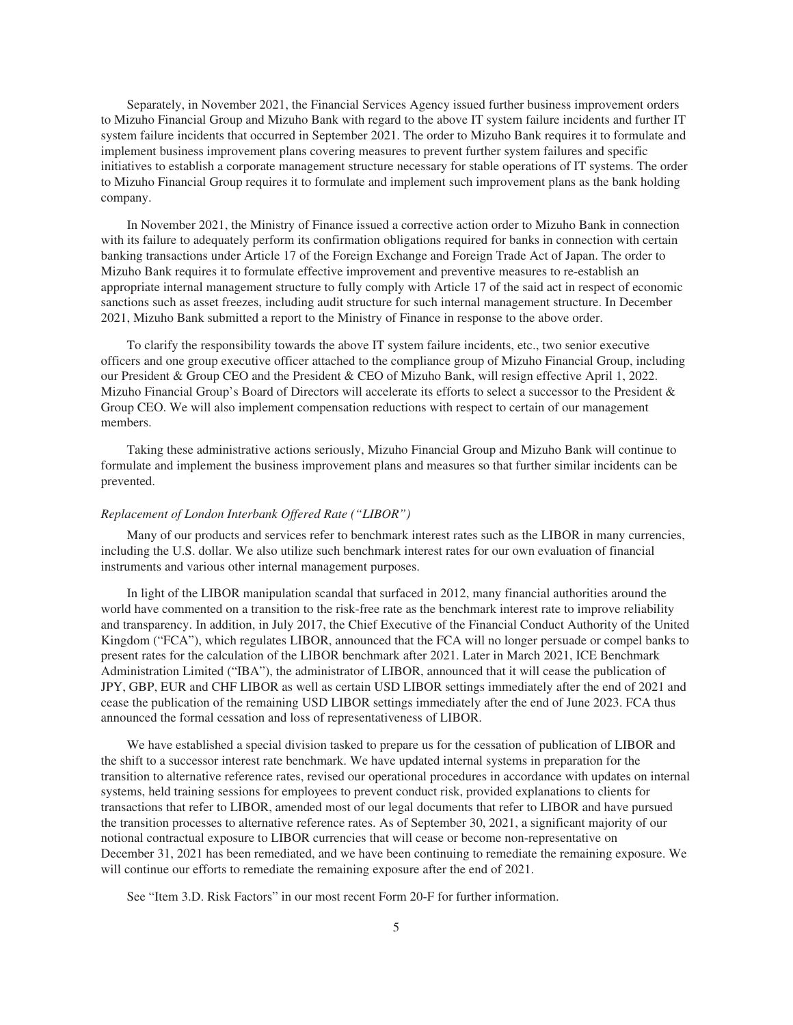Separately, in November 2021, the Financial Services Agency issued further business improvement orders to Mizuho Financial Group and Mizuho Bank with regard to the above IT system failure incidents and further IT system failure incidents that occurred in September 2021. The order to Mizuho Bank requires it to formulate and implement business improvement plans covering measures to prevent further system failures and specific initiatives to establish a corporate management structure necessary for stable operations of IT systems. The order to Mizuho Financial Group requires it to formulate and implement such improvement plans as the bank holding company.

In November 2021, the Ministry of Finance issued a corrective action order to Mizuho Bank in connection with its failure to adequately perform its confirmation obligations required for banks in connection with certain banking transactions under Article 17 of the Foreign Exchange and Foreign Trade Act of Japan. The order to Mizuho Bank requires it to formulate effective improvement and preventive measures to re-establish an appropriate internal management structure to fully comply with Article 17 of the said act in respect of economic sanctions such as asset freezes, including audit structure for such internal management structure. In December 2021, Mizuho Bank submitted a report to the Ministry of Finance in response to the above order.

To clarify the responsibility towards the above IT system failure incidents, etc., two senior executive officers and one group executive officer attached to the compliance group of Mizuho Financial Group, including our President & Group CEO and the President & CEO of Mizuho Bank, will resign effective April 1, 2022. Mizuho Financial Group's Board of Directors will accelerate its efforts to select a successor to the President & Group CEO. We will also implement compensation reductions with respect to certain of our management members.

Taking these administrative actions seriously, Mizuho Financial Group and Mizuho Bank will continue to formulate and implement the business improvement plans and measures so that further similar incidents can be prevented.

# *Replacement of London Interbank Offered Rate ("LIBOR")*

Many of our products and services refer to benchmark interest rates such as the LIBOR in many currencies, including the U.S. dollar. We also utilize such benchmark interest rates for our own evaluation of financial instruments and various other internal management purposes.

In light of the LIBOR manipulation scandal that surfaced in 2012, many financial authorities around the world have commented on a transition to the risk-free rate as the benchmark interest rate to improve reliability and transparency. In addition, in July 2017, the Chief Executive of the Financial Conduct Authority of the United Kingdom ("FCA"), which regulates LIBOR, announced that the FCA will no longer persuade or compel banks to present rates for the calculation of the LIBOR benchmark after 2021. Later in March 2021, ICE Benchmark Administration Limited ("IBA"), the administrator of LIBOR, announced that it will cease the publication of JPY, GBP, EUR and CHF LIBOR as well as certain USD LIBOR settings immediately after the end of 2021 and cease the publication of the remaining USD LIBOR settings immediately after the end of June 2023. FCA thus announced the formal cessation and loss of representativeness of LIBOR.

We have established a special division tasked to prepare us for the cessation of publication of LIBOR and the shift to a successor interest rate benchmark. We have updated internal systems in preparation for the transition to alternative reference rates, revised our operational procedures in accordance with updates on internal systems, held training sessions for employees to prevent conduct risk, provided explanations to clients for transactions that refer to LIBOR, amended most of our legal documents that refer to LIBOR and have pursued the transition processes to alternative reference rates. As of September 30, 2021, a significant majority of our notional contractual exposure to LIBOR currencies that will cease or become non-representative on December 31, 2021 has been remediated, and we have been continuing to remediate the remaining exposure. We will continue our efforts to remediate the remaining exposure after the end of 2021.

See "Item 3.D. Risk Factors" in our most recent Form 20-F for further information.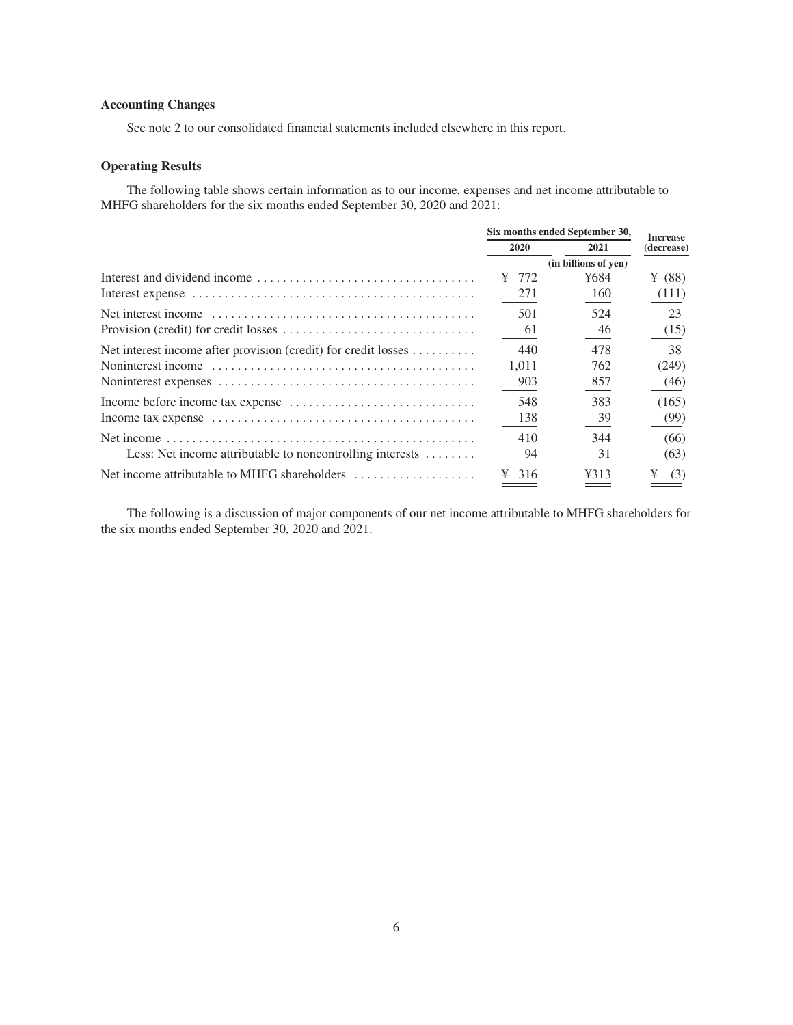# <span id="page-8-0"></span>**Accounting Changes**

See note 2 to our consolidated financial statements included elsewhere in this report.

# <span id="page-8-1"></span>**Operating Results**

The following table shows certain information as to our income, expenses and net income attributable to MHFG shareholders for the six months ended September 30, 2020 and 2021:

|                                                                |             | Six months ended September 30, |                               |  |
|----------------------------------------------------------------|-------------|--------------------------------|-------------------------------|--|
|                                                                | <b>2020</b> | 2021                           | <b>Increase</b><br>(decrease) |  |
|                                                                |             | (in billions of yen)           |                               |  |
|                                                                | 772<br>¥    | ¥684                           | ¥ $(88)$                      |  |
|                                                                | 271         | 160                            | (111)                         |  |
|                                                                | 501         | 524                            | 23                            |  |
|                                                                | 61          | 46                             | (15)                          |  |
| Net interest income after provision (credit) for credit losses | 440         | 478                            | 38                            |  |
|                                                                | 1.011       | 762                            | (249)                         |  |
|                                                                | 903         | 857                            | (46)                          |  |
|                                                                | 548         | 383                            | (165)                         |  |
|                                                                | 138         | 39                             | (99)                          |  |
|                                                                | 410         | 344                            | (66)                          |  |
| Less: Net income attributable to noncontrolling interests      | 94          | 31                             | (63)                          |  |
|                                                                | 316         | ¥313                           | ¥<br>(3)                      |  |

The following is a discussion of major components of our net income attributable to MHFG shareholders for the six months ended September 30, 2020 and 2021.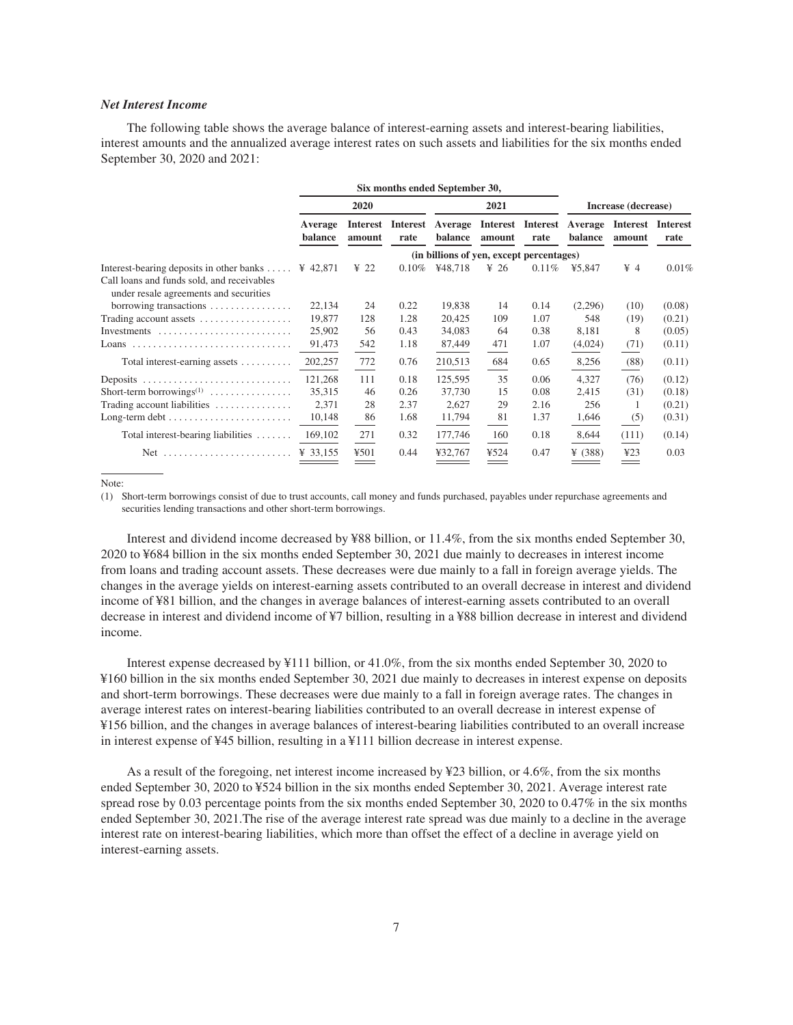# *Net Interest Income*

The following table shows the average balance of interest-earning assets and interest-bearing liabilities, interest amounts and the annualized average interest rates on such assets and liabilities for the six months ended September 30, 2020 and 2021:

|                                                                                      |                    |                  |          | Six months ended September 30,           |                  |                           |                     |                    |                         |
|--------------------------------------------------------------------------------------|--------------------|------------------|----------|------------------------------------------|------------------|---------------------------|---------------------|--------------------|-------------------------|
|                                                                                      | 2020               |                  |          | 2021                                     |                  |                           | Increase (decrease) |                    |                         |
|                                                                                      | Average<br>balance | amount           | rate     | Interest Interest Average<br>balance     | amount           | Interest Interest<br>rate | Average<br>balance  | Interest<br>amount | <b>Interest</b><br>rate |
|                                                                                      |                    |                  |          | (in billions of yen, except percentages) |                  |                           |                     |                    |                         |
| Interest-bearing deposits in other banks $\dots$ ¥ 42,871                            |                    | $\frac{1}{2}$ 22 | $0.10\%$ | ¥48,718                                  | $\frac{1}{2}$ 26 | 0.11%                     | ¥5,847              | $\frac{1}{2}$ 4    | 0.01%                   |
| Call loans and funds sold, and receivables<br>under resale agreements and securities |                    |                  |          |                                          |                  |                           |                     |                    |                         |
| borrowing transactions                                                               | 22,134             | 24               | 0.22     | 19,838                                   | 14               | 0.14                      | (2,296)             | (10)               | (0.08)                  |
| Trading account assets                                                               | 19,877             | 128              | 1.28     | 20,425                                   | 109              | 1.07                      | 548                 | (19)               | (0.21)                  |
| Investments $\dots\dots\dots\dots\dots\dots\dots\dots\dots\dots$                     | 25,902             | 56               | 0.43     | 34,083                                   | 64               | 0.38                      | 8,181               | 8                  | (0.05)                  |
|                                                                                      | 91,473             | 542              | 1.18     | 87,449                                   | 471              | 1.07                      | (4,024)             | (71)               | (0.11)                  |
| Total interest-earning assets $\dots\dots\dots$                                      | 202,257            | 772              | 0.76     | 210,513                                  | 684              | 0.65                      | 8,256               | (88)               | (0.11)                  |
| Deposits                                                                             | 121,268            | 111              | 0.18     | 125,595                                  | 35               | 0.06                      | 4,327               | (76)               | (0.12)                  |
| Short-term borrowings <sup>(1)</sup>                                                 | 35,315             | 46               | 0.26     | 37,730                                   | 15               | 0.08                      | 2,415               | (31)               | (0.18)                  |
| Trading account liabilities                                                          | 2,371              | 28               | 2.37     | 2,627                                    | 29               | 2.16                      | 256                 |                    | (0.21)                  |
| $Long-term debt \dots \dots \dots \dots \dots \dots \dots \dots$                     | 10,148             | 86               | 1.68     | 11,794                                   | 81               | 1.37                      | 1,646               | (5)                | (0.31)                  |
| Total interest-bearing liabilities $\dots\dots$                                      | 169,102            | 271              | 0.32     | 177,746                                  | 160              | 0.18                      | 8,644               | (111)              | (0.14)                  |
| $Net$                                                                                | ¥ 33,155           | 4501             | 0.44     | ¥32,767                                  | ¥524             | 0.47                      | ¥ $(388)$           | 423                | 0.03                    |

Note:

(1) Short-term borrowings consist of due to trust accounts, call money and funds purchased, payables under repurchase agreements and securities lending transactions and other short-term borrowings.

Interest and dividend income decreased by ¥88 billion, or 11.4%, from the six months ended September 30, 2020 to ¥684 billion in the six months ended September 30, 2021 due mainly to decreases in interest income from loans and trading account assets. These decreases were due mainly to a fall in foreign average yields. The changes in the average yields on interest-earning assets contributed to an overall decrease in interest and dividend income of ¥81 billion, and the changes in average balances of interest-earning assets contributed to an overall decrease in interest and dividend income of ¥7 billion, resulting in a ¥88 billion decrease in interest and dividend income.

Interest expense decreased by ¥111 billion, or 41.0%, from the six months ended September 30, 2020 to ¥160 billion in the six months ended September 30, 2021 due mainly to decreases in interest expense on deposits and short-term borrowings. These decreases were due mainly to a fall in foreign average rates. The changes in average interest rates on interest-bearing liabilities contributed to an overall decrease in interest expense of ¥156 billion, and the changes in average balances of interest-bearing liabilities contributed to an overall increase in interest expense of ¥45 billion, resulting in a ¥111 billion decrease in interest expense.

As a result of the foregoing, net interest income increased by ¥23 billion, or 4.6%, from the six months ended September 30, 2020 to ¥524 billion in the six months ended September 30, 2021. Average interest rate spread rose by 0.03 percentage points from the six months ended September 30, 2020 to 0.47% in the six months ended September 30, 2021.The rise of the average interest rate spread was due mainly to a decline in the average interest rate on interest-bearing liabilities, which more than offset the effect of a decline in average yield on interest-earning assets.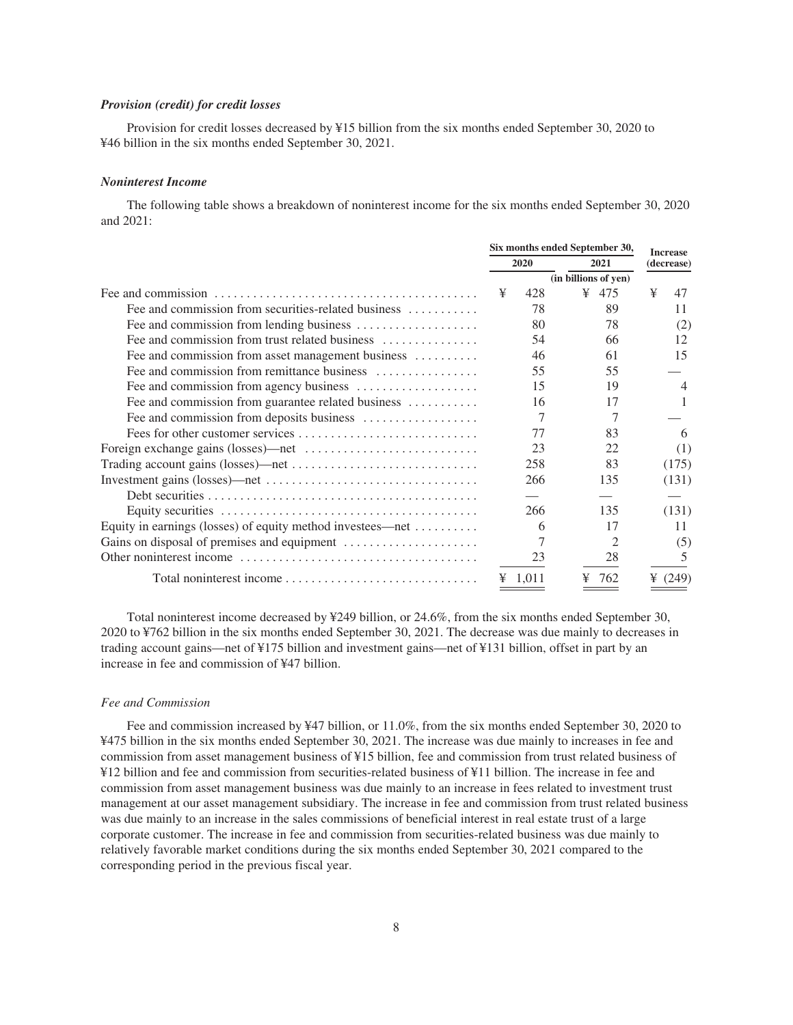# *Provision (credit) for credit losses*

Provision for credit losses decreased by ¥15 billion from the six months ended September 30, 2020 to ¥46 billion in the six months ended September 30, 2021.

#### *Noninterest Income*

The following table shows a breakdown of noninterest income for the six months ended September 30, 2020 and 2021:

|                                                                       |              | Six months ended September 30, |            |                      | <b>Increase</b> |           |
|-----------------------------------------------------------------------|--------------|--------------------------------|------------|----------------------|-----------------|-----------|
|                                                                       | 2020<br>2021 |                                | (decrease) |                      |                 |           |
|                                                                       |              |                                |            | (in billions of yen) |                 |           |
|                                                                       | ¥            | 428                            | ¥          | 475                  | ¥               | 47        |
| Fee and commission from securities-related business                   |              | 78                             |            | 89                   |                 | 11        |
| Fee and commission from lending business                              |              | 80                             |            | 78                   |                 | (2)       |
| Fee and commission from trust related business                        |              | 54                             |            | 66                   |                 | 12        |
| Fee and commission from asset management business                     |              | 46                             |            | 61                   |                 | 15        |
| Fee and commission from remittance business $\dots \dots \dots \dots$ |              | 55                             |            | 55                   |                 |           |
|                                                                       |              | 15                             |            | 19                   |                 | 4         |
| Fee and commission from guarantee related business                    |              | 16                             |            | 17                   |                 |           |
|                                                                       |              |                                |            |                      |                 |           |
|                                                                       |              | 77                             |            | 83                   |                 | 6         |
|                                                                       |              | 23                             |            | 22                   |                 | (1)       |
|                                                                       |              | 258                            |            | 83                   |                 | (175)     |
|                                                                       |              | 266                            |            | 135                  |                 | (131)     |
|                                                                       |              |                                |            |                      |                 |           |
|                                                                       |              | 266                            |            | 135                  |                 | (131)     |
| Equity in earnings (losses) of equity method investees—net            |              | 6                              |            | 17                   |                 | 11        |
|                                                                       |              |                                |            | 2                    |                 | (5)       |
|                                                                       |              | 23                             |            | 28                   |                 | 5         |
| Total noninterest income                                              |              | $\frac{1}{2}$ 1,011            | ¥          | 762                  |                 | ¥ $(249)$ |

Total noninterest income decreased by ¥249 billion, or 24.6%, from the six months ended September 30, 2020 to ¥762 billion in the six months ended September 30, 2021. The decrease was due mainly to decreases in trading account gains—net of ¥175 billion and investment gains—net of ¥131 billion, offset in part by an increase in fee and commission of ¥47 billion.

# *Fee and Commission*

Fee and commission increased by ¥47 billion, or 11.0%, from the six months ended September 30, 2020 to ¥475 billion in the six months ended September 30, 2021. The increase was due mainly to increases in fee and commission from asset management business of ¥15 billion, fee and commission from trust related business of ¥12 billion and fee and commission from securities-related business of ¥11 billion. The increase in fee and commission from asset management business was due mainly to an increase in fees related to investment trust management at our asset management subsidiary. The increase in fee and commission from trust related business was due mainly to an increase in the sales commissions of beneficial interest in real estate trust of a large corporate customer. The increase in fee and commission from securities-related business was due mainly to relatively favorable market conditions during the six months ended September 30, 2021 compared to the corresponding period in the previous fiscal year.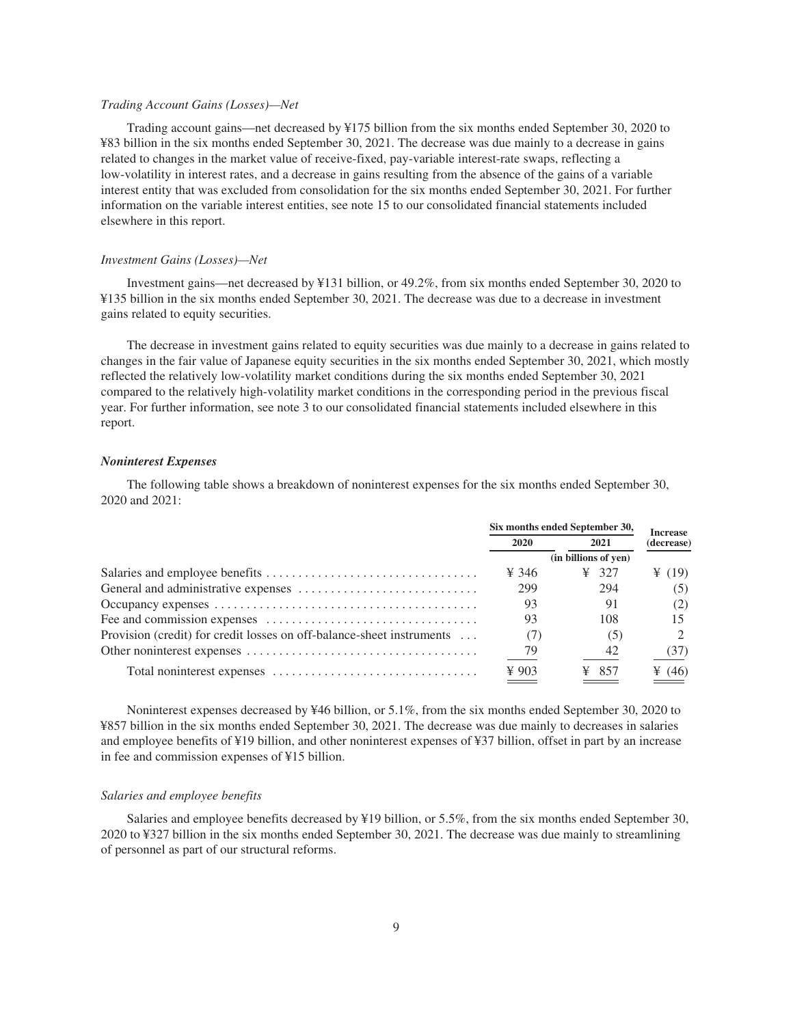# *Trading Account Gains (Losses)—Net*

Trading account gains—net decreased by ¥175 billion from the six months ended September 30, 2020 to ¥83 billion in the six months ended September 30, 2021. The decrease was due mainly to a decrease in gains related to changes in the market value of receive-fixed, pay-variable interest-rate swaps, reflecting a low-volatility in interest rates, and a decrease in gains resulting from the absence of the gains of a variable interest entity that was excluded from consolidation for the six months ended September 30, 2021. For further information on the variable interest entities, see note 15 to our consolidated financial statements included elsewhere in this report.

# *Investment Gains (Losses)—Net*

Investment gains—net decreased by ¥131 billion, or 49.2%, from six months ended September 30, 2020 to ¥135 billion in the six months ended September 30, 2021. The decrease was due to a decrease in investment gains related to equity securities.

The decrease in investment gains related to equity securities was due mainly to a decrease in gains related to changes in the fair value of Japanese equity securities in the six months ended September 30, 2021, which mostly reflected the relatively low-volatility market conditions during the six months ended September 30, 2021 compared to the relatively high-volatility market conditions in the corresponding period in the previous fiscal year. For further information, see note 3 to our consolidated financial statements included elsewhere in this report.

## *Noninterest Expenses*

The following table shows a breakdown of noninterest expenses for the six months ended September 30, 2020 and 2021:

|                                                                       | Six months ended September 30, | <b>Increase</b>      |            |
|-----------------------------------------------------------------------|--------------------------------|----------------------|------------|
|                                                                       | 2020<br>2021                   |                      | (decrease) |
|                                                                       |                                | (in billions of yen) |            |
|                                                                       | ¥ 346                          | $\frac{1}{2}$ 327    | ¥ $(19)$   |
|                                                                       | 299                            | 294                  | (5)        |
|                                                                       | 93                             | 91                   | (2)        |
|                                                                       | 93                             | 108                  |            |
| Provision (credit) for credit losses on off-balance-sheet instruments | (7)                            | (5)                  |            |
|                                                                       | 79                             | 42                   | (37)       |
|                                                                       | $\frac{1}{2}903$               | ¥ 857                | ¥ (46)     |

Noninterest expenses decreased by ¥46 billion, or 5.1%, from the six months ended September 30, 2020 to ¥857 billion in the six months ended September 30, 2021. The decrease was due mainly to decreases in salaries and employee benefits of ¥19 billion, and other noninterest expenses of ¥37 billion, offset in part by an increase in fee and commission expenses of ¥15 billion.

# *Salaries and employee benefits*

Salaries and employee benefits decreased by ¥19 billion, or 5.5%, from the six months ended September 30, 2020 to ¥327 billion in the six months ended September 30, 2021. The decrease was due mainly to streamlining of personnel as part of our structural reforms.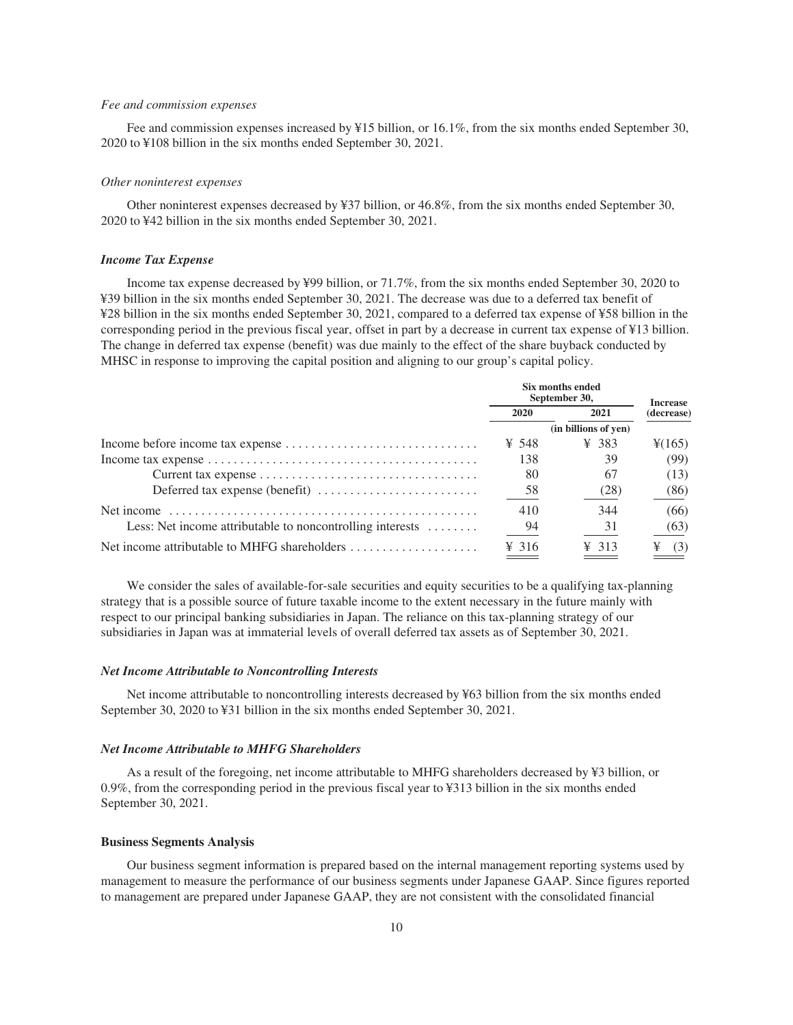# *Fee and commission expenses*

Fee and commission expenses increased by ¥15 billion, or 16.1%, from the six months ended September 30, 2020 to ¥108 billion in the six months ended September 30, 2021.

# *Other noninterest expenses*

Other noninterest expenses decreased by ¥37 billion, or 46.8%, from the six months ended September 30, 2020 to ¥42 billion in the six months ended September 30, 2021.

# *Income Tax Expense*

Income tax expense decreased by ¥99 billion, or 71.7%, from the six months ended September 30, 2020 to ¥39 billion in the six months ended September 30, 2021. The decrease was due to a deferred tax benefit of ¥28 billion in the six months ended September 30, 2021, compared to a deferred tax expense of ¥58 billion in the corresponding period in the previous fiscal year, offset in part by a decrease in current tax expense of ¥13 billion. The change in deferred tax expense (benefit) was due mainly to the effect of the share buyback conducted by MHSC in response to improving the capital position and aligning to our group's capital policy.

|                                                                           | Six months ended<br>September 30, | <b>Increase</b>      |                    |
|---------------------------------------------------------------------------|-----------------------------------|----------------------|--------------------|
|                                                                           | 2020                              | 2021                 | (decrease)         |
|                                                                           |                                   | (in billions of yen) |                    |
|                                                                           | ¥ 548                             | ¥ 383                | $\frac{1}{2}(165)$ |
|                                                                           | 138                               | 39                   | (99)               |
|                                                                           | 80                                | 67                   | (13)               |
| Deferred tax expense (benefit) $\dots\dots\dots\dots\dots\dots\dots\dots$ | 58                                | (28)                 | (86)               |
| Net income                                                                | 410                               | 344                  | (66)               |
| Less: Net income attributable to noncontrolling interests $\dots\dots$    | -94                               | 31                   | (63)               |
| Net income attributable to MHFG shareholders                              | $\frac{1}{2}$ 316                 | $\frac{1}{2}$ 313    | ¥<br>(3)           |

We consider the sales of available-for-sale securities and equity securities to be a qualifying tax-planning strategy that is a possible source of future taxable income to the extent necessary in the future mainly with respect to our principal banking subsidiaries in Japan. The reliance on this tax-planning strategy of our subsidiaries in Japan was at immaterial levels of overall deferred tax assets as of September 30, 2021.

#### *Net Income Attributable to Noncontrolling Interests*

Net income attributable to noncontrolling interests decreased by ¥63 billion from the six months ended September 30, 2020 to ¥31 billion in the six months ended September 30, 2021.

#### *Net Income Attributable to MHFG Shareholders*

As a result of the foregoing, net income attributable to MHFG shareholders decreased by ¥3 billion, or 0.9%, from the corresponding period in the previous fiscal year to ¥313 billion in the six months ended September 30, 2021.

#### <span id="page-12-0"></span>**Business Segments Analysis**

Our business segment information is prepared based on the internal management reporting systems used by management to measure the performance of our business segments under Japanese GAAP. Since figures reported to management are prepared under Japanese GAAP, they are not consistent with the consolidated financial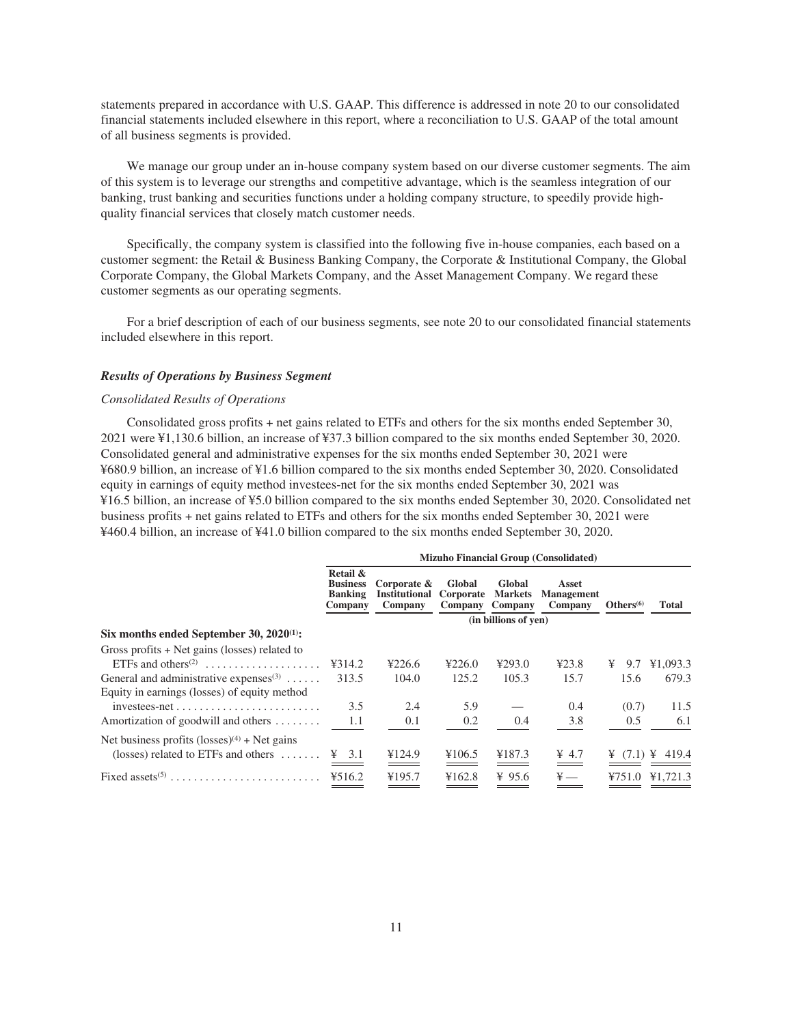statements prepared in accordance with U.S. GAAP. This difference is addressed in note 20 to our consolidated financial statements included elsewhere in this report, where a reconciliation to U.S. GAAP of the total amount of all business segments is provided.

We manage our group under an in-house company system based on our diverse customer segments. The aim of this system is to leverage our strengths and competitive advantage, which is the seamless integration of our banking, trust banking and securities functions under a holding company structure, to speedily provide highquality financial services that closely match customer needs.

Specifically, the company system is classified into the following five in-house companies, each based on a customer segment: the Retail & Business Banking Company, the Corporate & Institutional Company, the Global Corporate Company, the Global Markets Company, and the Asset Management Company. We regard these customer segments as our operating segments.

For a brief description of each of our business segments, see note 20 to our consolidated financial statements included elsewhere in this report.

# *Results of Operations by Business Segment*

# *Consolidated Results of Operations*

Consolidated gross profits + net gains related to ETFs and others for the six months ended September 30, 2021 were ¥1,130.6 billion, an increase of ¥37.3 billion compared to the six months ended September 30, 2020. Consolidated general and administrative expenses for the six months ended September 30, 2021 were ¥680.9 billion, an increase of ¥1.6 billion compared to the six months ended September 30, 2020. Consolidated equity in earnings of equity method investees-net for the six months ended September 30, 2021 was ¥16.5 billion, an increase of ¥5.0 billion compared to the six months ended September 30, 2020. Consolidated net business profits + net gains related to ETFs and others for the six months ended September 30, 2021 were ¥460.4 billion, an increase of ¥41.0 billion compared to the six months ended September 30, 2020.

|                                                           | <b>Mizuho Financial Group (Consolidated)</b>             |                                                |                                |                                     |                                       |              |                                         |  |  |
|-----------------------------------------------------------|----------------------------------------------------------|------------------------------------------------|--------------------------------|-------------------------------------|---------------------------------------|--------------|-----------------------------------------|--|--|
|                                                           | Retail &<br><b>Business</b><br><b>Banking</b><br>Company | Corporate &<br><b>Institutional</b><br>Company | Global<br>Corporate<br>Company | Global<br><b>Markets</b><br>Company | Asset<br><b>Management</b><br>Company | Others $(6)$ | Total                                   |  |  |
|                                                           |                                                          |                                                |                                | (in billions of yen)                |                                       |              |                                         |  |  |
| Six months ended September 30, $2020^{(1)}$ :             |                                                          |                                                |                                |                                     |                                       |              |                                         |  |  |
| Gross profits $+$ Net gains (losses) related to           |                                                          |                                                |                                |                                     |                                       |              |                                         |  |  |
| ETFs and others <sup>(2)</sup>                            | 4314.2                                                   | 4226.6                                         | 4226.0                         | 4293.0                              | 423.8                                 | ¥<br>9.7     | ¥1,093.3                                |  |  |
| General and administrative expenses $(3)$                 | 313.5                                                    | 104.0                                          | 125.2                          | 105.3                               | 15.7                                  | 15.6         | 679.3                                   |  |  |
| Equity in earnings (losses) of equity method              |                                                          |                                                |                                |                                     |                                       |              |                                         |  |  |
| $investees-net \ldots \ldots \ldots \ldots \ldots \ldots$ | 3.5                                                      | 2.4                                            | 5.9                            |                                     | 0.4                                   | (0.7)        | 11.5                                    |  |  |
| Amortization of goodwill and others                       | 1.1                                                      | 0.1                                            | 0.2                            | 0.4                                 | 3.8                                   | 0.5          | 6.1                                     |  |  |
| Net business profits $(\text{losses})^{(4)}$ + Net gains  |                                                          |                                                |                                |                                     |                                       |              |                                         |  |  |
| (losses) related to ETFs and others $\dots\dots$          | $\angle 3.1$                                             | ¥124.9                                         | ¥106.5                         | ¥187.3                              | $\frac{1}{2}$ 4.7                     |              | $\frac{1}{2}$ (7.1) $\frac{1}{2}$ 419.4 |  |  |
| Fixed assets <sup>(5)</sup>                               | 4516.2                                                   | ¥195.7                                         | ¥162.8                         | ¥ 95.6                              | $\ddot{x}$ —                          | 4751.0       | ¥1,721.3                                |  |  |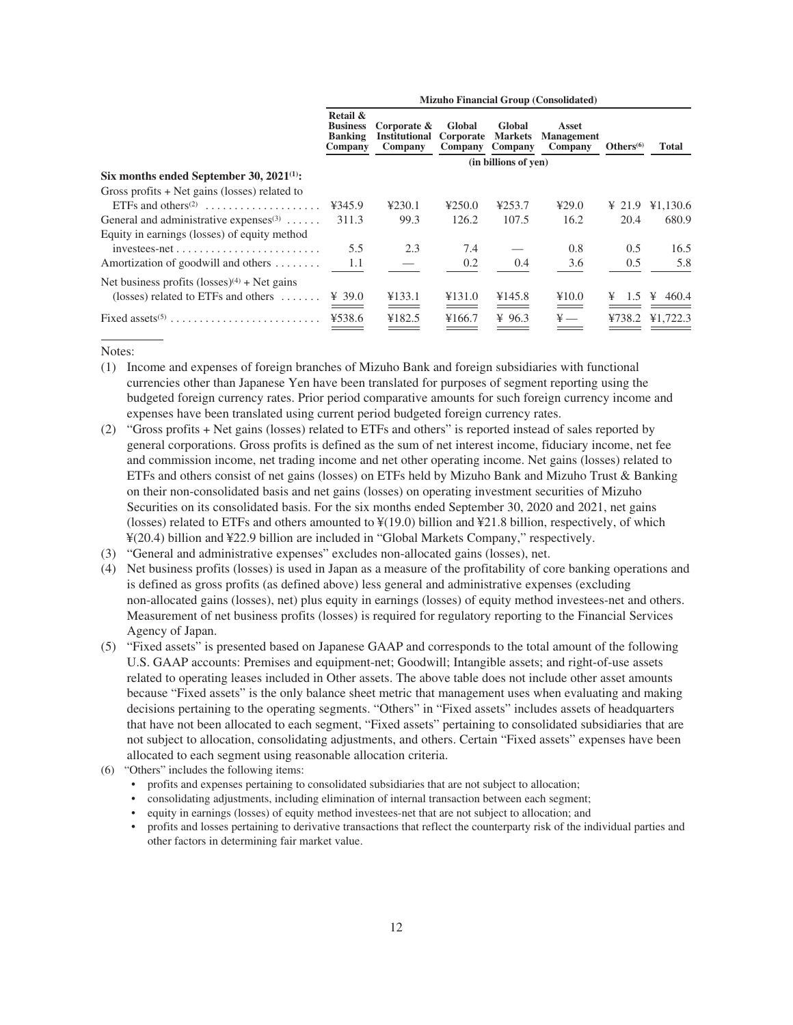|                                                           | <b>Mizuho Financial Group (Consolidated)</b>             |                                                   |                                |                                     |                                       |                    |            |  |  |
|-----------------------------------------------------------|----------------------------------------------------------|---------------------------------------------------|--------------------------------|-------------------------------------|---------------------------------------|--------------------|------------|--|--|
|                                                           | Retail &<br><b>Business</b><br><b>Banking</b><br>Company | Corporate $\&$<br><b>Institutional</b><br>Company | Global<br>Corporate<br>Company | Global<br><b>Markets</b><br>Company | Asset<br><b>Management</b><br>Company | $Others^{(6)}$     | Total      |  |  |
|                                                           |                                                          |                                                   |                                | (in billions of yen)                |                                       |                    |            |  |  |
| Six months ended September 30, $2021^{(1)}$ :             |                                                          |                                                   |                                |                                     |                                       |                    |            |  |  |
| Gross profits $+$ Net gains (losses) related to           |                                                          |                                                   |                                |                                     |                                       |                    |            |  |  |
| ETFs and others <sup><math>(2)</math></sup>               | ¥345.9                                                   | 4230.1                                            | 4250.0                         | ¥253.7                              | 429.0                                 | $\frac{1}{2}$ 21.9 | ¥1,130.6   |  |  |
| General and administrative expenses $(3)$                 | 311.3                                                    | 99.3                                              | 126.2                          | 107.5                               | 16.2                                  | 20.4               | 680.9      |  |  |
| Equity in earnings (losses) of equity method              |                                                          |                                                   |                                |                                     |                                       |                    |            |  |  |
| $investees-net \ldots \ldots \ldots \ldots \ldots \ldots$ | 5.5                                                      | 2.3                                               | 7.4                            |                                     | 0.8                                   | 0.5                | 16.5       |  |  |
| Amortization of goodwill and others                       | 1.1                                                      |                                                   | 0.2                            | 0.4                                 | 3.6                                   | 0.5                | 5.8        |  |  |
| Net business profits $(\text{losses})^{(4)}$ + Net gains  |                                                          |                                                   |                                |                                     |                                       |                    |            |  |  |
| (losses) related to ETFs and others $\dots\dots$          | ¥ 39.0                                                   | ¥133.1                                            | ¥131.0                         | ¥145.8                              | ¥10.0                                 | 1.5<br>¥           | 460.4<br>¥ |  |  |
|                                                           | ¥538.6                                                   | ¥182.5                                            | ¥166.7                         | ¥ $96.3$                            | $\frac{1}{2}$                         | ¥738.2             | ¥1,722.3   |  |  |

Notes:

- (1) Income and expenses of foreign branches of Mizuho Bank and foreign subsidiaries with functional currencies other than Japanese Yen have been translated for purposes of segment reporting using the budgeted foreign currency rates. Prior period comparative amounts for such foreign currency income and expenses have been translated using current period budgeted foreign currency rates.
- (2) "Gross profits + Net gains (losses) related to ETFs and others" is reported instead of sales reported by general corporations. Gross profits is defined as the sum of net interest income, fiduciary income, net fee and commission income, net trading income and net other operating income. Net gains (losses) related to ETFs and others consist of net gains (losses) on ETFs held by Mizuho Bank and Mizuho Trust & Banking on their non-consolidated basis and net gains (losses) on operating investment securities of Mizuho Securities on its consolidated basis. For the six months ended September 30, 2020 and 2021, net gains (losses) related to ETFs and others amounted to  $\frac{4}{19.0}$ ) billion and  $\frac{4}{21.8}$  billion, respectively, of which ¥(20.4) billion and ¥22.9 billion are included in "Global Markets Company," respectively.
- (3) "General and administrative expenses" excludes non-allocated gains (losses), net.
- (4) Net business profits (losses) is used in Japan as a measure of the profitability of core banking operations and is defined as gross profits (as defined above) less general and administrative expenses (excluding non-allocated gains (losses), net) plus equity in earnings (losses) of equity method investees-net and others. Measurement of net business profits (losses) is required for regulatory reporting to the Financial Services Agency of Japan.
- (5) "Fixed assets" is presented based on Japanese GAAP and corresponds to the total amount of the following U.S. GAAP accounts: Premises and equipment-net; Goodwill; Intangible assets; and right-of-use assets related to operating leases included in Other assets. The above table does not include other asset amounts because "Fixed assets" is the only balance sheet metric that management uses when evaluating and making decisions pertaining to the operating segments. "Others" in "Fixed assets" includes assets of headquarters that have not been allocated to each segment, "Fixed assets" pertaining to consolidated subsidiaries that are not subject to allocation, consolidating adjustments, and others. Certain "Fixed assets" expenses have been allocated to each segment using reasonable allocation criteria.
- (6) "Others" includes the following items:
	- profits and expenses pertaining to consolidated subsidiaries that are not subject to allocation;
	- consolidating adjustments, including elimination of internal transaction between each segment;
	- equity in earnings (losses) of equity method investees-net that are not subject to allocation; and
	- profits and losses pertaining to derivative transactions that reflect the counterparty risk of the individual parties and other factors in determining fair market value.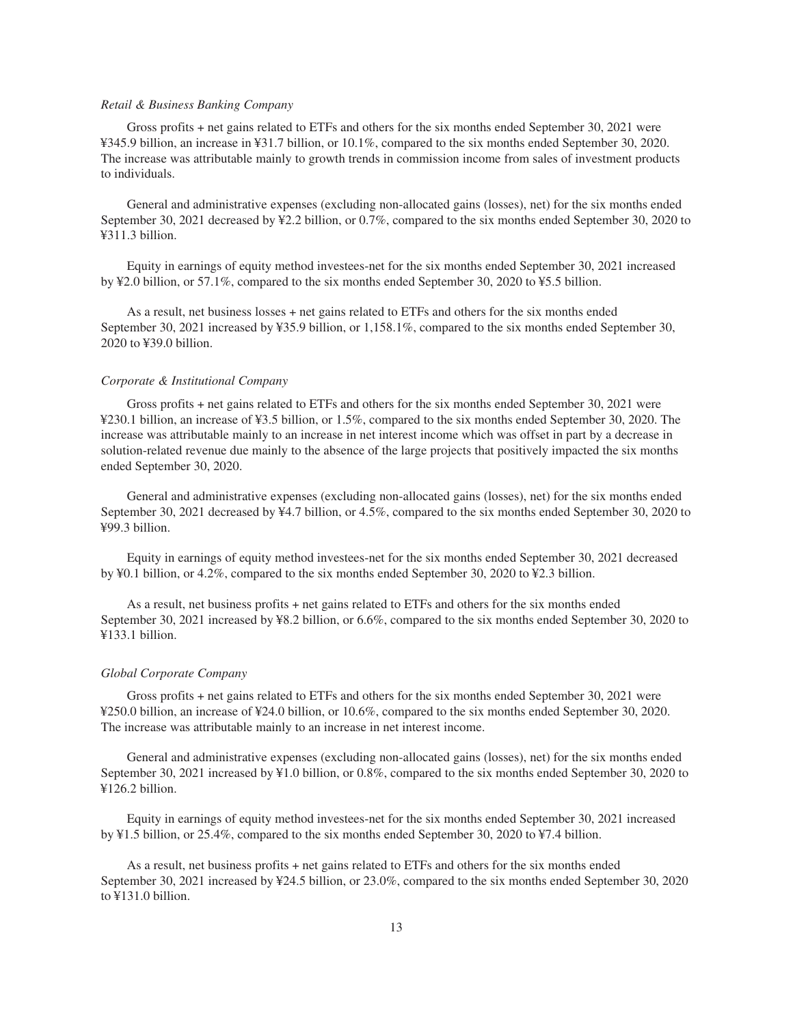# *Retail & Business Banking Company*

Gross profits + net gains related to ETFs and others for the six months ended September 30, 2021 were ¥345.9 billion, an increase in ¥31.7 billion, or 10.1%, compared to the six months ended September 30, 2020. The increase was attributable mainly to growth trends in commission income from sales of investment products to individuals.

General and administrative expenses (excluding non-allocated gains (losses), net) for the six months ended September 30, 2021 decreased by ¥2.2 billion, or 0.7%, compared to the six months ended September 30, 2020 to ¥311.3 billion.

Equity in earnings of equity method investees-net for the six months ended September 30, 2021 increased by ¥2.0 billion, or 57.1%, compared to the six months ended September 30, 2020 to ¥5.5 billion.

As a result, net business losses + net gains related to ETFs and others for the six months ended September 30, 2021 increased by ¥35.9 billion, or 1,158.1%, compared to the six months ended September 30, 2020 to ¥39.0 billion.

#### *Corporate & Institutional Company*

Gross profits + net gains related to ETFs and others for the six months ended September 30, 2021 were ¥230.1 billion, an increase of ¥3.5 billion, or 1.5%, compared to the six months ended September 30, 2020. The increase was attributable mainly to an increase in net interest income which was offset in part by a decrease in solution-related revenue due mainly to the absence of the large projects that positively impacted the six months ended September 30, 2020.

General and administrative expenses (excluding non-allocated gains (losses), net) for the six months ended September 30, 2021 decreased by ¥4.7 billion, or 4.5%, compared to the six months ended September 30, 2020 to ¥99.3 billion.

Equity in earnings of equity method investees-net for the six months ended September 30, 2021 decreased by ¥0.1 billion, or 4.2%, compared to the six months ended September 30, 2020 to ¥2.3 billion.

As a result, net business profits + net gains related to ETFs and others for the six months ended September 30, 2021 increased by ¥8.2 billion, or 6.6%, compared to the six months ended September 30, 2020 to ¥133.1 billion.

#### *Global Corporate Company*

Gross profits + net gains related to ETFs and others for the six months ended September 30, 2021 were ¥250.0 billion, an increase of ¥24.0 billion, or 10.6%, compared to the six months ended September 30, 2020. The increase was attributable mainly to an increase in net interest income.

General and administrative expenses (excluding non-allocated gains (losses), net) for the six months ended September 30, 2021 increased by ¥1.0 billion, or 0.8%, compared to the six months ended September 30, 2020 to ¥126.2 billion.

Equity in earnings of equity method investees-net for the six months ended September 30, 2021 increased by ¥1.5 billion, or 25.4%, compared to the six months ended September 30, 2020 to ¥7.4 billion.

As a result, net business profits + net gains related to ETFs and others for the six months ended September 30, 2021 increased by ¥24.5 billion, or 23.0%, compared to the six months ended September 30, 2020 to ¥131.0 billion.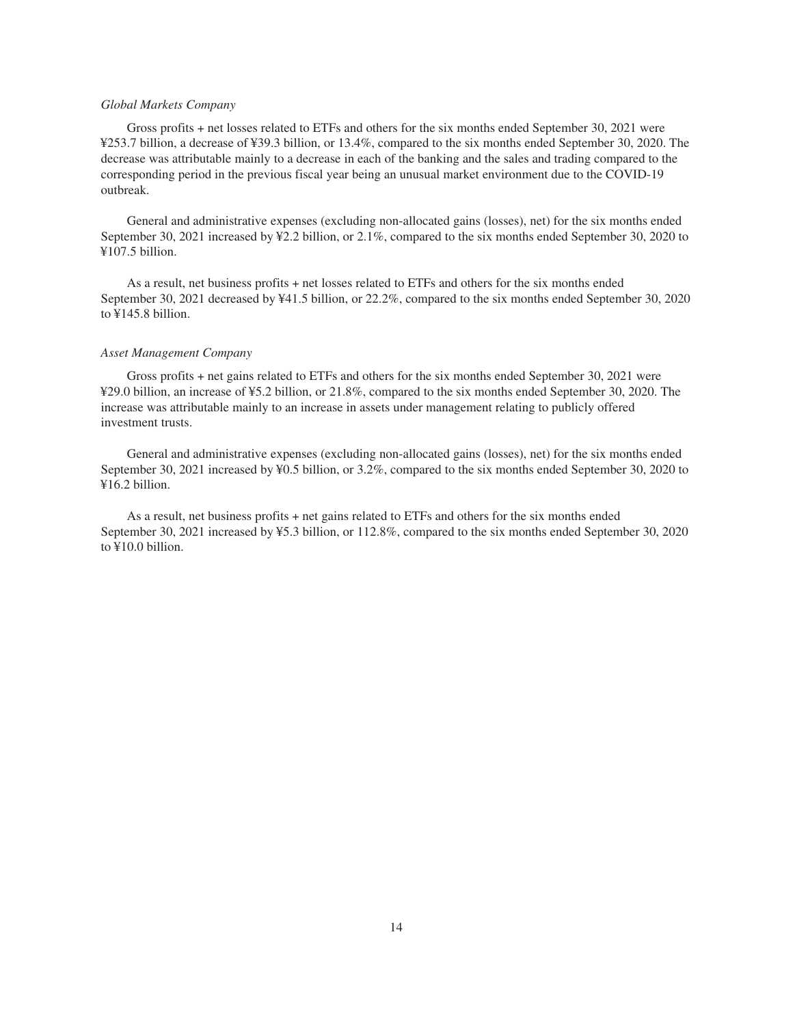# *Global Markets Company*

Gross profits + net losses related to ETFs and others for the six months ended September 30, 2021 were ¥253.7 billion, a decrease of ¥39.3 billion, or 13.4%, compared to the six months ended September 30, 2020. The decrease was attributable mainly to a decrease in each of the banking and the sales and trading compared to the corresponding period in the previous fiscal year being an unusual market environment due to the COVID-19 outbreak.

General and administrative expenses (excluding non-allocated gains (losses), net) for the six months ended September 30, 2021 increased by ¥2.2 billion, or 2.1%, compared to the six months ended September 30, 2020 to ¥107.5 billion.

As a result, net business profits + net losses related to ETFs and others for the six months ended September 30, 2021 decreased by ¥41.5 billion, or 22.2%, compared to the six months ended September 30, 2020 to ¥145.8 billion.

# *Asset Management Company*

Gross profits + net gains related to ETFs and others for the six months ended September 30, 2021 were ¥29.0 billion, an increase of ¥5.2 billion, or 21.8%, compared to the six months ended September 30, 2020. The increase was attributable mainly to an increase in assets under management relating to publicly offered investment trusts.

General and administrative expenses (excluding non-allocated gains (losses), net) for the six months ended September 30, 2021 increased by ¥0.5 billion, or 3.2%, compared to the six months ended September 30, 2020 to ¥16.2 billion.

As a result, net business profits + net gains related to ETFs and others for the six months ended September 30, 2021 increased by ¥5.3 billion, or 112.8%, compared to the six months ended September 30, 2020 to ¥10.0 billion.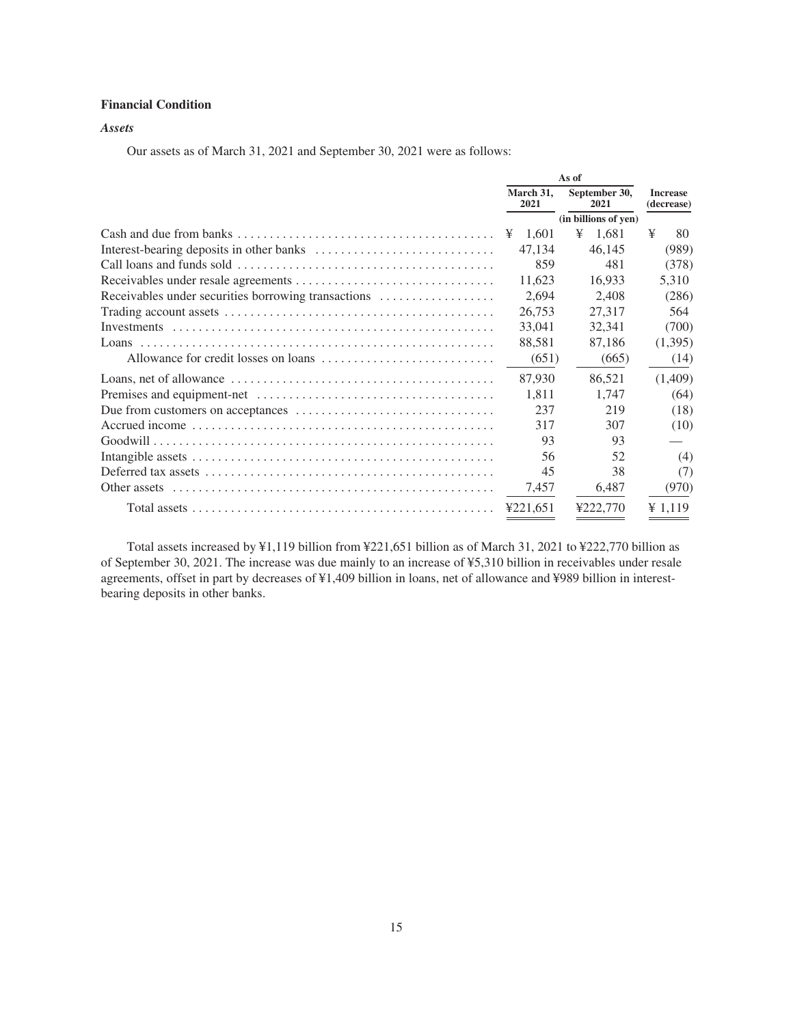# <span id="page-17-0"></span>**Financial Condition**

# *Assets*

Our assets as of March 31, 2021 and September 30, 2021 were as follows:

|                                                     | As of                                      |                      |                               |
|-----------------------------------------------------|--------------------------------------------|----------------------|-------------------------------|
|                                                     | March 31.<br>September 30,<br>2021<br>2021 |                      | <b>Increase</b><br>(decrease) |
|                                                     |                                            | (in billions of yen) |                               |
|                                                     | 1.601<br>¥                                 | ¥<br>1.681           | ¥<br>80                       |
|                                                     | 47,134                                     | 46.145               | (989)                         |
|                                                     | 859                                        | 481                  | (378)                         |
|                                                     | 11.623                                     | 16.933               | 5.310                         |
| Receivables under securities borrowing transactions | 2,694                                      | 2,408                | (286)                         |
|                                                     | 26,753                                     | 27,317               | 564                           |
|                                                     | 33,041                                     | 32,341               | (700)                         |
|                                                     | 88,581                                     | 87,186               | (1,395)                       |
|                                                     | (651)                                      | (665)                | (14)                          |
|                                                     | 87,930                                     | 86,521               | (1,409)                       |
|                                                     | 1,811                                      | 1.747                | (64)                          |
|                                                     | 237                                        | 219                  | (18)                          |
|                                                     | 317                                        | 307                  | (10)                          |
|                                                     | 93                                         | 93                   |                               |
|                                                     | 56                                         | 52                   | (4)                           |
|                                                     | 45                                         | 38                   | (7)                           |
|                                                     | 7,457                                      | 6,487                | (970)                         |
|                                                     | 4221.651                                   | ¥222.770             | $\frac{1}{2}$ 1,119           |

Total assets increased by ¥1,119 billion from ¥221,651 billion as of March 31, 2021 to ¥222,770 billion as of September 30, 2021. The increase was due mainly to an increase of ¥5,310 billion in receivables under resale agreements, offset in part by decreases of ¥1,409 billion in loans, net of allowance and ¥989 billion in interestbearing deposits in other banks.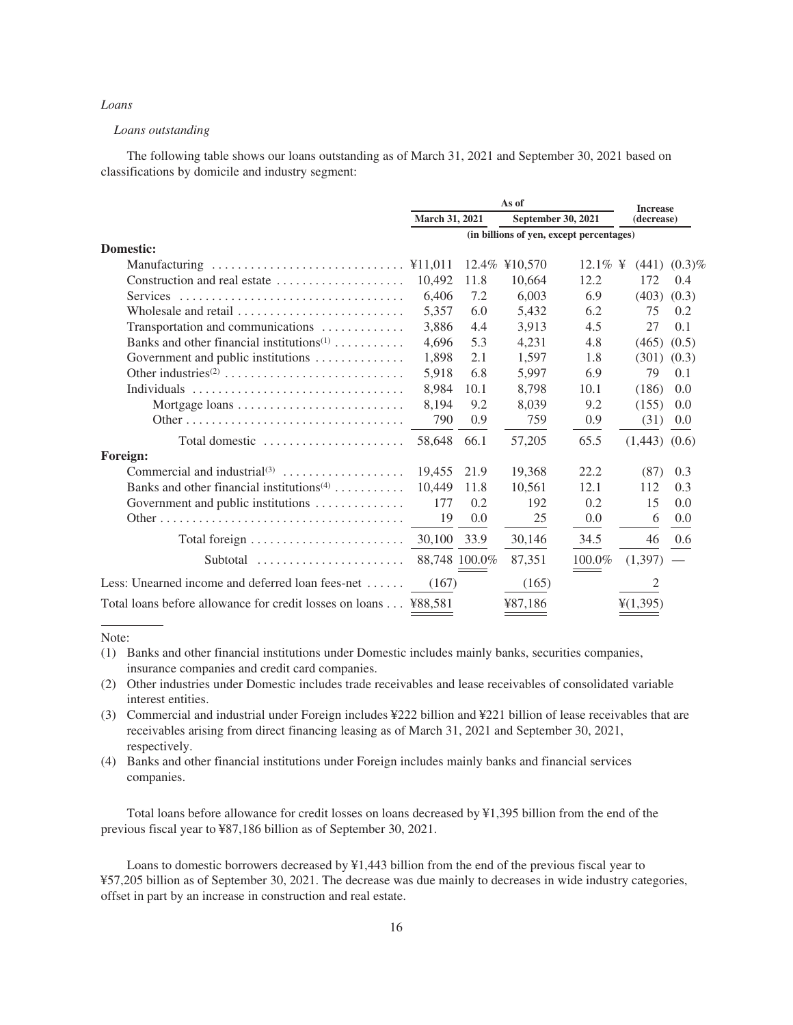# *Loans*

# *Loans outstanding*

The following table shows our loans outstanding as of March 31, 2021 and September 30, 2021 based on classifications by domicile and industry segment:

|                                                                       |                | <b>Increase</b> |               |                                          |                   |                   |
|-----------------------------------------------------------------------|----------------|-----------------|---------------|------------------------------------------|-------------------|-------------------|
|                                                                       | March 31, 2021 |                 |               | September 30, 2021                       | (decrease)        |                   |
|                                                                       |                |                 |               | (in billions of yen, except percentages) |                   |                   |
| <b>Domestic:</b>                                                      |                |                 |               |                                          |                   |                   |
| Manufacturing                                                         | ¥11,011        |                 | 12.4% ¥10,570 | $12.1\% \text{ }$                        |                   | $(441)$ $(0.3)\%$ |
| Construction and real estate                                          | 10,492         | 11.8            | 10,664        | 12.2                                     | 172               | 0.4               |
| Services                                                              | 6.406          | 7.2             | 6,003         | 6.9                                      | $(403)$ $(0.3)$   |                   |
| Wholesale and retail $\ldots, \ldots, \ldots, \ldots, \ldots, \ldots$ | 5.357          | 6.0             | 5,432         | 6.2                                      | 75                | 0.2               |
| Transportation and communications                                     | 3,886          | 4.4             | 3,913         | 4.5                                      | 27                | 0.1               |
|                                                                       | 4.696          | 5.3             | 4,231         | 4.8                                      | (465)             | (0.5)             |
| Government and public institutions                                    | 1,898          | 2.1             | 1,597         | 1.8                                      | $(301)$ $(0.3)$   |                   |
|                                                                       | 5,918          | 6.8             | 5,997         | 6.9                                      | 79                | 0.1               |
| Individuals                                                           | 8.984          | 10.1            | 8,798         | 10.1                                     | (186)             | 0.0               |
| Mortgage loans                                                        | 8,194          | 9.2             | 8,039         | 9.2                                      | (155)             | 0.0               |
|                                                                       | 790            | 0.9             | 759           | 0.9                                      | (31)              | 0.0               |
| Total domestic $\dots\dots\dots\dots\dots\dots\dots$                  | 58.648         | 66.1            | 57,205        | 65.5                                     | $(1,443)$ $(0.6)$ |                   |
| <b>Foreign:</b>                                                       |                |                 |               |                                          |                   |                   |
|                                                                       | 19.455         | 21.9            | 19,368        | 22.2                                     | (87)              | 0.3               |
| Banks and other financial institutions <sup><math>(4)</math></sup>    | 10,449         | 11.8            | 10,561        | 12.1                                     | 112               | 0.3               |
| Government and public institutions                                    | 177            | 0.2             | 192           | 0.2                                      | 15                | 0.0               |
|                                                                       | 19             | 0.0             | 25            | 0.0                                      | 6                 | 0.0               |
| Total foreign $\dots \dots \dots \dots \dots \dots \dots \dots$       | 30,100         | 33.9            | 30,146        | 34.5                                     | 46                | 0.6               |
| Subtotal                                                              |                | 88,748 100.0%   | 87,351        | 100.0%                                   | (1,397)           |                   |
| Less: Unearned income and deferred loan fees-net                      | (167)          |                 | (165)         |                                          | 2                 |                   |
| Total loans before allowance for credit losses on loans ¥88,581       |                |                 | ¥87,186       |                                          | 4(1,395)          |                   |

#### Note:

- (2) Other industries under Domestic includes trade receivables and lease receivables of consolidated variable interest entities.
- (3) Commercial and industrial under Foreign includes ¥222 billion and ¥221 billion of lease receivables that are receivables arising from direct financing leasing as of March 31, 2021 and September 30, 2021, respectively.
- (4) Banks and other financial institutions under Foreign includes mainly banks and financial services companies.

Total loans before allowance for credit losses on loans decreased by ¥1,395 billion from the end of the previous fiscal year to ¥87,186 billion as of September 30, 2021.

Loans to domestic borrowers decreased by ¥1,443 billion from the end of the previous fiscal year to ¥57,205 billion as of September 30, 2021. The decrease was due mainly to decreases in wide industry categories, offset in part by an increase in construction and real estate.

<sup>(1)</sup> Banks and other financial institutions under Domestic includes mainly banks, securities companies, insurance companies and credit card companies.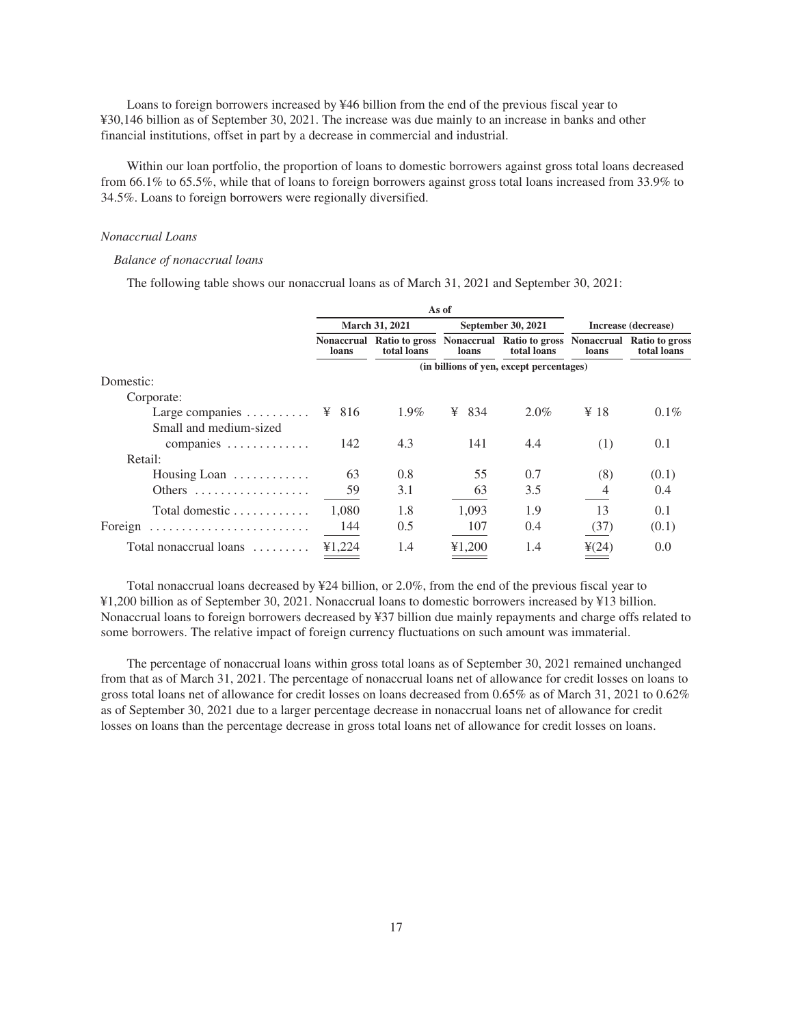Loans to foreign borrowers increased by ¥46 billion from the end of the previous fiscal year to ¥30,146 billion as of September 30, 2021. The increase was due mainly to an increase in banks and other financial institutions, offset in part by a decrease in commercial and industrial.

Within our loan portfolio, the proportion of loans to domestic borrowers against gross total loans decreased from 66.1% to 65.5%, while that of loans to foreign borrowers against gross total loans increased from 33.9% to 34.5%. Loans to foreign borrowers were regionally diversified.

# *Nonaccrual Loans*

# *Balance of nonaccrual loans*

The following table shows our nonaccrual loans as of March 31, 2021 and September 30, 2021:

|                                               |        |                | As of              |                                                                                              |                   |                     |
|-----------------------------------------------|--------|----------------|--------------------|----------------------------------------------------------------------------------------------|-------------------|---------------------|
|                                               |        | March 31, 2021 | September 30, 2021 |                                                                                              |                   | Increase (decrease) |
|                                               | loans  | total loans    | loans              | Nonaccrual Ratio to gross Nonaccrual Ratio to gross Nonaccrual Ratio to gross<br>total loans | loans             | total loans         |
|                                               |        |                |                    | (in billions of yen, except percentages)                                                     |                   |                     |
| Domestic:                                     |        |                |                    |                                                                                              |                   |                     |
| Corporate:                                    |        |                |                    |                                                                                              |                   |                     |
| Large companies $\dots \dots \dots$ \! \! 816 |        | 1.9%           | 834<br>¥           | $2.0\%$                                                                                      | ¥ 18              | $0.1\%$             |
| Small and medium-sized                        |        |                |                    |                                                                                              |                   |                     |
| companies $\dots\dots\dots\dots$              | 142    | 4.3            | 141                | 4.4                                                                                          | (1)               | 0.1                 |
| Retail:                                       |        |                |                    |                                                                                              |                   |                     |
| Housing Loan                                  | 63     | 0.8            | 55                 | 0.7                                                                                          | (8)               | (0.1)               |
| Others $\dots\dots\dots\dots\dots\dots\dots$  | 59     | 3.1            | 63                 | 3.5                                                                                          | 4                 | (0.4)               |
| Total domestic                                | 1.080  | 1.8            | 1.093              | 1.9                                                                                          | 13                | 0.1                 |
|                                               |        |                |                    |                                                                                              |                   |                     |
| Foreign                                       | 144    | 0.5            | 107                | 0.4                                                                                          | (37)              | (0.1)               |
| Total nonaccrual loans                        | ¥1,224 | 1.4            | ¥1,200             | 1.4                                                                                          | $\frac{1}{2}(24)$ | 0.0                 |

Total nonaccrual loans decreased by ¥24 billion, or 2.0%, from the end of the previous fiscal year to ¥1,200 billion as of September 30, 2021. Nonaccrual loans to domestic borrowers increased by ¥13 billion. Nonaccrual loans to foreign borrowers decreased by ¥37 billion due mainly repayments and charge offs related to some borrowers. The relative impact of foreign currency fluctuations on such amount was immaterial.

The percentage of nonaccrual loans within gross total loans as of September 30, 2021 remained unchanged from that as of March 31, 2021. The percentage of nonaccrual loans net of allowance for credit losses on loans to gross total loans net of allowance for credit losses on loans decreased from 0.65% as of March 31, 2021 to 0.62% as of September 30, 2021 due to a larger percentage decrease in nonaccrual loans net of allowance for credit losses on loans than the percentage decrease in gross total loans net of allowance for credit losses on loans.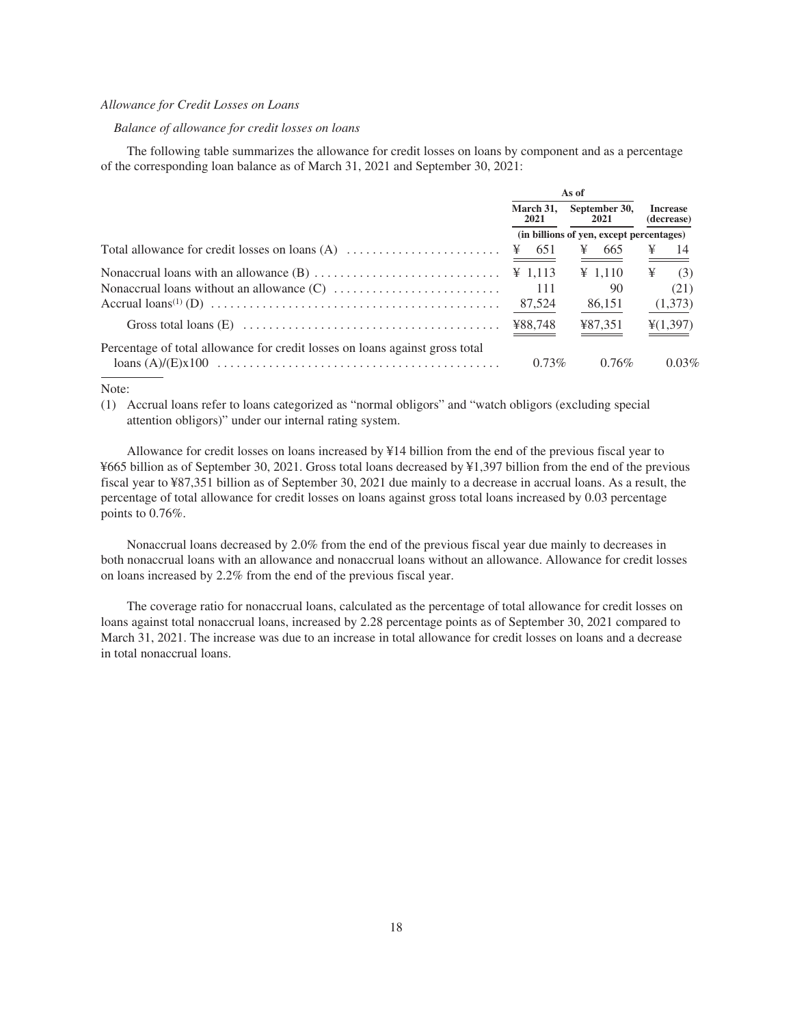# *Allowance for Credit Losses on Loans*

# *Balance of allowance for credit losses on loans*

The following table summarizes the allowance for credit losses on loans by component and as a percentage of the corresponding loan balance as of March 31, 2021 and September 30, 2021:

|                                                                              | As of               |                                          |                               |
|------------------------------------------------------------------------------|---------------------|------------------------------------------|-------------------------------|
|                                                                              | 2021                | March 31, September 30,<br>2021          | <b>Increase</b><br>(decrease) |
|                                                                              |                     | (in billions of yen, except percentages) |                               |
|                                                                              |                     |                                          | $\angle 4$                    |
|                                                                              | $\frac{1}{2}$ 1.113 | $\frac{1}{2}$ 1,110                      | $\angle$ (3)                  |
|                                                                              | - 111               | 90                                       | (21)                          |
|                                                                              | 87,524              | 86,151                                   | (1,373)                       |
|                                                                              | ¥88,748             | ¥87,351                                  | $\frac{1}{2}(1,397)$          |
| Percentage of total allowance for credit losses on loans against gross total | $0.73\%$            | $0.76\%$                                 | 0.03%                         |
|                                                                              |                     |                                          |                               |

#### Note:

(1) Accrual loans refer to loans categorized as "normal obligors" and "watch obligors (excluding special attention obligors)" under our internal rating system.

Allowance for credit losses on loans increased by ¥14 billion from the end of the previous fiscal year to ¥665 billion as of September 30, 2021. Gross total loans decreased by ¥1,397 billion from the end of the previous fiscal year to ¥87,351 billion as of September 30, 2021 due mainly to a decrease in accrual loans. As a result, the percentage of total allowance for credit losses on loans against gross total loans increased by 0.03 percentage points to 0.76%.

Nonaccrual loans decreased by 2.0% from the end of the previous fiscal year due mainly to decreases in both nonaccrual loans with an allowance and nonaccrual loans without an allowance. Allowance for credit losses on loans increased by 2.2% from the end of the previous fiscal year.

The coverage ratio for nonaccrual loans, calculated as the percentage of total allowance for credit losses on loans against total nonaccrual loans, increased by 2.28 percentage points as of September 30, 2021 compared to March 31, 2021. The increase was due to an increase in total allowance for credit losses on loans and a decrease in total nonaccrual loans.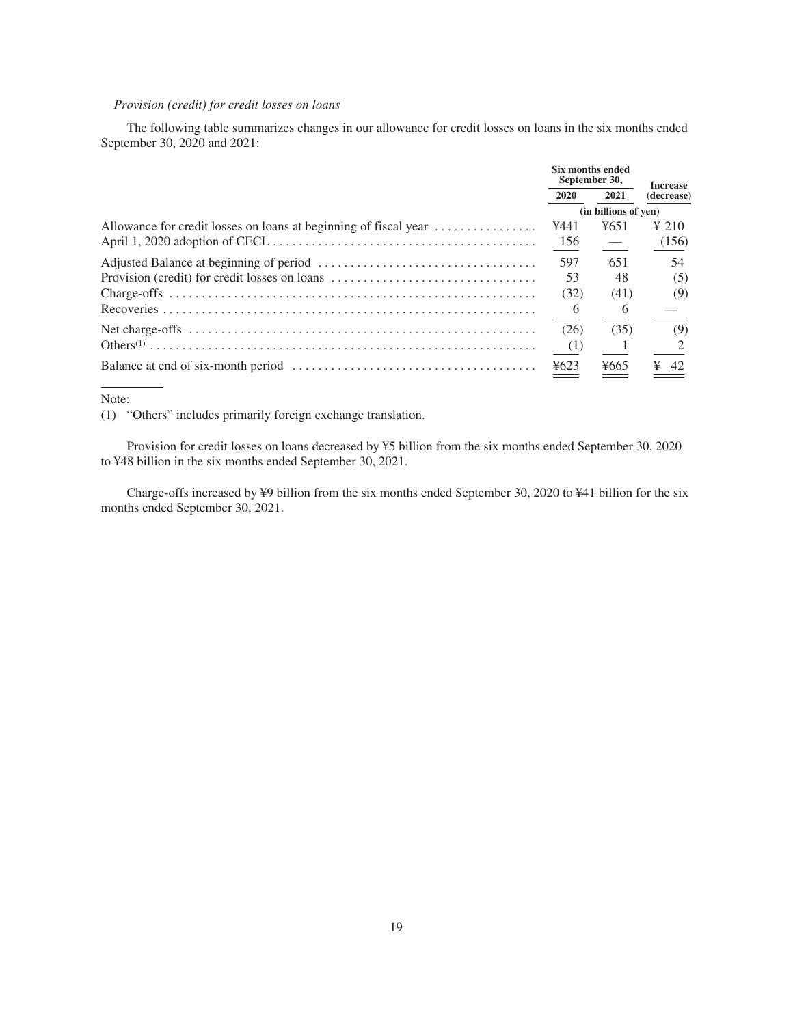# *Provision (credit) for credit losses on loans*

The following table summarizes changes in our allowance for credit losses on loans in the six months ended September 30, 2020 and 2021:

|                                                                  | Six months ended<br>September 30, | <b>Increase</b>      |                 |
|------------------------------------------------------------------|-----------------------------------|----------------------|-----------------|
|                                                                  | 2020                              | 2021                 | (decrease)      |
|                                                                  |                                   | (in billions of yen) |                 |
| Allowance for credit losses on loans at beginning of fiscal year | ¥441                              | 4651                 | $\frac{1}{210}$ |
|                                                                  | 156                               |                      | (156)           |
|                                                                  | 597                               | 651                  | 54              |
| Provision (credit) for credit losses on loans                    | 53                                | 48                   | (5)             |
|                                                                  | (32)                              | (41)                 | (9)             |
|                                                                  | 6                                 | 6                    |                 |
|                                                                  | (26)                              | (35)                 | (9)             |
|                                                                  | (1)                               |                      |                 |
|                                                                  | 4623                              | ¥665                 | ¥<br>42         |

Note:

(1) "Others" includes primarily foreign exchange translation.

Provision for credit losses on loans decreased by ¥5 billion from the six months ended September 30, 2020 to ¥48 billion in the six months ended September 30, 2021.

Charge-offs increased by ¥9 billion from the six months ended September 30, 2020 to ¥41 billion for the six months ended September 30, 2021.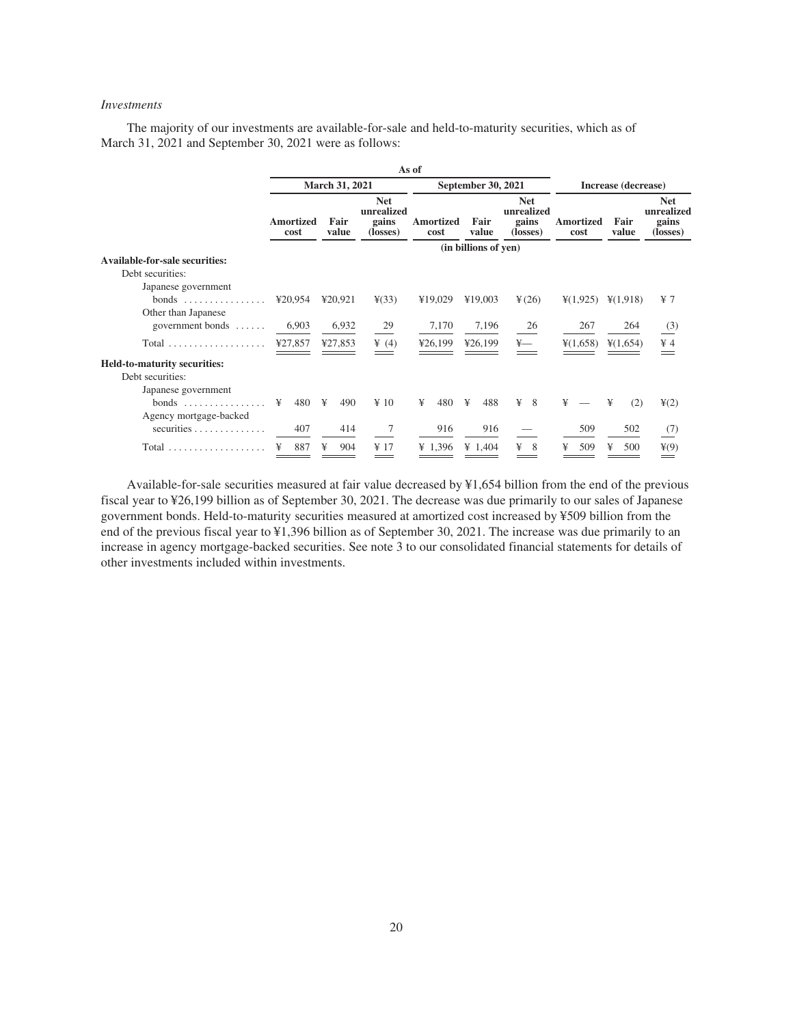# *Investments*

The majority of our investments are available-for-sale and held-to-maturity securities, which as of March 31, 2021 and September 30, 2021 were as follows:

|                                          |                          |               |                                               | As of             |                      |                                               |                                           |                      |                                               |  |
|------------------------------------------|--------------------------|---------------|-----------------------------------------------|-------------------|----------------------|-----------------------------------------------|-------------------------------------------|----------------------|-----------------------------------------------|--|
|                                          | <b>March 31, 2021</b>    |               |                                               |                   | September 30, 2021   |                                               | Increase (decrease)                       |                      |                                               |  |
|                                          | <b>Amortized</b><br>cost | Fair<br>value | <b>Net</b><br>unrealized<br>gains<br>(losses) | Amortized<br>cost | Fair<br>value        | <b>Net</b><br>unrealized<br>gains<br>(losses) | <b>Amortized</b><br>cost                  | Fair<br>value        | <b>Net</b><br>unrealized<br>gains<br>(losses) |  |
|                                          |                          |               |                                               |                   | (in billions of yen) |                                               |                                           |                      |                                               |  |
| <b>Available-for-sale securities:</b>    |                          |               |                                               |                   |                      |                                               |                                           |                      |                                               |  |
| Debt securities:                         |                          |               |                                               |                   |                      |                                               |                                           |                      |                                               |  |
| Japanese government                      |                          |               |                                               |                   |                      |                                               |                                           |                      |                                               |  |
|                                          | ¥20,954                  | ¥20,921       | $\frac{1}{2}(33)$                             | ¥19,029           | ¥19,003              | ¥(26)                                         | $\frac{1}{2}(1,925)$                      | $\frac{1}{2}(1,918)$ | $\frac{1}{2}$ 7                               |  |
| Other than Japanese                      |                          |               |                                               |                   |                      |                                               |                                           |                      |                                               |  |
| government bonds                         | 6,903                    | 6,932         | 29                                            | 7,170             | 7,196                | 26                                            | 267                                       | 264                  | (3)                                           |  |
| Total                                    | ¥27,857                  | ¥27,853       | $\frac{1}{2}$ (4)                             | ¥26,199           | ¥26,199              | $\frac{1}{2}$                                 | $\frac{1}{2}(1,658)$ $\frac{1}{2}(1,654)$ |                      | $\yen 4$                                      |  |
| Held-to-maturity securities:             |                          |               |                                               |                   |                      |                                               |                                           |                      |                                               |  |
| Debt securities:                         |                          |               |                                               |                   |                      |                                               |                                           |                      |                                               |  |
| Japanese government                      |                          |               |                                               |                   |                      |                                               |                                           |                      |                                               |  |
|                                          | ¥<br>480 ¥               | 490           | $\angle 10$                                   | 480<br>¥          | ¥<br>488             | ¥<br>- 8                                      | ¥                                         | ¥<br>(2)             | $\frac{1}{2}$ (2)                             |  |
| Agency mortgage-backed                   |                          |               |                                               |                   |                      |                                               |                                           |                      |                                               |  |
| securities $\ldots \ldots \ldots \ldots$ | 407                      | 414           | 7                                             | 916               | 916                  |                                               | 509                                       | 502                  | (7)                                           |  |
|                                          | 887<br>¥                 | ¥<br>904      | ¥ 17                                          | ¥ 1.396           | ¥ $1.404$            | ¥<br>8                                        | ¥<br>509                                  | ¥<br>500             | $\frac{1}{2}(9)$                              |  |

Available-for-sale securities measured at fair value decreased by ¥1,654 billion from the end of the previous fiscal year to ¥26,199 billion as of September 30, 2021. The decrease was due primarily to our sales of Japanese government bonds. Held-to-maturity securities measured at amortized cost increased by ¥509 billion from the end of the previous fiscal year to ¥1,396 billion as of September 30, 2021. The increase was due primarily to an increase in agency mortgage-backed securities. See note 3 to our consolidated financial statements for details of other investments included within investments.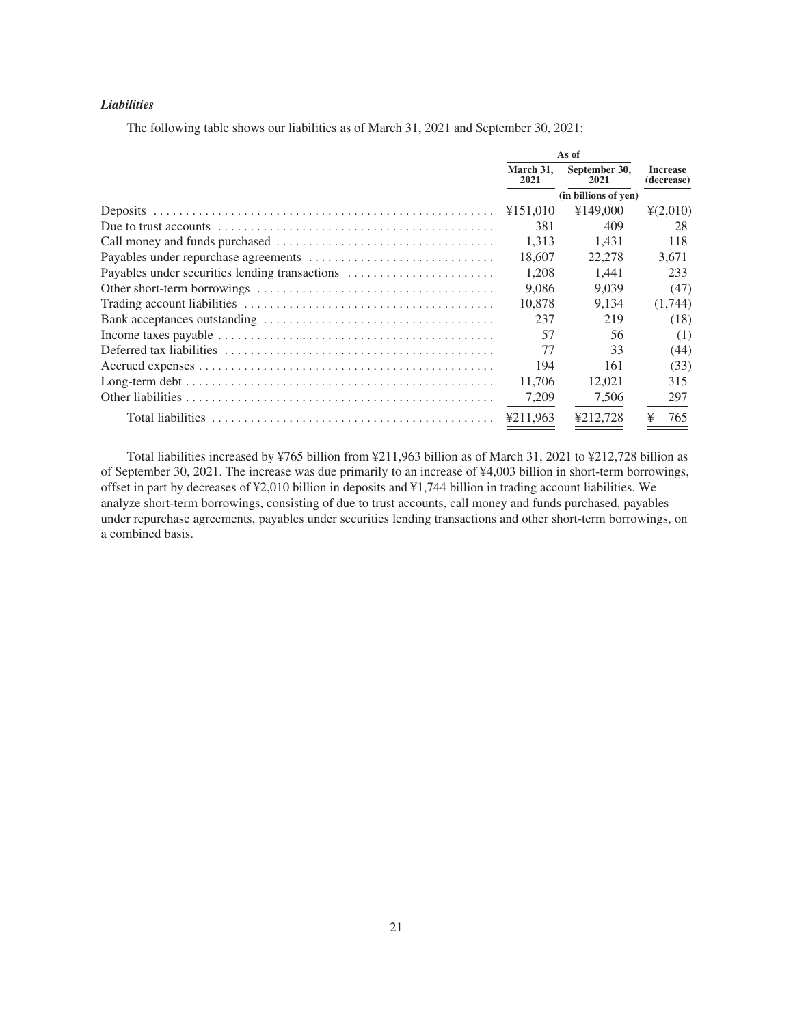# *Liabilities*

The following table shows our liabilities as of March 31, 2021 and September 30, 2021:

|                                                | As of             |                       |                               |
|------------------------------------------------|-------------------|-----------------------|-------------------------------|
|                                                | March 31.<br>2021 | September 30,<br>2021 | <b>Increase</b><br>(decrease) |
|                                                |                   | (in billions of yen)  |                               |
|                                                | ¥151,010          | ¥149,000              | $\frac{4(2,010)}{2}$          |
|                                                | 381               | 409                   | 28                            |
|                                                | 1.313             | 1.431                 | 118                           |
|                                                | 18.607            | 22,278                | 3.671                         |
| Payables under securities lending transactions | 1.208             | 1.441                 | 233                           |
|                                                | 9.086             | 9.039                 | (47)                          |
|                                                | 10.878            | 9.134                 | (1,744)                       |
|                                                | 237               | 219                   | (18)                          |
|                                                | 57                | 56                    | (1)                           |
|                                                | 77                | 33                    | (44)                          |
|                                                | 194               | 161                   | (33)                          |
|                                                | 11.706            | 12,021                | 315                           |
|                                                | 7,209             | 7,506                 | 297                           |
|                                                | ¥211.963          | ¥212.728              | ¥<br>765                      |

Total liabilities increased by ¥765 billion from ¥211,963 billion as of March 31, 2021 to ¥212,728 billion as of September 30, 2021. The increase was due primarily to an increase of ¥4,003 billion in short-term borrowings, offset in part by decreases of ¥2,010 billion in deposits and ¥1,744 billion in trading account liabilities. We analyze short-term borrowings, consisting of due to trust accounts, call money and funds purchased, payables under repurchase agreements, payables under securities lending transactions and other short-term borrowings, on a combined basis.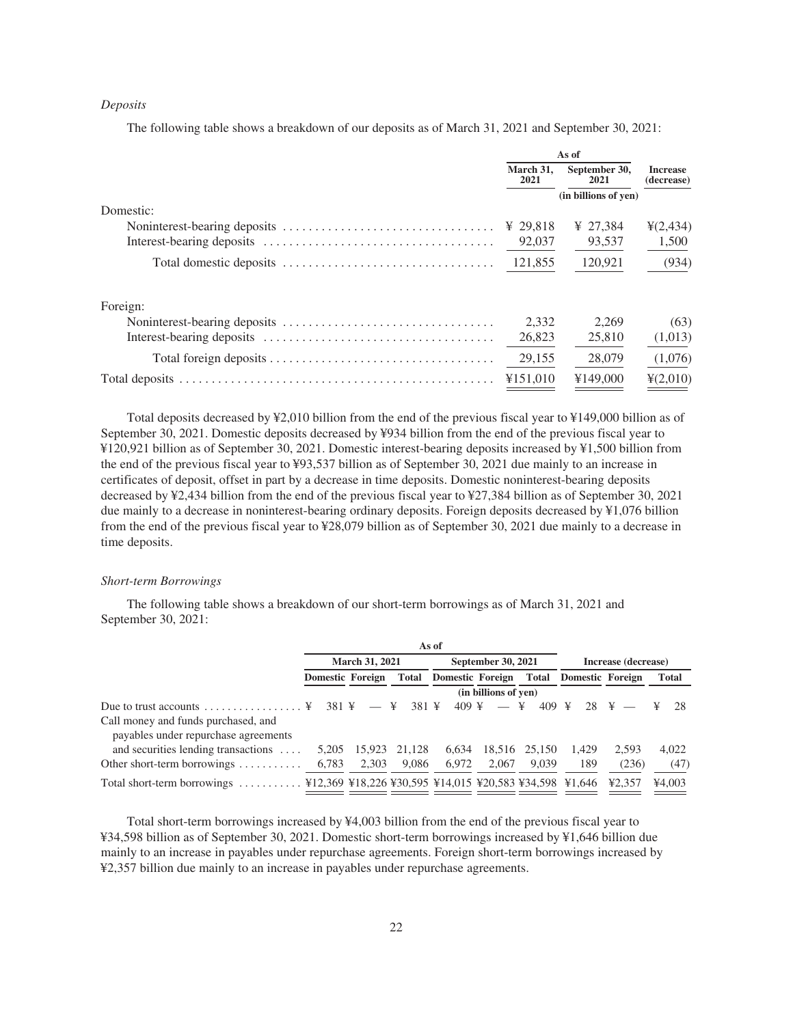# *Deposits*

The following table shows a breakdown of our deposits as of March 31, 2021 and September 30, 2021:

|           | As of             |                       |                               |  |
|-----------|-------------------|-----------------------|-------------------------------|--|
|           | March 31,<br>2021 | September 30,<br>2021 | <b>Increase</b><br>(decrease) |  |
|           |                   | (in billions of yen)  |                               |  |
| Domestic: |                   |                       |                               |  |
|           | ¥ 29.818          | ¥ 27.384              | $\frac{1}{2}(2, 434)$         |  |
|           | 92,037            | 93,537                | 1,500                         |  |
|           | 121,855           | 120,921               | (934)                         |  |
| Foreign:  |                   |                       |                               |  |
|           | 2,332             | 2,269                 | (63)                          |  |
|           | 26,823            | 25,810                | (1,013)                       |  |
|           | 29,155            | 28,079                | (1,076)                       |  |
|           | ¥151,010          | ¥149,000              | 4(2,010)                      |  |

Total deposits decreased by ¥2,010 billion from the end of the previous fiscal year to ¥149,000 billion as of September 30, 2021. Domestic deposits decreased by ¥934 billion from the end of the previous fiscal year to ¥120,921 billion as of September 30, 2021. Domestic interest-bearing deposits increased by ¥1,500 billion from the end of the previous fiscal year to ¥93,537 billion as of September 30, 2021 due mainly to an increase in certificates of deposit, offset in part by a decrease in time deposits. Domestic noninterest-bearing deposits decreased by ¥2,434 billion from the end of the previous fiscal year to ¥27,384 billion as of September 30, 2021 due mainly to a decrease in noninterest-bearing ordinary deposits. Foreign deposits decreased by ¥1,076 billion from the end of the previous fiscal year to ¥28,079 billion as of September 30, 2021 due mainly to a decrease in time deposits.

#### *Short-term Borrowings*

The following table shows a breakdown of our short-term borrowings as of March 31, 2021 and September 30, 2021:

|                                                                                                                    |                         |                       |            | As of                         |                      |               |                         |                     |              |
|--------------------------------------------------------------------------------------------------------------------|-------------------------|-----------------------|------------|-------------------------------|----------------------|---------------|-------------------------|---------------------|--------------|
|                                                                                                                    |                         | <b>March 31, 2021</b> |            |                               | September 30, 2021   |               |                         | Increase (decrease) |              |
|                                                                                                                    | <b>Domestic Foreign</b> |                       |            | <b>Total Domestic Foreign</b> |                      | Total         | <b>Domestic Foreign</b> |                     | <b>Total</b> |
|                                                                                                                    |                         |                       |            |                               | (in billions of yen) |               |                         |                     |              |
| Due to trust accounts $\dots\dots\dots\dots\dots$ .                                                                | 381 ¥                   |                       | 381 ¥<br>¥ | $409 \text{ F}$               |                      | 409<br>¥      | ¥<br>28                 | ¥                   | 28           |
| Call money and funds purchased, and<br>payables under repurchase agreements                                        |                         |                       |            |                               |                      |               |                         |                     |              |
| and securities lending transactions                                                                                | 5.205                   | 15.923                | 21.128     | 6.634                         |                      | 18.516 25.150 | 1.429                   | 2.593               | 4.022        |
| Other short-term borrowings $\dots\dots\dots$                                                                      | 6,783                   | 2,303                 | 9,086      | 6,972                         | 2.067                | 9.039         | 189                     | (236)               | (47)         |
| \{12,369 \\ \\$18,226 \\ \\$30,595 \\ \\$14,015 \\ \\$20,583 \\\$34,598 \\ \\$1.646<br>Total short-term borrowings |                         |                       |            |                               |                      |               |                         | 42.357              | 44,003       |

Total short-term borrowings increased by ¥4,003 billion from the end of the previous fiscal year to ¥34,598 billion as of September 30, 2021. Domestic short-term borrowings increased by ¥1,646 billion due mainly to an increase in payables under repurchase agreements. Foreign short-term borrowings increased by ¥2,357 billion due mainly to an increase in payables under repurchase agreements.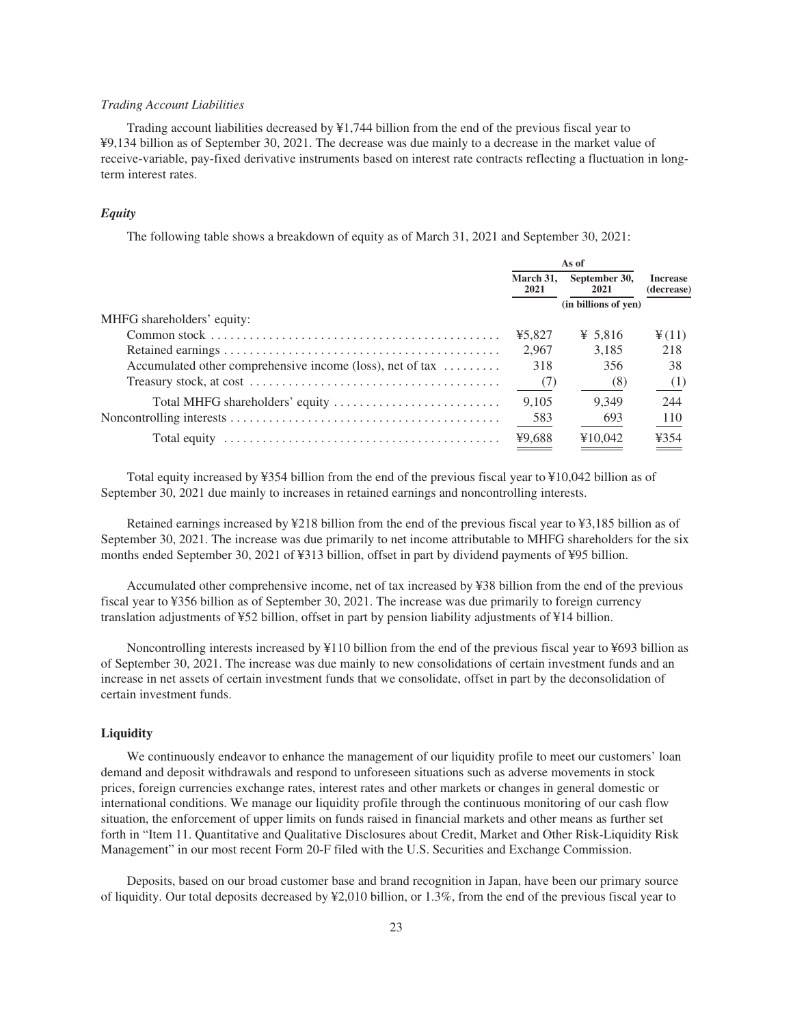# *Trading Account Liabilities*

Trading account liabilities decreased by ¥1,744 billion from the end of the previous fiscal year to ¥9,134 billion as of September 30, 2021. The decrease was due mainly to a decrease in the market value of receive-variable, pay-fixed derivative instruments based on interest rate contracts reflecting a fluctuation in longterm interest rates.

# *Equity*

The following table shows a breakdown of equity as of March 31, 2021 and September 30, 2021:

|                                                                             | As of             |                       |                               |  |
|-----------------------------------------------------------------------------|-------------------|-----------------------|-------------------------------|--|
|                                                                             | March 31.<br>2021 | September 30,<br>2021 | <b>Increase</b><br>(decrease) |  |
|                                                                             |                   | (in billions of yen)  |                               |  |
| MHFG shareholders' equity:                                                  |                   |                       |                               |  |
|                                                                             | ¥5.827            | ¥ 5.816               | $\frac{4}{2}(11)$             |  |
|                                                                             | 2.967             | 3,185                 | 218                           |  |
| Accumulated other comprehensive income (loss), net of tax $\dots\dots\dots$ | 318               | 356                   | 38                            |  |
|                                                                             | $-$ (7)           | (8)                   | (1)                           |  |
| Total MHFG shareholders' equity                                             | 9.105             | 9.349                 | 244                           |  |
|                                                                             | 583               | 693                   | 110                           |  |
|                                                                             | ¥9,688            | ¥10.042               | ¥354                          |  |

Total equity increased by ¥354 billion from the end of the previous fiscal year to ¥10,042 billion as of September 30, 2021 due mainly to increases in retained earnings and noncontrolling interests.

Retained earnings increased by ¥218 billion from the end of the previous fiscal year to ¥3,185 billion as of September 30, 2021. The increase was due primarily to net income attributable to MHFG shareholders for the six months ended September 30, 2021 of ¥313 billion, offset in part by dividend payments of ¥95 billion.

Accumulated other comprehensive income, net of tax increased by ¥38 billion from the end of the previous fiscal year to ¥356 billion as of September 30, 2021. The increase was due primarily to foreign currency translation adjustments of ¥52 billion, offset in part by pension liability adjustments of ¥14 billion.

Noncontrolling interests increased by ¥110 billion from the end of the previous fiscal year to ¥693 billion as of September 30, 2021. The increase was due mainly to new consolidations of certain investment funds and an increase in net assets of certain investment funds that we consolidate, offset in part by the deconsolidation of certain investment funds.

# <span id="page-25-0"></span>**Liquidity**

We continuously endeavor to enhance the management of our liquidity profile to meet our customers' loan demand and deposit withdrawals and respond to unforeseen situations such as adverse movements in stock prices, foreign currencies exchange rates, interest rates and other markets or changes in general domestic or international conditions. We manage our liquidity profile through the continuous monitoring of our cash flow situation, the enforcement of upper limits on funds raised in financial markets and other means as further set forth in "Item 11. Quantitative and Qualitative Disclosures about Credit, Market and Other Risk-Liquidity Risk Management" in our most recent Form 20-F filed with the U.S. Securities and Exchange Commission.

Deposits, based on our broad customer base and brand recognition in Japan, have been our primary source of liquidity. Our total deposits decreased by ¥2,010 billion, or 1.3%, from the end of the previous fiscal year to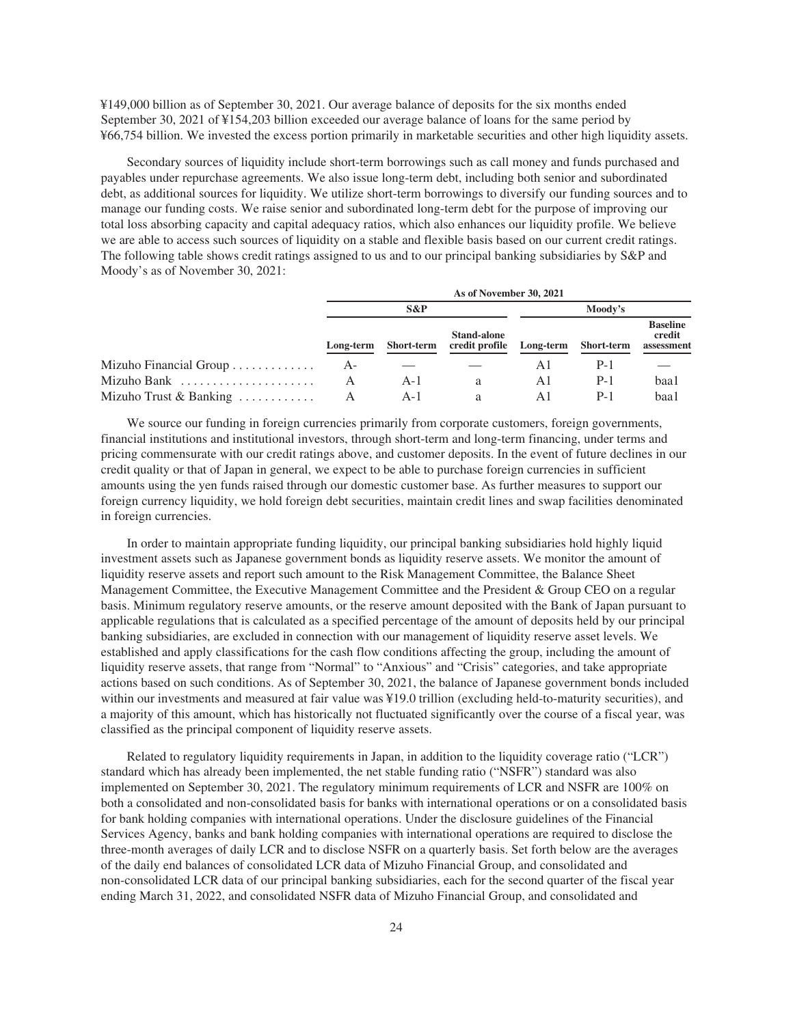¥149,000 billion as of September 30, 2021. Our average balance of deposits for the six months ended September 30, 2021 of ¥154,203 billion exceeded our average balance of loans for the same period by ¥66,754 billion. We invested the excess portion primarily in marketable securities and other high liquidity assets.

Secondary sources of liquidity include short-term borrowings such as call money and funds purchased and payables under repurchase agreements. We also issue long-term debt, including both senior and subordinated debt, as additional sources for liquidity. We utilize short-term borrowings to diversify our funding sources and to manage our funding costs. We raise senior and subordinated long-term debt for the purpose of improving our total loss absorbing capacity and capital adequacy ratios, which also enhances our liquidity profile. We believe we are able to access such sources of liquidity on a stable and flexible basis based on our current credit ratings. The following table shows credit ratings assigned to us and to our principal banking subsidiaries by S&P and Moody's as of November 30, 2021:

|                                            | As of November 30, 2021 |                   |                                      |         |                      |                                         |  |  |  |
|--------------------------------------------|-------------------------|-------------------|--------------------------------------|---------|----------------------|-----------------------------------------|--|--|--|
|                                            |                         | $S\&P$            |                                      | Moody's |                      |                                         |  |  |  |
|                                            | Long-term               | <b>Short-term</b> | <b>Stand-alone</b><br>credit profile |         | Long-term Short-term | <b>Baseline</b><br>credit<br>assessment |  |  |  |
| Mizuho Financial Group                     | A-                      |                   |                                      | ΑI      | P-1                  |                                         |  |  |  |
| Mizuho Bank                                |                         | $A-I$             | a                                    | Αl      | $P-1$                | baa1                                    |  |  |  |
| Mizuho Trust & Banking $\dots \dots \dots$ |                         | $A-I$             | a                                    | ΑI      | P-1                  | baa1                                    |  |  |  |

We source our funding in foreign currencies primarily from corporate customers, foreign governments, financial institutions and institutional investors, through short-term and long-term financing, under terms and pricing commensurate with our credit ratings above, and customer deposits. In the event of future declines in our credit quality or that of Japan in general, we expect to be able to purchase foreign currencies in sufficient amounts using the yen funds raised through our domestic customer base. As further measures to support our foreign currency liquidity, we hold foreign debt securities, maintain credit lines and swap facilities denominated in foreign currencies.

In order to maintain appropriate funding liquidity, our principal banking subsidiaries hold highly liquid investment assets such as Japanese government bonds as liquidity reserve assets. We monitor the amount of liquidity reserve assets and report such amount to the Risk Management Committee, the Balance Sheet Management Committee, the Executive Management Committee and the President & Group CEO on a regular basis. Minimum regulatory reserve amounts, or the reserve amount deposited with the Bank of Japan pursuant to applicable regulations that is calculated as a specified percentage of the amount of deposits held by our principal banking subsidiaries, are excluded in connection with our management of liquidity reserve asset levels. We established and apply classifications for the cash flow conditions affecting the group, including the amount of liquidity reserve assets, that range from "Normal" to "Anxious" and "Crisis" categories, and take appropriate actions based on such conditions. As of September 30, 2021, the balance of Japanese government bonds included within our investments and measured at fair value was ¥19.0 trillion (excluding held-to-maturity securities), and a majority of this amount, which has historically not fluctuated significantly over the course of a fiscal year, was classified as the principal component of liquidity reserve assets.

Related to regulatory liquidity requirements in Japan, in addition to the liquidity coverage ratio ("LCR") standard which has already been implemented, the net stable funding ratio ("NSFR") standard was also implemented on September 30, 2021. The regulatory minimum requirements of LCR and NSFR are 100% on both a consolidated and non-consolidated basis for banks with international operations or on a consolidated basis for bank holding companies with international operations. Under the disclosure guidelines of the Financial Services Agency, banks and bank holding companies with international operations are required to disclose the three-month averages of daily LCR and to disclose NSFR on a quarterly basis. Set forth below are the averages of the daily end balances of consolidated LCR data of Mizuho Financial Group, and consolidated and non-consolidated LCR data of our principal banking subsidiaries, each for the second quarter of the fiscal year ending March 31, 2022, and consolidated NSFR data of Mizuho Financial Group, and consolidated and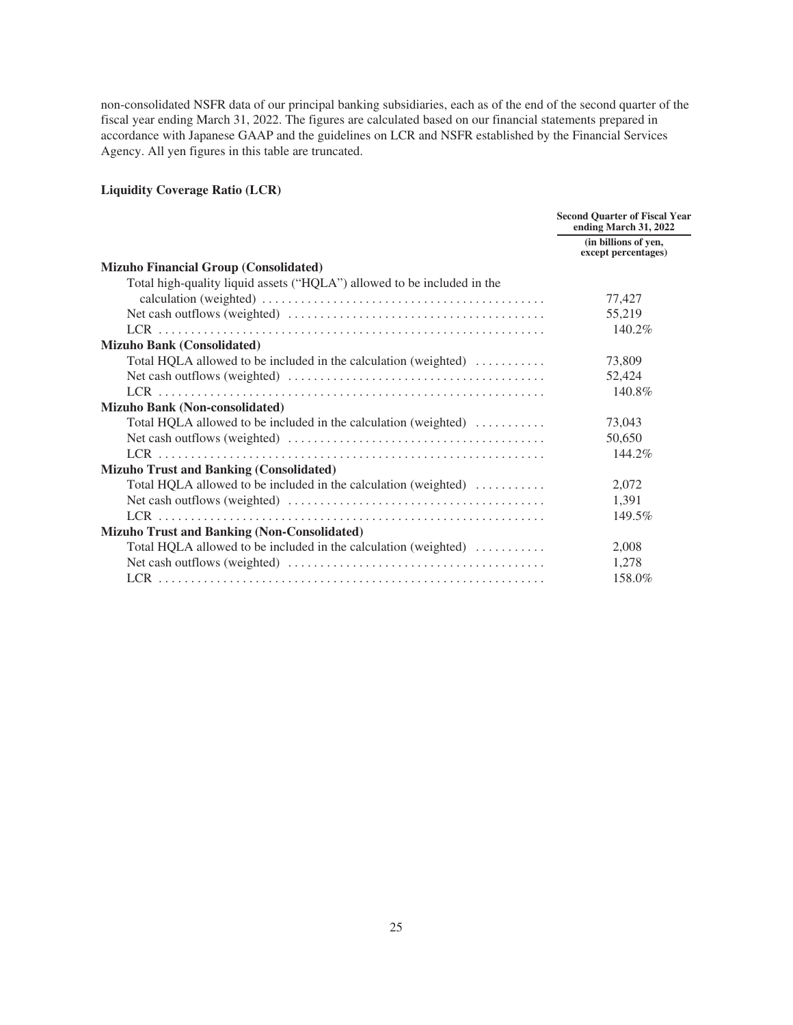non-consolidated NSFR data of our principal banking subsidiaries, each as of the end of the second quarter of the fiscal year ending March 31, 2022. The figures are calculated based on our financial statements prepared in accordance with Japanese GAAP and the guidelines on LCR and NSFR established by the Financial Services Agency. All yen figures in this table are truncated.

# **Liquidity Coverage Ratio (LCR)**

|                                                                                        | <b>Second Quarter of Fiscal Year</b><br>ending March 31, 2022 |
|----------------------------------------------------------------------------------------|---------------------------------------------------------------|
|                                                                                        | (in billions of yen,<br>except percentages)                   |
| <b>Mizuho Financial Group (Consolidated)</b>                                           |                                                               |
| Total high-quality liquid assets ("HQLA") allowed to be included in the                |                                                               |
|                                                                                        | 77,427                                                        |
|                                                                                        | 55,219                                                        |
|                                                                                        | 140.2%                                                        |
| <b>Mizuho Bank (Consolidated)</b>                                                      |                                                               |
| Total HQLA allowed to be included in the calculation (weighted)                        | 73,809                                                        |
|                                                                                        | 52,424                                                        |
|                                                                                        | 140.8%                                                        |
| <b>Mizuho Bank (Non-consolidated)</b>                                                  |                                                               |
| Total HQLA allowed to be included in the calculation (weighted) $\dots\dots\dots\dots$ | 73,043                                                        |
|                                                                                        | 50,650                                                        |
|                                                                                        | 144.2%                                                        |
| <b>Mizuho Trust and Banking (Consolidated)</b>                                         |                                                               |
| Total HQLA allowed to be included in the calculation (weighted)                        | 2,072                                                         |
|                                                                                        | 1,391                                                         |
|                                                                                        | 149.5%                                                        |
| <b>Mizuho Trust and Banking (Non-Consolidated)</b>                                     |                                                               |
| Total HQLA allowed to be included in the calculation (weighted)                        | 2,008                                                         |
|                                                                                        | 1,278                                                         |
|                                                                                        | 158.0%                                                        |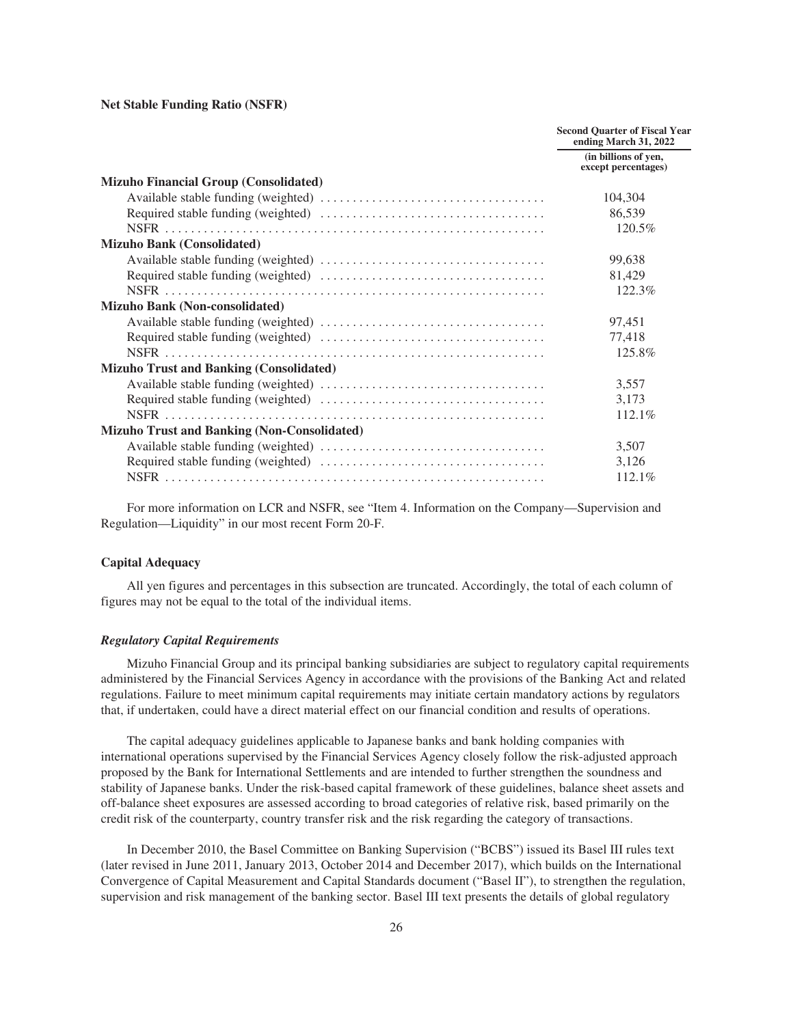**Net Stable Funding Ratio (NSFR)**

|                                                    | <b>Second Quarter of Fiscal Year</b><br>ending March 31, 2022 |
|----------------------------------------------------|---------------------------------------------------------------|
|                                                    | (in billions of yen,<br>except percentages)                   |
| <b>Mizuho Financial Group (Consolidated)</b>       |                                                               |
|                                                    | 104,304                                                       |
|                                                    | 86,539                                                        |
|                                                    | 120.5%                                                        |
| <b>Mizuho Bank (Consolidated)</b>                  |                                                               |
|                                                    | 99,638                                                        |
|                                                    | 81,429                                                        |
|                                                    | 122.3%                                                        |
| <b>Mizuho Bank (Non-consolidated)</b>              |                                                               |
|                                                    | 97,451                                                        |
|                                                    | 77,418                                                        |
|                                                    | 125.8%                                                        |
| <b>Mizuho Trust and Banking (Consolidated)</b>     |                                                               |
|                                                    | 3,557                                                         |
|                                                    | 3,173                                                         |
|                                                    | 112.1%                                                        |
| <b>Mizuho Trust and Banking (Non-Consolidated)</b> |                                                               |
|                                                    | 3,507                                                         |
|                                                    | 3,126                                                         |
|                                                    | 112.1%                                                        |

For more information on LCR and NSFR, see "Item 4. Information on the Company—Supervision and Regulation—Liquidity" in our most recent Form 20-F.

# <span id="page-28-0"></span>**Capital Adequacy**

All yen figures and percentages in this subsection are truncated. Accordingly, the total of each column of figures may not be equal to the total of the individual items.

#### *Regulatory Capital Requirements*

Mizuho Financial Group and its principal banking subsidiaries are subject to regulatory capital requirements administered by the Financial Services Agency in accordance with the provisions of the Banking Act and related regulations. Failure to meet minimum capital requirements may initiate certain mandatory actions by regulators that, if undertaken, could have a direct material effect on our financial condition and results of operations.

The capital adequacy guidelines applicable to Japanese banks and bank holding companies with international operations supervised by the Financial Services Agency closely follow the risk-adjusted approach proposed by the Bank for International Settlements and are intended to further strengthen the soundness and stability of Japanese banks. Under the risk-based capital framework of these guidelines, balance sheet assets and off-balance sheet exposures are assessed according to broad categories of relative risk, based primarily on the credit risk of the counterparty, country transfer risk and the risk regarding the category of transactions.

In December 2010, the Basel Committee on Banking Supervision ("BCBS") issued its Basel III rules text (later revised in June 2011, January 2013, October 2014 and December 2017), which builds on the International Convergence of Capital Measurement and Capital Standards document ("Basel II"), to strengthen the regulation, supervision and risk management of the banking sector. Basel III text presents the details of global regulatory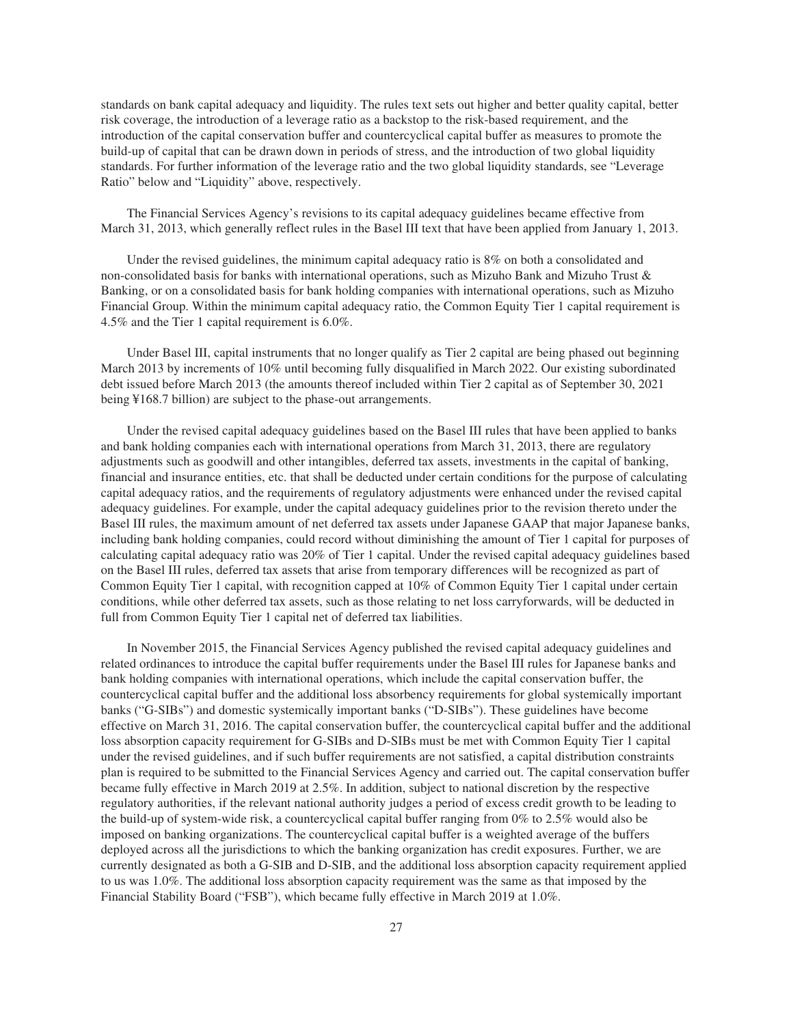standards on bank capital adequacy and liquidity. The rules text sets out higher and better quality capital, better risk coverage, the introduction of a leverage ratio as a backstop to the risk-based requirement, and the introduction of the capital conservation buffer and countercyclical capital buffer as measures to promote the build-up of capital that can be drawn down in periods of stress, and the introduction of two global liquidity standards. For further information of the leverage ratio and the two global liquidity standards, see "Leverage Ratio" below and "Liquidity" above, respectively.

The Financial Services Agency's revisions to its capital adequacy guidelines became effective from March 31, 2013, which generally reflect rules in the Basel III text that have been applied from January 1, 2013.

Under the revised guidelines, the minimum capital adequacy ratio is 8% on both a consolidated and non-consolidated basis for banks with international operations, such as Mizuho Bank and Mizuho Trust & Banking, or on a consolidated basis for bank holding companies with international operations, such as Mizuho Financial Group. Within the minimum capital adequacy ratio, the Common Equity Tier 1 capital requirement is 4.5% and the Tier 1 capital requirement is 6.0%.

Under Basel III, capital instruments that no longer qualify as Tier 2 capital are being phased out beginning March 2013 by increments of 10% until becoming fully disqualified in March 2022. Our existing subordinated debt issued before March 2013 (the amounts thereof included within Tier 2 capital as of September 30, 2021 being ¥168.7 billion) are subject to the phase-out arrangements.

Under the revised capital adequacy guidelines based on the Basel III rules that have been applied to banks and bank holding companies each with international operations from March 31, 2013, there are regulatory adjustments such as goodwill and other intangibles, deferred tax assets, investments in the capital of banking, financial and insurance entities, etc. that shall be deducted under certain conditions for the purpose of calculating capital adequacy ratios, and the requirements of regulatory adjustments were enhanced under the revised capital adequacy guidelines. For example, under the capital adequacy guidelines prior to the revision thereto under the Basel III rules, the maximum amount of net deferred tax assets under Japanese GAAP that major Japanese banks, including bank holding companies, could record without diminishing the amount of Tier 1 capital for purposes of calculating capital adequacy ratio was 20% of Tier 1 capital. Under the revised capital adequacy guidelines based on the Basel III rules, deferred tax assets that arise from temporary differences will be recognized as part of Common Equity Tier 1 capital, with recognition capped at 10% of Common Equity Tier 1 capital under certain conditions, while other deferred tax assets, such as those relating to net loss carryforwards, will be deducted in full from Common Equity Tier 1 capital net of deferred tax liabilities.

In November 2015, the Financial Services Agency published the revised capital adequacy guidelines and related ordinances to introduce the capital buffer requirements under the Basel III rules for Japanese banks and bank holding companies with international operations, which include the capital conservation buffer, the countercyclical capital buffer and the additional loss absorbency requirements for global systemically important banks ("G-SIBs") and domestic systemically important banks ("D-SIBs"). These guidelines have become effective on March 31, 2016. The capital conservation buffer, the countercyclical capital buffer and the additional loss absorption capacity requirement for G-SIBs and D-SIBs must be met with Common Equity Tier 1 capital under the revised guidelines, and if such buffer requirements are not satisfied, a capital distribution constraints plan is required to be submitted to the Financial Services Agency and carried out. The capital conservation buffer became fully effective in March 2019 at 2.5%. In addition, subject to national discretion by the respective regulatory authorities, if the relevant national authority judges a period of excess credit growth to be leading to the build-up of system-wide risk, a countercyclical capital buffer ranging from 0% to 2.5% would also be imposed on banking organizations. The countercyclical capital buffer is a weighted average of the buffers deployed across all the jurisdictions to which the banking organization has credit exposures. Further, we are currently designated as both a G-SIB and D-SIB, and the additional loss absorption capacity requirement applied to us was 1.0%. The additional loss absorption capacity requirement was the same as that imposed by the Financial Stability Board ("FSB"), which became fully effective in March 2019 at 1.0%.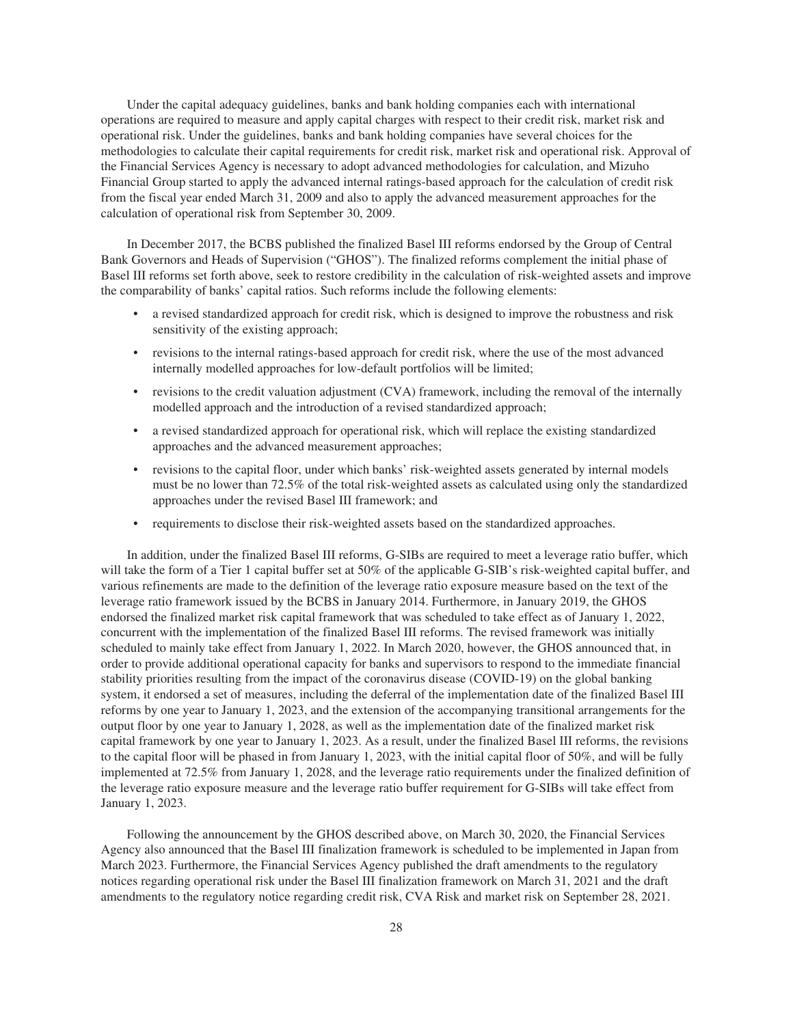Under the capital adequacy guidelines, banks and bank holding companies each with international operations are required to measure and apply capital charges with respect to their credit risk, market risk and operational risk. Under the guidelines, banks and bank holding companies have several choices for the methodologies to calculate their capital requirements for credit risk, market risk and operational risk. Approval of the Financial Services Agency is necessary to adopt advanced methodologies for calculation, and Mizuho Financial Group started to apply the advanced internal ratings-based approach for the calculation of credit risk from the fiscal year ended March 31, 2009 and also to apply the advanced measurement approaches for the calculation of operational risk from September 30, 2009.

In December 2017, the BCBS published the finalized Basel III reforms endorsed by the Group of Central Bank Governors and Heads of Supervision ("GHOS"). The finalized reforms complement the initial phase of Basel III reforms set forth above, seek to restore credibility in the calculation of risk-weighted assets and improve the comparability of banks' capital ratios. Such reforms include the following elements:

- a revised standardized approach for credit risk, which is designed to improve the robustness and risk sensitivity of the existing approach;
- revisions to the internal ratings-based approach for credit risk, where the use of the most advanced internally modelled approaches for low-default portfolios will be limited;
- revisions to the credit valuation adjustment (CVA) framework, including the removal of the internally modelled approach and the introduction of a revised standardized approach;
- a revised standardized approach for operational risk, which will replace the existing standardized approaches and the advanced measurement approaches;
- revisions to the capital floor, under which banks' risk-weighted assets generated by internal models must be no lower than 72.5% of the total risk-weighted assets as calculated using only the standardized approaches under the revised Basel III framework; and
- requirements to disclose their risk-weighted assets based on the standardized approaches.

In addition, under the finalized Basel III reforms, G-SIBs are required to meet a leverage ratio buffer, which will take the form of a Tier 1 capital buffer set at 50% of the applicable G-SIB's risk-weighted capital buffer, and various refinements are made to the definition of the leverage ratio exposure measure based on the text of the leverage ratio framework issued by the BCBS in January 2014. Furthermore, in January 2019, the GHOS endorsed the finalized market risk capital framework that was scheduled to take effect as of January 1, 2022, concurrent with the implementation of the finalized Basel III reforms. The revised framework was initially scheduled to mainly take effect from January 1, 2022. In March 2020, however, the GHOS announced that, in order to provide additional operational capacity for banks and supervisors to respond to the immediate financial stability priorities resulting from the impact of the coronavirus disease (COVID-19) on the global banking system, it endorsed a set of measures, including the deferral of the implementation date of the finalized Basel III reforms by one year to January 1, 2023, and the extension of the accompanying transitional arrangements for the output floor by one year to January 1, 2028, as well as the implementation date of the finalized market risk capital framework by one year to January 1, 2023. As a result, under the finalized Basel III reforms, the revisions to the capital floor will be phased in from January 1, 2023, with the initial capital floor of 50%, and will be fully implemented at 72.5% from January 1, 2028, and the leverage ratio requirements under the finalized definition of the leverage ratio exposure measure and the leverage ratio buffer requirement for G-SIBs will take effect from January 1, 2023.

Following the announcement by the GHOS described above, on March 30, 2020, the Financial Services Agency also announced that the Basel III finalization framework is scheduled to be implemented in Japan from March 2023. Furthermore, the Financial Services Agency published the draft amendments to the regulatory notices regarding operational risk under the Basel III finalization framework on March 31, 2021 and the draft amendments to the regulatory notice regarding credit risk, CVA Risk and market risk on September 28, 2021.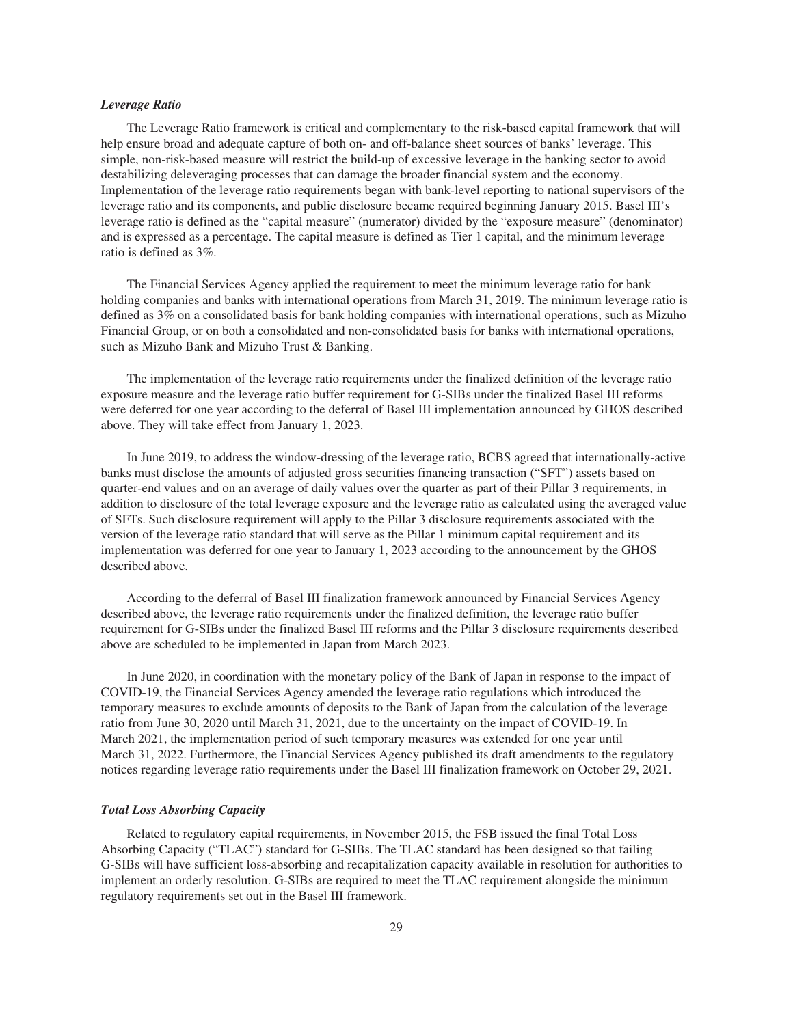# *Leverage Ratio*

The Leverage Ratio framework is critical and complementary to the risk-based capital framework that will help ensure broad and adequate capture of both on- and off-balance sheet sources of banks' leverage. This simple, non-risk-based measure will restrict the build-up of excessive leverage in the banking sector to avoid destabilizing deleveraging processes that can damage the broader financial system and the economy. Implementation of the leverage ratio requirements began with bank-level reporting to national supervisors of the leverage ratio and its components, and public disclosure became required beginning January 2015. Basel III's leverage ratio is defined as the "capital measure" (numerator) divided by the "exposure measure" (denominator) and is expressed as a percentage. The capital measure is defined as Tier 1 capital, and the minimum leverage ratio is defined as 3%.

The Financial Services Agency applied the requirement to meet the minimum leverage ratio for bank holding companies and banks with international operations from March 31, 2019. The minimum leverage ratio is defined as 3% on a consolidated basis for bank holding companies with international operations, such as Mizuho Financial Group, or on both a consolidated and non-consolidated basis for banks with international operations, such as Mizuho Bank and Mizuho Trust & Banking.

The implementation of the leverage ratio requirements under the finalized definition of the leverage ratio exposure measure and the leverage ratio buffer requirement for G-SIBs under the finalized Basel III reforms were deferred for one year according to the deferral of Basel III implementation announced by GHOS described above. They will take effect from January 1, 2023.

In June 2019, to address the window-dressing of the leverage ratio, BCBS agreed that internationally-active banks must disclose the amounts of adjusted gross securities financing transaction ("SFT") assets based on quarter-end values and on an average of daily values over the quarter as part of their Pillar 3 requirements, in addition to disclosure of the total leverage exposure and the leverage ratio as calculated using the averaged value of SFTs. Such disclosure requirement will apply to the Pillar 3 disclosure requirements associated with the version of the leverage ratio standard that will serve as the Pillar 1 minimum capital requirement and its implementation was deferred for one year to January 1, 2023 according to the announcement by the GHOS described above.

According to the deferral of Basel III finalization framework announced by Financial Services Agency described above, the leverage ratio requirements under the finalized definition, the leverage ratio buffer requirement for G-SIBs under the finalized Basel III reforms and the Pillar 3 disclosure requirements described above are scheduled to be implemented in Japan from March 2023.

In June 2020, in coordination with the monetary policy of the Bank of Japan in response to the impact of COVID-19, the Financial Services Agency amended the leverage ratio regulations which introduced the temporary measures to exclude amounts of deposits to the Bank of Japan from the calculation of the leverage ratio from June 30, 2020 until March 31, 2021, due to the uncertainty on the impact of COVID-19. In March 2021, the implementation period of such temporary measures was extended for one year until March 31, 2022. Furthermore, the Financial Services Agency published its draft amendments to the regulatory notices regarding leverage ratio requirements under the Basel III finalization framework on October 29, 2021.

# *Total Loss Absorbing Capacity*

Related to regulatory capital requirements, in November 2015, the FSB issued the final Total Loss Absorbing Capacity ("TLAC") standard for G-SIBs. The TLAC standard has been designed so that failing G-SIBs will have sufficient loss-absorbing and recapitalization capacity available in resolution for authorities to implement an orderly resolution. G-SIBs are required to meet the TLAC requirement alongside the minimum regulatory requirements set out in the Basel III framework.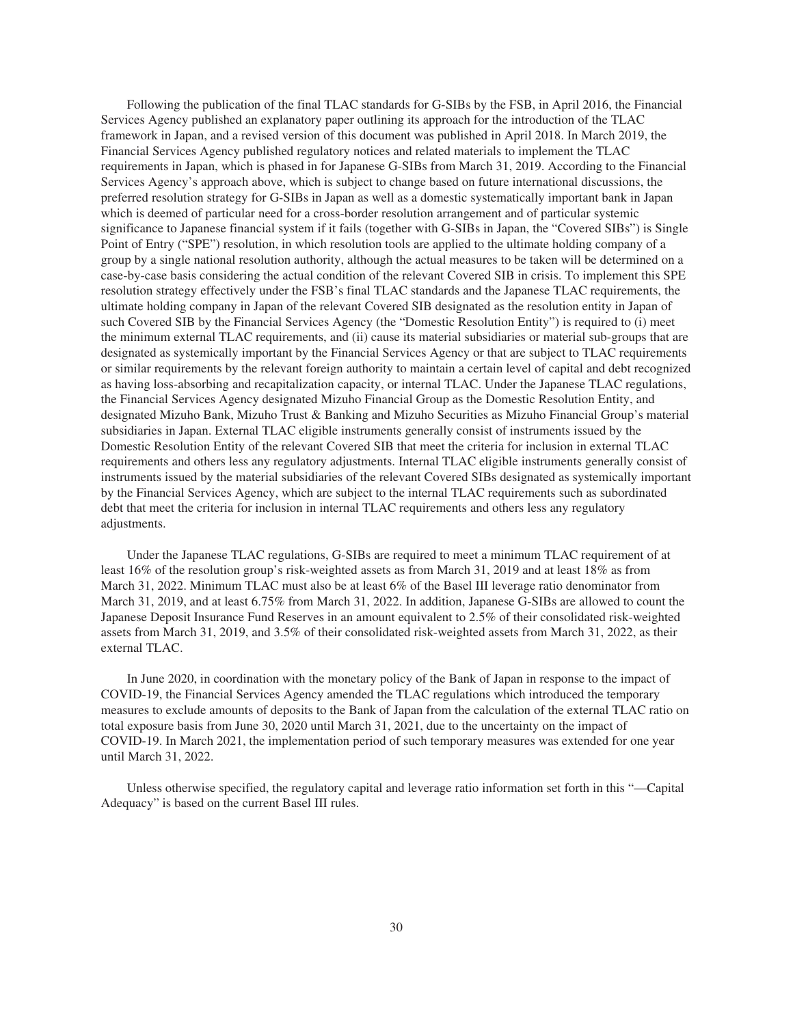Following the publication of the final TLAC standards for G-SIBs by the FSB, in April 2016, the Financial Services Agency published an explanatory paper outlining its approach for the introduction of the TLAC framework in Japan, and a revised version of this document was published in April 2018. In March 2019, the Financial Services Agency published regulatory notices and related materials to implement the TLAC requirements in Japan, which is phased in for Japanese G-SIBs from March 31, 2019. According to the Financial Services Agency's approach above, which is subject to change based on future international discussions, the preferred resolution strategy for G-SIBs in Japan as well as a domestic systematically important bank in Japan which is deemed of particular need for a cross-border resolution arrangement and of particular systemic significance to Japanese financial system if it fails (together with G-SIBs in Japan, the "Covered SIBs") is Single Point of Entry ("SPE") resolution, in which resolution tools are applied to the ultimate holding company of a group by a single national resolution authority, although the actual measures to be taken will be determined on a case-by-case basis considering the actual condition of the relevant Covered SIB in crisis. To implement this SPE resolution strategy effectively under the FSB's final TLAC standards and the Japanese TLAC requirements, the ultimate holding company in Japan of the relevant Covered SIB designated as the resolution entity in Japan of such Covered SIB by the Financial Services Agency (the "Domestic Resolution Entity") is required to (i) meet the minimum external TLAC requirements, and (ii) cause its material subsidiaries or material sub-groups that are designated as systemically important by the Financial Services Agency or that are subject to TLAC requirements or similar requirements by the relevant foreign authority to maintain a certain level of capital and debt recognized as having loss-absorbing and recapitalization capacity, or internal TLAC. Under the Japanese TLAC regulations, the Financial Services Agency designated Mizuho Financial Group as the Domestic Resolution Entity, and designated Mizuho Bank, Mizuho Trust & Banking and Mizuho Securities as Mizuho Financial Group's material subsidiaries in Japan. External TLAC eligible instruments generally consist of instruments issued by the Domestic Resolution Entity of the relevant Covered SIB that meet the criteria for inclusion in external TLAC requirements and others less any regulatory adjustments. Internal TLAC eligible instruments generally consist of instruments issued by the material subsidiaries of the relevant Covered SIBs designated as systemically important by the Financial Services Agency, which are subject to the internal TLAC requirements such as subordinated debt that meet the criteria for inclusion in internal TLAC requirements and others less any regulatory adjustments.

Under the Japanese TLAC regulations, G-SIBs are required to meet a minimum TLAC requirement of at least 16% of the resolution group's risk-weighted assets as from March 31, 2019 and at least 18% as from March 31, 2022. Minimum TLAC must also be at least 6% of the Basel III leverage ratio denominator from March 31, 2019, and at least 6.75% from March 31, 2022. In addition, Japanese G-SIBs are allowed to count the Japanese Deposit Insurance Fund Reserves in an amount equivalent to 2.5% of their consolidated risk-weighted assets from March 31, 2019, and 3.5% of their consolidated risk-weighted assets from March 31, 2022, as their external TLAC.

In June 2020, in coordination with the monetary policy of the Bank of Japan in response to the impact of COVID-19, the Financial Services Agency amended the TLAC regulations which introduced the temporary measures to exclude amounts of deposits to the Bank of Japan from the calculation of the external TLAC ratio on total exposure basis from June 30, 2020 until March 31, 2021, due to the uncertainty on the impact of COVID-19. In March 2021, the implementation period of such temporary measures was extended for one year until March 31, 2022.

Unless otherwise specified, the regulatory capital and leverage ratio information set forth in this "—Capital Adequacy" is based on the current Basel III rules.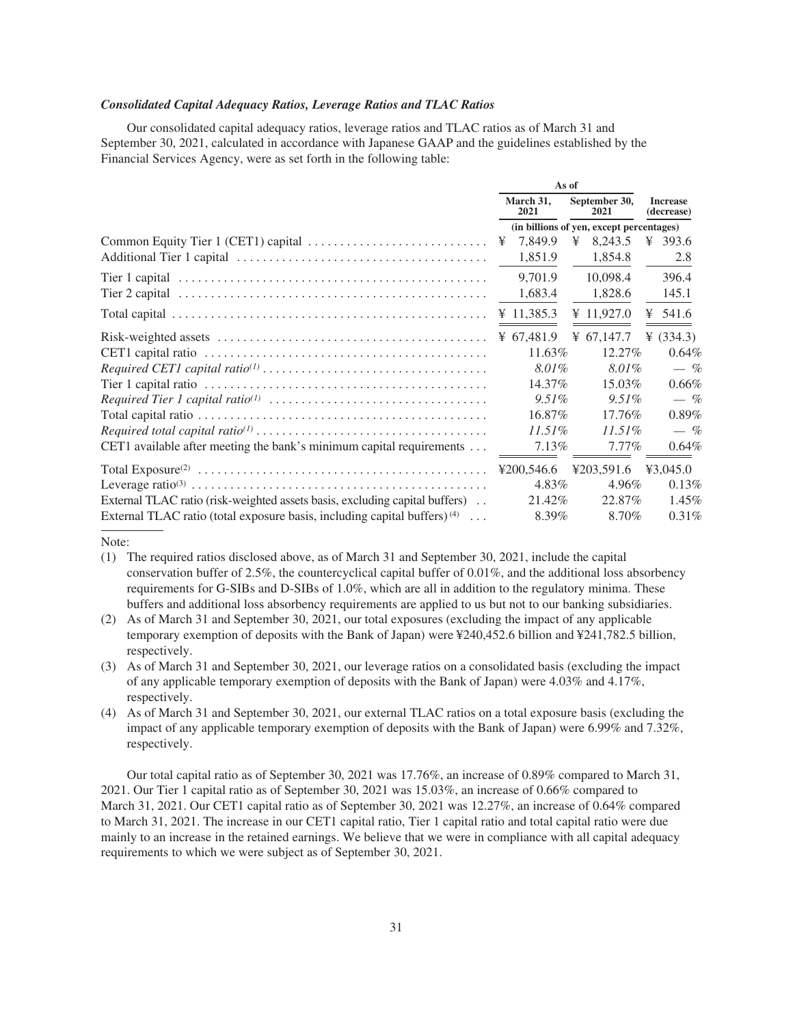# *Consolidated Capital Adequacy Ratios, Leverage Ratios and TLAC Ratios*

Our consolidated capital adequacy ratios, leverage ratios and TLAC ratios as of March 31 and September 30, 2021, calculated in accordance with Japanese GAAP and the guidelines established by the Financial Services Agency, were as set forth in the following table:

**As of**

|                                                                                      |                   | л. н                 |   |                                          |   |                               |  |
|--------------------------------------------------------------------------------------|-------------------|----------------------|---|------------------------------------------|---|-------------------------------|--|
|                                                                                      | March 31.<br>2021 |                      |   | September 30,<br>2021                    |   | <b>Increase</b><br>(decrease) |  |
|                                                                                      |                   |                      |   | (in billions of yen, except percentages) |   |                               |  |
|                                                                                      |                   | 7,849.9              | ¥ | 8,243.5                                  |   | ¥ 393.6                       |  |
|                                                                                      |                   | 1,851.9              |   | 1,854.8                                  |   | 2.8                           |  |
|                                                                                      |                   | 9,701.9              |   | 10,098.4                                 |   | 396.4                         |  |
|                                                                                      |                   | 1,683.4              |   | 1,828.6                                  |   | 145.1                         |  |
|                                                                                      |                   | ¥ 11,385.3           |   | ¥ 11,927.0                               | ¥ | 541.6                         |  |
|                                                                                      |                   | $\text{\&} 67,481.9$ |   | ¥ 67,147.7                               |   | ¥ $(334.3)$                   |  |
|                                                                                      |                   | 11.63%               |   | $12.27\%$                                |   | 0.64%                         |  |
|                                                                                      |                   | 8.01%                |   | 8.01%                                    |   | $-$ %                         |  |
|                                                                                      |                   | 14.37%               |   | $15.03\%$                                |   | 0.66%                         |  |
|                                                                                      |                   | $9.51\%$             |   | $9.51\%$                                 |   | $-$ %                         |  |
|                                                                                      |                   | 16.87\%              |   | 17.76%                                   |   | 0.89%                         |  |
|                                                                                      |                   | $11.51\%$            |   | $11.51\%$                                |   | $-$ %                         |  |
| CET1 available after meeting the bank's minimum capital requirements                 |                   | $7.13\%$             |   | $7.77\%$                                 |   | 0.64%                         |  |
|                                                                                      |                   | ¥200,546.6           |   | ¥203.591.6                               |   | ¥3,045.0                      |  |
|                                                                                      |                   | 4.83%                |   | 4.96%                                    |   | 0.13%                         |  |
| External TLAC ratio (risk-weighted assets basis, excluding capital buffers).         |                   | 21.42\%              |   | 22.87%                                   |   | $1.45\%$                      |  |
| External TLAC ratio (total exposure basis, including capital buffers) <sup>(4)</sup> |                   | 8.39%                |   | 8.70%                                    |   | 0.31%                         |  |

Note:

- (1) The required ratios disclosed above, as of March 31 and September 30, 2021, include the capital conservation buffer of 2.5%, the countercyclical capital buffer of 0.01%, and the additional loss absorbency requirements for G-SIBs and D-SIBs of 1.0%, which are all in addition to the regulatory minima. These buffers and additional loss absorbency requirements are applied to us but not to our banking subsidiaries.
- (2) As of March 31 and September 30, 2021, our total exposures (excluding the impact of any applicable temporary exemption of deposits with the Bank of Japan) were ¥240,452.6 billion and ¥241,782.5 billion, respectively.
- (3) As of March 31 and September 30, 2021, our leverage ratios on a consolidated basis (excluding the impact of any applicable temporary exemption of deposits with the Bank of Japan) were 4.03% and 4.17%, respectively.
- (4) As of March 31 and September 30, 2021, our external TLAC ratios on a total exposure basis (excluding the impact of any applicable temporary exemption of deposits with the Bank of Japan) were 6.99% and 7.32%, respectively.

Our total capital ratio as of September 30, 2021 was 17.76%, an increase of 0.89% compared to March 31, 2021. Our Tier 1 capital ratio as of September 30, 2021 was 15.03%, an increase of 0.66% compared to March 31, 2021. Our CET1 capital ratio as of September 30, 2021 was 12.27%, an increase of 0.64% compared to March 31, 2021. The increase in our CET1 capital ratio, Tier 1 capital ratio and total capital ratio were due mainly to an increase in the retained earnings. We believe that we were in compliance with all capital adequacy requirements to which we were subject as of September 30, 2021.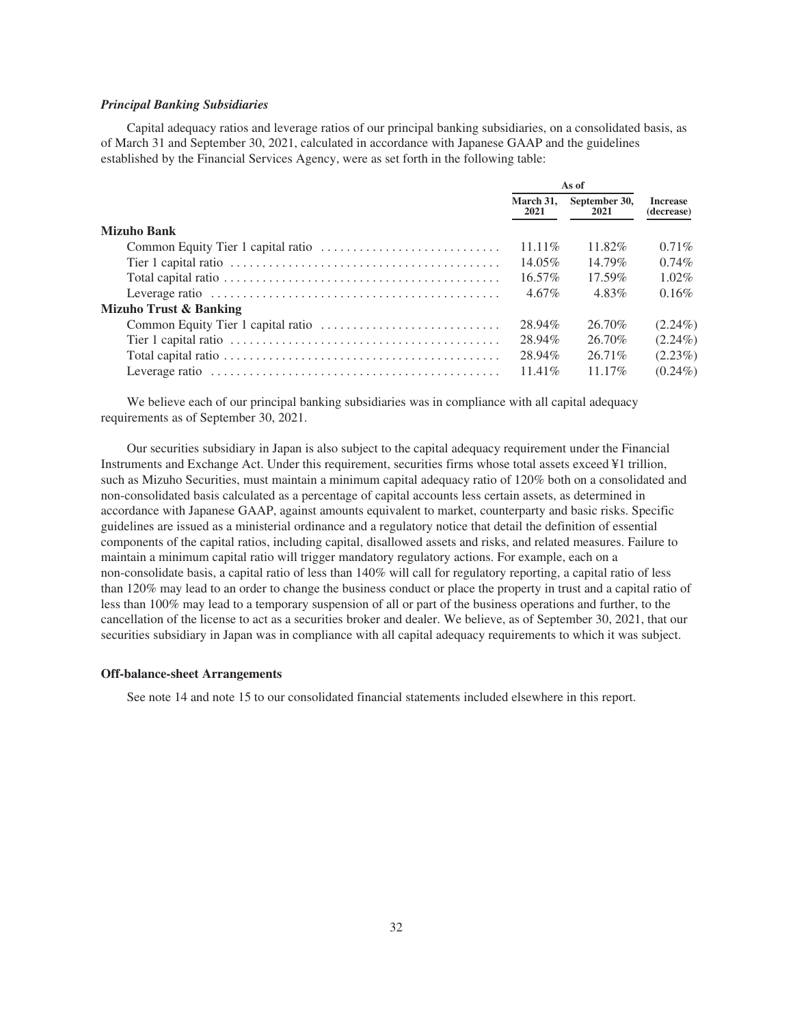# *Principal Banking Subsidiaries*

Capital adequacy ratios and leverage ratios of our principal banking subsidiaries, on a consolidated basis, as of March 31 and September 30, 2021, calculated in accordance with Japanese GAAP and the guidelines established by the Financial Services Agency, were as set forth in the following table:

|                                   | As of             |                       |                               |
|-----------------------------------|-------------------|-----------------------|-------------------------------|
|                                   | March 31,<br>2021 | September 30,<br>2021 | <b>Increase</b><br>(decrease) |
| <b>Mizuho Bank</b>                |                   |                       |                               |
|                                   | $11.11\%$         | 11.82%                | $0.71\%$                      |
|                                   | 14.05%            | 14.79%                | $0.74\%$                      |
|                                   | $16.57\%$         | $17.59\%$             | $1.02\%$                      |
|                                   | $4.67\%$          | 4.83%                 | $0.16\%$                      |
| <b>Mizuho Trust &amp; Banking</b> |                   |                       |                               |
|                                   | 28.94%            | 26.70%                | $(2.24\%)$                    |
|                                   | 28.94%            | 26.70%                | $(2.24\%)$                    |
|                                   | 28.94%            | 26.71\%               | $(2.23\%)$                    |
|                                   | $11.41\%$         | $11.17\%$             | $(0.24\%)$                    |

We believe each of our principal banking subsidiaries was in compliance with all capital adequacy requirements as of September 30, 2021.

Our securities subsidiary in Japan is also subject to the capital adequacy requirement under the Financial Instruments and Exchange Act. Under this requirement, securities firms whose total assets exceed ¥1 trillion, such as Mizuho Securities, must maintain a minimum capital adequacy ratio of 120% both on a consolidated and non-consolidated basis calculated as a percentage of capital accounts less certain assets, as determined in accordance with Japanese GAAP, against amounts equivalent to market, counterparty and basic risks. Specific guidelines are issued as a ministerial ordinance and a regulatory notice that detail the definition of essential components of the capital ratios, including capital, disallowed assets and risks, and related measures. Failure to maintain a minimum capital ratio will trigger mandatory regulatory actions. For example, each on a non-consolidate basis, a capital ratio of less than 140% will call for regulatory reporting, a capital ratio of less than 120% may lead to an order to change the business conduct or place the property in trust and a capital ratio of less than 100% may lead to a temporary suspension of all or part of the business operations and further, to the cancellation of the license to act as a securities broker and dealer. We believe, as of September 30, 2021, that our securities subsidiary in Japan was in compliance with all capital adequacy requirements to which it was subject.

#### <span id="page-34-0"></span>**Off-balance-sheet Arrangements**

See note 14 and note 15 to our consolidated financial statements included elsewhere in this report.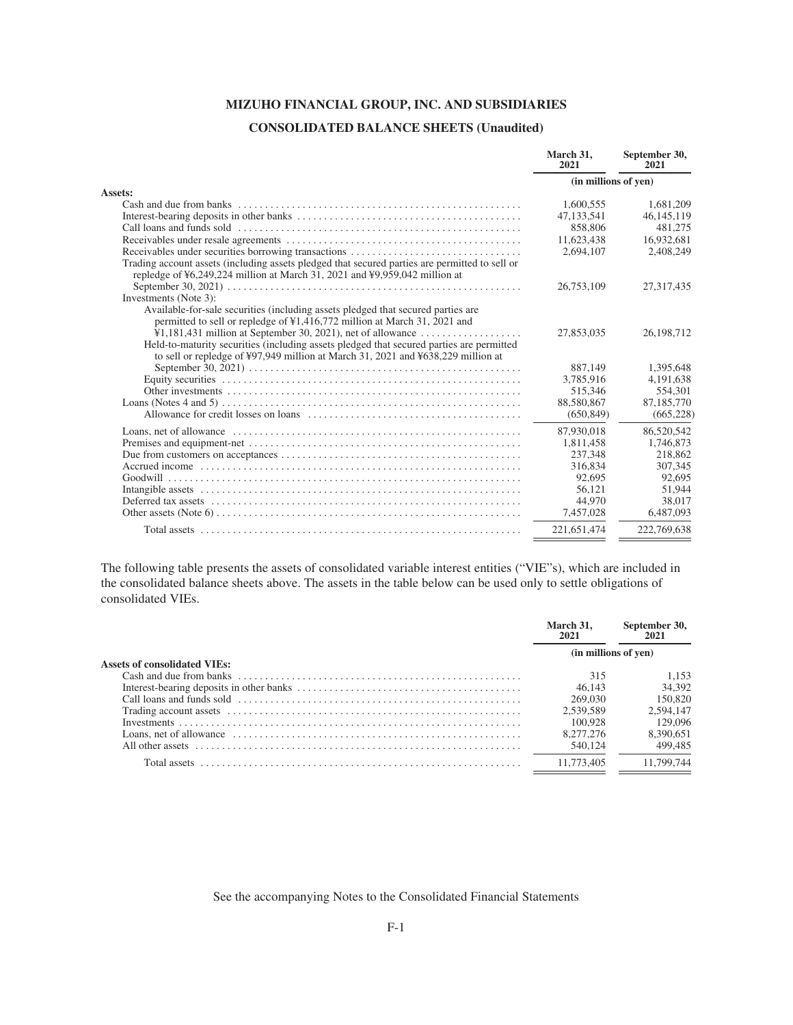# **MIZUHO FINANCIAL GROUP, INC. AND SUBSIDIARIES**

# **CONSOLIDATED BALANCE SHEETS (Unaudited)**

<span id="page-35-0"></span>

|                                                                                                | March 31.<br>2021    | September 30,<br>2021 |
|------------------------------------------------------------------------------------------------|----------------------|-----------------------|
|                                                                                                | (in millions of yen) |                       |
| Assets:                                                                                        |                      |                       |
| Cash and due from banks                                                                        | 1.600.555            | 1,681,209             |
|                                                                                                | 47.133.541           | 46, 145, 119          |
|                                                                                                | 858,806              | 481.275               |
|                                                                                                | 11,623,438           | 16,932,681            |
|                                                                                                | 2,694,107            | 2,408,249             |
| Trading account assets (including assets pledged that secured parties are permitted to sell or |                      |                       |
| repledge of ¥6,249,224 million at March 31, 2021 and ¥9,959,042 million at                     |                      |                       |
|                                                                                                | 26,753,109           | 27,317,435            |
| Investments (Note 3):                                                                          |                      |                       |
| Available-for-sale securities (including assets pledged that secured parties are               |                      |                       |
| permitted to sell or repledge of ¥1,416,772 million at March 31, 2021 and                      |                      |                       |
| $\text{\textsterling}1,181,431$ million at September 30, 2021), net of allowance               | 27,853,035           | 26,198,712            |
| Held-to-maturity securities (including assets pledged that secured parties are permitted       |                      |                       |
| to sell or repledge of ¥97,949 million at March 31, 2021 and $\frac{1}{2}$ 638,229 million at  |                      |                       |
|                                                                                                | 887,149              | 1,395,648             |
|                                                                                                | 3.785.916            | 4.191.638             |
|                                                                                                | 515.346              | 554.301               |
|                                                                                                | 88,580,867           | 87,185,770            |
|                                                                                                | (650, 849)           | (665, 228)            |
|                                                                                                | 87,930,018           | 86,520,542            |
|                                                                                                | 1,811,458            | 1,746,873             |
|                                                                                                | 237,348              | 218,862               |
|                                                                                                | 316,834              | 307,345               |
|                                                                                                | 92,695               | 92,695                |
|                                                                                                | 56,121               | 51.944                |
|                                                                                                | 44,970               | 38,017                |
|                                                                                                | 7,457,028            | 6,487,093             |
|                                                                                                | 221,651,474          | 222,769,638           |
|                                                                                                |                      |                       |

The following table presents the assets of consolidated variable interest entities ("VIE"s), which are included in the consolidated balance sheets above. The assets in the table below can be used only to settle obligations of consolidated VIEs.

| 2021<br>2021                        |            |  |
|-------------------------------------|------------|--|
| (in millions of yen)                |            |  |
| <b>Assets of consolidated VIEs:</b> |            |  |
| 315                                 | 1.153      |  |
| 46.143                              | 34,392     |  |
| 269,030                             | 150,820    |  |
| 2.539.589                           | 2.594.147  |  |
| 100.928                             | 129,096    |  |
| 8.277.276                           | 8.390.651  |  |
| 540,124                             | 499,485    |  |
| 11,773,405<br>Total assets          | 11.799.744 |  |

See the accompanying Notes to the Consolidated Financial Statements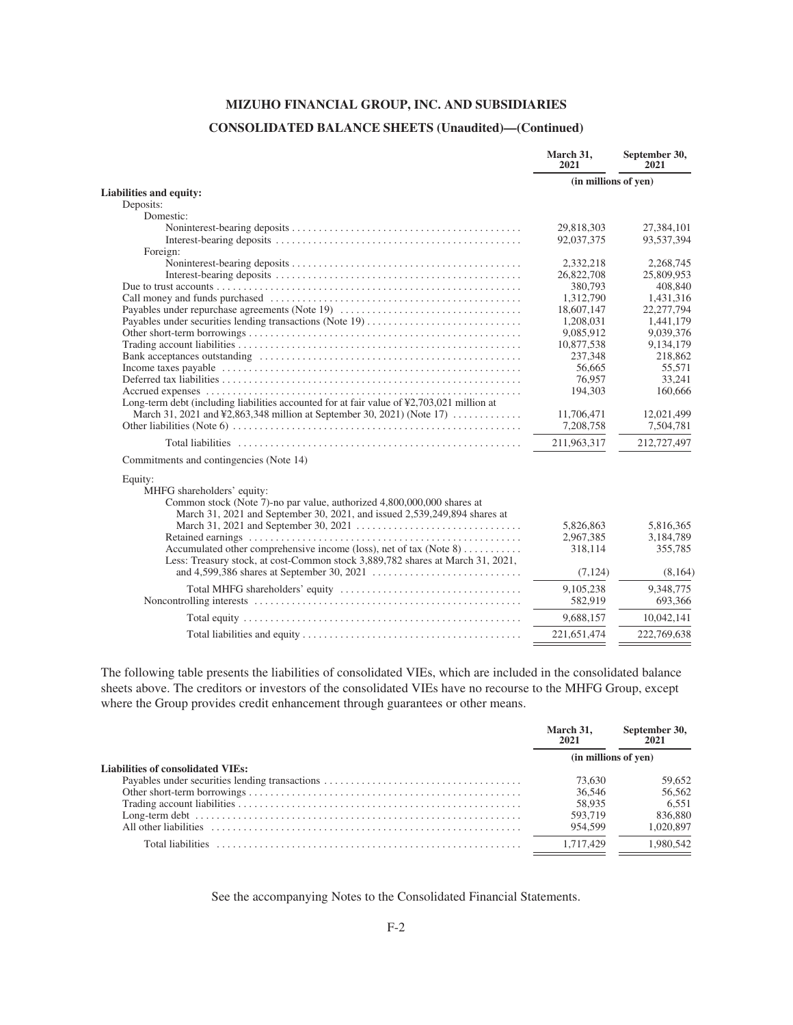## **CONSOLIDATED BALANCE SHEETS (Unaudited)—(Continued)**

|                                                                                                        | March 31.<br>2021       | September 30,<br>2021 |
|--------------------------------------------------------------------------------------------------------|-------------------------|-----------------------|
|                                                                                                        | (in millions of yen)    |                       |
| Liabilities and equity:                                                                                |                         |                       |
| Deposits:                                                                                              |                         |                       |
| Domestic:                                                                                              |                         |                       |
|                                                                                                        | 29,818,303              | 27,384,101            |
|                                                                                                        | 92,037,375              | 93,537,394            |
| Foreign:                                                                                               |                         | 2,268,745             |
|                                                                                                        | 2,332,218<br>26,822,708 | 25,809,953            |
|                                                                                                        | 380,793                 | 408,840               |
|                                                                                                        |                         |                       |
|                                                                                                        | 1,312,790               | 1,431,316             |
| Payables under repurchase agreements (Note 19)                                                         | 18,607,147              | 22,277,794            |
|                                                                                                        | 1,208,031               | 1,441,179             |
|                                                                                                        | 9.085.912               | 9.039.376             |
|                                                                                                        | 10,877,538              | 9,134,179             |
|                                                                                                        | 237.348                 | 218,862               |
|                                                                                                        | 56.665                  | 55,571                |
|                                                                                                        | 76.957                  | 33.241                |
|                                                                                                        | 194,303                 | 160,666               |
| Long-term debt (including liabilities accounted for at fair value of $\frac{42,703,021}{2}$ million at |                         |                       |
| March 31, 2021 and ¥2,863,348 million at September 30, 2021) (Note 17)                                 | 11,706,471              | 12,021,499            |
|                                                                                                        | 7,208,758               | 7,504,781             |
|                                                                                                        | 211,963,317             | 212,727,497           |
| Commitments and contingencies (Note 14)                                                                |                         |                       |
| Equity:                                                                                                |                         |                       |
| MHFG shareholders' equity:                                                                             |                         |                       |
| Common stock (Note 7)-no par value, authorized 4,800,000,000 shares at                                 |                         |                       |
| March 31, 2021 and September 30, 2021, and issued 2,539,249,894 shares at                              |                         |                       |
|                                                                                                        | 5,826,863               | 5,816,365             |
|                                                                                                        | 2,967,385               | 3,184,789             |
| Accumulated other comprehensive income (loss), net of tax (Note 8)                                     | 318,114                 | 355,785               |
| Less: Treasury stock, at cost-Common stock 3,889,782 shares at March 31, 2021,                         |                         |                       |
|                                                                                                        | (7, 124)                | (8,164)               |
|                                                                                                        | 9,105,238               | 9,348,775             |
|                                                                                                        | 582,919                 | 693,366               |
|                                                                                                        | 9,688,157               | 10,042,141            |
|                                                                                                        |                         |                       |
|                                                                                                        | 221,651,474             | 222,769,638           |
|                                                                                                        |                         |                       |

The following table presents the liabilities of consolidated VIEs, which are included in the consolidated balance sheets above. The creditors or investors of the consolidated VIEs have no recourse to the MHFG Group, except where the Group provides credit enhancement through guarantees or other means.

|                                   | March 31.<br>2021    | September 30,<br>2021 |
|-----------------------------------|----------------------|-----------------------|
|                                   | (in millions of yen) |                       |
| Liabilities of consolidated VIEs: |                      |                       |
|                                   | 73,630               | 59.652                |
|                                   | 36,546               | 56,562                |
|                                   | 58,935               | 6.551                 |
|                                   | 593,719              | 836,880               |
|                                   | 954.599              | 1.020.897             |
|                                   | 1.717.429            | 1.980.542             |
|                                   |                      |                       |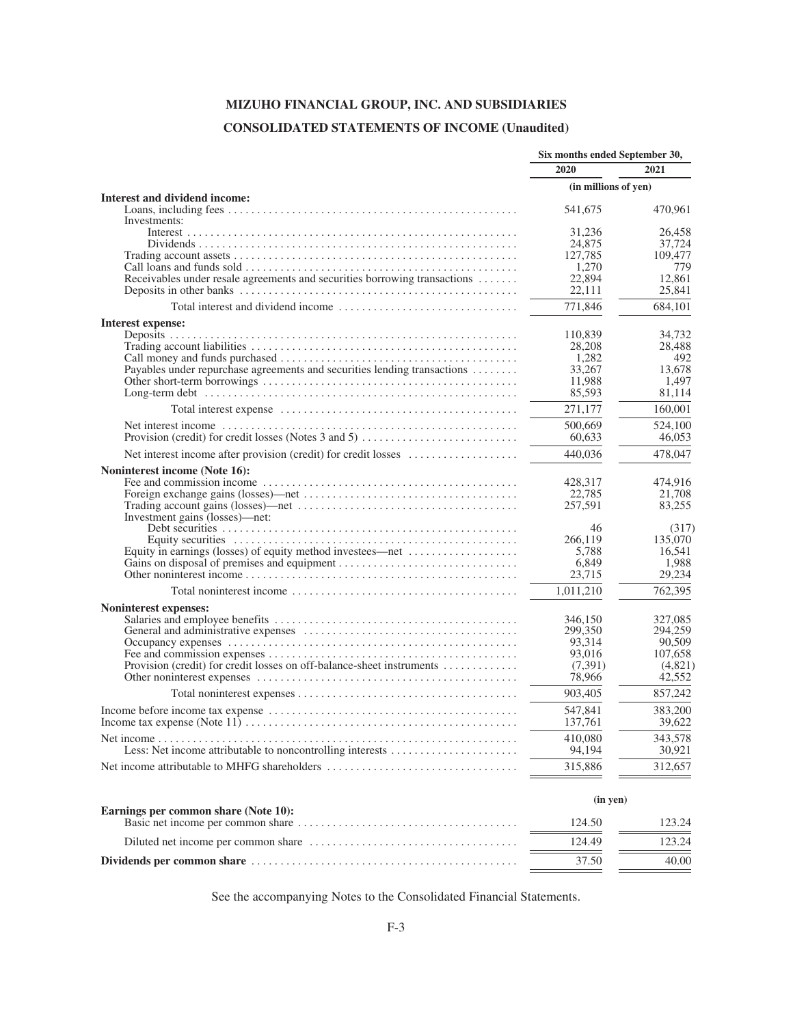## **CONSOLIDATED STATEMENTS OF INCOME (Unaudited)**

|                                                                           | Six months ended September 30, |                   |  |
|---------------------------------------------------------------------------|--------------------------------|-------------------|--|
|                                                                           | 2020                           | 2021              |  |
|                                                                           | (in millions of yen)           |                   |  |
| Interest and dividend income:                                             |                                |                   |  |
| Investments:                                                              | 541,675                        | 470,961           |  |
|                                                                           | 31,236                         | 26,458            |  |
|                                                                           | 24,875                         | 37,724            |  |
|                                                                           | 127,785                        | 109,477           |  |
|                                                                           | 1,270                          | 779               |  |
| Receivables under resale agreements and securities borrowing transactions | 22,894                         | 12,861            |  |
|                                                                           | 22,111                         | 25,841            |  |
|                                                                           | 771,846                        | 684,101           |  |
| Interest expense:                                                         |                                |                   |  |
|                                                                           | 110,839                        | 34,732            |  |
|                                                                           | 28,208                         | 28,488            |  |
|                                                                           | 1,282                          | 492               |  |
| Payables under repurchase agreements and securities lending transactions  | 33,267                         | 13,678            |  |
|                                                                           | 11,988                         | 1,497             |  |
|                                                                           | 85,593                         | 81,114            |  |
|                                                                           | 271,177                        | 160,001           |  |
|                                                                           | 500,669                        | 524,100           |  |
| Provision (credit) for credit losses (Notes 3 and 5)                      | 60.633                         | 46,053            |  |
| Net interest income after provision (credit) for credit losses            | 440,036                        | 478,047           |  |
| Noninterest income (Note 16):                                             |                                |                   |  |
|                                                                           | 428,317                        | 474,916           |  |
|                                                                           | 22,785                         | 21,708            |  |
|                                                                           | 257,591                        | 83,255            |  |
| Investment gains (losses)-net:                                            |                                |                   |  |
|                                                                           | 46                             | (317)             |  |
|                                                                           | 266,119<br>5,788               | 135,070<br>16,541 |  |
| Equity in earnings (losses) of equity method investees—net                | 6,849                          | 1,988             |  |
|                                                                           | 23,715                         | 29,234            |  |
|                                                                           |                                |                   |  |
|                                                                           | 1,011,210                      | 762,395           |  |
| Noninterest expenses:                                                     |                                |                   |  |
|                                                                           | 346,150                        | 327,085           |  |
|                                                                           | 299,350                        | 294,259<br>90,509 |  |
|                                                                           | 93,314<br>93,016               | 107,658           |  |
| Provision (credit) for credit losses on off-balance-sheet instruments     | (7,391)                        | (4,821)           |  |
|                                                                           | 78,966                         | 42,552            |  |
|                                                                           | 903.405                        | 857,242           |  |
|                                                                           | 547,841                        | 383,200           |  |
|                                                                           | 137,761                        | 39,622            |  |
|                                                                           | 410,080                        | 343,578           |  |
|                                                                           | 94,194                         | 30,921            |  |
|                                                                           |                                |                   |  |
| Net income attributable to MHFG shareholders                              | 315,886                        | 312,657           |  |
|                                                                           | (in yen)                       |                   |  |
| Earnings per common share (Note 10):                                      | 124.50                         | 123.24            |  |
|                                                                           |                                |                   |  |
|                                                                           | 124.49                         | 123.24            |  |
|                                                                           | 37.50                          | 40.00             |  |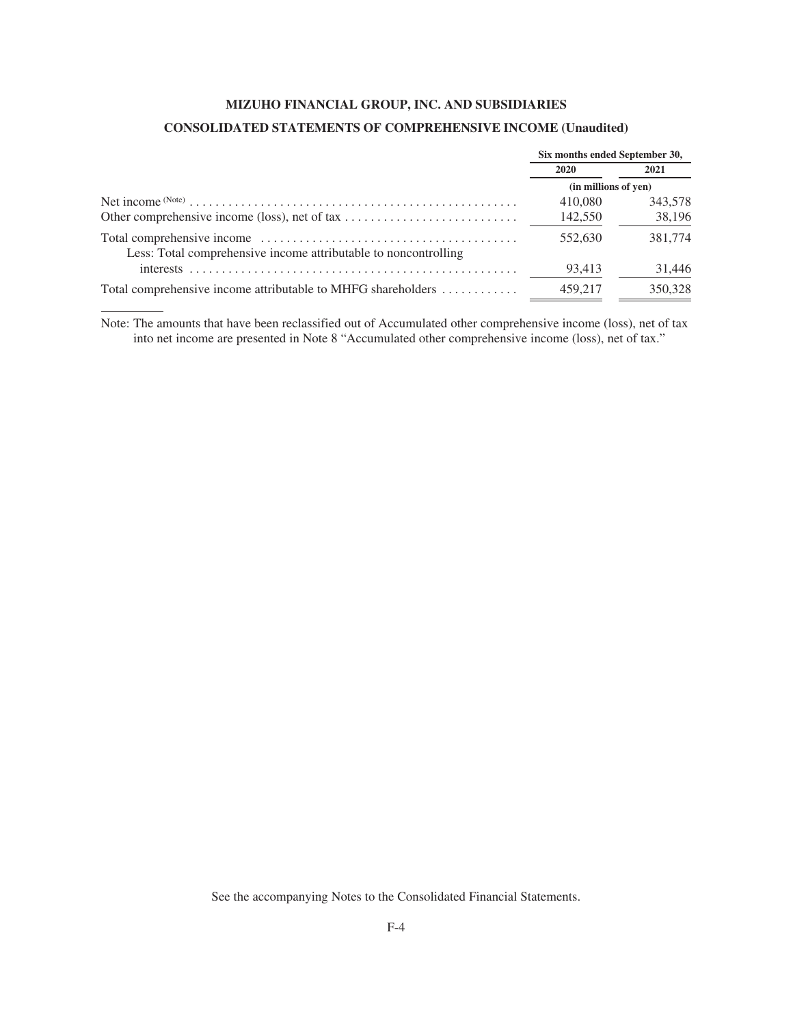# **MIZUHO FINANCIAL GROUP, INC. AND SUBSIDIARIES CONSOLIDATED STATEMENTS OF COMPREHENSIVE INCOME (Unaudited)**

|                                                                 | Six months ended September 30, |         |  |
|-----------------------------------------------------------------|--------------------------------|---------|--|
|                                                                 | 2020                           | 2021    |  |
|                                                                 | (in millions of yen)           |         |  |
|                                                                 | 410,080                        | 343,578 |  |
|                                                                 | 142,550                        | 38.196  |  |
| Less: Total comprehensive income attributable to noncontrolling | 552,630                        | 381,774 |  |
| interests                                                       | 93.413                         | 31,446  |  |
| Total comprehensive income attributable to MHFG shareholders    | 459.217                        | 350,328 |  |

Note: The amounts that have been reclassified out of Accumulated other comprehensive income (loss), net of tax into net income are presented in Note 8 "Accumulated other comprehensive income (loss), net of tax."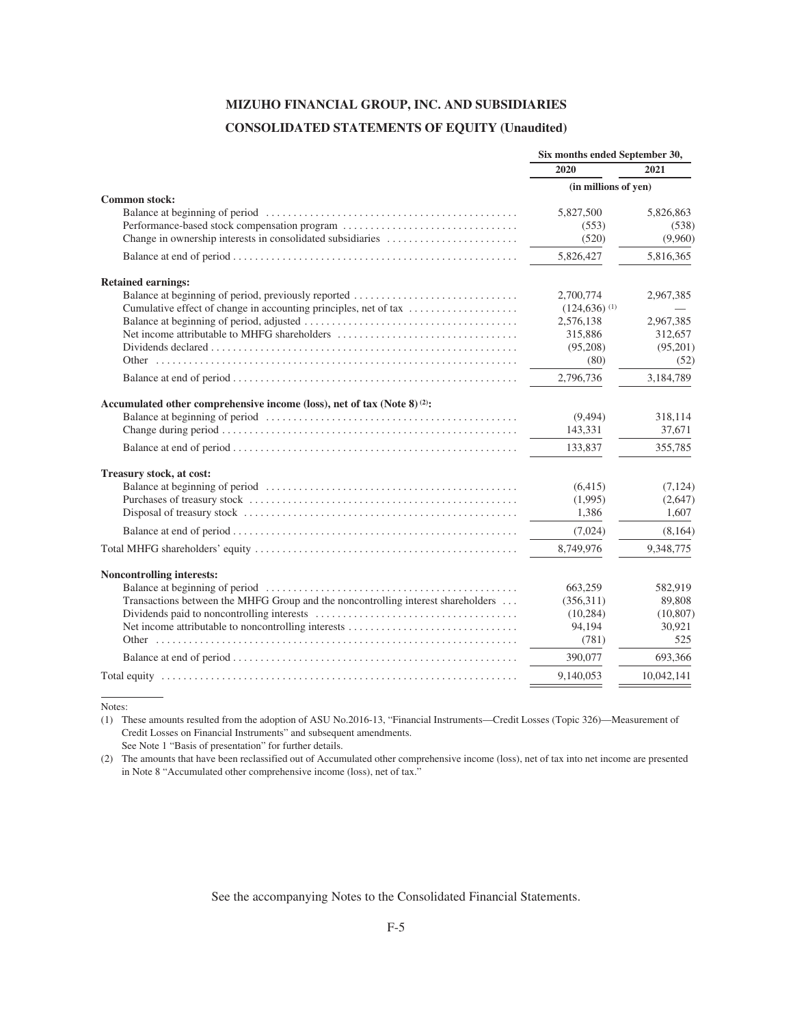# **MIZUHO FINANCIAL GROUP, INC. AND SUBSIDIARIES CONSOLIDATED STATEMENTS OF EQUITY (Unaudited)**

|                                                                                                                                                                                                                                                                                    | Six months ended September 30,                                                                                                     |                                                                                                    |  |
|------------------------------------------------------------------------------------------------------------------------------------------------------------------------------------------------------------------------------------------------------------------------------------|------------------------------------------------------------------------------------------------------------------------------------|----------------------------------------------------------------------------------------------------|--|
|                                                                                                                                                                                                                                                                                    | 2020                                                                                                                               | 2021                                                                                               |  |
|                                                                                                                                                                                                                                                                                    | (in millions of yen)                                                                                                               |                                                                                                    |  |
| <b>Common stock:</b><br>Performance-based stock compensation program<br>Change in ownership interests in consolidated subsidiaries                                                                                                                                                 | 5,827,500<br>(553)<br>(520)                                                                                                        | 5,826,863<br>(538)<br>(9,960)                                                                      |  |
|                                                                                                                                                                                                                                                                                    | 5,826,427                                                                                                                          | 5,816,365                                                                                          |  |
| <b>Retained earnings:</b><br>Balance at beginning of period, previously reported<br>Cumulative effect of change in accounting principles, net of tax<br>Net income attributable to MHFG shareholders<br>Accumulated other comprehensive income (loss), net of tax (Note 8) $(2)$ : | 2,700,774<br>$(124,636)$ <sup>(1)</sup><br>2,576,138<br>315,886<br>(95,208)<br>(80)<br>2,796,736<br>(9, 494)<br>143,331<br>133,837 | 2,967,385<br>2,967,385<br>312,657<br>(95,201)<br>(52)<br>3,184,789<br>318,114<br>37,671<br>355,785 |  |
|                                                                                                                                                                                                                                                                                    |                                                                                                                                    |                                                                                                    |  |
| Treasury stock, at cost:                                                                                                                                                                                                                                                           | (6, 415)<br>(1,995)<br>1.386                                                                                                       | (7, 124)<br>(2,647)<br>1.607                                                                       |  |
|                                                                                                                                                                                                                                                                                    | (7,024)                                                                                                                            | (8,164)                                                                                            |  |
|                                                                                                                                                                                                                                                                                    | 8,749,976                                                                                                                          | 9,348,775                                                                                          |  |
| <b>Noncontrolling interests:</b><br>Transactions between the MHFG Group and the noncontrolling interest shareholders                                                                                                                                                               | 663,259<br>(356,311)<br>(10, 284)<br>94,194<br>(781)<br>390,077                                                                    | 582,919<br>89,808<br>(10, 807)<br>30,921<br>525<br>693,366                                         |  |
|                                                                                                                                                                                                                                                                                    | 9.140.053                                                                                                                          | 10,042,141                                                                                         |  |
|                                                                                                                                                                                                                                                                                    |                                                                                                                                    |                                                                                                    |  |

Notes:

(1) These amounts resulted from the adoption of ASU No.2016-13, "Financial Instruments—Credit Losses (Topic 326)—Measurement of Credit Losses on Financial Instruments" and subsequent amendments.

See Note 1 "Basis of presentation" for further details.

(2) The amounts that have been reclassified out of Accumulated other comprehensive income (loss), net of tax into net income are presented in Note 8 "Accumulated other comprehensive income (loss), net of tax."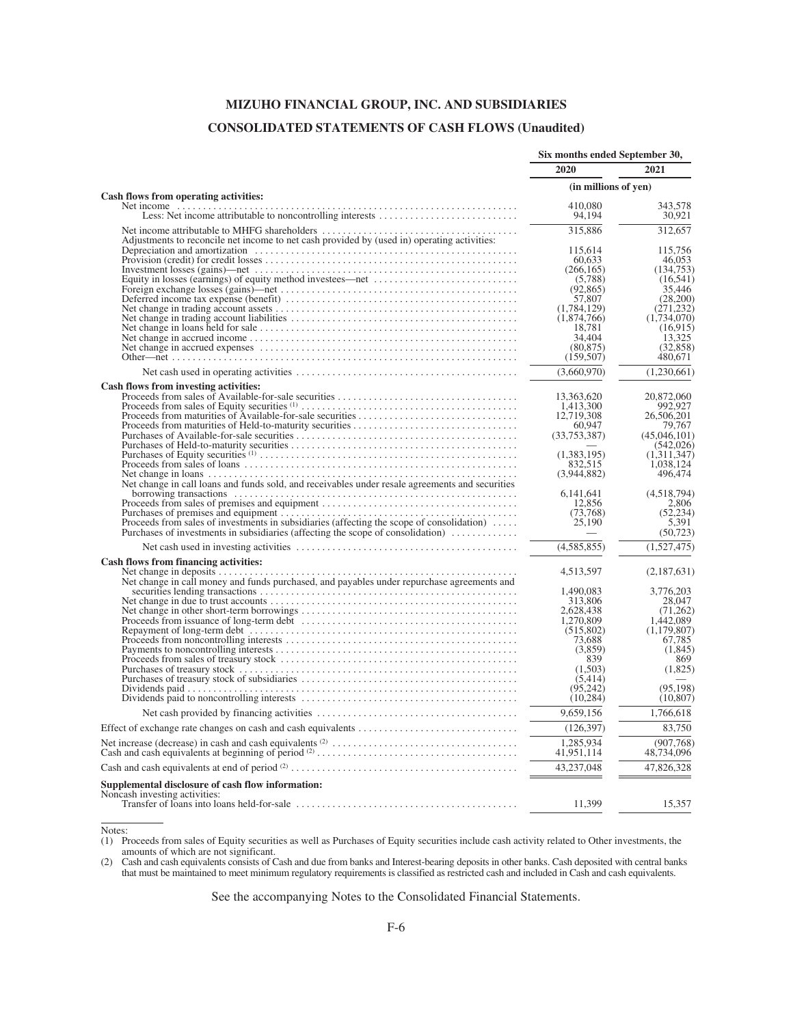# **MIZUHO FINANCIAL GROUP, INC. AND SUBSIDIARIES CONSOLIDATED STATEMENTS OF CASH FLOWS (Unaudited)**

|                                                                                                                        | Six months ended September 30, |                         |  |
|------------------------------------------------------------------------------------------------------------------------|--------------------------------|-------------------------|--|
|                                                                                                                        | 2020                           | 2021                    |  |
| Cash flows from operating activities:                                                                                  | (in millions of yen)           |                         |  |
|                                                                                                                        | 410,080                        | 343,578                 |  |
|                                                                                                                        | 94,194                         | 30,921                  |  |
| Adjustments to reconcile net income to net cash provided by (used in) operating activities:                            | 315,886                        | 312,657                 |  |
|                                                                                                                        | 115,614                        | 115,756                 |  |
|                                                                                                                        | 60,633                         | 46,053                  |  |
|                                                                                                                        | (266, 165)                     | (134,753)               |  |
|                                                                                                                        | (5,788)<br>(92, 865)           | (16, 541)<br>35,446     |  |
|                                                                                                                        | 57,807                         | (28,200)                |  |
|                                                                                                                        | (1,784,129)                    | (271, 232)              |  |
|                                                                                                                        | (1,874,766)                    | (1,734,070)             |  |
|                                                                                                                        | 18,781                         | (16,915)                |  |
|                                                                                                                        | 34,404                         | 13,325                  |  |
|                                                                                                                        | (80, 875)                      | (32.858)                |  |
|                                                                                                                        | (159, 507)                     | 480,671                 |  |
|                                                                                                                        | (3,660,970)                    | (1,230,661)             |  |
|                                                                                                                        |                                |                         |  |
| Cash flows from investing activities:                                                                                  | 13,363,620                     | 20,872,060              |  |
|                                                                                                                        | 1,413,300                      | 992,927                 |  |
|                                                                                                                        | 12,719,308                     | 26,506,201              |  |
|                                                                                                                        | 60,947                         | 79,767                  |  |
|                                                                                                                        | (33, 753, 387)                 | (45,046,101)            |  |
|                                                                                                                        |                                | (542, 026)              |  |
|                                                                                                                        | (1,383,195)                    | (1,311,347)             |  |
|                                                                                                                        | 832,515                        | 1,038,124               |  |
|                                                                                                                        | (3,944,882)                    | 496,474                 |  |
| Net change in loans<br>Net change in call loans and funds sold, and receivables under resale agreements and securities |                                |                         |  |
|                                                                                                                        | 6,141,641                      | (4,518,794)             |  |
|                                                                                                                        | 12,856                         | 2.806                   |  |
|                                                                                                                        | (73,768)                       | (52, 234)               |  |
| Proceeds from sales of investments in subsidiaries (affecting the scope of consolidation)                              | 25,190                         | 5,391                   |  |
| Purchases of investments in subsidiaries (affecting the scope of consolidation)                                        |                                | (50, 723)               |  |
|                                                                                                                        | (4,585,855)                    | (1,527,475)             |  |
| Cash flows from financing activities:                                                                                  |                                |                         |  |
|                                                                                                                        | 4,513,597                      | (2,187,631)             |  |
|                                                                                                                        | 1,490,083                      | 3,776,203               |  |
|                                                                                                                        | 313,806                        | 28,047                  |  |
|                                                                                                                        | 2.628.438                      | (71.262)                |  |
|                                                                                                                        | 1,270,809                      | 1,442,089               |  |
|                                                                                                                        | (515,802)                      | (1,179,807)             |  |
|                                                                                                                        | 73,688                         | 67,785                  |  |
|                                                                                                                        | (3,859)                        | (1,845)                 |  |
|                                                                                                                        | 839                            | 869                     |  |
|                                                                                                                        | (1,503)                        | (1,825)                 |  |
|                                                                                                                        | (5, 414)                       |                         |  |
|                                                                                                                        | (95, 242)                      | (95, 198)               |  |
|                                                                                                                        | (10, 284)                      | (10, 807)               |  |
|                                                                                                                        | 9,659,156                      | 1,766,618               |  |
|                                                                                                                        | (126, 397)                     | 83.750                  |  |
|                                                                                                                        | 1,285,934<br>41,951,114        | (907,768)<br>48,734,096 |  |
|                                                                                                                        | 43,237,048                     | 47,826,328              |  |
| Supplemental disclosure of cash flow information:<br>Noncash investing activities:                                     | 11.399                         | 15,357                  |  |

Notes:

(1) Proceeds from sales of Equity securities as well as Purchases of Equity securities include cash activity related to Other investments, the amounts of which are not significant.

(2) Cash and cash equivalents consists of Cash and due from banks and Interest-bearing deposits in other banks. Cash deposited with central banks that must be maintained to meet minimum regulatory requirements is classified as restricted cash and included in Cash and cash equivalents.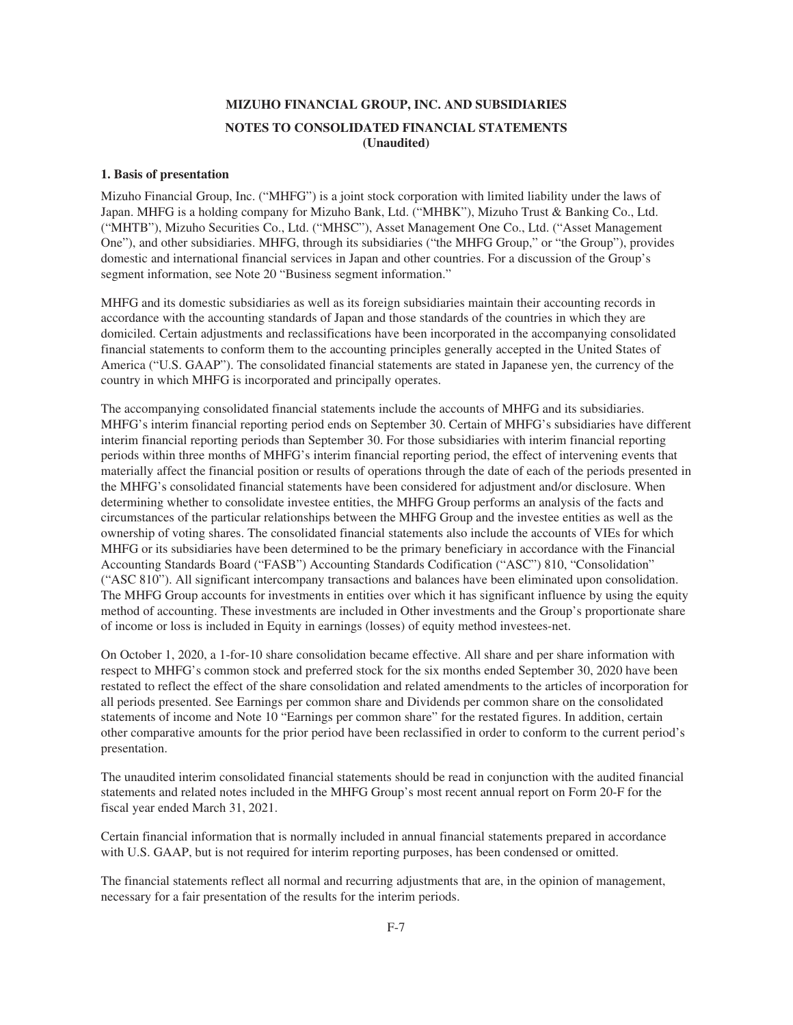#### **1. Basis of presentation**

Mizuho Financial Group, Inc. ("MHFG") is a joint stock corporation with limited liability under the laws of Japan. MHFG is a holding company for Mizuho Bank, Ltd. ("MHBK"), Mizuho Trust & Banking Co., Ltd. ("MHTB"), Mizuho Securities Co., Ltd. ("MHSC"), Asset Management One Co., Ltd. ("Asset Management One"), and other subsidiaries. MHFG, through its subsidiaries ("the MHFG Group," or "the Group"), provides domestic and international financial services in Japan and other countries. For a discussion of the Group's segment information, see Note 20 "Business segment information."

MHFG and its domestic subsidiaries as well as its foreign subsidiaries maintain their accounting records in accordance with the accounting standards of Japan and those standards of the countries in which they are domiciled. Certain adjustments and reclassifications have been incorporated in the accompanying consolidated financial statements to conform them to the accounting principles generally accepted in the United States of America ("U.S. GAAP"). The consolidated financial statements are stated in Japanese yen, the currency of the country in which MHFG is incorporated and principally operates.

The accompanying consolidated financial statements include the accounts of MHFG and its subsidiaries. MHFG's interim financial reporting period ends on September 30. Certain of MHFG's subsidiaries have different interim financial reporting periods than September 30. For those subsidiaries with interim financial reporting periods within three months of MHFG's interim financial reporting period, the effect of intervening events that materially affect the financial position or results of operations through the date of each of the periods presented in the MHFG's consolidated financial statements have been considered for adjustment and/or disclosure. When determining whether to consolidate investee entities, the MHFG Group performs an analysis of the facts and circumstances of the particular relationships between the MHFG Group and the investee entities as well as the ownership of voting shares. The consolidated financial statements also include the accounts of VIEs for which MHFG or its subsidiaries have been determined to be the primary beneficiary in accordance with the Financial Accounting Standards Board ("FASB") Accounting Standards Codification ("ASC") 810, "Consolidation" ("ASC 810"). All significant intercompany transactions and balances have been eliminated upon consolidation. The MHFG Group accounts for investments in entities over which it has significant influence by using the equity method of accounting. These investments are included in Other investments and the Group's proportionate share of income or loss is included in Equity in earnings (losses) of equity method investees-net.

On October 1, 2020, a 1-for-10 share consolidation became effective. All share and per share information with respect to MHFG's common stock and preferred stock for the six months ended September 30, 2020 have been restated to reflect the effect of the share consolidation and related amendments to the articles of incorporation for all periods presented. See Earnings per common share and Dividends per common share on the consolidated statements of income and Note 10 "Earnings per common share" for the restated figures. In addition, certain other comparative amounts for the prior period have been reclassified in order to conform to the current period's presentation.

The unaudited interim consolidated financial statements should be read in conjunction with the audited financial statements and related notes included in the MHFG Group's most recent annual report on Form 20-F for the fiscal year ended March 31, 2021.

Certain financial information that is normally included in annual financial statements prepared in accordance with U.S. GAAP, but is not required for interim reporting purposes, has been condensed or omitted.

The financial statements reflect all normal and recurring adjustments that are, in the opinion of management, necessary for a fair presentation of the results for the interim periods.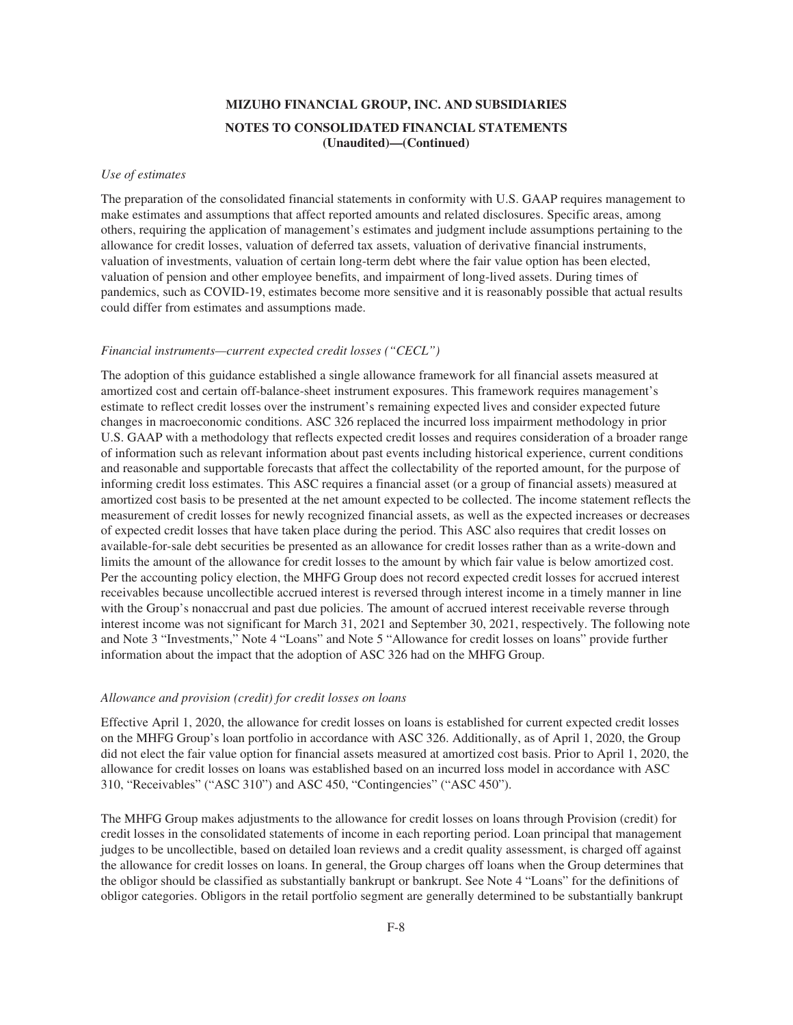#### *Use of estimates*

The preparation of the consolidated financial statements in conformity with U.S. GAAP requires management to make estimates and assumptions that affect reported amounts and related disclosures. Specific areas, among others, requiring the application of management's estimates and judgment include assumptions pertaining to the allowance for credit losses, valuation of deferred tax assets, valuation of derivative financial instruments, valuation of investments, valuation of certain long-term debt where the fair value option has been elected, valuation of pension and other employee benefits, and impairment of long-lived assets. During times of pandemics, such as COVID-19, estimates become more sensitive and it is reasonably possible that actual results could differ from estimates and assumptions made.

#### *Financial instruments—current expected credit losses ("CECL")*

The adoption of this guidance established a single allowance framework for all financial assets measured at amortized cost and certain off-balance-sheet instrument exposures. This framework requires management's estimate to reflect credit losses over the instrument's remaining expected lives and consider expected future changes in macroeconomic conditions. ASC 326 replaced the incurred loss impairment methodology in prior U.S. GAAP with a methodology that reflects expected credit losses and requires consideration of a broader range of information such as relevant information about past events including historical experience, current conditions and reasonable and supportable forecasts that affect the collectability of the reported amount, for the purpose of informing credit loss estimates. This ASC requires a financial asset (or a group of financial assets) measured at amortized cost basis to be presented at the net amount expected to be collected. The income statement reflects the measurement of credit losses for newly recognized financial assets, as well as the expected increases or decreases of expected credit losses that have taken place during the period. This ASC also requires that credit losses on available-for-sale debt securities be presented as an allowance for credit losses rather than as a write-down and limits the amount of the allowance for credit losses to the amount by which fair value is below amortized cost. Per the accounting policy election, the MHFG Group does not record expected credit losses for accrued interest receivables because uncollectible accrued interest is reversed through interest income in a timely manner in line with the Group's nonaccrual and past due policies. The amount of accrued interest receivable reverse through interest income was not significant for March 31, 2021 and September 30, 2021, respectively. The following note and Note 3 "Investments," Note 4 "Loans" and Note 5 "Allowance for credit losses on loans" provide further information about the impact that the adoption of ASC 326 had on the MHFG Group.

#### *Allowance and provision (credit) for credit losses on loans*

Effective April 1, 2020, the allowance for credit losses on loans is established for current expected credit losses on the MHFG Group's loan portfolio in accordance with ASC 326. Additionally, as of April 1, 2020, the Group did not elect the fair value option for financial assets measured at amortized cost basis. Prior to April 1, 2020, the allowance for credit losses on loans was established based on an incurred loss model in accordance with ASC 310, "Receivables" ("ASC 310") and ASC 450, "Contingencies" ("ASC 450").

The MHFG Group makes adjustments to the allowance for credit losses on loans through Provision (credit) for credit losses in the consolidated statements of income in each reporting period. Loan principal that management judges to be uncollectible, based on detailed loan reviews and a credit quality assessment, is charged off against the allowance for credit losses on loans. In general, the Group charges off loans when the Group determines that the obligor should be classified as substantially bankrupt or bankrupt. See Note 4 "Loans" for the definitions of obligor categories. Obligors in the retail portfolio segment are generally determined to be substantially bankrupt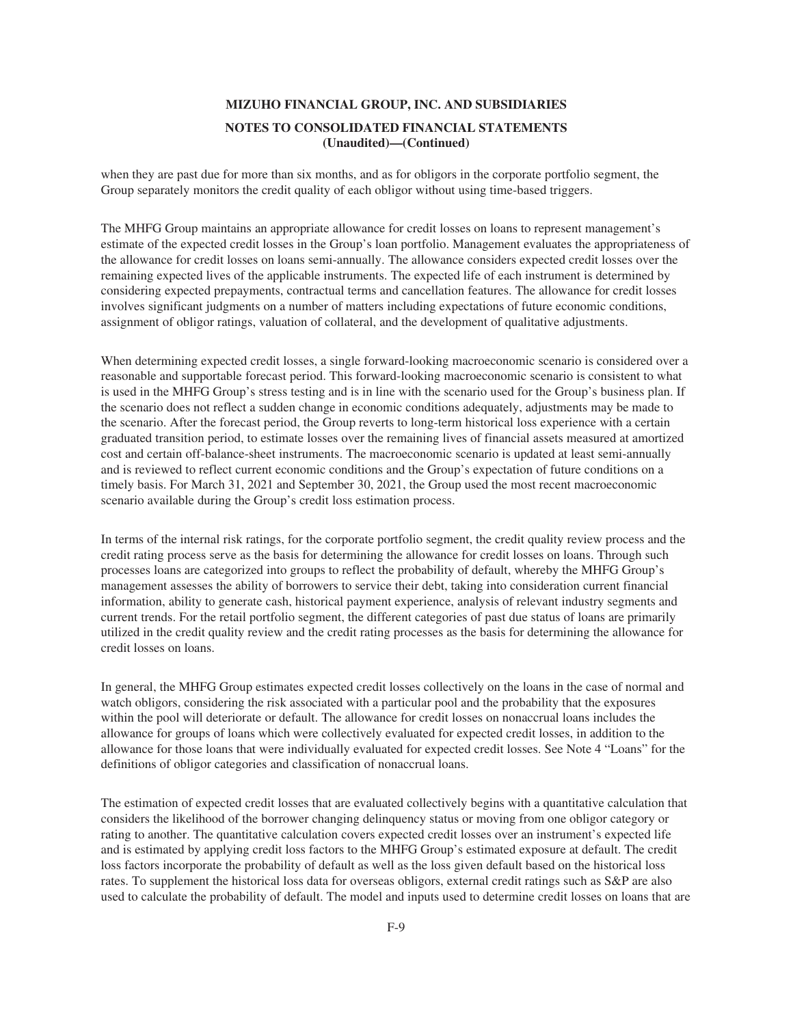when they are past due for more than six months, and as for obligors in the corporate portfolio segment, the Group separately monitors the credit quality of each obligor without using time-based triggers.

The MHFG Group maintains an appropriate allowance for credit losses on loans to represent management's estimate of the expected credit losses in the Group's loan portfolio. Management evaluates the appropriateness of the allowance for credit losses on loans semi-annually. The allowance considers expected credit losses over the remaining expected lives of the applicable instruments. The expected life of each instrument is determined by considering expected prepayments, contractual terms and cancellation features. The allowance for credit losses involves significant judgments on a number of matters including expectations of future economic conditions, assignment of obligor ratings, valuation of collateral, and the development of qualitative adjustments.

When determining expected credit losses, a single forward-looking macroeconomic scenario is considered over a reasonable and supportable forecast period. This forward-looking macroeconomic scenario is consistent to what is used in the MHFG Group's stress testing and is in line with the scenario used for the Group's business plan. If the scenario does not reflect a sudden change in economic conditions adequately, adjustments may be made to the scenario. After the forecast period, the Group reverts to long-term historical loss experience with a certain graduated transition period, to estimate losses over the remaining lives of financial assets measured at amortized cost and certain off-balance-sheet instruments. The macroeconomic scenario is updated at least semi-annually and is reviewed to reflect current economic conditions and the Group's expectation of future conditions on a timely basis. For March 31, 2021 and September 30, 2021, the Group used the most recent macroeconomic scenario available during the Group's credit loss estimation process.

In terms of the internal risk ratings, for the corporate portfolio segment, the credit quality review process and the credit rating process serve as the basis for determining the allowance for credit losses on loans. Through such processes loans are categorized into groups to reflect the probability of default, whereby the MHFG Group's management assesses the ability of borrowers to service their debt, taking into consideration current financial information, ability to generate cash, historical payment experience, analysis of relevant industry segments and current trends. For the retail portfolio segment, the different categories of past due status of loans are primarily utilized in the credit quality review and the credit rating processes as the basis for determining the allowance for credit losses on loans.

In general, the MHFG Group estimates expected credit losses collectively on the loans in the case of normal and watch obligors, considering the risk associated with a particular pool and the probability that the exposures within the pool will deteriorate or default. The allowance for credit losses on nonaccrual loans includes the allowance for groups of loans which were collectively evaluated for expected credit losses, in addition to the allowance for those loans that were individually evaluated for expected credit losses. See Note 4 "Loans" for the definitions of obligor categories and classification of nonaccrual loans.

The estimation of expected credit losses that are evaluated collectively begins with a quantitative calculation that considers the likelihood of the borrower changing delinquency status or moving from one obligor category or rating to another. The quantitative calculation covers expected credit losses over an instrument's expected life and is estimated by applying credit loss factors to the MHFG Group's estimated exposure at default. The credit loss factors incorporate the probability of default as well as the loss given default based on the historical loss rates. To supplement the historical loss data for overseas obligors, external credit ratings such as S&P are also used to calculate the probability of default. The model and inputs used to determine credit losses on loans that are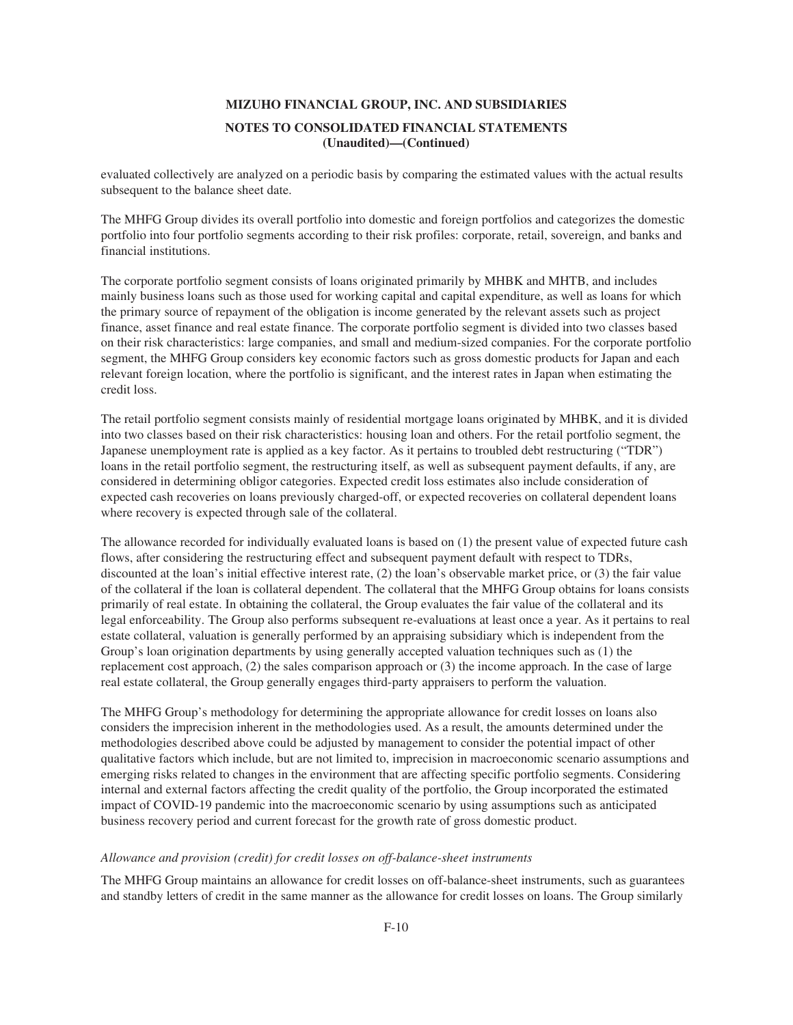evaluated collectively are analyzed on a periodic basis by comparing the estimated values with the actual results subsequent to the balance sheet date.

The MHFG Group divides its overall portfolio into domestic and foreign portfolios and categorizes the domestic portfolio into four portfolio segments according to their risk profiles: corporate, retail, sovereign, and banks and financial institutions.

The corporate portfolio segment consists of loans originated primarily by MHBK and MHTB, and includes mainly business loans such as those used for working capital and capital expenditure, as well as loans for which the primary source of repayment of the obligation is income generated by the relevant assets such as project finance, asset finance and real estate finance. The corporate portfolio segment is divided into two classes based on their risk characteristics: large companies, and small and medium-sized companies. For the corporate portfolio segment, the MHFG Group considers key economic factors such as gross domestic products for Japan and each relevant foreign location, where the portfolio is significant, and the interest rates in Japan when estimating the credit loss.

The retail portfolio segment consists mainly of residential mortgage loans originated by MHBK, and it is divided into two classes based on their risk characteristics: housing loan and others. For the retail portfolio segment, the Japanese unemployment rate is applied as a key factor. As it pertains to troubled debt restructuring ("TDR") loans in the retail portfolio segment, the restructuring itself, as well as subsequent payment defaults, if any, are considered in determining obligor categories. Expected credit loss estimates also include consideration of expected cash recoveries on loans previously charged-off, or expected recoveries on collateral dependent loans where recovery is expected through sale of the collateral.

The allowance recorded for individually evaluated loans is based on (1) the present value of expected future cash flows, after considering the restructuring effect and subsequent payment default with respect to TDRs, discounted at the loan's initial effective interest rate, (2) the loan's observable market price, or (3) the fair value of the collateral if the loan is collateral dependent. The collateral that the MHFG Group obtains for loans consists primarily of real estate. In obtaining the collateral, the Group evaluates the fair value of the collateral and its legal enforceability. The Group also performs subsequent re-evaluations at least once a year. As it pertains to real estate collateral, valuation is generally performed by an appraising subsidiary which is independent from the Group's loan origination departments by using generally accepted valuation techniques such as (1) the replacement cost approach, (2) the sales comparison approach or (3) the income approach. In the case of large real estate collateral, the Group generally engages third-party appraisers to perform the valuation.

The MHFG Group's methodology for determining the appropriate allowance for credit losses on loans also considers the imprecision inherent in the methodologies used. As a result, the amounts determined under the methodologies described above could be adjusted by management to consider the potential impact of other qualitative factors which include, but are not limited to, imprecision in macroeconomic scenario assumptions and emerging risks related to changes in the environment that are affecting specific portfolio segments. Considering internal and external factors affecting the credit quality of the portfolio, the Group incorporated the estimated impact of COVID-19 pandemic into the macroeconomic scenario by using assumptions such as anticipated business recovery period and current forecast for the growth rate of gross domestic product.

#### *Allowance and provision (credit) for credit losses on off-balance-sheet instruments*

The MHFG Group maintains an allowance for credit losses on off-balance-sheet instruments, such as guarantees and standby letters of credit in the same manner as the allowance for credit losses on loans. The Group similarly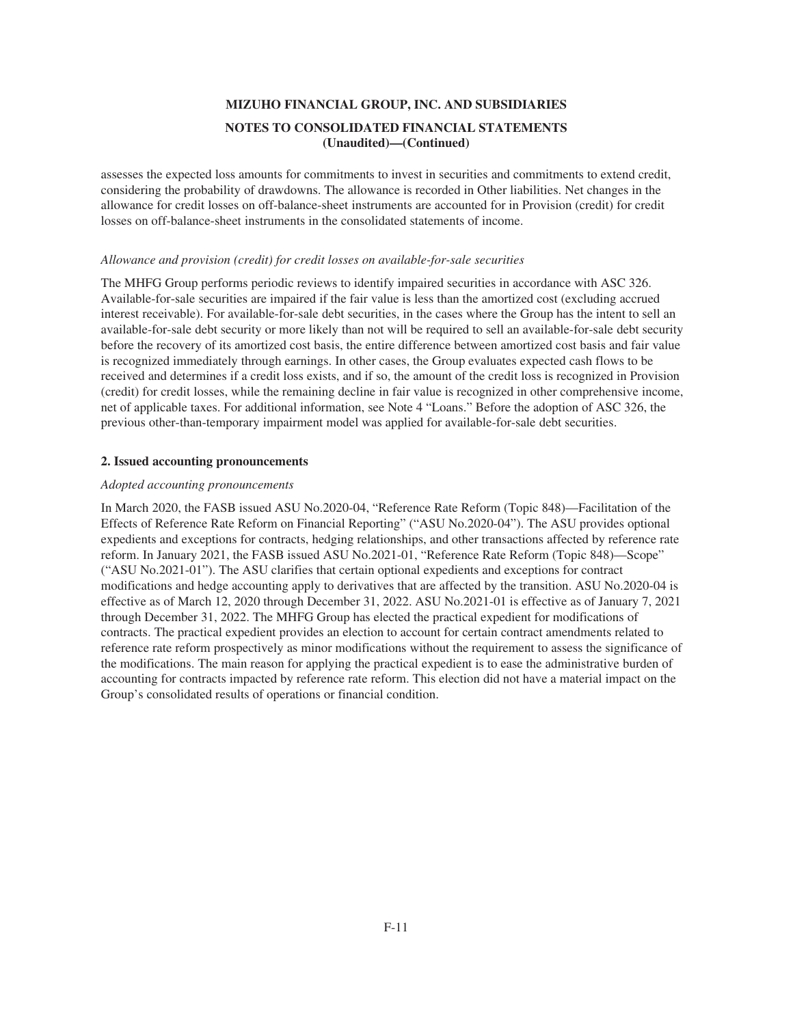assesses the expected loss amounts for commitments to invest in securities and commitments to extend credit, considering the probability of drawdowns. The allowance is recorded in Other liabilities. Net changes in the allowance for credit losses on off-balance-sheet instruments are accounted for in Provision (credit) for credit losses on off-balance-sheet instruments in the consolidated statements of income.

### *Allowance and provision (credit) for credit losses on available-for-sale securities*

The MHFG Group performs periodic reviews to identify impaired securities in accordance with ASC 326. Available-for-sale securities are impaired if the fair value is less than the amortized cost (excluding accrued interest receivable). For available-for-sale debt securities, in the cases where the Group has the intent to sell an available-for-sale debt security or more likely than not will be required to sell an available-for-sale debt security before the recovery of its amortized cost basis, the entire difference between amortized cost basis and fair value is recognized immediately through earnings. In other cases, the Group evaluates expected cash flows to be received and determines if a credit loss exists, and if so, the amount of the credit loss is recognized in Provision (credit) for credit losses, while the remaining decline in fair value is recognized in other comprehensive income, net of applicable taxes. For additional information, see Note 4 "Loans." Before the adoption of ASC 326, the previous other-than-temporary impairment model was applied for available-for-sale debt securities.

## **2. Issued accounting pronouncements**

#### *Adopted accounting pronouncements*

In March 2020, the FASB issued ASU No.2020-04, "Reference Rate Reform (Topic 848)—Facilitation of the Effects of Reference Rate Reform on Financial Reporting" ("ASU No.2020-04"). The ASU provides optional expedients and exceptions for contracts, hedging relationships, and other transactions affected by reference rate reform. In January 2021, the FASB issued ASU No.2021-01, "Reference Rate Reform (Topic 848)—Scope" ("ASU No.2021-01"). The ASU clarifies that certain optional expedients and exceptions for contract modifications and hedge accounting apply to derivatives that are affected by the transition. ASU No.2020-04 is effective as of March 12, 2020 through December 31, 2022. ASU No.2021-01 is effective as of January 7, 2021 through December 31, 2022. The MHFG Group has elected the practical expedient for modifications of contracts. The practical expedient provides an election to account for certain contract amendments related to reference rate reform prospectively as minor modifications without the requirement to assess the significance of the modifications. The main reason for applying the practical expedient is to ease the administrative burden of accounting for contracts impacted by reference rate reform. This election did not have a material impact on the Group's consolidated results of operations or financial condition.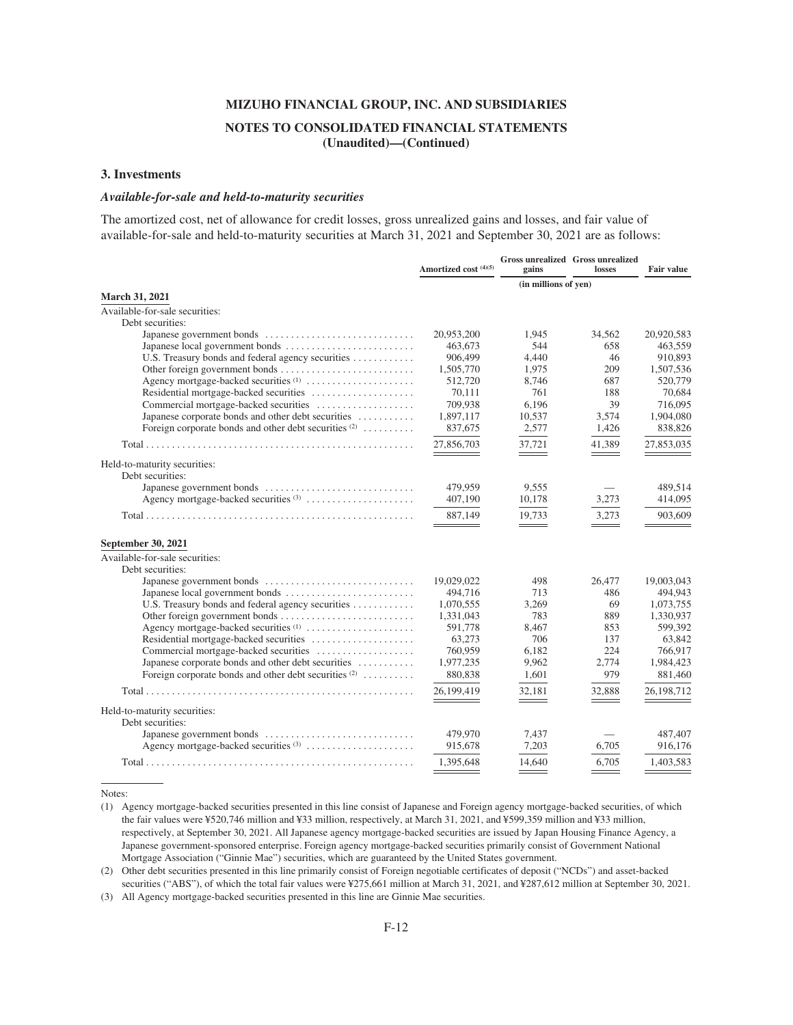#### **3. Investments**

#### *Available-for-sale and held-to-maturity securities*

The amortized cost, net of allowance for credit losses, gross unrealized gains and losses, and fair value of available-for-sale and held-to-maturity securities at March 31, 2021 and September 30, 2021 are as follows:

|                                                         | Amortized cost (4)(5) | gains                | <b>Gross unrealized Gross unrealized</b><br>losses | <b>Fair value</b> |
|---------------------------------------------------------|-----------------------|----------------------|----------------------------------------------------|-------------------|
|                                                         |                       | (in millions of yen) |                                                    |                   |
| March 31, 2021                                          |                       |                      |                                                    |                   |
| Available-for-sale securities:                          |                       |                      |                                                    |                   |
| Debt securities:                                        |                       |                      |                                                    |                   |
|                                                         | 20,953,200            | 1.945                | 34.562                                             | 20,920,583        |
|                                                         | 463,673               | 544                  | 658                                                | 463,559           |
| U.S. Treasury bonds and federal agency securities       | 906,499               | 4,440                | 46                                                 | 910,893           |
|                                                         | 1,505,770             | 1,975                | 209                                                | 1,507,536         |
| Agency mortgage-backed securities <sup>(1)</sup>        | 512,720               | 8,746                | 687                                                | 520,779           |
|                                                         | 70,111                | 761                  | 188                                                | 70,684            |
| Commercial mortgage-backed securities                   | 709,938               | 6,196                | 39                                                 | 716,095           |
| Japanese corporate bonds and other debt securities      | 1,897,117             | 10,537               | 3,574                                              | 1,904,080         |
| Foreign corporate bonds and other debt securities $(2)$ | 837,675               | 2,577                | 1,426                                              | 838,826           |
|                                                         | 27,856,703            | 37,721               | 41,389                                             | 27,853,035        |
| Held-to-maturity securities:                            |                       |                      |                                                    |                   |
| Debt securities:                                        |                       |                      |                                                    |                   |
|                                                         | 479,959               | 9,555                |                                                    | 489,514           |
|                                                         | 407,190               | 10,178               | 3,273                                              | 414,095           |
|                                                         | 887,149               | 19,733<br>$ -$       | 3.273                                              | 903,609           |
| September 30, 2021                                      |                       |                      |                                                    |                   |
| Available-for-sale securities:                          |                       |                      |                                                    |                   |
| Debt securities:                                        |                       |                      |                                                    |                   |
|                                                         | 19,029,022            | 498                  | 26,477                                             | 19,003,043        |
|                                                         | 494,716               | 713                  | 486                                                | 494,943           |
| U.S. Treasury bonds and federal agency securities       | 1,070,555             | 3,269                | 69                                                 | 1,073,755         |
|                                                         | 1,331,043             | 783                  | 889                                                | 1,330,937         |
|                                                         | 591.778               | 8,467                | 853                                                | 599,392           |
| Residential mortgage-backed securities                  | 63,273                | 706                  | 137                                                | 63,842            |
| Commercial mortgage-backed securities                   | 760,959               | 6,182                | 224                                                | 766,917           |
| Japanese corporate bonds and other debt securities      | 1,977,235             | 9,962                | 2,774                                              | 1,984,423         |
| Foreign corporate bonds and other debt securities $(2)$ | 880,838               | 1,601                | 979                                                | 881,460           |
|                                                         | 26,199,419            | 32,181               | 32,888                                             | 26,198,712        |
| Held-to-maturity securities:                            |                       |                      |                                                    |                   |
| Debt securities:                                        |                       |                      |                                                    |                   |
|                                                         | 479,970               | 7,437                |                                                    | 487,407           |
|                                                         | 915,678               | 7.203                | 6.705                                              | 916.176           |
|                                                         |                       |                      |                                                    |                   |
|                                                         | 1.395.648             | 14,640               | 6.705                                              | 1,403,583         |

Notes:

(1) Agency mortgage-backed securities presented in this line consist of Japanese and Foreign agency mortgage-backed securities, of which the fair values were ¥520,746 million and ¥33 million, respectively, at March 31, 2021, and ¥599,359 million and ¥33 million, respectively, at September 30, 2021. All Japanese agency mortgage-backed securities are issued by Japan Housing Finance Agency, a Japanese government-sponsored enterprise. Foreign agency mortgage-backed securities primarily consist of Government National Mortgage Association ("Ginnie Mae") securities, which are guaranteed by the United States government.

(2) Other debt securities presented in this line primarily consist of Foreign negotiable certificates of deposit ("NCDs") and asset-backed securities ("ABS"), of which the total fair values were ¥275,661 million at March 31, 2021, and ¥287,612 million at September 30, 2021.

(3) All Agency mortgage-backed securities presented in this line are Ginnie Mae securities.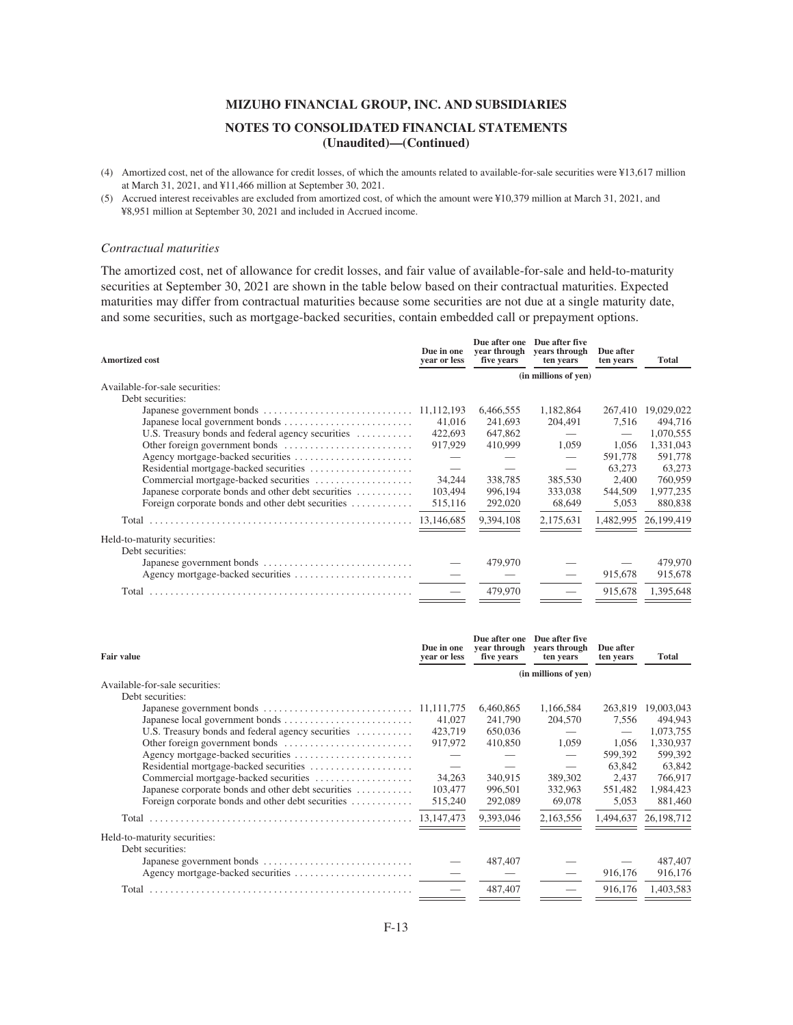- (4) Amortized cost, net of the allowance for credit losses, of which the amounts related to available-for-sale securities were ¥13,617 million at March 31, 2021, and ¥11,466 million at September 30, 2021.
- (5) Accrued interest receivables are excluded from amortized cost, of which the amount were ¥10,379 million at March 31, 2021, and ¥8,951 million at September 30, 2021 and included in Accrued income.

### *Contractual maturities*

The amortized cost, net of allowance for credit losses, and fair value of available-for-sale and held-to-maturity securities at September 30, 2021 are shown in the table below based on their contractual maturities. Expected maturities may differ from contractual maturities because some securities are not due at a single maturity date, and some securities, such as mortgage-backed securities, contain embedded call or prepayment options.

| <b>Amortized cost</b>                              | Due in one<br>vear or less | Due after one<br>vear through<br>five years | Due after five<br><b>vears through</b><br>ten years | Due after<br>ten years | <b>Total</b> |
|----------------------------------------------------|----------------------------|---------------------------------------------|-----------------------------------------------------|------------------------|--------------|
|                                                    |                            |                                             | (in millions of yen)                                |                        |              |
| Available-for-sale securities:                     |                            |                                             |                                                     |                        |              |
| Debt securities:                                   |                            |                                             |                                                     |                        |              |
|                                                    |                            | 6,466,555                                   | 1,182,864                                           | 267,410                | 19,029,022   |
|                                                    | 41,016                     | 241,693                                     | 204.491                                             | 7.516                  | 494,716      |
| U.S. Treasury bonds and federal agency securities  | 422,693                    | 647,862                                     |                                                     |                        | 1,070,555    |
|                                                    | 917,929                    | 410,999                                     | 1,059                                               | 1.056                  | 1,331,043    |
|                                                    |                            |                                             |                                                     | 591,778                | 591,778      |
|                                                    |                            |                                             |                                                     | 63,273                 | 63,273       |
| Commercial mortgage-backed securities              | 34,244                     | 338,785                                     | 385,530                                             | 2,400                  | 760,959      |
| Japanese corporate bonds and other debt securities | 103,494                    | 996,194                                     | 333,038                                             | 544,509                | 1,977,235    |
| Foreign corporate bonds and other debt securities  | 515,116                    | 292,020                                     | 68,649                                              | 5,053                  | 880,838      |
|                                                    |                            | 9,394,108                                   | 2,175,631                                           | 1,482,995              | 26,199,419   |
| Held-to-maturity securities:                       |                            |                                             |                                                     |                        |              |
| Debt securities:                                   |                            |                                             |                                                     |                        |              |
|                                                    |                            | 479,970                                     |                                                     |                        | 479,970      |
|                                                    |                            |                                             |                                                     | 915,678                | 915,678      |
| Total                                              |                            | 479,970                                     |                                                     | 915,678                | 1,395,648    |
|                                                    |                            |                                             |                                                     |                        |              |

| <b>Fair value</b>                                  | Due in one<br>year or less | Due after one<br>vear through<br>five years | Due after five<br>vears through<br>ten years | Due after<br>ten years | <b>Total</b> |
|----------------------------------------------------|----------------------------|---------------------------------------------|----------------------------------------------|------------------------|--------------|
|                                                    |                            |                                             | (in millions of yen)                         |                        |              |
| Available-for-sale securities:                     |                            |                                             |                                              |                        |              |
| Debt securities:                                   |                            |                                             |                                              |                        |              |
|                                                    |                            | 6,460,865                                   | 1,166,584                                    | 263.819                | 19,003,043   |
|                                                    | 41,027                     | 241,790                                     | 204,570                                      | 7.556                  | 494,943      |
| U.S. Treasury bonds and federal agency securities  | 423,719                    | 650,036                                     |                                              | $\hspace{0.05cm}$      | 1,073,755    |
|                                                    | 917,972                    | 410,850                                     | 1.059                                        | 1.056                  | 1,330,937    |
|                                                    |                            |                                             |                                              | 599,392                | 599,392      |
| Residential mortgage-backed securities             |                            |                                             |                                              | 63,842                 | 63,842       |
| Commercial mortgage-backed securities              | 34.263                     | 340,915                                     | 389,302                                      | 2.437                  | 766,917      |
| Japanese corporate bonds and other debt securities | 103,477                    | 996,501                                     | 332,963                                      | 551,482                | 1,984,423    |
| Foreign corporate bonds and other debt securities  | 515,240                    | 292,089                                     | 69,078                                       | 5,053                  | 881,460      |
|                                                    | 13, 147, 473               | 9,393,046                                   | 2,163,556                                    | 1,494,637              | 26,198,712   |
| Held-to-maturity securities:                       |                            |                                             |                                              |                        |              |
| Debt securities:                                   |                            |                                             |                                              |                        |              |
| Japanese government bonds                          |                            | 487,407                                     |                                              |                        | 487,407      |
|                                                    |                            |                                             |                                              | 916,176                | 916,176      |
|                                                    |                            | 487,407                                     |                                              | 916.176                | 1.403.583    |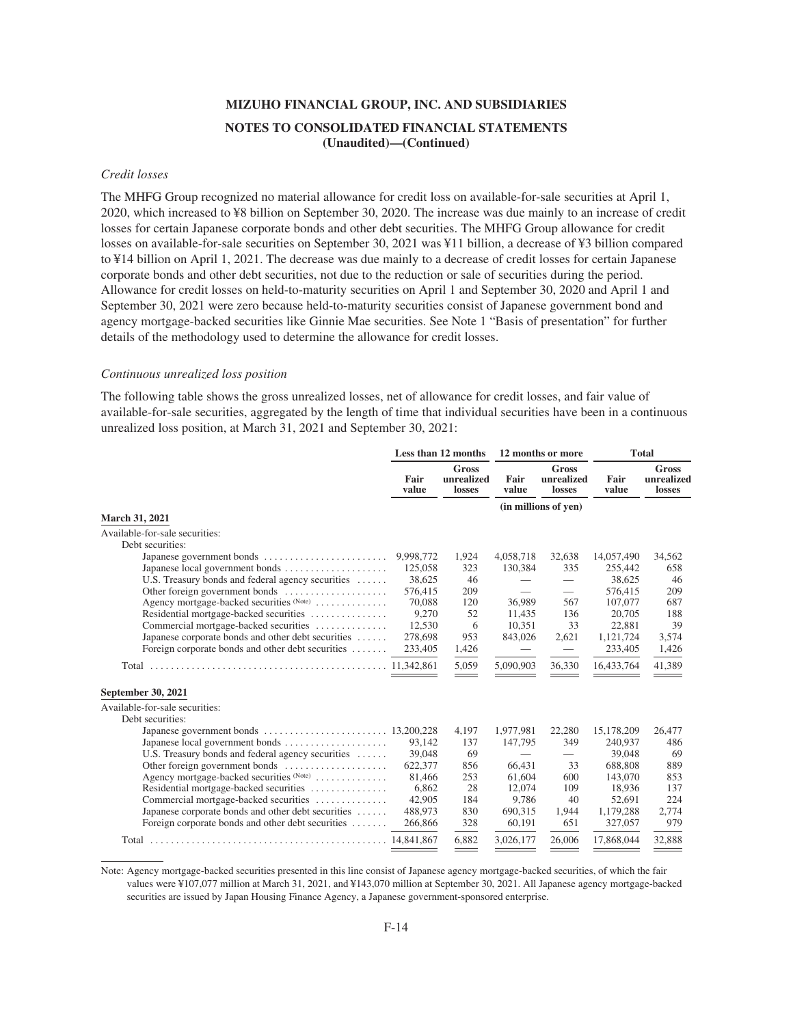#### *Credit losses*

The MHFG Group recognized no material allowance for credit loss on available-for-sale securities at April 1, 2020, which increased to ¥8 billion on September 30, 2020. The increase was due mainly to an increase of credit losses for certain Japanese corporate bonds and other debt securities. The MHFG Group allowance for credit losses on available-for-sale securities on September 30, 2021 was ¥11 billion, a decrease of ¥3 billion compared to ¥14 billion on April 1, 2021. The decrease was due mainly to a decrease of credit losses for certain Japanese corporate bonds and other debt securities, not due to the reduction or sale of securities during the period. Allowance for credit losses on held-to-maturity securities on April 1 and September 30, 2020 and April 1 and September 30, 2021 were zero because held-to-maturity securities consist of Japanese government bond and agency mortgage-backed securities like Ginnie Mae securities. See Note 1 "Basis of presentation" for further details of the methodology used to determine the allowance for credit losses.

#### *Continuous unrealized loss position*

The following table shows the gross unrealized losses, net of allowance for credit losses, and fair value of available-for-sale securities, aggregated by the length of time that individual securities have been in a continuous unrealized loss position, at March 31, 2021 and September 30, 2021:

|                                                    | Less than 12 months |                                      | 12 months or more        |                                      | <b>Total</b>  |                                      |
|----------------------------------------------------|---------------------|--------------------------------------|--------------------------|--------------------------------------|---------------|--------------------------------------|
|                                                    | Fair<br>value       | <b>Gross</b><br>unrealized<br>losses | Fair<br>value            | <b>Gross</b><br>unrealized<br>losses | Fair<br>value | <b>Gross</b><br>unrealized<br>losses |
|                                                    |                     |                                      |                          | (in millions of yen)                 |               |                                      |
| March 31, 2021                                     |                     |                                      |                          |                                      |               |                                      |
| Available-for-sale securities:                     |                     |                                      |                          |                                      |               |                                      |
| Debt securities:                                   |                     |                                      |                          |                                      |               |                                      |
|                                                    | 9,998,772           | 1,924                                | 4,058,718                | 32,638                               | 14,057,490    | 34,562                               |
| Japanese local government bonds                    | 125,058             | 323                                  | 130,384                  | 335                                  | 255,442       | 658                                  |
| U.S. Treasury bonds and federal agency securities  | 38,625              | 46                                   |                          | $\overline{\phantom{0}}$             | 38,625        | 46                                   |
| Other foreign government bonds                     | 576,415             | 209                                  |                          | $\hspace{0.1mm}-\hspace{0.1mm}$      | 576,415       | 209                                  |
| Agency mortgage-backed securities (Note)           | 70,088              | 120                                  | 36,989                   | 567                                  | 107,077       | 687                                  |
| Residential mortgage-backed securities             | 9,270               | 52                                   | 11,435                   | 136                                  | 20,705        | 188                                  |
| Commercial mortgage-backed securities              | 12,530              | 6                                    | 10,351                   | 33                                   | 22,881        | 39                                   |
| Japanese corporate bonds and other debt securities | 278,698             | 953                                  | 843,026                  | 2,621                                | 1,121,724     | 3,574                                |
| Foreign corporate bonds and other debt securities  | 233,405             | 1,426                                | $\hspace{0.05cm}$        |                                      | 233,405       | 1,426                                |
|                                                    |                     | 5,059                                | 5,090,903                | 36,330                               | 16,433,764    | 41.389                               |
| September 30, 2021                                 |                     |                                      |                          |                                      |               |                                      |
| Available-for-sale securities:                     |                     |                                      |                          |                                      |               |                                      |
| Debt securities:                                   |                     |                                      |                          |                                      |               |                                      |
|                                                    |                     | 4,197                                | 1,977,981                | 22,280                               | 15,178,209    | 26,477                               |
| Japanese local government bonds                    | 93,142              | 137                                  | 147,795                  | 349                                  | 240,937       | 486                                  |
| U.S. Treasury bonds and federal agency securities  | 39,048              | 69                                   | $\overline{\phantom{0}}$ | $\overline{\phantom{0}}$             | 39,048        | 69                                   |
| Other foreign government bonds                     | 622,377             | 856                                  | 66,431                   | 33                                   | 688,808       | 889                                  |
| Agency mortgage-backed securities (Note)           | 81,466              | 253                                  | 61,604                   | 600                                  | 143,070       | 853                                  |
| Residential mortgage-backed securities             | 6.862               | 28                                   | 12,074                   | 109                                  | 18,936        | 137                                  |
| Commercial mortgage-backed securities              | 42,905              | 184                                  | 9,786                    | 40                                   | 52,691        | 224                                  |
| Japanese corporate bonds and other debt securities | 488,973             | 830                                  | 690,315                  | 1,944                                | 1,179,288     | 2,774                                |
| Foreign corporate bonds and other debt securities  | 266,866             | 328                                  | 60,191                   | 651                                  | 327,057       | 979                                  |
|                                                    |                     | 6,882                                | 3,026,177                | 26,006                               | 17,868,044    | 32,888                               |

Note: Agency mortgage-backed securities presented in this line consist of Japanese agency mortgage-backed securities, of which the fair values were ¥107,077 million at March 31, 2021, and ¥143,070 million at September 30, 2021. All Japanese agency mortgage-backed securities are issued by Japan Housing Finance Agency, a Japanese government-sponsored enterprise.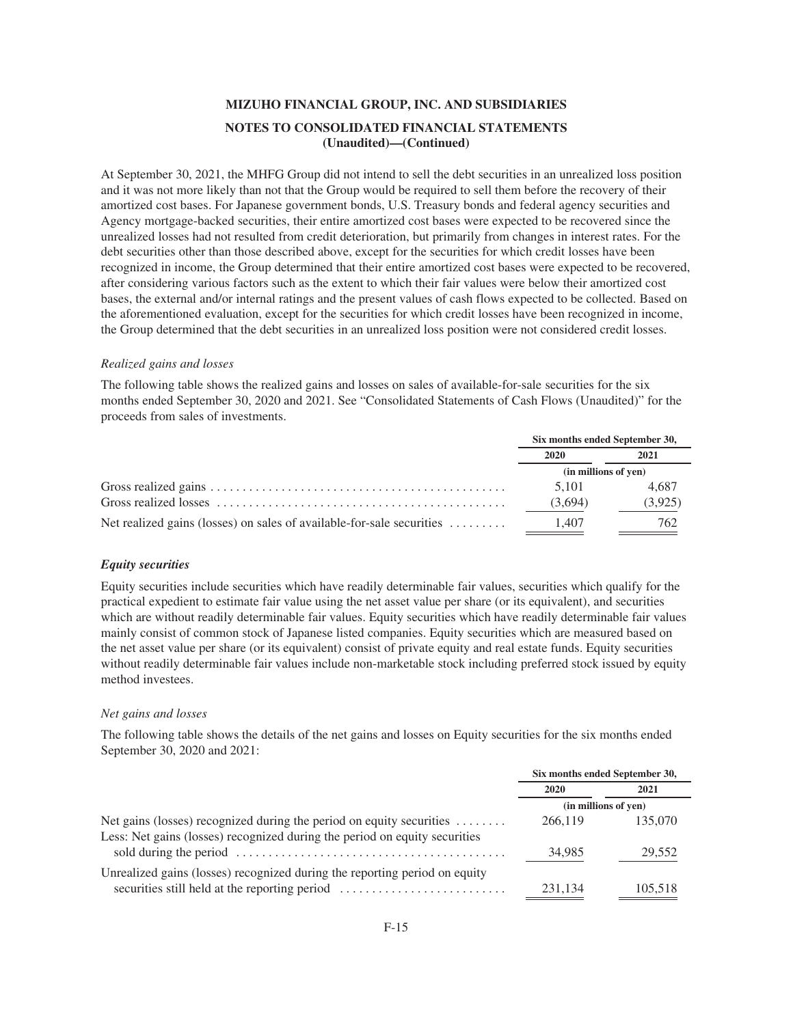At September 30, 2021, the MHFG Group did not intend to sell the debt securities in an unrealized loss position and it was not more likely than not that the Group would be required to sell them before the recovery of their amortized cost bases. For Japanese government bonds, U.S. Treasury bonds and federal agency securities and Agency mortgage-backed securities, their entire amortized cost bases were expected to be recovered since the unrealized losses had not resulted from credit deterioration, but primarily from changes in interest rates. For the debt securities other than those described above, except for the securities for which credit losses have been recognized in income, the Group determined that their entire amortized cost bases were expected to be recovered, after considering various factors such as the extent to which their fair values were below their amortized cost bases, the external and/or internal ratings and the present values of cash flows expected to be collected. Based on the aforementioned evaluation, except for the securities for which credit losses have been recognized in income, the Group determined that the debt securities in an unrealized loss position were not considered credit losses.

#### *Realized gains and losses*

The following table shows the realized gains and losses on sales of available-for-sale securities for the six months ended September 30, 2020 and 2021. See "Consolidated Statements of Cash Flows (Unaudited)" for the proceeds from sales of investments.

|                                                                       | Six months ended September 30, |         |  |
|-----------------------------------------------------------------------|--------------------------------|---------|--|
|                                                                       | 2020                           | 2021    |  |
|                                                                       | (in millions of yen)           |         |  |
|                                                                       | 5.101                          | 4.687   |  |
|                                                                       | (3,694)                        | (3,925) |  |
| Net realized gains (losses) on sales of available-for-sale securities | 1.407                          | 762     |  |

#### *Equity securities*

Equity securities include securities which have readily determinable fair values, securities which qualify for the practical expedient to estimate fair value using the net asset value per share (or its equivalent), and securities which are without readily determinable fair values. Equity securities which have readily determinable fair values mainly consist of common stock of Japanese listed companies. Equity securities which are measured based on the net asset value per share (or its equivalent) consist of private equity and real estate funds. Equity securities without readily determinable fair values include non-marketable stock including preferred stock issued by equity method investees.

#### *Net gains and losses*

The following table shows the details of the net gains and losses on Equity securities for the six months ended September 30, 2020 and 2021:

|                                                                                                                                                                 | Six months ended September 30, |         |  |
|-----------------------------------------------------------------------------------------------------------------------------------------------------------------|--------------------------------|---------|--|
|                                                                                                                                                                 | 2020                           | 2021    |  |
|                                                                                                                                                                 | (in millions of yen)           |         |  |
| Net gains (losses) recognized during the period on equity securities $\dots\dots$<br>Less: Net gains (losses) recognized during the period on equity securities | 266,119                        | 135,070 |  |
|                                                                                                                                                                 | 34,985                         | 29,552  |  |
| Unrealized gains (losses) recognized during the reporting period on equity<br>securities still held at the reporting period                                     | 231.134                        | 105.518 |  |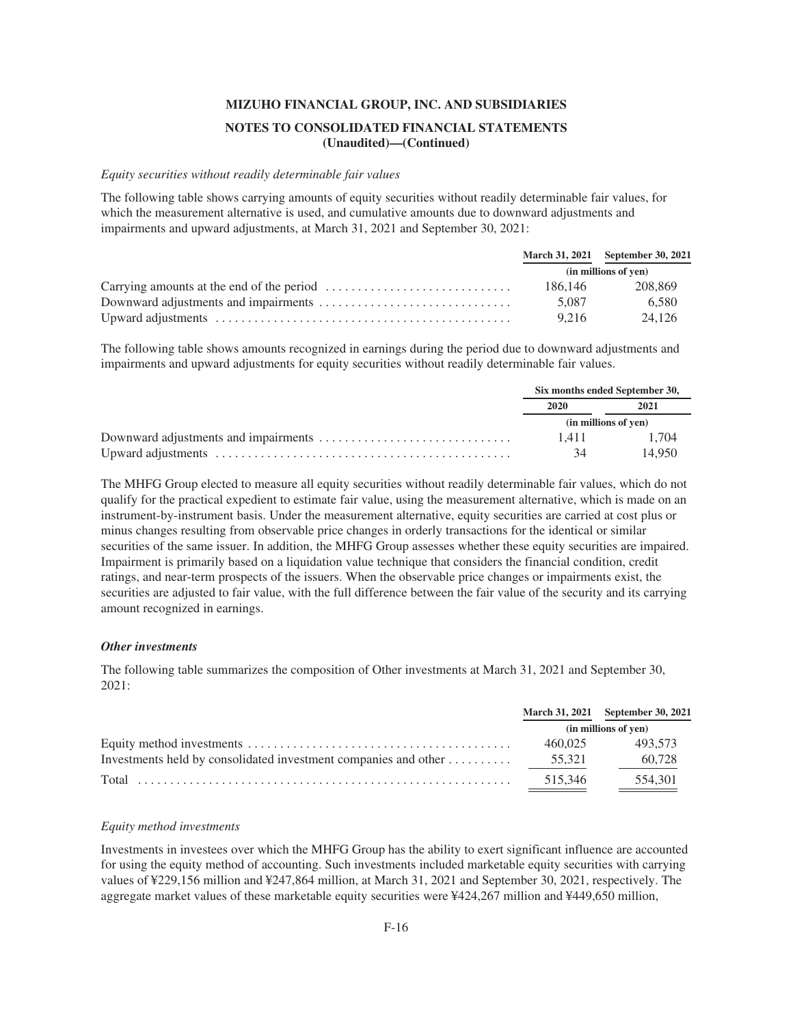#### *Equity securities without readily determinable fair values*

The following table shows carrying amounts of equity securities without readily determinable fair values, for which the measurement alternative is used, and cumulative amounts due to downward adjustments and impairments and upward adjustments, at March 31, 2021 and September 30, 2021:

|         | March 31, 2021 September 30, 2021 |
|---------|-----------------------------------|
|         | (in millions of yen)              |
| 186.146 | 208.869                           |
| 5.087   | 6.580                             |
| 9.216   | 24.126                            |

The following table shows amounts recognized in earnings during the period due to downward adjustments and impairments and upward adjustments for equity securities without readily determinable fair values.

|       | Six months ended September 30, |
|-------|--------------------------------|
| 2020  | 2021                           |
|       | (in millions of yen)           |
| 1.411 | 1.704                          |
| 34    | 14.950                         |

The MHFG Group elected to measure all equity securities without readily determinable fair values, which do not qualify for the practical expedient to estimate fair value, using the measurement alternative, which is made on an instrument-by-instrument basis. Under the measurement alternative, equity securities are carried at cost plus or minus changes resulting from observable price changes in orderly transactions for the identical or similar securities of the same issuer. In addition, the MHFG Group assesses whether these equity securities are impaired. Impairment is primarily based on a liquidation value technique that considers the financial condition, credit ratings, and near-term prospects of the issuers. When the observable price changes or impairments exist, the securities are adjusted to fair value, with the full difference between the fair value of the security and its carrying amount recognized in earnings.

#### *Other investments*

The following table summarizes the composition of Other investments at March 31, 2021 and September 30, 2021:

|         | March 31, 2021 September 30, 2021 |
|---------|-----------------------------------|
|         | (in millions of yen)              |
| 460.025 | 493.573                           |
|         | 60,728                            |
| 515.346 | 554.301                           |

#### *Equity method investments*

Investments in investees over which the MHFG Group has the ability to exert significant influence are accounted for using the equity method of accounting. Such investments included marketable equity securities with carrying values of ¥229,156 million and ¥247,864 million, at March 31, 2021 and September 30, 2021, respectively. The aggregate market values of these marketable equity securities were ¥424,267 million and ¥449,650 million,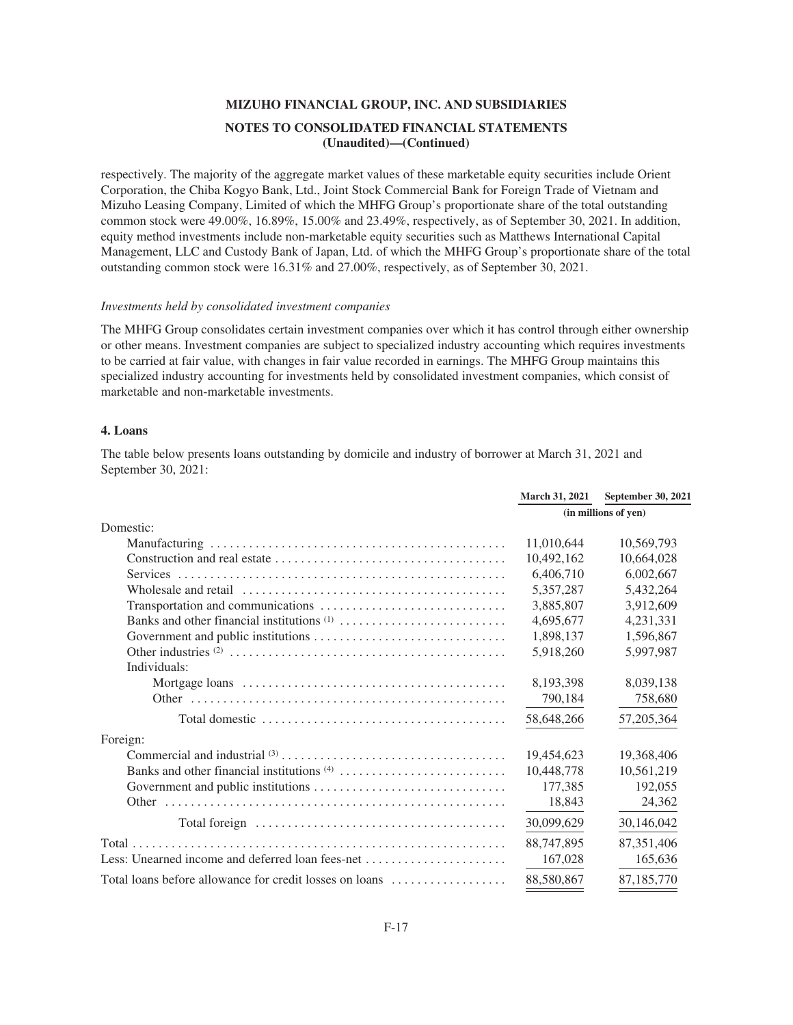respectively. The majority of the aggregate market values of these marketable equity securities include Orient Corporation, the Chiba Kogyo Bank, Ltd., Joint Stock Commercial Bank for Foreign Trade of Vietnam and Mizuho Leasing Company, Limited of which the MHFG Group's proportionate share of the total outstanding common stock were 49.00%, 16.89%, 15.00% and 23.49%, respectively, as of September 30, 2021. In addition, equity method investments include non-marketable equity securities such as Matthews International Capital Management, LLC and Custody Bank of Japan, Ltd. of which the MHFG Group's proportionate share of the total outstanding common stock were 16.31% and 27.00%, respectively, as of September 30, 2021.

#### *Investments held by consolidated investment companies*

The MHFG Group consolidates certain investment companies over which it has control through either ownership or other means. Investment companies are subject to specialized industry accounting which requires investments to be carried at fair value, with changes in fair value recorded in earnings. The MHFG Group maintains this specialized industry accounting for investments held by consolidated investment companies, which consist of marketable and non-marketable investments.

#### **4. Loans**

The table below presents loans outstanding by domicile and industry of borrower at March 31, 2021 and September 30, 2021:

|                                                         | <b>March 31, 2021</b> | September 30, 2021   |  |
|---------------------------------------------------------|-----------------------|----------------------|--|
|                                                         |                       | (in millions of yen) |  |
| Domestic:                                               |                       |                      |  |
|                                                         | 11,010,644            | 10,569,793           |  |
|                                                         | 10,492,162            | 10,664,028           |  |
|                                                         | 6,406,710             | 6,002,667            |  |
|                                                         | 5,357,287             | 5,432,264            |  |
|                                                         | 3,885,807             | 3,912,609            |  |
|                                                         | 4,695,677             | 4,231,331            |  |
|                                                         | 1,898,137             | 1,596,867            |  |
|                                                         | 5,918,260             | 5,997,987            |  |
| Individuals:                                            |                       |                      |  |
|                                                         | 8,193,398             | 8,039,138            |  |
|                                                         | 790,184               | 758,680              |  |
|                                                         | 58,648,266            | 57, 205, 364         |  |
| Foreign:                                                |                       |                      |  |
|                                                         | 19,454,623            | 19,368,406           |  |
|                                                         | 10,448,778            | 10,561,219           |  |
|                                                         | 177,385               | 192,055              |  |
|                                                         | 18,843                | 24,362               |  |
|                                                         | 30,099,629            | 30,146,042           |  |
|                                                         | 88,747,895            | 87,351,406           |  |
|                                                         | 167,028               | 165,636              |  |
| Total loans before allowance for credit losses on loans | 88,580,867            | 87,185,770           |  |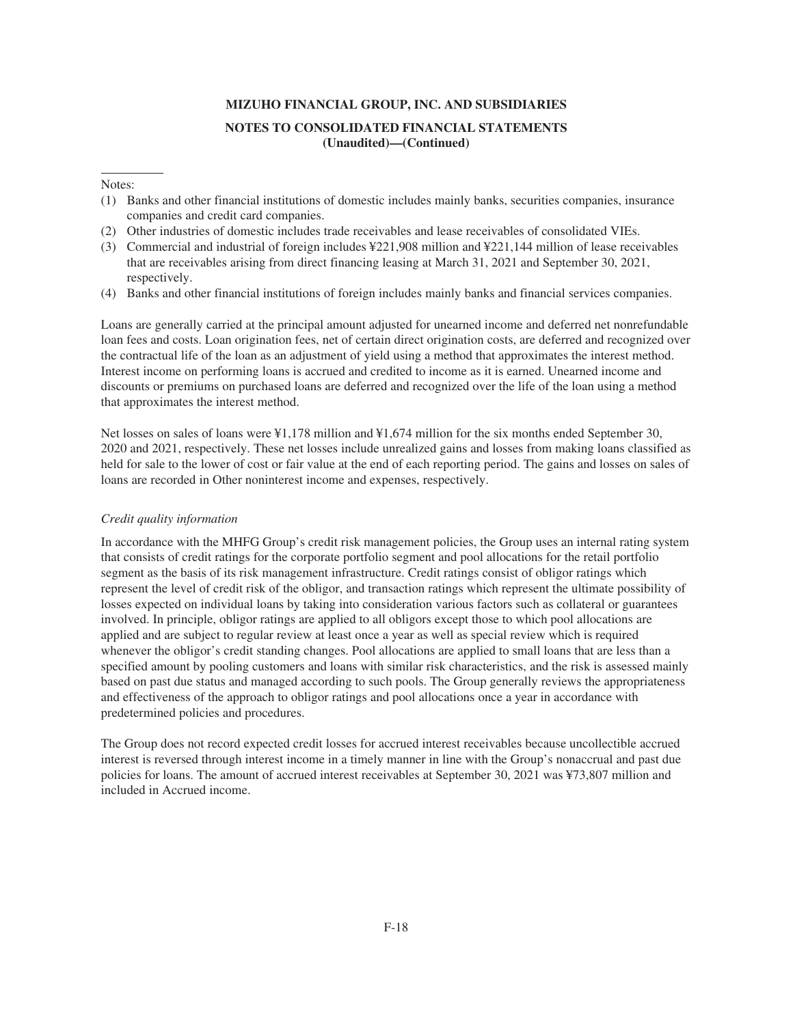### Notes:

- (1) Banks and other financial institutions of domestic includes mainly banks, securities companies, insurance companies and credit card companies.
- (2) Other industries of domestic includes trade receivables and lease receivables of consolidated VIEs.
- (3) Commercial and industrial of foreign includes ¥221,908 million and ¥221,144 million of lease receivables that are receivables arising from direct financing leasing at March 31, 2021 and September 30, 2021, respectively.
- (4) Banks and other financial institutions of foreign includes mainly banks and financial services companies.

Loans are generally carried at the principal amount adjusted for unearned income and deferred net nonrefundable loan fees and costs. Loan origination fees, net of certain direct origination costs, are deferred and recognized over the contractual life of the loan as an adjustment of yield using a method that approximates the interest method. Interest income on performing loans is accrued and credited to income as it is earned. Unearned income and discounts or premiums on purchased loans are deferred and recognized over the life of the loan using a method that approximates the interest method.

Net losses on sales of loans were ¥1,178 million and ¥1,674 million for the six months ended September 30, 2020 and 2021, respectively. These net losses include unrealized gains and losses from making loans classified as held for sale to the lower of cost or fair value at the end of each reporting period. The gains and losses on sales of loans are recorded in Other noninterest income and expenses, respectively.

#### *Credit quality information*

In accordance with the MHFG Group's credit risk management policies, the Group uses an internal rating system that consists of credit ratings for the corporate portfolio segment and pool allocations for the retail portfolio segment as the basis of its risk management infrastructure. Credit ratings consist of obligor ratings which represent the level of credit risk of the obligor, and transaction ratings which represent the ultimate possibility of losses expected on individual loans by taking into consideration various factors such as collateral or guarantees involved. In principle, obligor ratings are applied to all obligors except those to which pool allocations are applied and are subject to regular review at least once a year as well as special review which is required whenever the obligor's credit standing changes. Pool allocations are applied to small loans that are less than a specified amount by pooling customers and loans with similar risk characteristics, and the risk is assessed mainly based on past due status and managed according to such pools. The Group generally reviews the appropriateness and effectiveness of the approach to obligor ratings and pool allocations once a year in accordance with predetermined policies and procedures.

The Group does not record expected credit losses for accrued interest receivables because uncollectible accrued interest is reversed through interest income in a timely manner in line with the Group's nonaccrual and past due policies for loans. The amount of accrued interest receivables at September 30, 2021 was ¥73,807 million and included in Accrued income.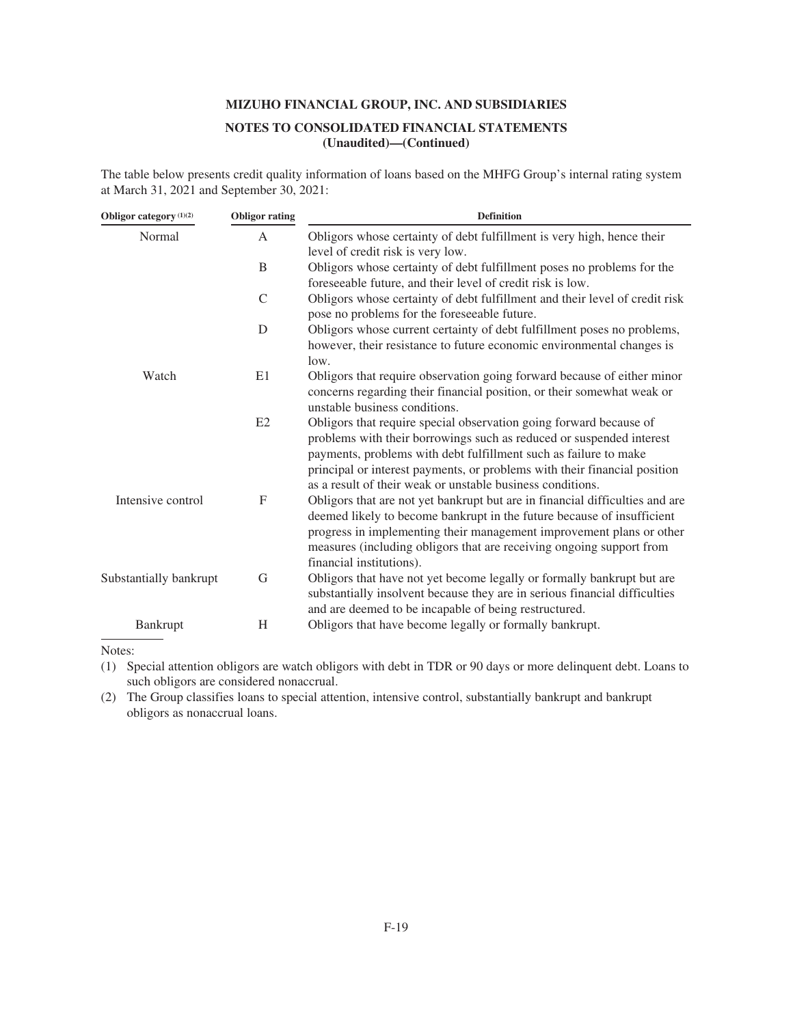The table below presents credit quality information of loans based on the MHFG Group's internal rating system at March 31, 2021 and September 30, 2021:

| Obligor category <sup>(1)(2)</sup> | <b>Obligor rating</b> | <b>Definition</b>                                                                                                                                                                                                                                                                                                                                         |
|------------------------------------|-----------------------|-----------------------------------------------------------------------------------------------------------------------------------------------------------------------------------------------------------------------------------------------------------------------------------------------------------------------------------------------------------|
| Normal                             | $\mathsf{A}$          | Obligors whose certainty of debt fulfillment is very high, hence their<br>level of credit risk is very low.                                                                                                                                                                                                                                               |
|                                    | B                     | Obligors whose certainty of debt fulfillment poses no problems for the<br>foreseeable future, and their level of credit risk is low.                                                                                                                                                                                                                      |
|                                    | $\mathcal{C}$         | Obligors whose certainty of debt fulfillment and their level of credit risk<br>pose no problems for the foreseeable future.                                                                                                                                                                                                                               |
|                                    | D                     | Obligors whose current certainty of debt fulfillment poses no problems,<br>however, their resistance to future economic environmental changes is<br>low.                                                                                                                                                                                                  |
| Watch                              | E1                    | Obligors that require observation going forward because of either minor<br>concerns regarding their financial position, or their somewhat weak or<br>unstable business conditions.                                                                                                                                                                        |
|                                    | E2                    | Obligors that require special observation going forward because of<br>problems with their borrowings such as reduced or suspended interest<br>payments, problems with debt fulfillment such as failure to make<br>principal or interest payments, or problems with their financial position<br>as a result of their weak or unstable business conditions. |
| Intensive control                  | $\mathbf F$           | Obligors that are not yet bankrupt but are in financial difficulties and are<br>deemed likely to become bankrupt in the future because of insufficient<br>progress in implementing their management improvement plans or other<br>measures (including obligors that are receiving ongoing support from<br>financial institutions).                        |
| Substantially bankrupt             | G                     | Obligors that have not yet become legally or formally bankrupt but are<br>substantially insolvent because they are in serious financial difficulties<br>and are deemed to be incapable of being restructured.                                                                                                                                             |
| Bankrupt                           | H                     | Obligors that have become legally or formally bankrupt.                                                                                                                                                                                                                                                                                                   |

Notes:

(1) Special attention obligors are watch obligors with debt in TDR or 90 days or more delinquent debt. Loans to such obligors are considered nonaccrual.

(2) The Group classifies loans to special attention, intensive control, substantially bankrupt and bankrupt obligors as nonaccrual loans.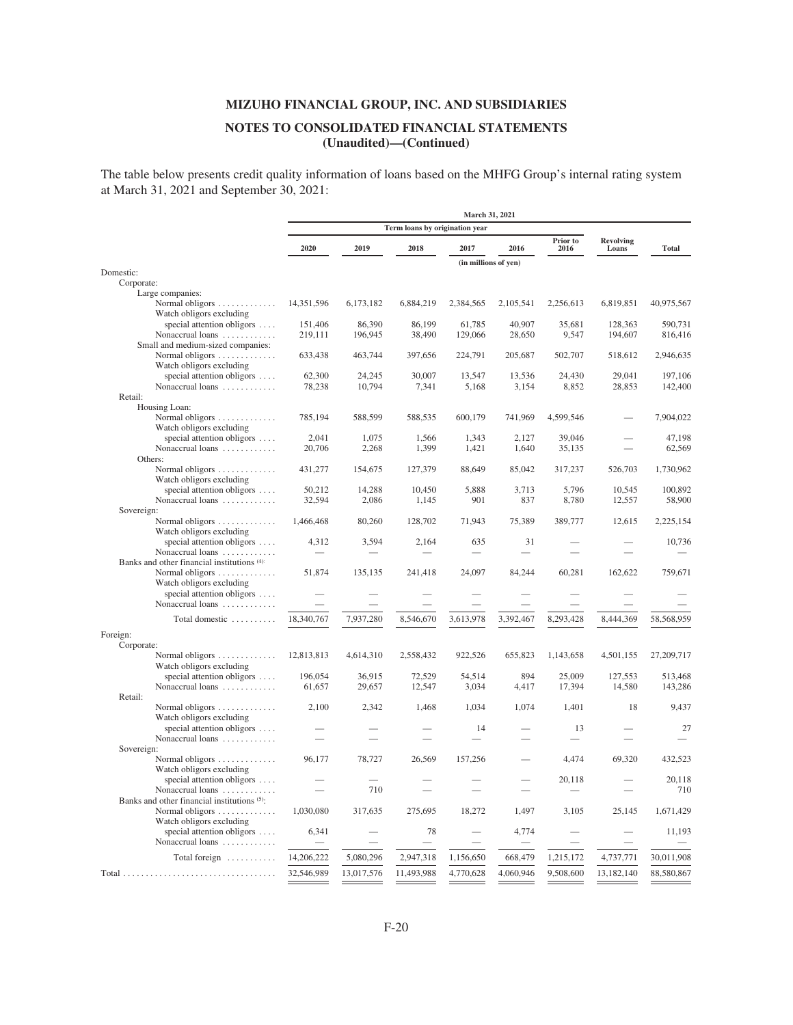## **NOTES TO CONSOLIDATED FINANCIAL STATEMENTS (Unaudited)—(Continued)**

The table below presents credit quality information of loans based on the MHFG Group's internal rating system at March 31, 2021 and September 30, 2021:

|                                                                 |            |            |                                | March 31, 2021       |           |                  |                           |              |  |
|-----------------------------------------------------------------|------------|------------|--------------------------------|----------------------|-----------|------------------|---------------------------|--------------|--|
|                                                                 |            |            | Term loans by origination year |                      |           |                  |                           |              |  |
|                                                                 | 2020       | 2019       | 2018                           | 2017                 | 2016      | Prior to<br>2016 | <b>Revolving</b><br>Loans | <b>Total</b> |  |
|                                                                 |            |            |                                | (in millions of yen) |           |                  |                           |              |  |
| Domestic:                                                       |            |            |                                |                      |           |                  |                           |              |  |
| Corporate:                                                      |            |            |                                |                      |           |                  |                           |              |  |
| Large companies:                                                |            |            |                                |                      |           |                  |                           |              |  |
| Normal obligors<br>Watch obligors excluding                     | 14,351,596 | 6,173,182  | 6,884,219                      | 2,384,565            | 2,105,541 | 2,256,613        | 6,819,851                 | 40,975,567   |  |
| special attention obligors                                      | 151,406    | 86,390     | 86,199                         | 61,785               | 40,907    | 35,681           | 128,363                   | 590,731      |  |
| Nonaccrual loans                                                | 219,111    | 196,945    | 38,490                         | 129,066              | 28,650    | 9,547            | 194,607                   | 816,416      |  |
| Small and medium-sized companies:                               |            |            |                                |                      |           |                  |                           |              |  |
| Normal obligors<br>Watch obligors excluding                     | 633,438    | 463,744    | 397,656                        | 224,791              | 205,687   | 502,707          | 518,612                   | 2,946,635    |  |
| special attention obligors                                      | 62,300     | 24,245     | 30,007                         | 13,547               | 13,536    | 24,430           | 29,041                    | 197,106      |  |
| Nonaccrual loans                                                | 78,238     | 10,794     | 7,341                          | 5,168                | 3,154     | 8,852            | 28,853                    | 142,400      |  |
| Retail:                                                         |            |            |                                |                      |           |                  |                           |              |  |
| Housing Loan:                                                   |            |            |                                |                      |           |                  |                           |              |  |
| Normal obligors<br>Watch obligors excluding                     | 785,194    | 588,599    | 588,535                        | 600,179              | 741,969   | 4,599,546        |                           | 7,904,022    |  |
| special attention obligors                                      | 2,041      | 1,075      | 1,566                          | 1,343                | 2,127     | 39,046           |                           | 47,198       |  |
| Nonaccrual loans                                                | 20,706     | 2,268      | 1,399                          | 1,421                | 1,640     | 35,135           |                           | 62,569       |  |
| Others:                                                         |            |            |                                |                      |           |                  |                           |              |  |
| Normal obligors<br>Watch obligors excluding                     | 431,277    | 154,675    | 127,379                        | 88,649               | 85,042    | 317,237          | 526,703                   | 1,730,962    |  |
| special attention obligors                                      | 50,212     | 14,288     | 10,450                         | 5,888                | 3,713     | 5,796            | 10,545                    | 100,892      |  |
| Nonaccrual loans                                                | 32,594     | 2,086      | 1,145                          | 901                  | 837       | 8,780            | 12,557                    | 58,900       |  |
| Sovereign:                                                      |            |            |                                |                      |           |                  |                           |              |  |
| Normal obligors<br>Watch obligors excluding                     | 1,466,468  | 80,260     | 128,702                        | 71,943               | 75,389    | 389,777          | 12,615                    | 2,225,154    |  |
| special attention obligors                                      | 4,312      | 3,594      | 2,164                          | 635                  | 31        |                  |                           | 10,736       |  |
| Nonaccrual loans                                                |            |            |                                |                      |           |                  |                           |              |  |
| Banks and other financial institutions (4):                     |            |            |                                |                      |           |                  |                           |              |  |
| Normal obligors                                                 | 51,874     | 135,135    | 241,418                        | 24,097               | 84,244    | 60,281           | 162,622                   | 759,671      |  |
| Watch obligors excluding                                        |            |            |                                |                      |           |                  |                           |              |  |
| special attention obligors                                      |            |            |                                |                      |           |                  |                           |              |  |
| Nonaccrual loans                                                |            |            |                                |                      |           |                  |                           |              |  |
| Total domestic                                                  | 18,340,767 | 7,937,280  | 8,546,670                      | 3,613,978            | 3,392,467 | 8,293,428        | 8,444,369                 | 58,568,959   |  |
| Foreign:                                                        |            |            |                                |                      |           |                  |                           |              |  |
| Corporate:                                                      |            |            |                                |                      |           |                  |                           |              |  |
| Normal obligors<br>Watch obligors excluding                     | 12,813,813 | 4,614,310  | 2,558,432                      | 922,526              | 655,823   | 1,143,658        | 4,501,155                 | 27,209,717   |  |
| special attention obligors                                      | 196,054    | 36,915     | 72,529                         | 54,514               | 894       | 25,009           | 127,553                   | 513,468      |  |
| Nonaccrual loans                                                | 61,657     | 29,657     | 12,547                         | 3,034                | 4,417     | 17,394           | 14,580                    | 143,286      |  |
| Retail:                                                         |            |            |                                |                      |           |                  |                           |              |  |
| Normal obligors $\dots \dots \dots$<br>Watch obligors excluding | 2,100      | 2,342      | 1,468                          | 1,034                | 1,074     | 1,401            | 18                        | 9,437        |  |
| special attention obligors                                      |            |            |                                | 14                   |           | 13               |                           | 27           |  |
| Nonaccrual loans                                                |            |            |                                |                      |           |                  |                           |              |  |
| Sovereign:                                                      |            |            |                                |                      |           |                  |                           |              |  |
| Normal obligors<br>Watch obligors excluding                     | 96,177     | 78,727     | 26,569                         | 157,256              |           | 4,474            | 69,320                    | 432,523      |  |
| special attention obligors                                      |            |            |                                |                      |           | 20,118           |                           | 20.118       |  |
| Nonaccrual loans                                                |            | 710        |                                |                      |           |                  |                           | 710          |  |
| Banks and other financial institutions (5):                     |            |            |                                |                      |           |                  |                           |              |  |
| Normal obligors                                                 | 1,030,080  | 317,635    | 275,695                        | 18,272               | 1,497     | 3,105            | 25,145                    | 1,671,429    |  |
| Watch obligors excluding                                        |            |            |                                |                      |           |                  |                           |              |  |
| special attention obligors                                      | 6,341      |            | 78                             |                      | 4,774     |                  |                           | 11,193       |  |
| Nonaccrual loans                                                |            |            |                                |                      |           |                  |                           |              |  |
| Total foreign                                                   | 14,206,222 | 5,080,296  | 2,947,318                      | 1,156,650            | 668,479   | 1,215,172        | 4,737,771                 | 30,011,908   |  |
|                                                                 |            |            |                                |                      |           |                  |                           |              |  |
|                                                                 | 32,546,989 | 13,017,576 | 11,493,988                     | 4,770,628            | 4,060,946 | 9,508,600        | 13,182,140                | 88,580,867   |  |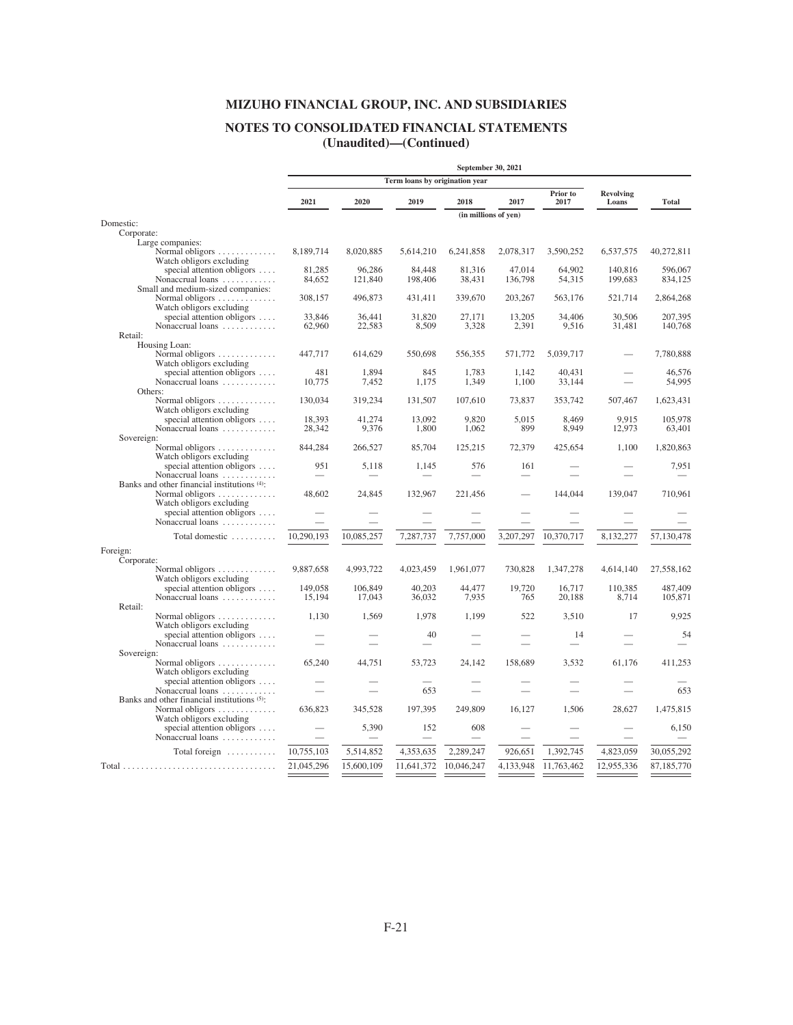# **NOTES TO CONSOLIDATED FINANCIAL STATEMENTS**

**(Unaudited)—(Continued)**

|                         |                                                        |                          |                  |                                | September 30, 2021   |                 |                  |                           |                    |
|-------------------------|--------------------------------------------------------|--------------------------|------------------|--------------------------------|----------------------|-----------------|------------------|---------------------------|--------------------|
|                         |                                                        |                          |                  | Term loans by origination year |                      |                 |                  |                           |                    |
|                         |                                                        | 2021                     | 2020             | 2019                           | 2018                 | 2017            | Prior to<br>2017 | <b>Revolving</b><br>Loans | <b>Total</b>       |
|                         |                                                        |                          |                  |                                | (in millions of yen) |                 |                  |                           |                    |
| Domestic:<br>Corporate: |                                                        |                          |                  |                                |                      |                 |                  |                           |                    |
|                         | Large companies:                                       |                          |                  |                                |                      |                 |                  |                           |                    |
|                         | Normal obligors                                        | 8,189,714                | 8,020,885        | 5,614,210                      | 6,241,858            | 2,078,317       | 3,590,252        | 6,537,575                 | 40,272,811         |
|                         | Watch obligors excluding                               |                          |                  |                                |                      |                 |                  |                           |                    |
|                         | special attention obligors $\dots$                     | 81,285                   | 96,286           | 84,448                         | 81,316               | 47,014          | 64,902           | 140,816                   | 596,067            |
|                         | Nonaccrual loans                                       | 84,652                   | 121,840          | 198,406                        | 38,431               | 136,798         | 54,315           | 199,683                   | 834,125            |
|                         | Small and medium-sized companies:                      |                          |                  |                                |                      |                 |                  |                           |                    |
|                         | Normal obligors                                        | 308,157                  | 496,873          | 431,411                        | 339,670              | 203,267         | 563,176          | 521,714                   | 2,864,268          |
|                         | Watch obligors excluding                               |                          |                  |                                |                      |                 |                  |                           |                    |
|                         | special attention obligors<br>Nonaccrual loans         | 33,846<br>62,960         | 36,441<br>22,583 | 31,820<br>8,509                | 27,171<br>3,328      | 13,205<br>2,391 | 34,406<br>9,516  | 30,506<br>31,481          | 207,395<br>140,768 |
| Retail:                 |                                                        |                          |                  |                                |                      |                 |                  |                           |                    |
|                         | Housing Loan:                                          |                          |                  |                                |                      |                 |                  |                           |                    |
|                         | Normal obligors                                        | 447,717                  | 614,629          | 550,698                        | 556,355              | 571,772         | 5,039,717        |                           | 7,780,888          |
|                         | Watch obligors excluding                               |                          |                  |                                |                      |                 |                  |                           |                    |
|                         | special attention obligors                             | 481                      | 1,894            | 845                            | 1,783                | 1,142           | 40,431           |                           | 46,576             |
|                         | Nonaccrual loans                                       | 10,775                   | 7,452            | 1,175                          | 1,349                | 1,100           | 33,144           |                           | 54,995             |
|                         | Others:                                                |                          |                  |                                |                      |                 |                  |                           |                    |
|                         | Normal obligors                                        | 130,034                  | 319,234          | 131,507                        | 107,610              | 73,837          | 353,742          | 507,467                   | 1,623,431          |
|                         | Watch obligors excluding                               |                          |                  |                                |                      |                 |                  |                           |                    |
|                         | special attention obligors                             | 18,393                   | 41,274           | 13,092                         | 9,820                | 5,015           | 8,469            | 9,915                     | 105,978            |
| Sovereign:              | Nonaccrual loans                                       | 28,342                   | 9,376            | 1,800                          | 1,062                | 899             | 8,949            | 12,973                    | 63,401             |
|                         | Normal obligors                                        | 844,284                  | 266,527          | 85,704                         | 125,215              | 72,379          | 425,654          | 1,100                     | 1,820,863          |
|                         | Watch obligors excluding                               |                          |                  |                                |                      |                 |                  |                           |                    |
|                         | special attention obligors                             | 951                      | 5,118            | 1,145                          | 576                  | 161             |                  |                           | 7,951              |
|                         | Nonaccrual loans                                       | $\overline{\phantom{0}}$ |                  | $\overline{\phantom{0}}$       |                      |                 |                  |                           |                    |
|                         | Banks and other financial institutions (4):            |                          |                  |                                |                      |                 |                  |                           |                    |
|                         | Normal obligors                                        | 48,602                   | 24,845           | 132,967                        | 221,456              |                 | 144,044          | 139,047                   | 710,961            |
|                         | Watch obligors excluding                               |                          |                  |                                |                      |                 |                  |                           |                    |
|                         | special attention obligors                             |                          |                  |                                |                      |                 |                  |                           |                    |
|                         | Nonaccrual loans                                       |                          |                  |                                |                      |                 |                  |                           |                    |
|                         | Total domestic                                         | 10,290,193               | 10,085,257       | 7,287,737                      | 7,757,000            | 3,207,297       | 10,370,717       | 8,132,277                 | 57,130,478         |
| Foreign:                |                                                        |                          |                  |                                |                      |                 |                  |                           |                    |
| Corporate:              |                                                        |                          |                  |                                |                      |                 |                  |                           |                    |
|                         | Normal obligors                                        | 9,887,658                | 4,993,722        | 4,023,459                      | 1,961,077            | 730,828         | 1,347,278        | 4,614,140                 | 27,558,162         |
|                         | Watch obligors excluding                               |                          |                  |                                |                      |                 |                  |                           |                    |
|                         | special attention obligors                             | 149,058                  | 106,849          | 40.203                         | 44,477               | 19,720          | 16,717           | 110,385                   | 487,409            |
|                         | Nonaccrual loans                                       | 15,194                   | 17,043           | 36,032                         | 7,935                | 765             | 20,188           | 8,714                     | 105,871            |
| Retail:                 |                                                        |                          |                  |                                |                      |                 |                  |                           |                    |
|                         | Normal obligors $\dots \dots \dots$                    | 1,130                    | 1,569            | 1,978                          | 1,199                | 522             | 3,510            | 17                        | 9,925              |
|                         | Watch obligors excluding<br>special attention obligors |                          |                  | 40                             |                      |                 | 14               |                           | 54                 |
|                         | Nonaccrual loans                                       |                          |                  |                                |                      |                 |                  |                           |                    |
| Sovereign:              |                                                        |                          |                  |                                |                      |                 |                  |                           |                    |
|                         | Normal obligors $\dots \dots \dots$                    | 65,240                   | 44,751           | 53,723                         | 24,142               | 158,689         | 3,532            | 61,176                    | 411,253            |
|                         | Watch obligors excluding                               |                          |                  |                                |                      |                 |                  |                           |                    |
|                         | special attention obligors                             |                          |                  |                                |                      |                 |                  |                           |                    |
|                         | Nonaccrual loans                                       |                          |                  | 653                            |                      |                 |                  |                           | 653                |
|                         | Banks and other financial institutions (5):            |                          |                  |                                |                      |                 |                  |                           |                    |
|                         | Normal obligors $\dots \dots \dots$                    | 636,823                  | 345,528          | 197,395                        | 249,809              | 16,127          | 1,506            | 28,627                    | 1,475,815          |
|                         | Watch obligors excluding                               |                          |                  |                                |                      |                 |                  |                           |                    |
|                         | special attention obligors                             |                          | 5,390            | 152                            | 608                  |                 |                  |                           | 6,150              |
|                         | Nonaccrual loans                                       |                          |                  |                                |                      |                 |                  |                           |                    |
|                         | Total foreign                                          | 10,755,103               | 5,514,852        | 4,353,635                      | 2,289,247            | 926,651         | 1,392,745        | 4,823,059                 | 30,055,292         |
|                         |                                                        | 21,045,296               | 15,600,109       | 11,641,372                     | 10,046,247           | 4,133,948       |                  | 12,955,336                |                    |
|                         |                                                        |                          |                  |                                |                      |                 | 11,763,462       |                           | 87,185,770         |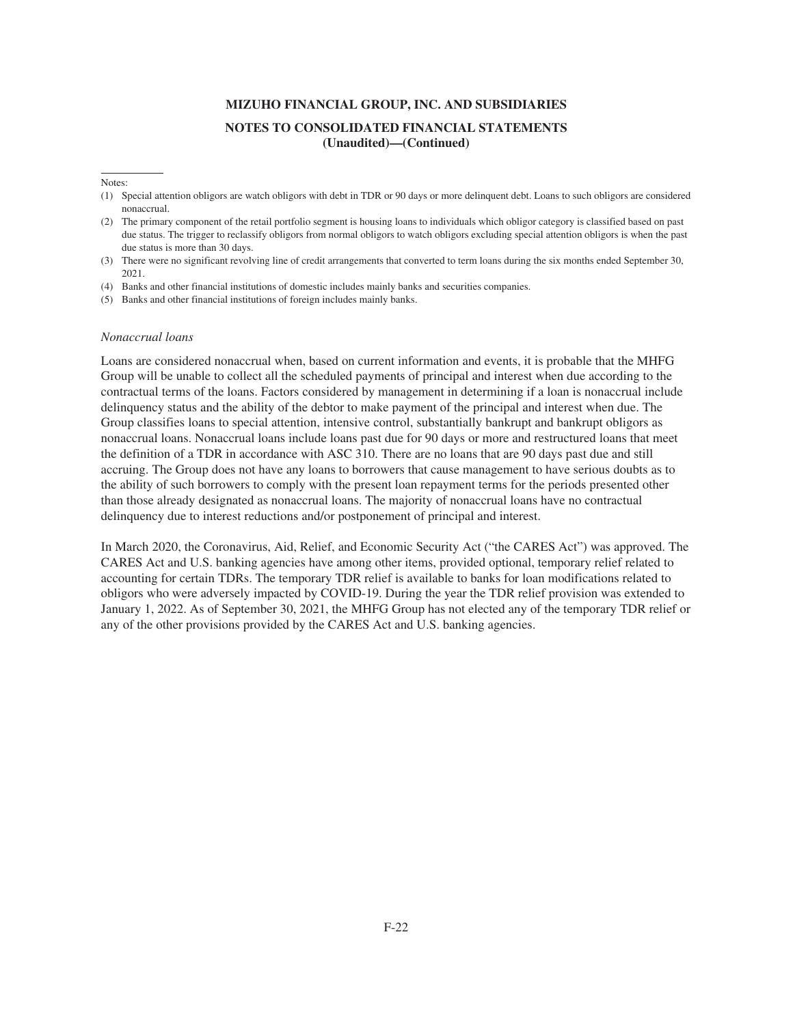Notes:

- (1) Special attention obligors are watch obligors with debt in TDR or 90 days or more delinquent debt. Loans to such obligors are considered nonaccrual.
- (2) The primary component of the retail portfolio segment is housing loans to individuals which obligor category is classified based on past due status. The trigger to reclassify obligors from normal obligors to watch obligors excluding special attention obligors is when the past due status is more than 30 days.
- (3) There were no significant revolving line of credit arrangements that converted to term loans during the six months ended September 30, 2021.
- (4) Banks and other financial institutions of domestic includes mainly banks and securities companies.
- (5) Banks and other financial institutions of foreign includes mainly banks.

#### *Nonaccrual loans*

Loans are considered nonaccrual when, based on current information and events, it is probable that the MHFG Group will be unable to collect all the scheduled payments of principal and interest when due according to the contractual terms of the loans. Factors considered by management in determining if a loan is nonaccrual include delinquency status and the ability of the debtor to make payment of the principal and interest when due. The Group classifies loans to special attention, intensive control, substantially bankrupt and bankrupt obligors as nonaccrual loans. Nonaccrual loans include loans past due for 90 days or more and restructured loans that meet the definition of a TDR in accordance with ASC 310. There are no loans that are 90 days past due and still accruing. The Group does not have any loans to borrowers that cause management to have serious doubts as to the ability of such borrowers to comply with the present loan repayment terms for the periods presented other than those already designated as nonaccrual loans. The majority of nonaccrual loans have no contractual delinquency due to interest reductions and/or postponement of principal and interest.

In March 2020, the Coronavirus, Aid, Relief, and Economic Security Act ("the CARES Act") was approved. The CARES Act and U.S. banking agencies have among other items, provided optional, temporary relief related to accounting for certain TDRs. The temporary TDR relief is available to banks for loan modifications related to obligors who were adversely impacted by COVID-19. During the year the TDR relief provision was extended to January 1, 2022. As of September 30, 2021, the MHFG Group has not elected any of the temporary TDR relief or any of the other provisions provided by the CARES Act and U.S. banking agencies.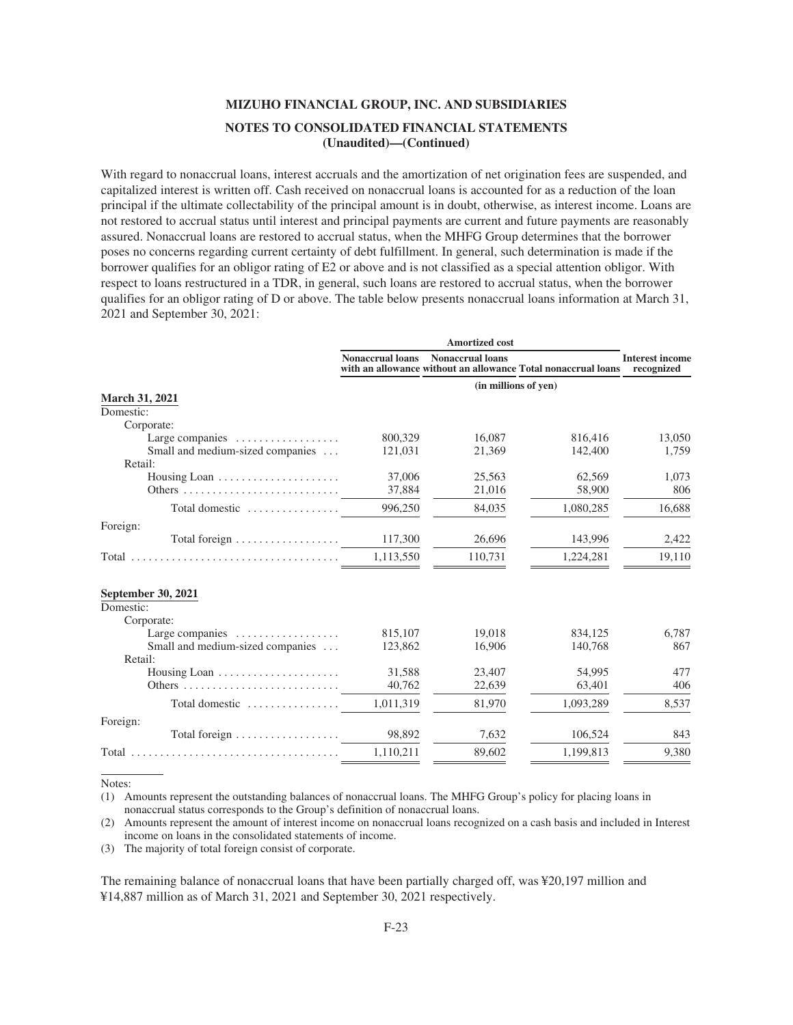With regard to nonaccrual loans, interest accruals and the amortization of net origination fees are suspended, and capitalized interest is written off. Cash received on nonaccrual loans is accounted for as a reduction of the loan principal if the ultimate collectability of the principal amount is in doubt, otherwise, as interest income. Loans are not restored to accrual status until interest and principal payments are current and future payments are reasonably assured. Nonaccrual loans are restored to accrual status, when the MHFG Group determines that the borrower poses no concerns regarding current certainty of debt fulfillment. In general, such determination is made if the borrower qualifies for an obligor rating of E2 or above and is not classified as a special attention obligor. With respect to loans restructured in a TDR, in general, such loans are restored to accrual status, when the borrower qualifies for an obligor rating of D or above. The table below presents nonaccrual loans information at March 31, 2021 and September 30, 2021:

|                                                  |                         | <b>Amortized cost</b>   |                                                               |                                      |
|--------------------------------------------------|-------------------------|-------------------------|---------------------------------------------------------------|--------------------------------------|
|                                                  | <b>Nonaccrual loans</b> | <b>Nonaccrual loans</b> | with an allowance without an allowance Total nonaccrual loans | <b>Interest income</b><br>recognized |
|                                                  |                         |                         | (in millions of yen)                                          |                                      |
| <b>March 31, 2021</b>                            |                         |                         |                                                               |                                      |
| Domestic:                                        |                         |                         |                                                               |                                      |
| Corporate:                                       |                         |                         |                                                               |                                      |
| Large companies $\dots\dots\dots\dots\dots\dots$ | 800,329                 | 16,087                  | 816,416                                                       | 13,050                               |
| Small and medium-sized companies                 | 121,031                 | 21,369                  | 142,400                                                       | 1,759                                |
| Retail:                                          |                         |                         |                                                               |                                      |
|                                                  | 37,006                  | 25,563                  | 62,569                                                        | 1,073                                |
|                                                  | 37,884                  | 21,016                  | 58,900                                                        | 806                                  |
| Total domestic                                   | 996,250                 | 84,035                  | 1,080,285                                                     | 16,688                               |
| Foreign:                                         |                         |                         |                                                               |                                      |
| Total foreign                                    | 117,300                 | 26,696                  | 143,996                                                       | 2,422                                |
|                                                  | 1,113,550               | 110,731                 | 1,224,281                                                     | 19,110                               |
| September 30, 2021                               |                         |                         |                                                               |                                      |
| Domestic:                                        |                         |                         |                                                               |                                      |
| Corporate:                                       |                         |                         |                                                               |                                      |
| Large companies $\dots\dots\dots\dots\dots\dots$ | 815,107<br>123,862      | 19.018<br>16,906        | 834.125                                                       | 6,787<br>867                         |
| Small and medium-sized companies<br>Retail:      |                         |                         | 140,768                                                       |                                      |
| Housing Loan                                     | 31,588                  | 23,407                  | 54,995                                                        | 477                                  |
|                                                  | 40,762                  | 22,639                  | 63,401                                                        | 406                                  |
|                                                  |                         |                         |                                                               |                                      |
| Total domestic                                   | 1,011,319               | 81,970                  | 1,093,289                                                     | 8,537                                |
| Foreign:                                         |                         |                         |                                                               |                                      |
| Total foreign $\dots \dots \dots \dots \dots$    | 98,892                  | 7,632                   | 106,524                                                       | 843                                  |
|                                                  | 1.110.211               | 89,602                  | 1,199,813                                                     | 9,380                                |
|                                                  |                         |                         |                                                               |                                      |

Notes:

(1) Amounts represent the outstanding balances of nonaccrual loans. The MHFG Group's policy for placing loans in nonaccrual status corresponds to the Group's definition of nonaccrual loans.

(2) Amounts represent the amount of interest income on nonaccrual loans recognized on a cash basis and included in Interest income on loans in the consolidated statements of income.

(3) The majority of total foreign consist of corporate.

The remaining balance of nonaccrual loans that have been partially charged off, was ¥20,197 million and ¥14,887 million as of March 31, 2021 and September 30, 2021 respectively.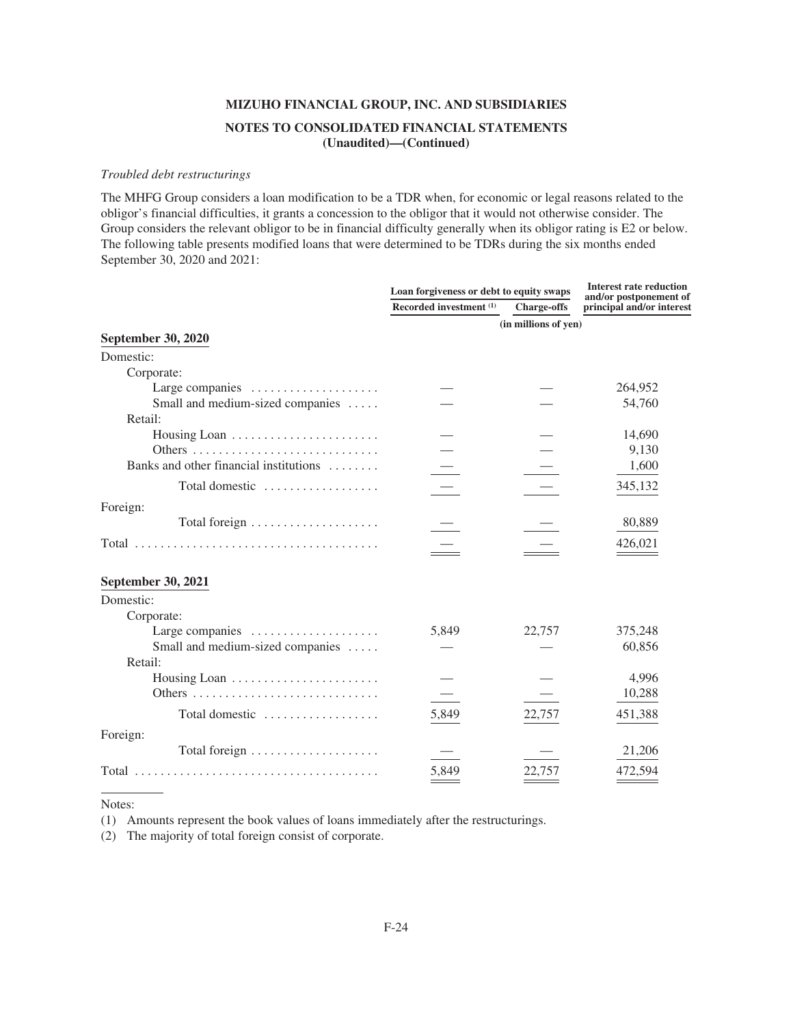#### *Troubled debt restructurings*

The MHFG Group considers a loan modification to be a TDR when, for economic or legal reasons related to the obligor's financial difficulties, it grants a concession to the obligor that it would not otherwise consider. The Group considers the relevant obligor to be in financial difficulty generally when its obligor rating is E2 or below. The following table presents modified loans that were determined to be TDRs during the six months ended September 30, 2020 and 2021:

|                                        | Loan forgiveness or debt to equity swaps | <b>Interest rate reduction</b><br>and/or postponement of |                           |
|----------------------------------------|------------------------------------------|----------------------------------------------------------|---------------------------|
|                                        | Recorded investment (1)                  | <b>Charge-offs</b>                                       | principal and/or interest |
|                                        |                                          | (in millions of yen)                                     |                           |
| <b>September 30, 2020</b>              |                                          |                                                          |                           |
| Domestic:                              |                                          |                                                          |                           |
| Corporate:                             |                                          |                                                          |                           |
| Large companies                        |                                          |                                                          | 264,952                   |
| Small and medium-sized companies       |                                          |                                                          | 54,760                    |
| Retail:                                |                                          |                                                          |                           |
|                                        |                                          |                                                          | 14,690                    |
|                                        |                                          |                                                          | 9,130                     |
| Banks and other financial institutions |                                          |                                                          | 1,600                     |
| Total domestic                         |                                          |                                                          | 345,132                   |
| Foreign:                               |                                          |                                                          |                           |
|                                        |                                          |                                                          | 80,889                    |
|                                        |                                          |                                                          | 426,021                   |
| <b>September 30, 2021</b>              |                                          |                                                          |                           |
| Domestic:                              |                                          |                                                          |                           |
| Corporate:                             |                                          |                                                          |                           |
| Large companies                        | 5,849                                    | 22,757                                                   | 375,248                   |
| Small and medium-sized companies       |                                          |                                                          | 60,856                    |
| Retail:                                |                                          |                                                          |                           |
|                                        |                                          |                                                          | 4,996                     |
|                                        |                                          |                                                          | 10,288                    |
| Total domestic                         | 5,849                                    | 22,757                                                   | 451,388                   |
| Foreign:                               |                                          |                                                          |                           |
|                                        |                                          |                                                          | 21,206                    |
|                                        | 5,849                                    | 22,757                                                   | 472,594                   |

Notes:

(1) Amounts represent the book values of loans immediately after the restructurings.

(2) The majority of total foreign consist of corporate.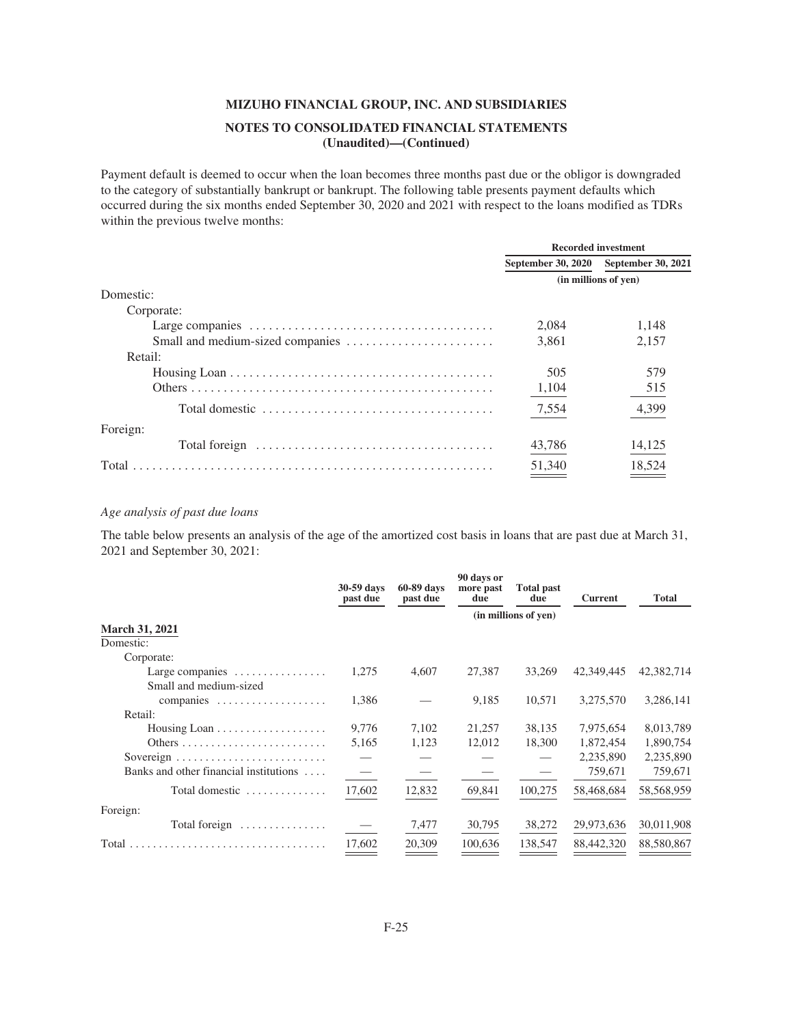# **MIZUHO FINANCIAL GROUP, INC. AND SUBSIDIARIES NOTES TO CONSOLIDATED FINANCIAL STATEMENTS**

**(Unaudited)—(Continued)**

Payment default is deemed to occur when the loan becomes three months past due or the obligor is downgraded to the category of substantially bankrupt or bankrupt. The following table presents payment defaults which occurred during the six months ended September 30, 2020 and 2021 with respect to the loans modified as TDRs within the previous twelve months:

|                                                                                                 | <b>Recorded investment</b> |                    |  |
|-------------------------------------------------------------------------------------------------|----------------------------|--------------------|--|
|                                                                                                 | September 30, 2020         | September 30, 2021 |  |
|                                                                                                 | (in millions of yen)       |                    |  |
| Domestic:                                                                                       |                            |                    |  |
| Corporate:                                                                                      |                            |                    |  |
|                                                                                                 | 2.084                      | 1.148              |  |
|                                                                                                 | 3.861                      | 2.157              |  |
| Retail:                                                                                         |                            |                    |  |
|                                                                                                 | 505                        | 579                |  |
|                                                                                                 | 1,104                      | 515                |  |
| Total domestic $\ldots, \ldots, \ldots, \ldots, \ldots, \ldots, \ldots, \ldots, \ldots, \ldots$ | 7,554                      | 4,399              |  |
| Foreign:                                                                                        |                            |                    |  |
| Total foreign $\dots\dots\dots\dots\dots\dots\dots\dots\dots\dots\dots\dots\dots$               | 43,786                     | 14,125             |  |
| Total                                                                                           | 51,340                     | 18,524             |  |
|                                                                                                 |                            |                    |  |

## *Age analysis of past due loans*

The table below presents an analysis of the age of the amortized cost basis in loans that are past due at March 31, 2021 and September 30, 2021:

|                                                  | 30-59 days<br>past due | 60-89 days<br>past due | 90 days or<br>more past<br>due | <b>Total past</b><br>due | <b>Current</b> | <b>Total</b> |
|--------------------------------------------------|------------------------|------------------------|--------------------------------|--------------------------|----------------|--------------|
|                                                  |                        |                        | (in millions of yen)           |                          |                |              |
| <b>March 31, 2021</b>                            |                        |                        |                                |                          |                |              |
| Domestic:                                        |                        |                        |                                |                          |                |              |
| Corporate:                                       |                        |                        |                                |                          |                |              |
| Large companies $\dots\dots\dots\dots\dots\dots$ | 1,275                  | 4,607                  | 27,387                         | 33,269                   | 42,349,445     | 42,382,714   |
| Small and medium-sized                           |                        |                        |                                |                          |                |              |
| companies                                        | 1,386                  |                        | 9,185                          | 10,571                   | 3,275,570      | 3,286,141    |
| Retail:                                          |                        |                        |                                |                          |                |              |
|                                                  | 9,776                  | 7,102                  | 21,257                         | 38,135                   | 7,975,654      | 8,013,789    |
|                                                  | 5,165                  | 1,123                  | 12,012                         | 18,300                   | 1,872,454      | 1,890,754    |
| Sovereign                                        |                        |                        |                                |                          | 2,235,890      | 2,235,890    |
| Banks and other financial institutions $\dots$   |                        |                        |                                |                          | 759,671        | 759,671      |
| Total domestic                                   | 17,602                 | 12,832                 | 69,841                         | 100,275                  | 58,468,684     | 58,568,959   |
| Foreign:                                         |                        |                        |                                |                          |                |              |
| Total foreign $\dots\dots\dots\dots\dots$        |                        | 7,477                  | 30,795                         | 38,272                   | 29,973,636     | 30,011,908   |
|                                                  | 17.602                 | 20,309                 | 100.636                        | 138,547                  | 88,442,320     | 88,580,867   |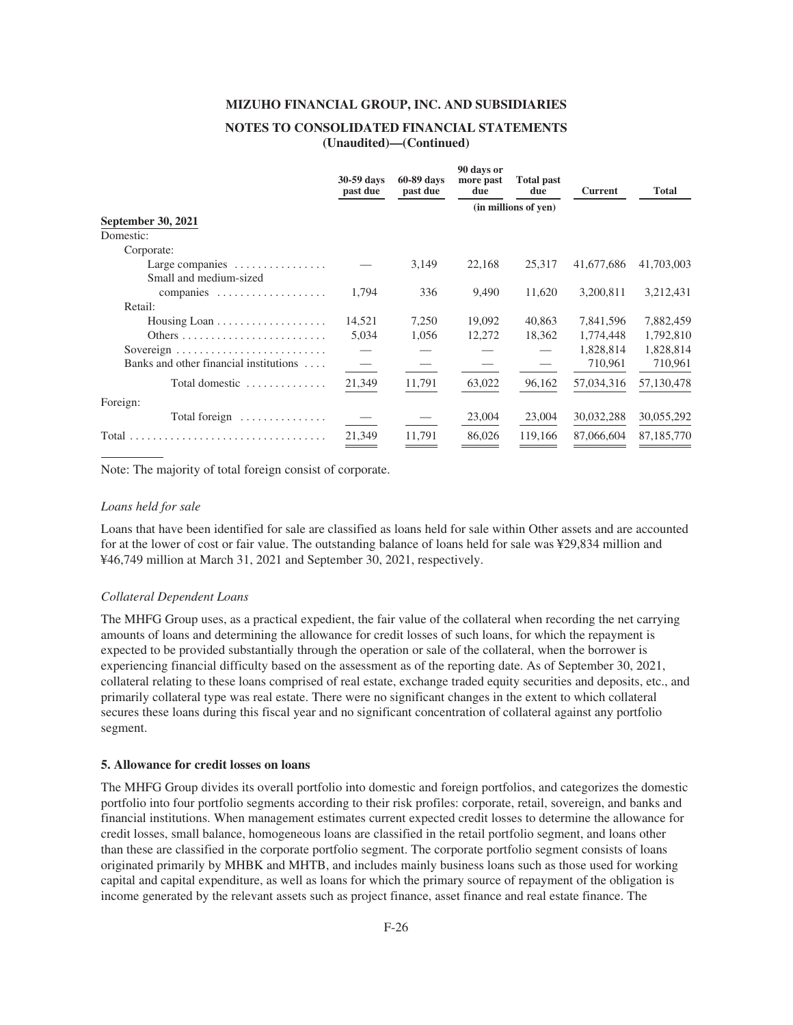### **NOTES TO CONSOLIDATED FINANCIAL STATEMENTS (Unaudited)—(Continued)**

|                                                                            | 30-59 days<br>past due | 60-89 days<br>past due | 90 days or<br>more past<br>due | <b>Total past</b><br>due | <b>Current</b> | <b>Total</b> |
|----------------------------------------------------------------------------|------------------------|------------------------|--------------------------------|--------------------------|----------------|--------------|
|                                                                            |                        |                        | (in millions of yen)           |                          |                |              |
| September 30, 2021                                                         |                        |                        |                                |                          |                |              |
| Domestic:                                                                  |                        |                        |                                |                          |                |              |
| Corporate:                                                                 |                        |                        |                                |                          |                |              |
| Large companies $\dots\dots\dots\dots\dots\dots$<br>Small and medium-sized |                        | 3,149                  | 22,168                         | 25,317                   | 41,677,686     | 41,703,003   |
| companies                                                                  | 1,794                  | 336                    | 9,490                          | 11,620                   | 3,200,811      | 3,212,431    |
| Retail:                                                                    |                        |                        |                                |                          |                |              |
|                                                                            | 14,521                 | 7,250                  | 19,092                         | 40,863                   | 7,841,596      | 7,882,459    |
|                                                                            | 5,034                  | 1,056                  | 12,272                         | 18,362                   | 1,774,448      | 1,792,810    |
|                                                                            |                        |                        |                                |                          | 1,828,814      | 1,828,814    |
| Banks and other financial institutions $\dots$                             |                        |                        |                                |                          | 710,961        | 710,961      |
| Total domestic $\ldots \ldots \ldots \ldots$                               | 21,349                 | 11,791                 | 63,022                         | 96,162                   | 57,034,316     | 57,130,478   |
| Foreign:                                                                   |                        |                        |                                |                          |                |              |
| Total foreign $\dots\dots\dots\dots\dots$                                  |                        |                        | 23,004                         | 23,004                   | 30,032,288     | 30,055,292   |
| Total                                                                      | 21,349                 | 11,791                 | 86,026                         | 119,166                  | 87,066,604     | 87,185,770   |
|                                                                            |                        |                        |                                |                          |                |              |

Note: The majority of total foreign consist of corporate.

#### *Loans held for sale*

Loans that have been identified for sale are classified as loans held for sale within Other assets and are accounted for at the lower of cost or fair value. The outstanding balance of loans held for sale was ¥29,834 million and ¥46,749 million at March 31, 2021 and September 30, 2021, respectively.

#### *Collateral Dependent Loans*

The MHFG Group uses, as a practical expedient, the fair value of the collateral when recording the net carrying amounts of loans and determining the allowance for credit losses of such loans, for which the repayment is expected to be provided substantially through the operation or sale of the collateral, when the borrower is experiencing financial difficulty based on the assessment as of the reporting date. As of September 30, 2021, collateral relating to these loans comprised of real estate, exchange traded equity securities and deposits, etc., and primarily collateral type was real estate. There were no significant changes in the extent to which collateral secures these loans during this fiscal year and no significant concentration of collateral against any portfolio segment.

#### **5. Allowance for credit losses on loans**

The MHFG Group divides its overall portfolio into domestic and foreign portfolios, and categorizes the domestic portfolio into four portfolio segments according to their risk profiles: corporate, retail, sovereign, and banks and financial institutions. When management estimates current expected credit losses to determine the allowance for credit losses, small balance, homogeneous loans are classified in the retail portfolio segment, and loans other than these are classified in the corporate portfolio segment. The corporate portfolio segment consists of loans originated primarily by MHBK and MHTB, and includes mainly business loans such as those used for working capital and capital expenditure, as well as loans for which the primary source of repayment of the obligation is income generated by the relevant assets such as project finance, asset finance and real estate finance. The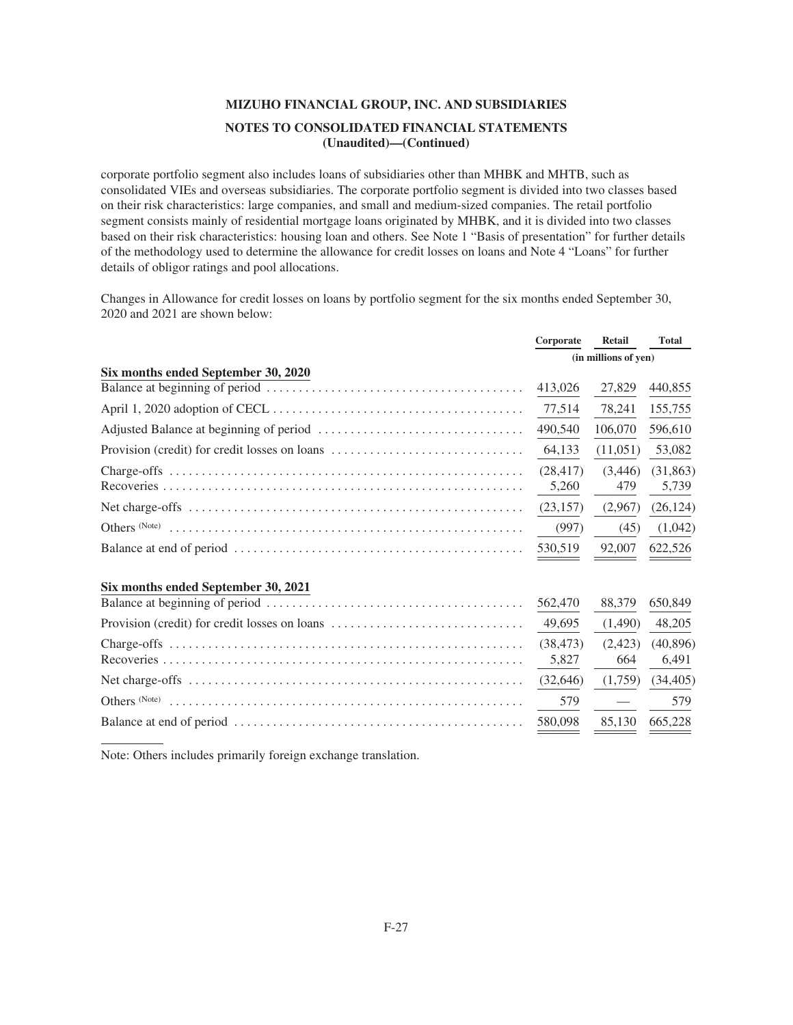corporate portfolio segment also includes loans of subsidiaries other than MHBK and MHTB, such as consolidated VIEs and overseas subsidiaries. The corporate portfolio segment is divided into two classes based on their risk characteristics: large companies, and small and medium-sized companies. The retail portfolio segment consists mainly of residential mortgage loans originated by MHBK, and it is divided into two classes based on their risk characteristics: housing loan and others. See Note 1 "Basis of presentation" for further details of the methodology used to determine the allowance for credit losses on loans and Note 4 "Loans" for further details of obligor ratings and pool allocations.

Changes in Allowance for credit losses on loans by portfolio segment for the six months ended September 30, 2020 and 2021 are shown below:

|                                               | Corporate | <b>Retail</b>        | <b>Total</b> |
|-----------------------------------------------|-----------|----------------------|--------------|
|                                               |           | (in millions of yen) |              |
| Six months ended September 30, 2020           |           |                      |              |
|                                               | 413,026   | 27,829               | 440,855      |
|                                               | 77,514    | 78,241               | 155,755      |
|                                               | 490,540   | 106,070              | 596,610      |
| Provision (credit) for credit losses on loans | 64,133    | (11,051)             | 53,082       |
|                                               | (28.417)  | (3,446)              | (31, 863)    |
|                                               | 5,260     | 479                  | 5,739        |
|                                               | (23, 157) | (2,967)              | (26, 124)    |
|                                               | (997)     | (45)                 | (1,042)      |
|                                               | 530,519   | 92,007               | 622,526      |
| Six months ended September 30, 2021           |           |                      |              |
|                                               | 562,470   | 88,379               | 650,849      |
| Provision (credit) for credit losses on loans | 49,695    | (1,490)              | 48,205       |
|                                               | (38, 473) | (2,423)              | (40, 896)    |
|                                               | 5,827     | 664                  | 6,491        |
|                                               | (32, 646) | (1,759)              | (34, 405)    |
|                                               | 579       |                      | 579          |
|                                               | 580,098   | 85,130               | 665,228      |

Note: Others includes primarily foreign exchange translation.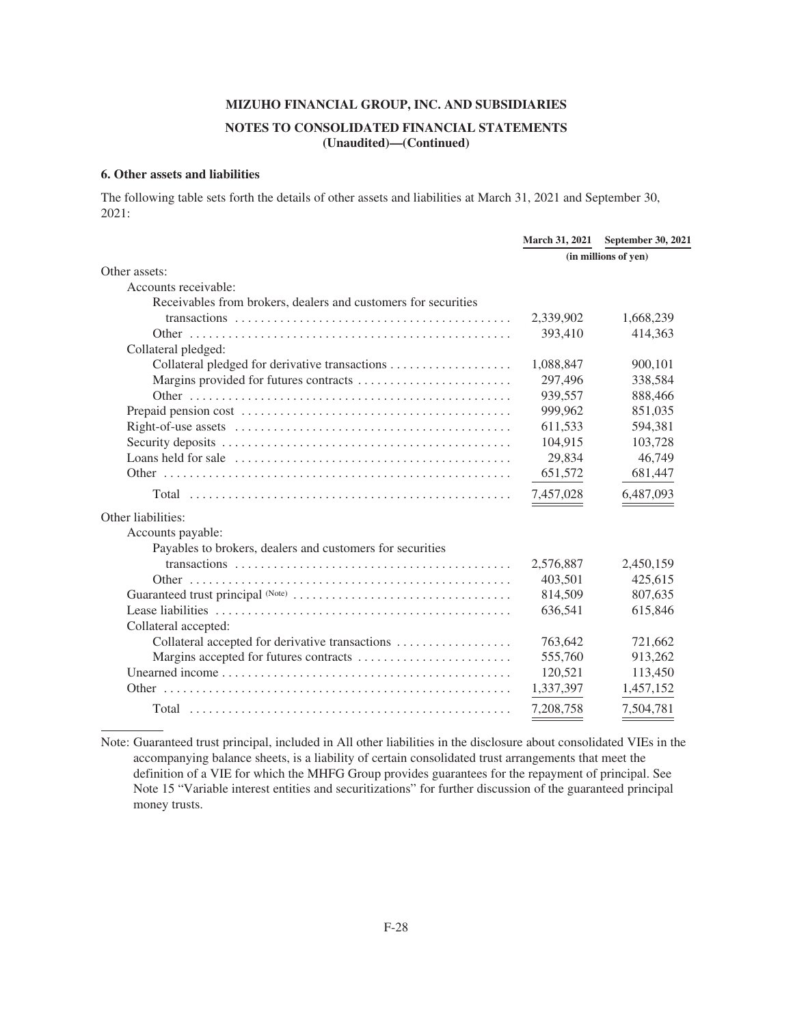## **NOTES TO CONSOLIDATED FINANCIAL STATEMENTS (Unaudited)—(Continued)**

#### **6. Other assets and liabilities**

The following table sets forth the details of other assets and liabilities at March 31, 2021 and September 30, 2021:

|                                                                | <b>March 31, 2021</b> | <b>September 30, 2021</b> |
|----------------------------------------------------------------|-----------------------|---------------------------|
|                                                                | (in millions of yen)  |                           |
| Other assets:                                                  |                       |                           |
| Accounts receivable:                                           |                       |                           |
| Receivables from brokers, dealers and customers for securities |                       |                           |
|                                                                | 2,339,902             | 1,668,239                 |
|                                                                | 393,410               | 414,363                   |
| Collateral pledged:                                            |                       |                           |
|                                                                | 1,088,847             | 900,101                   |
| Margins provided for futures contracts                         | 297,496               | 338,584                   |
|                                                                | 939,557               | 888,466                   |
|                                                                | 999,962               | 851,035                   |
|                                                                | 611,533               | 594,381                   |
|                                                                | 104,915               | 103,728                   |
|                                                                | 29,834                | 46,749                    |
|                                                                | 651,572               | 681,447                   |
|                                                                | 7,457,028             | 6,487,093                 |
| Other liabilities:                                             |                       |                           |
| Accounts payable:                                              |                       |                           |
| Payables to brokers, dealers and customers for securities      |                       |                           |
|                                                                | 2,576,887             | 2,450,159                 |
|                                                                | 403,501               | 425,615                   |
|                                                                | 814,509               | 807,635                   |
|                                                                | 636,541               | 615,846                   |
| Collateral accepted:                                           |                       |                           |
| Collateral accepted for derivative transactions                | 763,642               | 721,662                   |
|                                                                | 555,760               | 913,262                   |
|                                                                | 120,521               | 113,450                   |
|                                                                | 1,337,397             | 1,457,152                 |
|                                                                | 7,208,758             | 7,504,781                 |

Note: Guaranteed trust principal, included in All other liabilities in the disclosure about consolidated VIEs in the accompanying balance sheets, is a liability of certain consolidated trust arrangements that meet the definition of a VIE for which the MHFG Group provides guarantees for the repayment of principal. See Note 15 "Variable interest entities and securitizations" for further discussion of the guaranteed principal money trusts.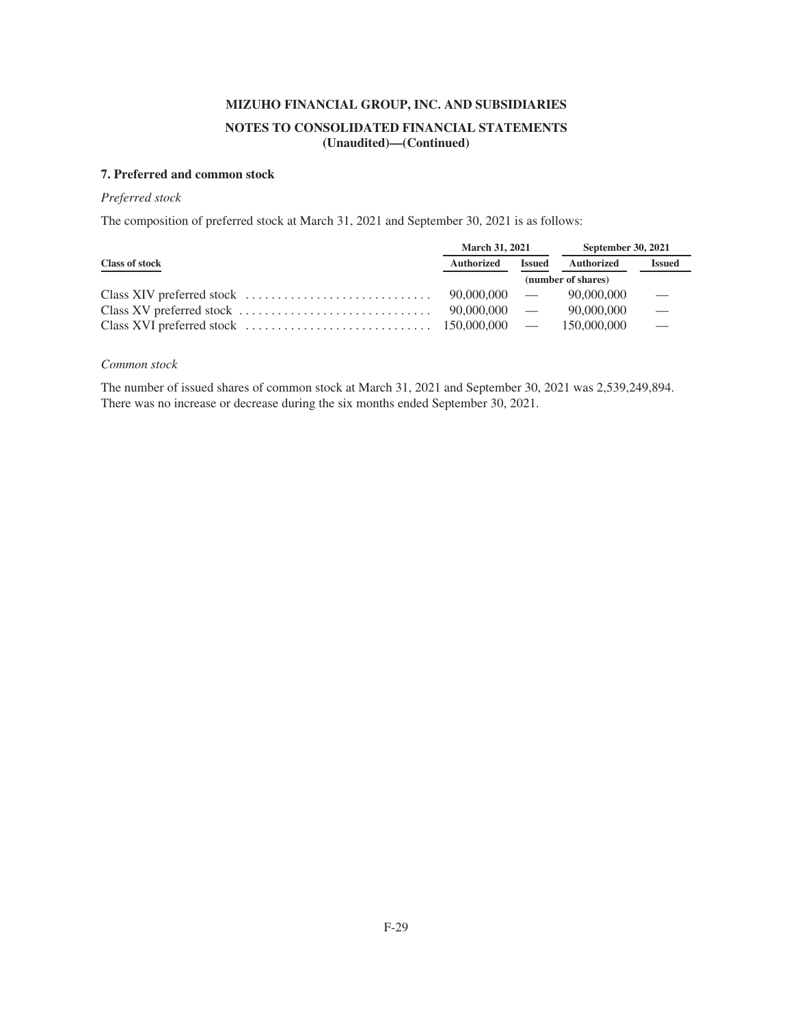## **7. Preferred and common stock**

## *Preferred stock*

The composition of preferred stock at March 31, 2021 and September 30, 2021 is as follows:

|                                                                                                                                     | <b>March 31, 2021</b> |                    | <b>September 30, 2021</b> |                          |
|-------------------------------------------------------------------------------------------------------------------------------------|-----------------------|--------------------|---------------------------|--------------------------|
| <b>Class of stock</b>                                                                                                               | <b>Authorized</b>     | <b>Issued</b>      | Authorized                | <b>Issued</b>            |
|                                                                                                                                     |                       | (number of shares) |                           |                          |
|                                                                                                                                     | $90.000.000$ —        |                    | 90,000,000                |                          |
|                                                                                                                                     | $90,000,000$ —        |                    | 90,000,000                | $\equiv$                 |
| Class XVI preferred stock $\ldots \ldots \ldots \ldots \ldots \ldots \ldots \ldots \ldots \ldots \ldots \ldots 150,000,000 \quad -$ |                       |                    | 150,000,000               | $\overline{\phantom{0}}$ |

## *Common stock*

The number of issued shares of common stock at March 31, 2021 and September 30, 2021 was 2,539,249,894. There was no increase or decrease during the six months ended September 30, 2021.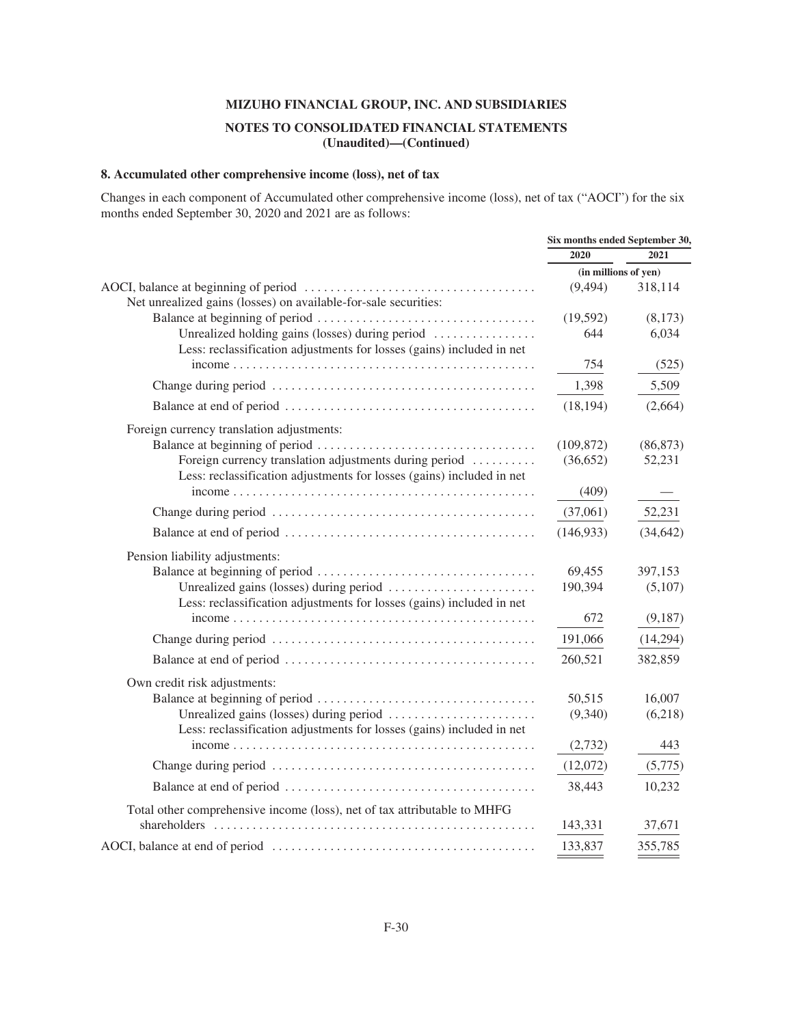## **NOTES TO CONSOLIDATED FINANCIAL STATEMENTS (Unaudited)—(Continued)**

## **8. Accumulated other comprehensive income (loss), net of tax**

Changes in each component of Accumulated other comprehensive income (loss), net of tax ("AOCI") for the six months ended September 30, 2020 and 2021 are as follows:

|                                                                                                                                 | Six months ended September 30, |           |
|---------------------------------------------------------------------------------------------------------------------------------|--------------------------------|-----------|
|                                                                                                                                 | 2020                           | 2021      |
|                                                                                                                                 | (in millions of yen)           |           |
| Net unrealized gains (losses) on available-for-sale securities:                                                                 | (9, 494)                       | 318,114   |
|                                                                                                                                 | (19, 592)                      | (8,173)   |
| Unrealized holding gains (losses) during period<br>Less: reclassification adjustments for losses (gains) included in net        | 644                            | 6,034     |
|                                                                                                                                 | 754                            | (525)     |
|                                                                                                                                 | 1,398                          | 5,509     |
|                                                                                                                                 | (18, 194)                      | (2,664)   |
| Foreign currency translation adjustments:                                                                                       |                                |           |
|                                                                                                                                 | (109, 872)                     | (86, 873) |
| Foreign currency translation adjustments during period<br>Less: reclassification adjustments for losses (gains) included in net | (36,652)                       | 52,231    |
|                                                                                                                                 | (409)                          |           |
|                                                                                                                                 | (37,061)                       | 52,231    |
|                                                                                                                                 | (146, 933)                     | (34, 642) |
| Pension liability adjustments:                                                                                                  |                                |           |
|                                                                                                                                 | 69,455                         | 397,153   |
|                                                                                                                                 | 190,394                        | (5,107)   |
| Less: reclassification adjustments for losses (gains) included in net                                                           |                                |           |
|                                                                                                                                 | 672                            | (9,187)   |
|                                                                                                                                 | 191,066                        | (14,294)  |
|                                                                                                                                 | 260,521                        | 382,859   |
| Own credit risk adjustments:                                                                                                    |                                |           |
|                                                                                                                                 | 50,515                         | 16,007    |
| Less: reclassification adjustments for losses (gains) included in net                                                           | (9,340)                        | (6,218)   |
|                                                                                                                                 | (2,732)                        | 443       |
|                                                                                                                                 | (12,072)                       | (5,775)   |
|                                                                                                                                 | 38,443                         | 10,232    |
| Total other comprehensive income (loss), net of tax attributable to MHFG                                                        |                                |           |
|                                                                                                                                 | 143,331                        | 37,671    |
|                                                                                                                                 | 133,837                        | 355,785   |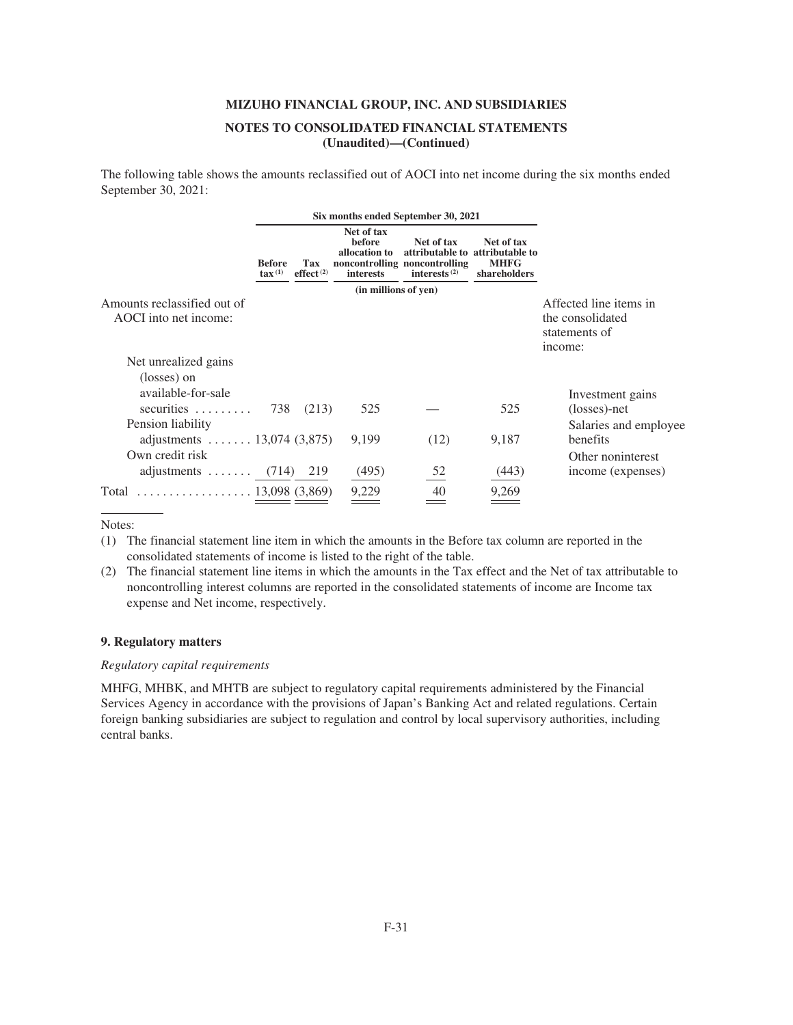The following table shows the amounts reclassified out of AOCI into net income during the six months ended September 30, 2021:

|                                                                     | Six months ended September 30, 2021 |                     |                                                           |                                                                                   |                                                              |                                                                        |
|---------------------------------------------------------------------|-------------------------------------|---------------------|-----------------------------------------------------------|-----------------------------------------------------------------------------------|--------------------------------------------------------------|------------------------------------------------------------------------|
|                                                                     | <b>Before</b><br>$\text{tax}^{(1)}$ | Tax<br>effect $(2)$ | Net of tax<br>before<br>allocation to<br><i>interests</i> | Net of tax<br>attributable to<br>noncontrolling noncontrolling<br>interests $(2)$ | Net of tax<br>attributable to<br><b>MHFG</b><br>shareholders |                                                                        |
|                                                                     |                                     |                     | (in millions of yen)                                      |                                                                                   |                                                              |                                                                        |
| Amounts reclassified out of<br>AOCI into net income:                |                                     |                     |                                                           |                                                                                   |                                                              | Affected line items in<br>the consolidated<br>statements of<br>income: |
| Net unrealized gains                                                |                                     |                     |                                                           |                                                                                   |                                                              |                                                                        |
| (losses) on                                                         |                                     |                     |                                                           |                                                                                   |                                                              |                                                                        |
| available-for-sale                                                  |                                     |                     |                                                           |                                                                                   |                                                              | Investment gains                                                       |
| $securities \dots \dots$                                            | 738                                 | (213)               | 525                                                       |                                                                                   | 525                                                          | (losses)-net                                                           |
| Pension liability                                                   |                                     |                     |                                                           |                                                                                   |                                                              | Salaries and employee                                                  |
| adjustments $13,074$ (3,875)                                        |                                     |                     | 9.199                                                     | (12)                                                                              | 9,187                                                        | benefits                                                               |
| Own credit risk                                                     |                                     |                     |                                                           |                                                                                   |                                                              | Other noninterest                                                      |
| adjustments $\ldots \ldots$ (714)                                   |                                     | 219                 | (495)                                                     | 52                                                                                | (443)                                                        | income (expenses)                                                      |
| $\ldots \ldots \ldots \ldots \ldots \ldots 13,098$ (3,869)<br>Total |                                     |                     | 9,229                                                     | 40                                                                                | 9,269                                                        |                                                                        |

Notes:

(1) The financial statement line item in which the amounts in the Before tax column are reported in the consolidated statements of income is listed to the right of the table.

(2) The financial statement line items in which the amounts in the Tax effect and the Net of tax attributable to noncontrolling interest columns are reported in the consolidated statements of income are Income tax expense and Net income, respectively.

### **9. Regulatory matters**

## *Regulatory capital requirements*

MHFG, MHBK, and MHTB are subject to regulatory capital requirements administered by the Financial Services Agency in accordance with the provisions of Japan's Banking Act and related regulations. Certain foreign banking subsidiaries are subject to regulation and control by local supervisory authorities, including central banks.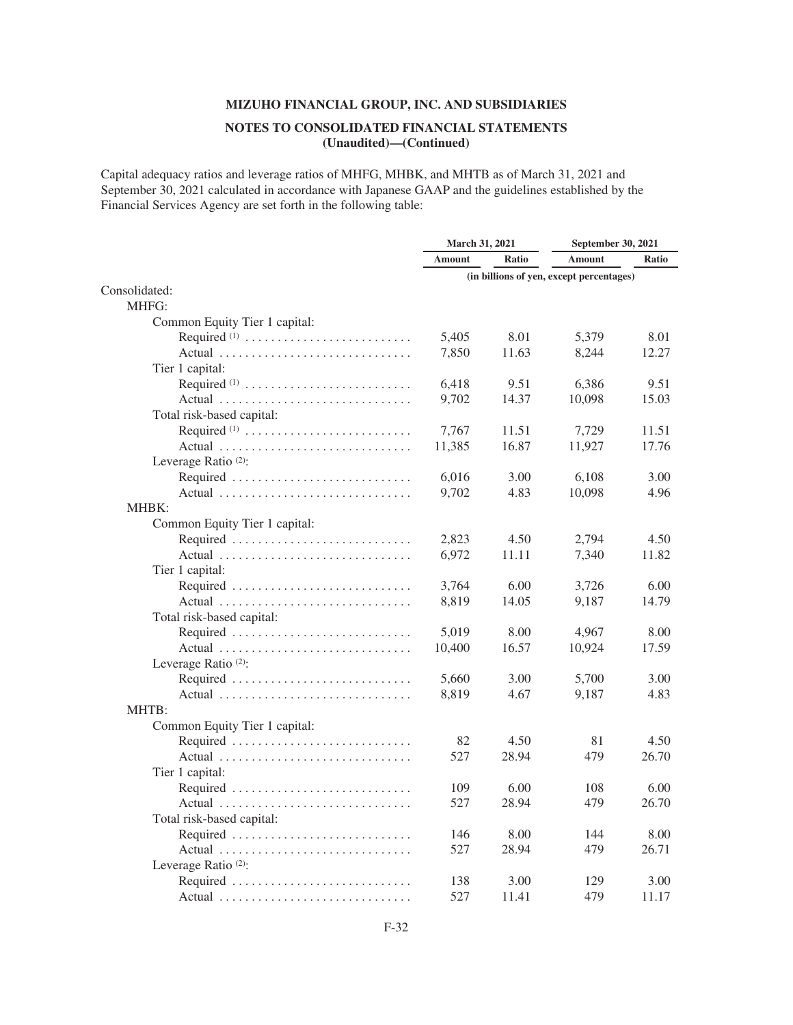## **NOTES TO CONSOLIDATED FINANCIAL STATEMENTS (Unaudited)—(Continued)**

Capital adequacy ratios and leverage ratios of MHFG, MHBK, and MHTB as of March 31, 2021 and September 30, 2021 calculated in accordance with Japanese GAAP and the guidelines established by the Financial Services Agency are set forth in the following table:

| <b>Amount</b><br>Ratio<br><b>Amount</b><br><b>Ratio</b><br>(in billions of yen, except percentages)<br>MHFG:<br>Common Equity Tier 1 capital:<br>5,405<br>8.01<br>Required $(1)$<br>5,379<br>8.01<br>7,850<br>11.63<br>12.27<br>Actual<br>8,244<br>Tier 1 capital:<br>Required <sup>(1)</sup><br>6,418<br>9.51<br>6,386<br>9.51<br>9,702<br>14.37<br>15.03<br>Actual<br>10,098<br>Total risk-based capital:<br>Required $(1)$<br>7,767<br>11.51<br>7,729<br>11.51<br>11,385<br>16.87<br>17.76<br>Actual<br>11,927<br>Leverage Ratio <sup>(2)</sup> :<br>6,016<br>Required<br>3.00<br>6,108<br>3.00<br>9,702<br>4.83<br>10,098<br>4.96<br>Actual<br>MHBK:<br>Common Equity Tier 1 capital:<br>Required<br>2,823<br>4.50<br>2,794<br>4.50<br>6,972<br>Actual<br>11.11<br>7,340<br>11.82<br>Tier 1 capital:<br>3,764<br>Required<br>6.00<br>3,726<br>6.00<br>8,819<br>14.05<br>9,187<br>14.79<br>Actual<br>Total risk-based capital:<br>5,019<br>8.00<br>4,967<br>8.00<br>Required<br>10,400<br>16.57<br>10,924<br>17.59<br>Actual<br>Leverage Ratio <sup>(2)</sup> :<br>Required<br>5,660<br>5,700<br>3.00<br>3.00<br>8,819<br>4.67<br>9,187<br>4.83<br>MHTB:<br>Common Equity Tier 1 capital:<br>Required<br>82<br>81<br>4.50<br>4.50<br>527<br>28.94<br>479<br>26.70<br>Actual<br>Tier 1 capital:<br>108<br>Required<br>109<br>6.00<br>6.00<br>527<br>28.94<br>479<br>26.70<br>Actual<br>Total risk-based capital:<br>146<br>8.00<br>8.00<br>144<br>Required<br>527<br>28.94<br>479<br>26.71<br>Actual<br>Leverage Ratio <sup>(2)</sup> :<br>138<br>3.00<br>129<br>3.00 |               | March 31, 2021 |       | September 30, 2021 |       |
|-------------------------------------------------------------------------------------------------------------------------------------------------------------------------------------------------------------------------------------------------------------------------------------------------------------------------------------------------------------------------------------------------------------------------------------------------------------------------------------------------------------------------------------------------------------------------------------------------------------------------------------------------------------------------------------------------------------------------------------------------------------------------------------------------------------------------------------------------------------------------------------------------------------------------------------------------------------------------------------------------------------------------------------------------------------------------------------------------------------------------------------------------------------------------------------------------------------------------------------------------------------------------------------------------------------------------------------------------------------------------------------------------------------------------------------------------------------------------------------------------------------------------------------------------------------------------|---------------|----------------|-------|--------------------|-------|
|                                                                                                                                                                                                                                                                                                                                                                                                                                                                                                                                                                                                                                                                                                                                                                                                                                                                                                                                                                                                                                                                                                                                                                                                                                                                                                                                                                                                                                                                                                                                                                         |               |                |       |                    |       |
|                                                                                                                                                                                                                                                                                                                                                                                                                                                                                                                                                                                                                                                                                                                                                                                                                                                                                                                                                                                                                                                                                                                                                                                                                                                                                                                                                                                                                                                                                                                                                                         |               |                |       |                    |       |
|                                                                                                                                                                                                                                                                                                                                                                                                                                                                                                                                                                                                                                                                                                                                                                                                                                                                                                                                                                                                                                                                                                                                                                                                                                                                                                                                                                                                                                                                                                                                                                         | Consolidated: |                |       |                    |       |
|                                                                                                                                                                                                                                                                                                                                                                                                                                                                                                                                                                                                                                                                                                                                                                                                                                                                                                                                                                                                                                                                                                                                                                                                                                                                                                                                                                                                                                                                                                                                                                         |               |                |       |                    |       |
|                                                                                                                                                                                                                                                                                                                                                                                                                                                                                                                                                                                                                                                                                                                                                                                                                                                                                                                                                                                                                                                                                                                                                                                                                                                                                                                                                                                                                                                                                                                                                                         |               |                |       |                    |       |
|                                                                                                                                                                                                                                                                                                                                                                                                                                                                                                                                                                                                                                                                                                                                                                                                                                                                                                                                                                                                                                                                                                                                                                                                                                                                                                                                                                                                                                                                                                                                                                         |               |                |       |                    |       |
|                                                                                                                                                                                                                                                                                                                                                                                                                                                                                                                                                                                                                                                                                                                                                                                                                                                                                                                                                                                                                                                                                                                                                                                                                                                                                                                                                                                                                                                                                                                                                                         |               |                |       |                    |       |
|                                                                                                                                                                                                                                                                                                                                                                                                                                                                                                                                                                                                                                                                                                                                                                                                                                                                                                                                                                                                                                                                                                                                                                                                                                                                                                                                                                                                                                                                                                                                                                         |               |                |       |                    |       |
|                                                                                                                                                                                                                                                                                                                                                                                                                                                                                                                                                                                                                                                                                                                                                                                                                                                                                                                                                                                                                                                                                                                                                                                                                                                                                                                                                                                                                                                                                                                                                                         |               |                |       |                    |       |
|                                                                                                                                                                                                                                                                                                                                                                                                                                                                                                                                                                                                                                                                                                                                                                                                                                                                                                                                                                                                                                                                                                                                                                                                                                                                                                                                                                                                                                                                                                                                                                         |               |                |       |                    |       |
|                                                                                                                                                                                                                                                                                                                                                                                                                                                                                                                                                                                                                                                                                                                                                                                                                                                                                                                                                                                                                                                                                                                                                                                                                                                                                                                                                                                                                                                                                                                                                                         |               |                |       |                    |       |
|                                                                                                                                                                                                                                                                                                                                                                                                                                                                                                                                                                                                                                                                                                                                                                                                                                                                                                                                                                                                                                                                                                                                                                                                                                                                                                                                                                                                                                                                                                                                                                         |               |                |       |                    |       |
|                                                                                                                                                                                                                                                                                                                                                                                                                                                                                                                                                                                                                                                                                                                                                                                                                                                                                                                                                                                                                                                                                                                                                                                                                                                                                                                                                                                                                                                                                                                                                                         |               |                |       |                    |       |
|                                                                                                                                                                                                                                                                                                                                                                                                                                                                                                                                                                                                                                                                                                                                                                                                                                                                                                                                                                                                                                                                                                                                                                                                                                                                                                                                                                                                                                                                                                                                                                         |               |                |       |                    |       |
|                                                                                                                                                                                                                                                                                                                                                                                                                                                                                                                                                                                                                                                                                                                                                                                                                                                                                                                                                                                                                                                                                                                                                                                                                                                                                                                                                                                                                                                                                                                                                                         |               |                |       |                    |       |
|                                                                                                                                                                                                                                                                                                                                                                                                                                                                                                                                                                                                                                                                                                                                                                                                                                                                                                                                                                                                                                                                                                                                                                                                                                                                                                                                                                                                                                                                                                                                                                         |               |                |       |                    |       |
|                                                                                                                                                                                                                                                                                                                                                                                                                                                                                                                                                                                                                                                                                                                                                                                                                                                                                                                                                                                                                                                                                                                                                                                                                                                                                                                                                                                                                                                                                                                                                                         |               |                |       |                    |       |
|                                                                                                                                                                                                                                                                                                                                                                                                                                                                                                                                                                                                                                                                                                                                                                                                                                                                                                                                                                                                                                                                                                                                                                                                                                                                                                                                                                                                                                                                                                                                                                         |               |                |       |                    |       |
|                                                                                                                                                                                                                                                                                                                                                                                                                                                                                                                                                                                                                                                                                                                                                                                                                                                                                                                                                                                                                                                                                                                                                                                                                                                                                                                                                                                                                                                                                                                                                                         |               |                |       |                    |       |
|                                                                                                                                                                                                                                                                                                                                                                                                                                                                                                                                                                                                                                                                                                                                                                                                                                                                                                                                                                                                                                                                                                                                                                                                                                                                                                                                                                                                                                                                                                                                                                         |               |                |       |                    |       |
|                                                                                                                                                                                                                                                                                                                                                                                                                                                                                                                                                                                                                                                                                                                                                                                                                                                                                                                                                                                                                                                                                                                                                                                                                                                                                                                                                                                                                                                                                                                                                                         |               |                |       |                    |       |
|                                                                                                                                                                                                                                                                                                                                                                                                                                                                                                                                                                                                                                                                                                                                                                                                                                                                                                                                                                                                                                                                                                                                                                                                                                                                                                                                                                                                                                                                                                                                                                         |               |                |       |                    |       |
|                                                                                                                                                                                                                                                                                                                                                                                                                                                                                                                                                                                                                                                                                                                                                                                                                                                                                                                                                                                                                                                                                                                                                                                                                                                                                                                                                                                                                                                                                                                                                                         |               |                |       |                    |       |
|                                                                                                                                                                                                                                                                                                                                                                                                                                                                                                                                                                                                                                                                                                                                                                                                                                                                                                                                                                                                                                                                                                                                                                                                                                                                                                                                                                                                                                                                                                                                                                         |               |                |       |                    |       |
|                                                                                                                                                                                                                                                                                                                                                                                                                                                                                                                                                                                                                                                                                                                                                                                                                                                                                                                                                                                                                                                                                                                                                                                                                                                                                                                                                                                                                                                                                                                                                                         |               |                |       |                    |       |
|                                                                                                                                                                                                                                                                                                                                                                                                                                                                                                                                                                                                                                                                                                                                                                                                                                                                                                                                                                                                                                                                                                                                                                                                                                                                                                                                                                                                                                                                                                                                                                         |               |                |       |                    |       |
|                                                                                                                                                                                                                                                                                                                                                                                                                                                                                                                                                                                                                                                                                                                                                                                                                                                                                                                                                                                                                                                                                                                                                                                                                                                                                                                                                                                                                                                                                                                                                                         |               |                |       |                    |       |
|                                                                                                                                                                                                                                                                                                                                                                                                                                                                                                                                                                                                                                                                                                                                                                                                                                                                                                                                                                                                                                                                                                                                                                                                                                                                                                                                                                                                                                                                                                                                                                         |               |                |       |                    |       |
|                                                                                                                                                                                                                                                                                                                                                                                                                                                                                                                                                                                                                                                                                                                                                                                                                                                                                                                                                                                                                                                                                                                                                                                                                                                                                                                                                                                                                                                                                                                                                                         |               |                |       |                    |       |
|                                                                                                                                                                                                                                                                                                                                                                                                                                                                                                                                                                                                                                                                                                                                                                                                                                                                                                                                                                                                                                                                                                                                                                                                                                                                                                                                                                                                                                                                                                                                                                         |               |                |       |                    |       |
|                                                                                                                                                                                                                                                                                                                                                                                                                                                                                                                                                                                                                                                                                                                                                                                                                                                                                                                                                                                                                                                                                                                                                                                                                                                                                                                                                                                                                                                                                                                                                                         |               |                |       |                    |       |
|                                                                                                                                                                                                                                                                                                                                                                                                                                                                                                                                                                                                                                                                                                                                                                                                                                                                                                                                                                                                                                                                                                                                                                                                                                                                                                                                                                                                                                                                                                                                                                         |               |                |       |                    |       |
|                                                                                                                                                                                                                                                                                                                                                                                                                                                                                                                                                                                                                                                                                                                                                                                                                                                                                                                                                                                                                                                                                                                                                                                                                                                                                                                                                                                                                                                                                                                                                                         |               |                |       |                    |       |
|                                                                                                                                                                                                                                                                                                                                                                                                                                                                                                                                                                                                                                                                                                                                                                                                                                                                                                                                                                                                                                                                                                                                                                                                                                                                                                                                                                                                                                                                                                                                                                         |               |                |       |                    |       |
|                                                                                                                                                                                                                                                                                                                                                                                                                                                                                                                                                                                                                                                                                                                                                                                                                                                                                                                                                                                                                                                                                                                                                                                                                                                                                                                                                                                                                                                                                                                                                                         |               |                |       |                    |       |
|                                                                                                                                                                                                                                                                                                                                                                                                                                                                                                                                                                                                                                                                                                                                                                                                                                                                                                                                                                                                                                                                                                                                                                                                                                                                                                                                                                                                                                                                                                                                                                         |               |                |       |                    |       |
|                                                                                                                                                                                                                                                                                                                                                                                                                                                                                                                                                                                                                                                                                                                                                                                                                                                                                                                                                                                                                                                                                                                                                                                                                                                                                                                                                                                                                                                                                                                                                                         |               |                |       |                    |       |
|                                                                                                                                                                                                                                                                                                                                                                                                                                                                                                                                                                                                                                                                                                                                                                                                                                                                                                                                                                                                                                                                                                                                                                                                                                                                                                                                                                                                                                                                                                                                                                         |               |                |       |                    |       |
|                                                                                                                                                                                                                                                                                                                                                                                                                                                                                                                                                                                                                                                                                                                                                                                                                                                                                                                                                                                                                                                                                                                                                                                                                                                                                                                                                                                                                                                                                                                                                                         |               |                |       |                    |       |
|                                                                                                                                                                                                                                                                                                                                                                                                                                                                                                                                                                                                                                                                                                                                                                                                                                                                                                                                                                                                                                                                                                                                                                                                                                                                                                                                                                                                                                                                                                                                                                         |               |                |       |                    |       |
|                                                                                                                                                                                                                                                                                                                                                                                                                                                                                                                                                                                                                                                                                                                                                                                                                                                                                                                                                                                                                                                                                                                                                                                                                                                                                                                                                                                                                                                                                                                                                                         |               |                |       |                    |       |
|                                                                                                                                                                                                                                                                                                                                                                                                                                                                                                                                                                                                                                                                                                                                                                                                                                                                                                                                                                                                                                                                                                                                                                                                                                                                                                                                                                                                                                                                                                                                                                         | Actual        | 527            | 11.41 | 479                | 11.17 |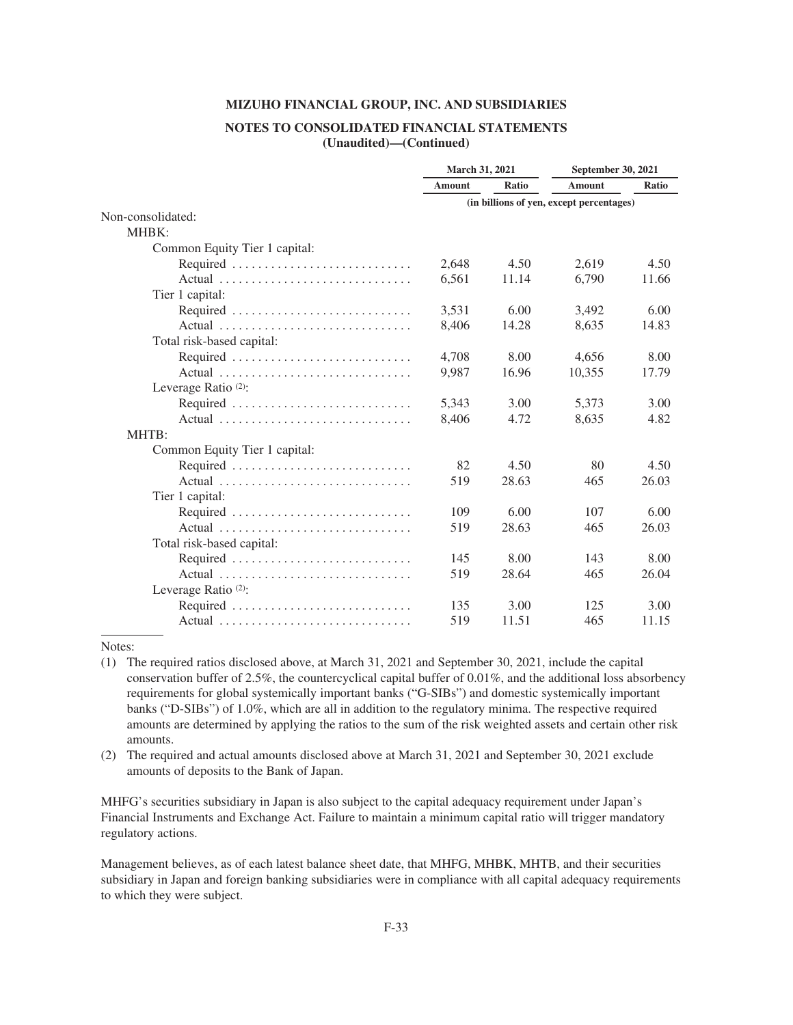### **NOTES TO CONSOLIDATED FINANCIAL STATEMENTS (Unaudited)—(Continued)**

|                                 | March 31, 2021                           |       | September 30, 2021 |       |
|---------------------------------|------------------------------------------|-------|--------------------|-------|
|                                 | <b>Amount</b>                            | Ratio | <b>Amount</b>      | Ratio |
|                                 | (in billions of yen, except percentages) |       |                    |       |
| Non-consolidated:               |                                          |       |                    |       |
| MHBK:                           |                                          |       |                    |       |
| Common Equity Tier 1 capital:   |                                          |       |                    |       |
| Required                        | 2,648                                    | 4.50  | 2,619              | 4.50  |
| Actual                          | 6,561                                    | 11.14 | 6,790              | 11.66 |
| Tier 1 capital:                 |                                          |       |                    |       |
| Required                        | 3,531                                    | 6.00  | 3,492              | 6.00  |
| Actual                          | 8,406                                    | 14.28 | 8,635              | 14.83 |
| Total risk-based capital:       |                                          |       |                    |       |
| Required                        | 4,708                                    | 8.00  | 4,656              | 8.00  |
| Actual                          | 9,987                                    | 16.96 | 10,355             | 17.79 |
| Leverage Ratio <sup>(2)</sup> : |                                          |       |                    |       |
| Required                        | 5,343                                    | 3.00  | 5,373              | 3.00  |
| Actual                          | 8,406                                    | 4.72  | 8,635              | 4.82  |
| MHTB:                           |                                          |       |                    |       |
| Common Equity Tier 1 capital:   |                                          |       |                    |       |
| Required                        | 82                                       | 4.50  | 80                 | 4.50  |
| Actual                          | 519                                      | 28.63 | 465                | 26.03 |
| Tier 1 capital:                 |                                          |       |                    |       |
| Required                        | 109                                      | 6.00  | 107                | 6.00  |
| Actual                          | 519                                      | 28.63 | 465                | 26.03 |
| Total risk-based capital:       |                                          |       |                    |       |
| Required                        | 145                                      | 8.00  | 143                | 8.00  |
| Actual                          | 519                                      | 28.64 | 465                | 26.04 |
| Leverage Ratio <sup>(2)</sup> : |                                          |       |                    |       |
| Required                        | 135                                      | 3.00  | 125                | 3.00  |
| Actual                          | 519                                      | 11.51 | 465                | 11.15 |

#### Notes:

- (1) The required ratios disclosed above, at March 31, 2021 and September 30, 2021, include the capital conservation buffer of 2.5%, the countercyclical capital buffer of 0.01%, and the additional loss absorbency requirements for global systemically important banks ("G-SIBs") and domestic systemically important banks ("D-SIBs") of 1.0%, which are all in addition to the regulatory minima. The respective required amounts are determined by applying the ratios to the sum of the risk weighted assets and certain other risk amounts.
- (2) The required and actual amounts disclosed above at March 31, 2021 and September 30, 2021 exclude amounts of deposits to the Bank of Japan.

MHFG's securities subsidiary in Japan is also subject to the capital adequacy requirement under Japan's Financial Instruments and Exchange Act. Failure to maintain a minimum capital ratio will trigger mandatory regulatory actions.

Management believes, as of each latest balance sheet date, that MHFG, MHBK, MHTB, and their securities subsidiary in Japan and foreign banking subsidiaries were in compliance with all capital adequacy requirements to which they were subject.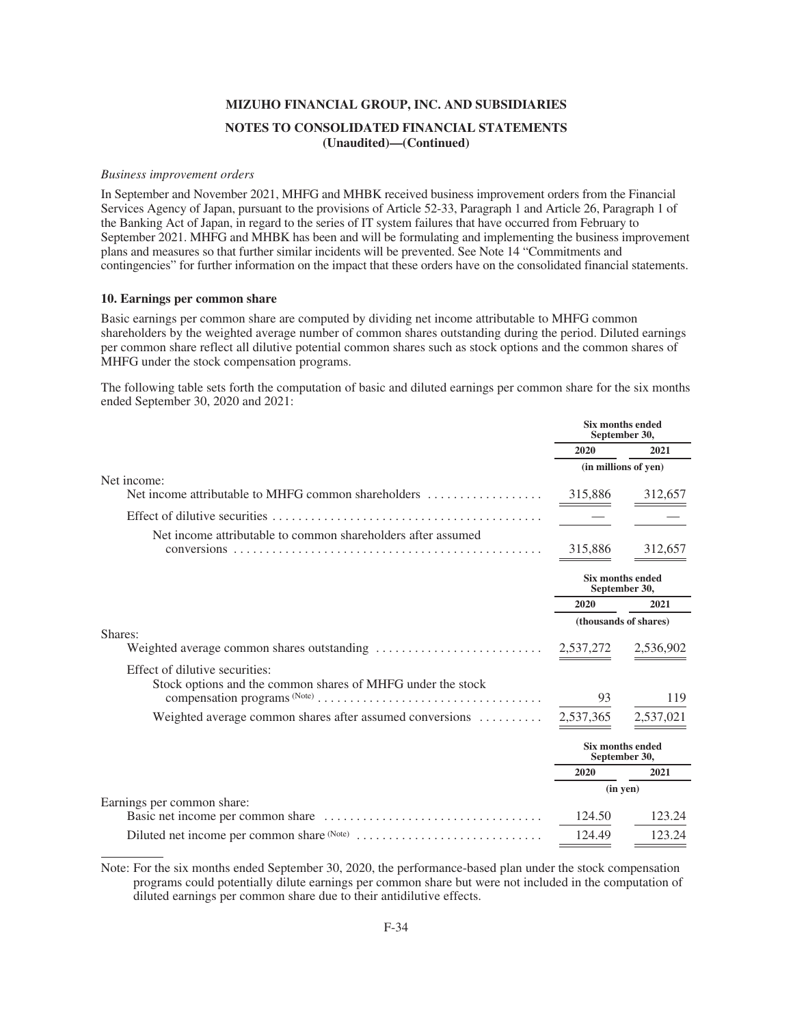#### *Business improvement orders*

In September and November 2021, MHFG and MHBK received business improvement orders from the Financial Services Agency of Japan, pursuant to the provisions of Article 52-33, Paragraph 1 and Article 26, Paragraph 1 of the Banking Act of Japan, in regard to the series of IT system failures that have occurred from February to September 2021. MHFG and MHBK has been and will be formulating and implementing the business improvement plans and measures so that further similar incidents will be prevented. See Note 14 "Commitments and contingencies" for further information on the impact that these orders have on the consolidated financial statements.

#### **10. Earnings per common share**

Basic earnings per common share are computed by dividing net income attributable to MHFG common shareholders by the weighted average number of common shares outstanding during the period. Diluted earnings per common share reflect all dilutive potential common shares such as stock options and the common shares of MHFG under the stock compensation programs.

The following table sets forth the computation of basic and diluted earnings per common share for the six months ended September 30, 2020 and 2021:

|                                                                                               | <b>Six months ended</b><br>September 30, |                                          |
|-----------------------------------------------------------------------------------------------|------------------------------------------|------------------------------------------|
|                                                                                               | 2020                                     | 2021                                     |
|                                                                                               |                                          | (in millions of yen)                     |
| Net income:                                                                                   | 315,886                                  | 312,657                                  |
|                                                                                               |                                          |                                          |
| Net income attributable to common shareholders after assumed                                  | 315,886                                  | 312,657                                  |
|                                                                                               |                                          | Six months ended<br>September 30,        |
|                                                                                               | 2020                                     | 2021                                     |
|                                                                                               |                                          | (thousands of shares)                    |
| Shares:                                                                                       | 2,537,272                                | 2,536,902                                |
| Effect of dilutive securities:<br>Stock options and the common shares of MHFG under the stock | 93                                       | 119                                      |
|                                                                                               |                                          |                                          |
| Weighted average common shares after assumed conversions                                      | 2,537,365                                | 2,537,021                                |
|                                                                                               |                                          | <b>Six months ended</b><br>September 30, |
|                                                                                               | 2020                                     | 2021                                     |
|                                                                                               |                                          | $(in$ yen $)$                            |
| Earnings per common share:                                                                    | 124.50                                   | 123.24                                   |
|                                                                                               | 124.49                                   | 123.24                                   |

Note: For the six months ended September 30, 2020, the performance-based plan under the stock compensation programs could potentially dilute earnings per common share but were not included in the computation of diluted earnings per common share due to their antidilutive effects.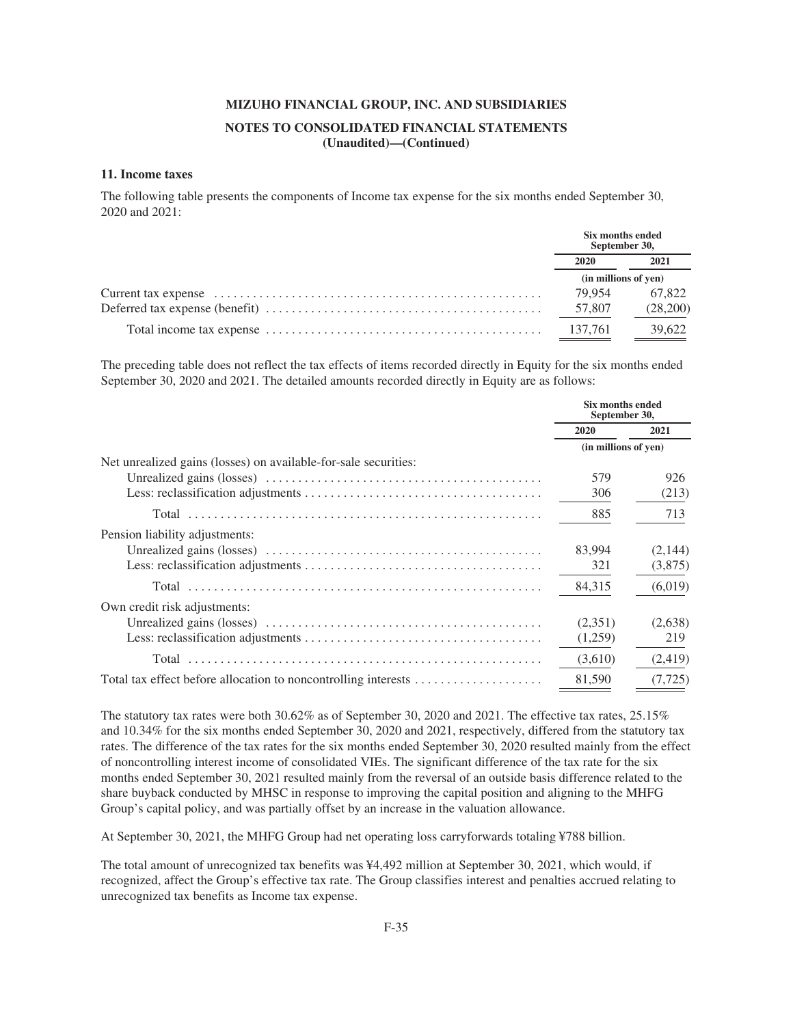# **MIZUHO FINANCIAL GROUP, INC. AND SUBSIDIARIES NOTES TO CONSOLIDATED FINANCIAL STATEMENTS**

**(Unaudited)—(Continued)**

#### **11. Income taxes**

The following table presents the components of Income tax expense for the six months ended September 30, 2020 and 2021:

| Six months ended<br>September 30, |          |
|-----------------------------------|----------|
| 2020                              | 2021     |
| (in millions of yen)              |          |
| 79.954                            | 67.822   |
| 57,807                            | (28,200) |
| 137,761                           | 39,622   |

The preceding table does not reflect the tax effects of items recorded directly in Equity for the six months ended September 30, 2020 and 2021. The detailed amounts recorded directly in Equity are as follows:

|                                                                 | Six months ended<br>September 30, |          |
|-----------------------------------------------------------------|-----------------------------------|----------|
|                                                                 | 2020                              | 2021     |
|                                                                 | (in millions of yen)              |          |
| Net unrealized gains (losses) on available-for-sale securities: |                                   |          |
|                                                                 | 579                               | 926      |
|                                                                 | 306                               | (213)    |
|                                                                 | 885                               | 713      |
| Pension liability adjustments:                                  |                                   |          |
|                                                                 | 83,994                            | (2,144)  |
|                                                                 | 321                               | (3,875)  |
|                                                                 | 84,315                            | (6,019)  |
| Own credit risk adjustments:                                    |                                   |          |
|                                                                 | (2,351)                           | (2,638)  |
|                                                                 | (1,259)                           | 219      |
|                                                                 | (3,610)                           | (2,419)  |
|                                                                 | 81,590                            | (7, 725) |

The statutory tax rates were both 30.62% as of September 30, 2020 and 2021. The effective tax rates, 25.15% and 10.34% for the six months ended September 30, 2020 and 2021, respectively, differed from the statutory tax rates. The difference of the tax rates for the six months ended September 30, 2020 resulted mainly from the effect of noncontrolling interest income of consolidated VIEs. The significant difference of the tax rate for the six months ended September 30, 2021 resulted mainly from the reversal of an outside basis difference related to the share buyback conducted by MHSC in response to improving the capital position and aligning to the MHFG Group's capital policy, and was partially offset by an increase in the valuation allowance.

At September 30, 2021, the MHFG Group had net operating loss carryforwards totaling ¥788 billion.

The total amount of unrecognized tax benefits was ¥4,492 million at September 30, 2021, which would, if recognized, affect the Group's effective tax rate. The Group classifies interest and penalties accrued relating to unrecognized tax benefits as Income tax expense.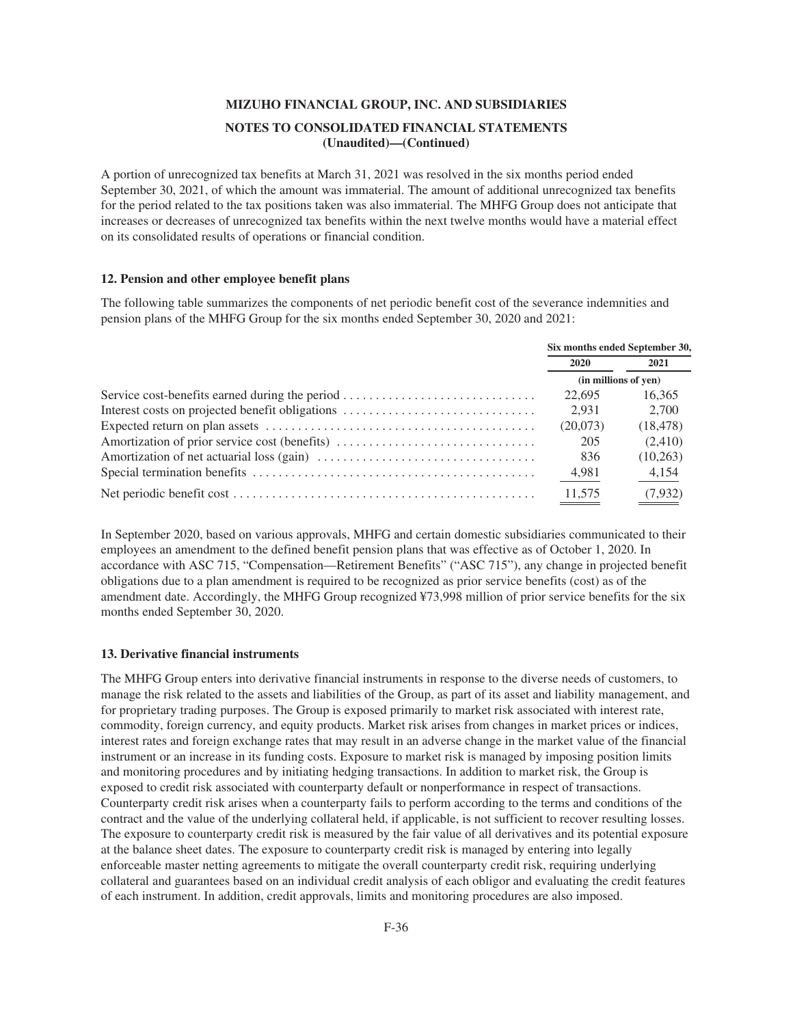A portion of unrecognized tax benefits at March 31, 2021 was resolved in the six months period ended September 30, 2021, of which the amount was immaterial. The amount of additional unrecognized tax benefits for the period related to the tax positions taken was also immaterial. The MHFG Group does not anticipate that increases or decreases of unrecognized tax benefits within the next twelve months would have a material effect on its consolidated results of operations or financial condition.

#### **12. Pension and other employee benefit plans**

The following table summarizes the components of net periodic benefit cost of the severance indemnities and pension plans of the MHFG Group for the six months ended September 30, 2020 and 2021:

|                                                 | Six months ended September 30, |           |
|-------------------------------------------------|--------------------------------|-----------|
|                                                 | 2020                           | 2021      |
|                                                 | (in millions of yen)           |           |
| Service cost-benefits earned during the period  | 22,695                         | 16.365    |
| Interest costs on projected benefit obligations | 2.931                          | 2.700     |
|                                                 | (20,073)                       | (18, 478) |
| Amortization of prior service cost (benefits)   | 205                            | (2,410)   |
|                                                 | 836                            | (10, 263) |
|                                                 | 4,981                          | 4,154     |
|                                                 | 11,575                         | (7,932)   |

In September 2020, based on various approvals, MHFG and certain domestic subsidiaries communicated to their employees an amendment to the defined benefit pension plans that was effective as of October 1, 2020. In accordance with ASC 715, "Compensation—Retirement Benefits" ("ASC 715"), any change in projected benefit obligations due to a plan amendment is required to be recognized as prior service benefits (cost) as of the amendment date. Accordingly, the MHFG Group recognized ¥73,998 million of prior service benefits for the six months ended September 30, 2020.

#### **13. Derivative financial instruments**

The MHFG Group enters into derivative financial instruments in response to the diverse needs of customers, to manage the risk related to the assets and liabilities of the Group, as part of its asset and liability management, and for proprietary trading purposes. The Group is exposed primarily to market risk associated with interest rate, commodity, foreign currency, and equity products. Market risk arises from changes in market prices or indices, interest rates and foreign exchange rates that may result in an adverse change in the market value of the financial instrument or an increase in its funding costs. Exposure to market risk is managed by imposing position limits and monitoring procedures and by initiating hedging transactions. In addition to market risk, the Group is exposed to credit risk associated with counterparty default or nonperformance in respect of transactions. Counterparty credit risk arises when a counterparty fails to perform according to the terms and conditions of the contract and the value of the underlying collateral held, if applicable, is not sufficient to recover resulting losses. The exposure to counterparty credit risk is measured by the fair value of all derivatives and its potential exposure at the balance sheet dates. The exposure to counterparty credit risk is managed by entering into legally enforceable master netting agreements to mitigate the overall counterparty credit risk, requiring underlying collateral and guarantees based on an individual credit analysis of each obligor and evaluating the credit features of each instrument. In addition, credit approvals, limits and monitoring procedures are also imposed.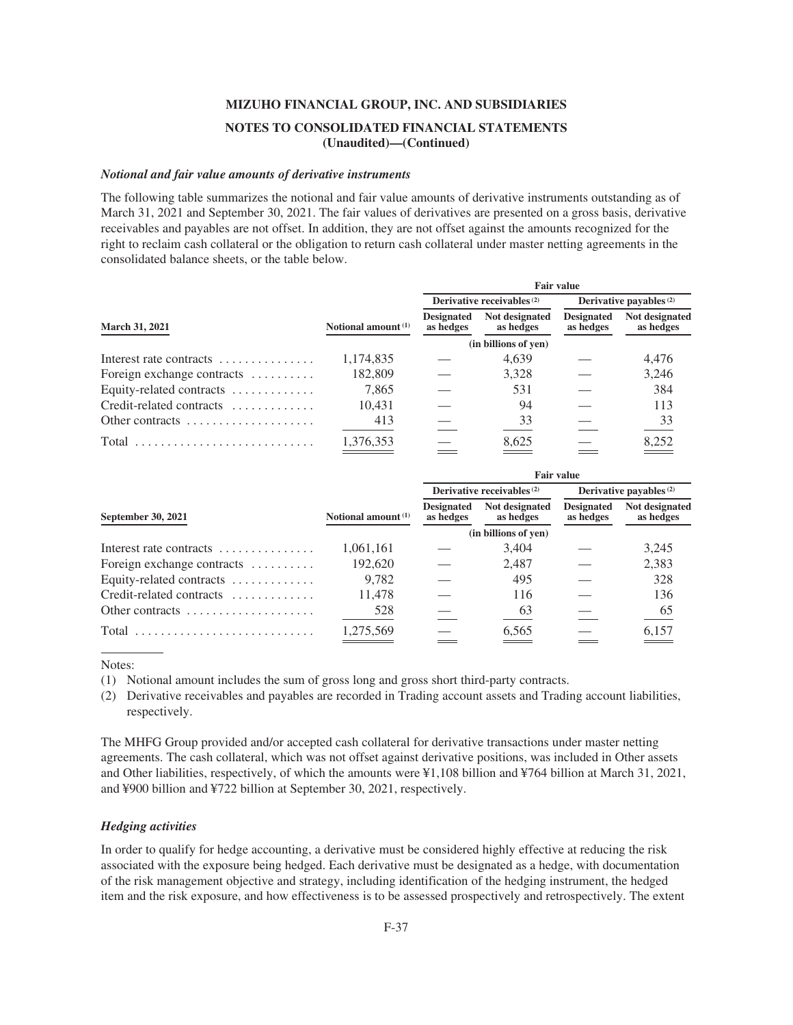#### *Notional and fair value amounts of derivative instruments*

The following table summarizes the notional and fair value amounts of derivative instruments outstanding as of March 31, 2021 and September 30, 2021. The fair values of derivatives are presented on a gross basis, derivative receivables and payables are not offset. In addition, they are not offset against the amounts recognized for the right to reclaim cash collateral or the obligation to return cash collateral under master netting agreements in the consolidated balance sheets, or the table below.

|                            |                       | <b>Fair value</b>                     |                             |                                |                             |  |
|----------------------------|-----------------------|---------------------------------------|-----------------------------|--------------------------------|-----------------------------|--|
|                            |                       | Derivative receivables <sup>(2)</sup> |                             | Derivative payables $(2)$      |                             |  |
| <b>March 31, 2021</b>      | Notional amount $(1)$ | <b>Designated</b><br>as hedges        | Not designated<br>as hedges | <b>Designated</b><br>as hedges | Not designated<br>as hedges |  |
|                            |                       |                                       | (in billions of yen)        |                                |                             |  |
| Interest rate contracts    | 1,174,835             |                                       | 4,639                       |                                | 4.476                       |  |
| Foreign exchange contracts | 182,809               |                                       | 3.328                       |                                | 3,246                       |  |
| Equity-related contracts   | 7,865                 |                                       | 531                         |                                | 384                         |  |
| Credit-related contracts   | 10.431                |                                       | 94                          |                                | 113                         |  |
| Other contracts            | 413                   |                                       | 33                          |                                | 33                          |  |
|                            | 1,376,353             |                                       | 8,625                       |                                | 8,252                       |  |

|                                                       |                                | <b>Fair value</b>                     |                             |                                |                             |
|-------------------------------------------------------|--------------------------------|---------------------------------------|-----------------------------|--------------------------------|-----------------------------|
|                                                       |                                | Derivative receivables <sup>(2)</sup> |                             | Derivative payables $(2)$      |                             |
| September 30, 2021                                    | Notional amount <sup>(1)</sup> | <b>Designated</b><br>as hedges        | Not designated<br>as hedges | <b>Designated</b><br>as hedges | Not designated<br>as hedges |
|                                                       | (in billions of yen)           |                                       |                             |                                |                             |
| Interest rate contracts                               | 1,061,161                      |                                       | 3,404                       |                                | 3,245                       |
| Foreign exchange contracts $\dots\dots\dots$          | 192,620                        |                                       | 2.487                       |                                | 2,383                       |
| Equity-related contracts                              | 9,782                          |                                       | 495                         |                                | 328                         |
| Credit-related contracts                              | 11.478                         |                                       | 116                         |                                | 136                         |
| Other contracts $\dots\dots\dots\dots\dots\dots\dots$ | 528                            |                                       | 63                          |                                | $\underline{65}$            |
|                                                       | 1.275.569                      |                                       | 6.565                       |                                | 6.157                       |

Notes:

(1) Notional amount includes the sum of gross long and gross short third-party contracts.

(2) Derivative receivables and payables are recorded in Trading account assets and Trading account liabilities, respectively.

The MHFG Group provided and/or accepted cash collateral for derivative transactions under master netting agreements. The cash collateral, which was not offset against derivative positions, was included in Other assets and Other liabilities, respectively, of which the amounts were ¥1,108 billion and ¥764 billion at March 31, 2021, and ¥900 billion and ¥722 billion at September 30, 2021, respectively.

#### *Hedging activities*

In order to qualify for hedge accounting, a derivative must be considered highly effective at reducing the risk associated with the exposure being hedged. Each derivative must be designated as a hedge, with documentation of the risk management objective and strategy, including identification of the hedging instrument, the hedged item and the risk exposure, and how effectiveness is to be assessed prospectively and retrospectively. The extent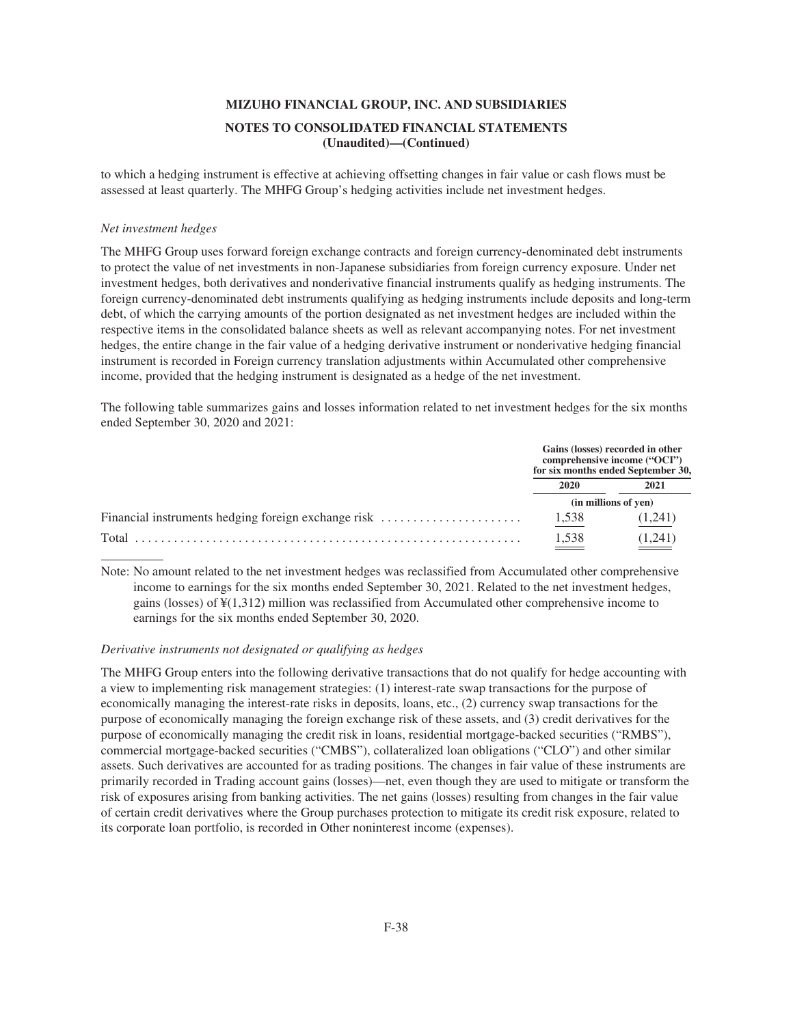to which a hedging instrument is effective at achieving offsetting changes in fair value or cash flows must be assessed at least quarterly. The MHFG Group's hedging activities include net investment hedges.

### *Net investment hedges*

The MHFG Group uses forward foreign exchange contracts and foreign currency-denominated debt instruments to protect the value of net investments in non-Japanese subsidiaries from foreign currency exposure. Under net investment hedges, both derivatives and nonderivative financial instruments qualify as hedging instruments. The foreign currency-denominated debt instruments qualifying as hedging instruments include deposits and long-term debt, of which the carrying amounts of the portion designated as net investment hedges are included within the respective items in the consolidated balance sheets as well as relevant accompanying notes. For net investment hedges, the entire change in the fair value of a hedging derivative instrument or nonderivative hedging financial instrument is recorded in Foreign currency translation adjustments within Accumulated other comprehensive income, provided that the hedging instrument is designated as a hedge of the net investment.

The following table summarizes gains and losses information related to net investment hedges for the six months ended September 30, 2020 and 2021:

|                                                     |                      | Gains (losses) recorded in other<br>comprehensive income ("OCI")<br>for six months ended September 30, |
|-----------------------------------------------------|----------------------|--------------------------------------------------------------------------------------------------------|
|                                                     | 2020                 | 2021                                                                                                   |
|                                                     | (in millions of yen) |                                                                                                        |
| Financial instruments hedging foreign exchange risk | 1,538                | (1.241)                                                                                                |
| Total                                               | 1.538                | (1.241)                                                                                                |

Note: No amount related to the net investment hedges was reclassified from Accumulated other comprehensive income to earnings for the six months ended September 30, 2021. Related to the net investment hedges, gains (losses) of  $\frac{1}{2}(1,312)$  million was reclassified from Accumulated other comprehensive income to earnings for the six months ended September 30, 2020.

## *Derivative instruments not designated or qualifying as hedges*

The MHFG Group enters into the following derivative transactions that do not qualify for hedge accounting with a view to implementing risk management strategies: (1) interest-rate swap transactions for the purpose of economically managing the interest-rate risks in deposits, loans, etc., (2) currency swap transactions for the purpose of economically managing the foreign exchange risk of these assets, and (3) credit derivatives for the purpose of economically managing the credit risk in loans, residential mortgage-backed securities ("RMBS"), commercial mortgage-backed securities ("CMBS"), collateralized loan obligations ("CLO") and other similar assets. Such derivatives are accounted for as trading positions. The changes in fair value of these instruments are primarily recorded in Trading account gains (losses)—net, even though they are used to mitigate or transform the risk of exposures arising from banking activities. The net gains (losses) resulting from changes in the fair value of certain credit derivatives where the Group purchases protection to mitigate its credit risk exposure, related to its corporate loan portfolio, is recorded in Other noninterest income (expenses).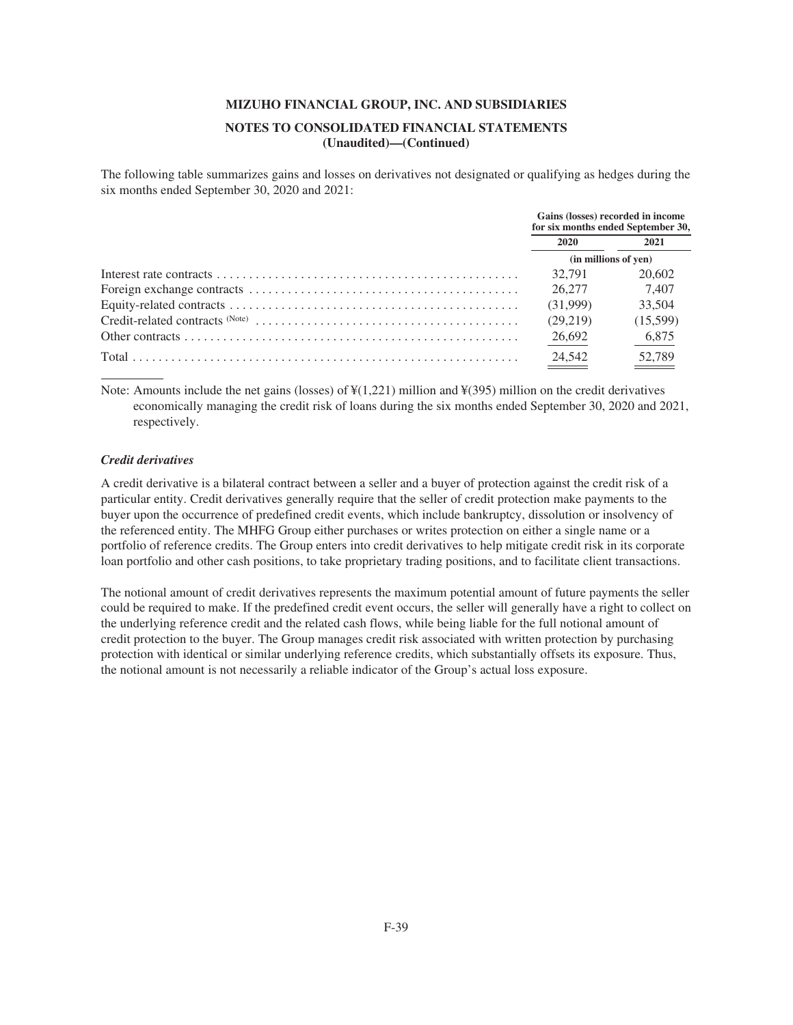### **NOTES TO CONSOLIDATED FINANCIAL STATEMENTS (Unaudited)—(Continued)**

The following table summarizes gains and losses on derivatives not designated or qualifying as hedges during the six months ended September 30, 2020 and 2021:

| Gains (losses) recorded in income<br>for six months ended September 30, |          |
|-------------------------------------------------------------------------|----------|
| <b>2020</b>                                                             | 2021     |
| (in millions of yen)                                                    |          |
| 32.791                                                                  | 20,602   |
| 26.277                                                                  | 7.407    |
| (31.999)                                                                | 33,504   |
| (29.219)                                                                | (15,599) |
| 26,692                                                                  | 6,875    |
| 24,542                                                                  | 52,789   |

Note: Amounts include the net gains (losses) of  $\frac{1}{2}(1,221)$  million and  $\frac{1}{2}(395)$  million on the credit derivatives economically managing the credit risk of loans during the six months ended September 30, 2020 and 2021, respectively.

### *Credit derivatives*

A credit derivative is a bilateral contract between a seller and a buyer of protection against the credit risk of a particular entity. Credit derivatives generally require that the seller of credit protection make payments to the buyer upon the occurrence of predefined credit events, which include bankruptcy, dissolution or insolvency of the referenced entity. The MHFG Group either purchases or writes protection on either a single name or a portfolio of reference credits. The Group enters into credit derivatives to help mitigate credit risk in its corporate loan portfolio and other cash positions, to take proprietary trading positions, and to facilitate client transactions.

The notional amount of credit derivatives represents the maximum potential amount of future payments the seller could be required to make. If the predefined credit event occurs, the seller will generally have a right to collect on the underlying reference credit and the related cash flows, while being liable for the full notional amount of credit protection to the buyer. The Group manages credit risk associated with written protection by purchasing protection with identical or similar underlying reference credits, which substantially offsets its exposure. Thus, the notional amount is not necessarily a reliable indicator of the Group's actual loss exposure.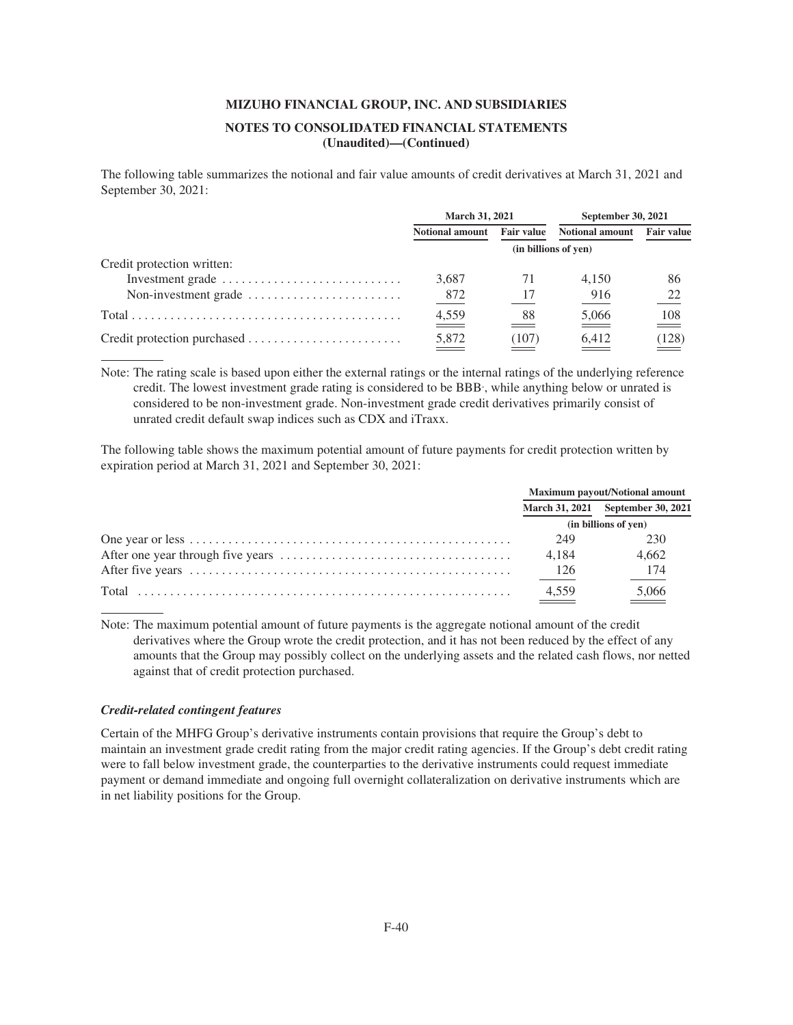## **NOTES TO CONSOLIDATED FINANCIAL STATEMENTS (Unaudited)—(Continued)**

The following table summarizes the notional and fair value amounts of credit derivatives at March 31, 2021 and September 30, 2021:

|                                                                      | <b>March 31, 2021</b>  |                      | <b>September 30, 2021</b>         |                   |
|----------------------------------------------------------------------|------------------------|----------------------|-----------------------------------|-------------------|
|                                                                      | <b>Notional amount</b> | Fair value           | <b>Notional amount</b>            | <b>Fair value</b> |
|                                                                      |                        | (in billions of yen) |                                   |                   |
| Credit protection written:                                           |                        |                      |                                   |                   |
| Investment grade                                                     | 3,687                  | 71                   | 4.150                             | 86                |
| Non-investment grade $\dots\dots\dots\dots\dots\dots\dots\dots\dots$ | 872                    | 17                   | 916                               | 22                |
|                                                                      | 4,559<br>$\equiv$      | 88                   | 5,066<br>$\overline{\phantom{a}}$ | $\frac{108}{1}$   |
|                                                                      | 5,872                  | (107)                | 6,412                             | (128)             |

Note: The rating scale is based upon either the external ratings or the internal ratings of the underlying reference credit. The lowest investment grade rating is considered to be BBB- , while anything below or unrated is considered to be non-investment grade. Non-investment grade credit derivatives primarily consist of unrated credit default swap indices such as CDX and iTraxx.

The following table shows the maximum potential amount of future payments for credit protection written by expiration period at March 31, 2021 and September 30, 2021:

| Maximum payout/Notional amount |                                   |
|--------------------------------|-----------------------------------|
|                                | March 31, 2021 September 30, 2021 |
| (in billions of yen)           |                                   |
| 249                            | 230                               |
| 4.184                          | 4.662                             |
| 126                            | 174                               |
| 4.559                          | 5,066                             |

Note: The maximum potential amount of future payments is the aggregate notional amount of the credit derivatives where the Group wrote the credit protection, and it has not been reduced by the effect of any amounts that the Group may possibly collect on the underlying assets and the related cash flows, nor netted against that of credit protection purchased.

### *Credit-related contingent features*

Certain of the MHFG Group's derivative instruments contain provisions that require the Group's debt to maintain an investment grade credit rating from the major credit rating agencies. If the Group's debt credit rating were to fall below investment grade, the counterparties to the derivative instruments could request immediate payment or demand immediate and ongoing full overnight collateralization on derivative instruments which are in net liability positions for the Group.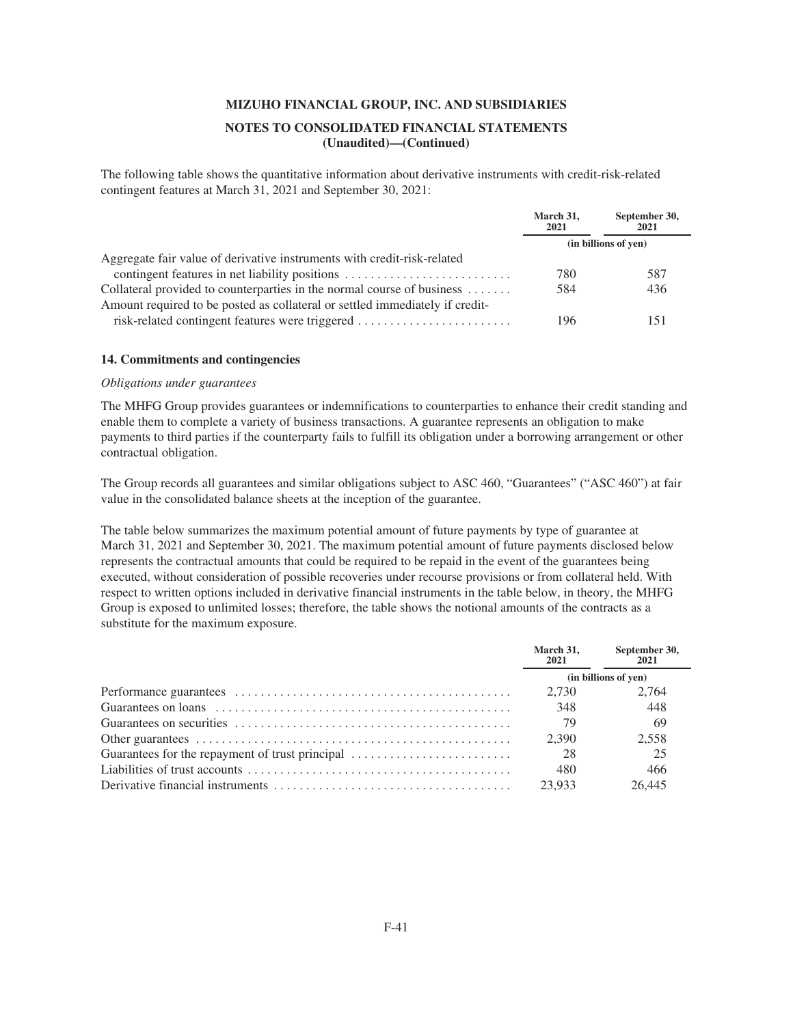## **NOTES TO CONSOLIDATED FINANCIAL STATEMENTS (Unaudited)—(Continued)**

The following table shows the quantitative information about derivative instruments with credit-risk-related contingent features at March 31, 2021 and September 30, 2021:

|                                                                              | March 31,<br>2021 | September 30,<br>2021 |
|------------------------------------------------------------------------------|-------------------|-----------------------|
|                                                                              |                   | (in billions of yen)  |
| Aggregate fair value of derivative instruments with credit-risk-related      |                   |                       |
| contingent features in net liability positions                               | 780               | 587                   |
| Collateral provided to counterparties in the normal course of business       | 584               | 436                   |
| Amount required to be posted as collateral or settled immediately if credit- |                   |                       |
| risk-related contingent features were triggered                              | 196               | 151                   |

#### **14. Commitments and contingencies**

## *Obligations under guarantees*

The MHFG Group provides guarantees or indemnifications to counterparties to enhance their credit standing and enable them to complete a variety of business transactions. A guarantee represents an obligation to make payments to third parties if the counterparty fails to fulfill its obligation under a borrowing arrangement or other contractual obligation.

The Group records all guarantees and similar obligations subject to ASC 460, "Guarantees" ("ASC 460") at fair value in the consolidated balance sheets at the inception of the guarantee.

The table below summarizes the maximum potential amount of future payments by type of guarantee at March 31, 2021 and September 30, 2021. The maximum potential amount of future payments disclosed below represents the contractual amounts that could be required to be repaid in the event of the guarantees being executed, without consideration of possible recoveries under recourse provisions or from collateral held. With respect to written options included in derivative financial instruments in the table below, in theory, the MHFG Group is exposed to unlimited losses; therefore, the table shows the notional amounts of the contracts as a substitute for the maximum exposure.

|                                                                                                                 | March 31,<br>2021    | September 30,<br>2021 |
|-----------------------------------------------------------------------------------------------------------------|----------------------|-----------------------|
|                                                                                                                 | (in billions of yen) |                       |
|                                                                                                                 |                      | 2.764                 |
| Guarantees on loans $\dots \dots \dots \dots \dots \dots \dots \dots \dots \dots \dots \dots \dots \dots \dots$ | 348                  | 448                   |
|                                                                                                                 | 79                   | -69                   |
|                                                                                                                 | 2.390                | 2.558                 |
|                                                                                                                 |                      | 25                    |
|                                                                                                                 | 480                  | 466                   |
|                                                                                                                 | 23.933               | 26.445                |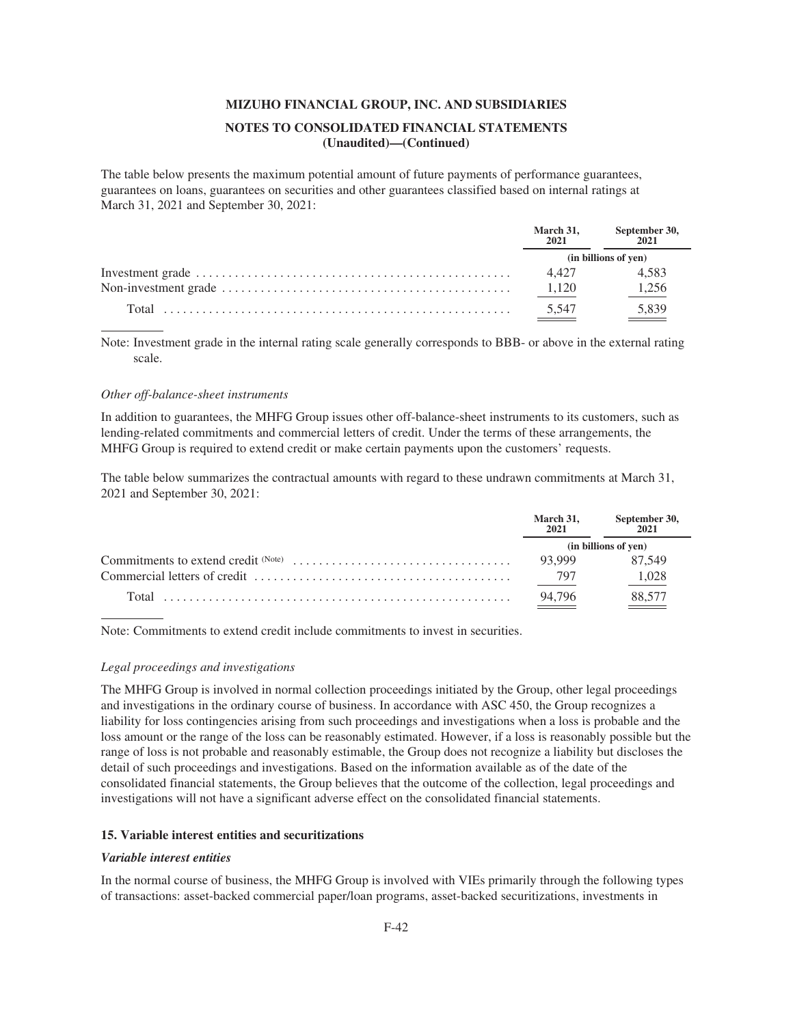### **NOTES TO CONSOLIDATED FINANCIAL STATEMENTS (Unaudited)—(Continued)**

The table below presents the maximum potential amount of future payments of performance guarantees, guarantees on loans, guarantees on securities and other guarantees classified based on internal ratings at March 31, 2021 and September 30, 2021:

| March 31,<br>2021 | September 30,<br>2021 |
|-------------------|-----------------------|
|                   | (in billions of yen)  |
| 4.427             | 4.583                 |
| 1.120             | 1.256                 |
| 5,547             | 5.839                 |

Note: Investment grade in the internal rating scale generally corresponds to BBB- or above in the external rating scale.

#### *Other off-balance-sheet instruments*

In addition to guarantees, the MHFG Group issues other off-balance-sheet instruments to its customers, such as lending-related commitments and commercial letters of credit. Under the terms of these arrangements, the MHFG Group is required to extend credit or make certain payments upon the customers' requests.

The table below summarizes the contractual amounts with regard to these undrawn commitments at March 31, 2021 and September 30, 2021:

| March 31,<br>2021 | September 30,<br>2021 |
|-------------------|-----------------------|
|                   | (in billions of yen)  |
| 93.999            | 87.549                |
| - 797             | 1,028                 |
| 94,796            | 88,577                |

Note: Commitments to extend credit include commitments to invest in securities.

#### *Legal proceedings and investigations*

The MHFG Group is involved in normal collection proceedings initiated by the Group, other legal proceedings and investigations in the ordinary course of business. In accordance with ASC 450, the Group recognizes a liability for loss contingencies arising from such proceedings and investigations when a loss is probable and the loss amount or the range of the loss can be reasonably estimated. However, if a loss is reasonably possible but the range of loss is not probable and reasonably estimable, the Group does not recognize a liability but discloses the detail of such proceedings and investigations. Based on the information available as of the date of the consolidated financial statements, the Group believes that the outcome of the collection, legal proceedings and investigations will not have a significant adverse effect on the consolidated financial statements.

### **15. Variable interest entities and securitizations**

#### *Variable interest entities*

In the normal course of business, the MHFG Group is involved with VIEs primarily through the following types of transactions: asset-backed commercial paper/loan programs, asset-backed securitizations, investments in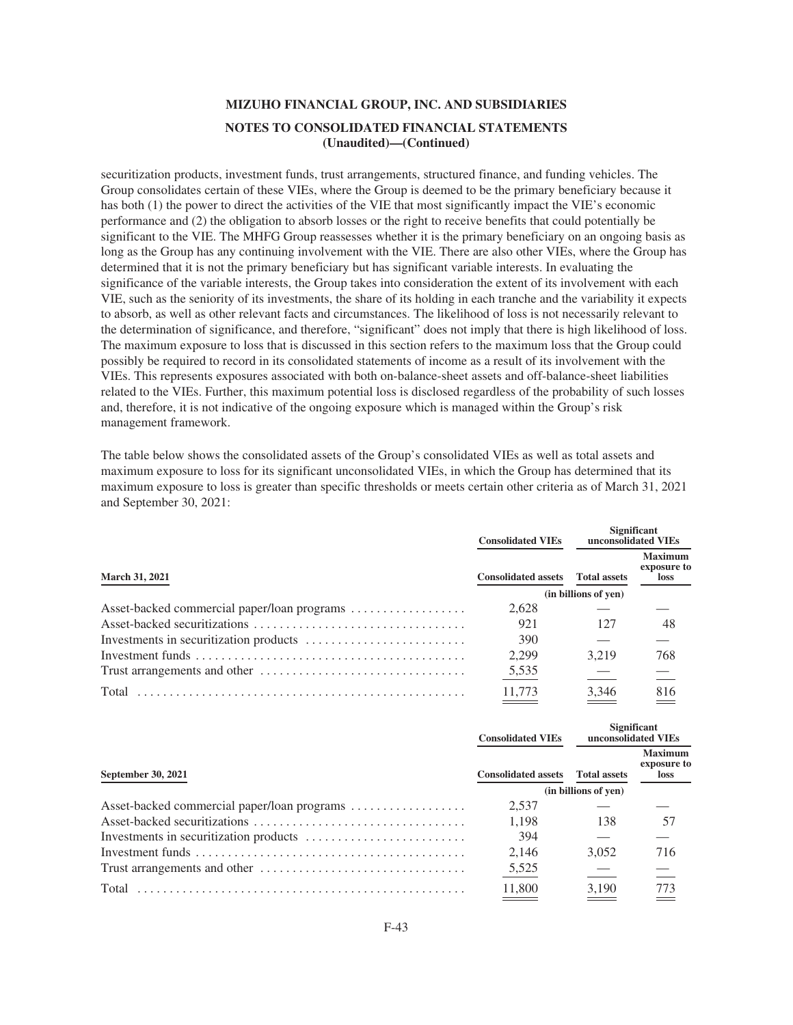securitization products, investment funds, trust arrangements, structured finance, and funding vehicles. The Group consolidates certain of these VIEs, where the Group is deemed to be the primary beneficiary because it has both (1) the power to direct the activities of the VIE that most significantly impact the VIE's economic performance and (2) the obligation to absorb losses or the right to receive benefits that could potentially be significant to the VIE. The MHFG Group reassesses whether it is the primary beneficiary on an ongoing basis as long as the Group has any continuing involvement with the VIE. There are also other VIEs, where the Group has determined that it is not the primary beneficiary but has significant variable interests. In evaluating the significance of the variable interests, the Group takes into consideration the extent of its involvement with each VIE, such as the seniority of its investments, the share of its holding in each tranche and the variability it expects to absorb, as well as other relevant facts and circumstances. The likelihood of loss is not necessarily relevant to the determination of significance, and therefore, "significant" does not imply that there is high likelihood of loss. The maximum exposure to loss that is discussed in this section refers to the maximum loss that the Group could possibly be required to record in its consolidated statements of income as a result of its involvement with the VIEs. This represents exposures associated with both on-balance-sheet assets and off-balance-sheet liabilities related to the VIEs. Further, this maximum potential loss is disclosed regardless of the probability of such losses and, therefore, it is not indicative of the ongoing exposure which is managed within the Group's risk management framework.

The table below shows the consolidated assets of the Group's consolidated VIEs as well as total assets and maximum exposure to loss for its significant unconsolidated VIEs, in which the Group has determined that its maximum exposure to loss is greater than specific thresholds or meets certain other criteria as of March 31, 2021 and September 30, 2021:

|                                             | <b>Consolidated VIEs</b>   | <b>Significant</b><br>unconsolidated VIEs |                                       |
|---------------------------------------------|----------------------------|-------------------------------------------|---------------------------------------|
| <b>March 31, 2021</b>                       | <b>Consolidated assets</b> | <b>Total assets</b>                       | <b>Maximum</b><br>exposure to<br>loss |
|                                             |                            | (in billions of yen)                      |                                       |
| Asset-backed commercial paper/loan programs | 2.628                      |                                           |                                       |
|                                             | 921                        | 127                                       | 48                                    |
|                                             | 390                        |                                           |                                       |
|                                             | 2.299                      | 3.219                                     | 768                                   |
|                                             | 5,535                      |                                           |                                       |
|                                             | 11.773                     | 3.346                                     | 816                                   |

|                           | <b>Consolidated VIEs</b>   |                      | <b>Significant</b><br>unconsolidated VIEs |
|---------------------------|----------------------------|----------------------|-------------------------------------------|
| <b>September 30, 2021</b> | <b>Consolidated assets</b> | <b>Total assets</b>  | <b>Maximum</b><br>exposure to<br>loss     |
|                           |                            | (in billions of yen) |                                           |
|                           | 2,537                      |                      |                                           |
|                           | 1.198                      | 138                  | 57                                        |
|                           | 394                        |                      |                                           |
|                           | 2.146                      | 3.052                | 716                                       |
|                           | 5,525                      |                      |                                           |
| Total                     | 11.800                     | 3.190                | 773                                       |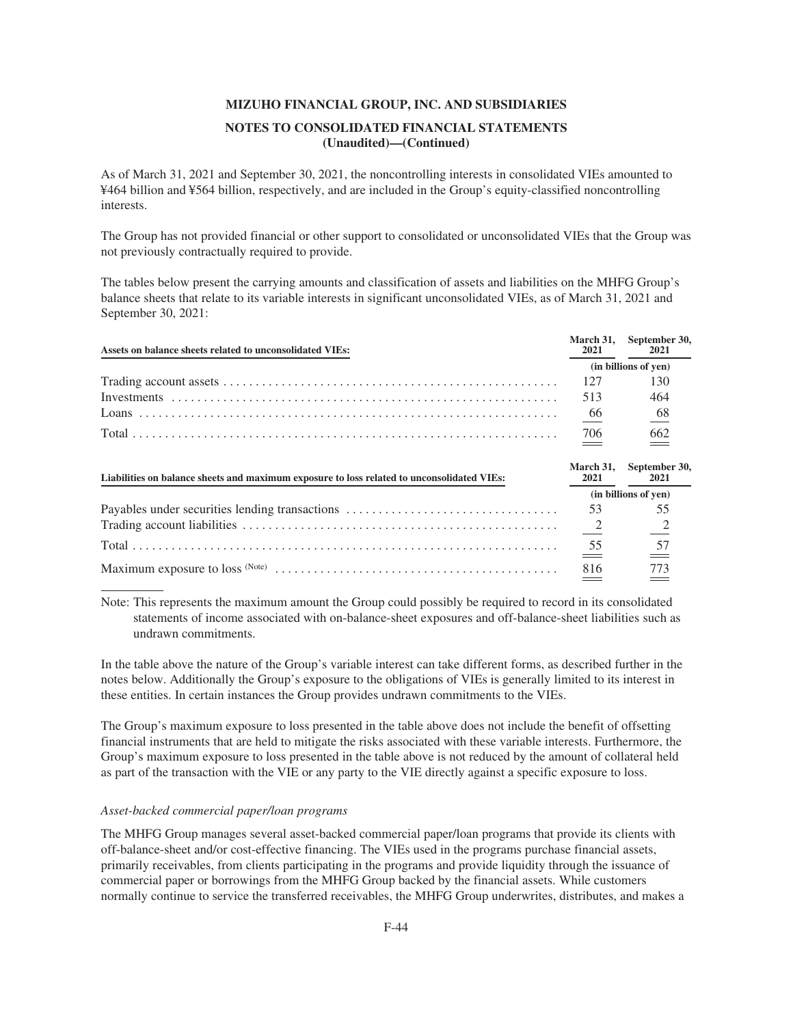As of March 31, 2021 and September 30, 2021, the noncontrolling interests in consolidated VIEs amounted to ¥464 billion and ¥564 billion, respectively, and are included in the Group's equity-classified noncontrolling interests.

The Group has not provided financial or other support to consolidated or unconsolidated VIEs that the Group was not previously contractually required to provide.

The tables below present the carrying amounts and classification of assets and liabilities on the MHFG Group's balance sheets that relate to its variable interests in significant unconsolidated VIEs, as of March 31, 2021 and September 30, 2021:

| Assets on balance sheets related to unconsolidated VIEs:                                   | March 31.<br>2021        | September 30,<br>2021 |
|--------------------------------------------------------------------------------------------|--------------------------|-----------------------|
|                                                                                            |                          | (in billions of yen)  |
|                                                                                            | 127                      | 130                   |
|                                                                                            | 513                      | 464                   |
|                                                                                            | $\underline{66}$         | 68                    |
|                                                                                            | 706                      | 662                   |
| Liabilities on balance sheets and maximum exposure to loss related to unconsolidated VIEs: | <b>March 31.</b><br>2021 | September 30,<br>2021 |
|                                                                                            |                          | (in billions of yen)  |
| Payables under securities lending transactions                                             | 53                       | 55                    |
|                                                                                            |                          |                       |
|                                                                                            | $\frac{55}{2}$           | 57                    |
|                                                                                            | 816                      | 773                   |

Note: This represents the maximum amount the Group could possibly be required to record in its consolidated statements of income associated with on-balance-sheet exposures and off-balance-sheet liabilities such as undrawn commitments.

In the table above the nature of the Group's variable interest can take different forms, as described further in the notes below. Additionally the Group's exposure to the obligations of VIEs is generally limited to its interest in these entities. In certain instances the Group provides undrawn commitments to the VIEs.

The Group's maximum exposure to loss presented in the table above does not include the benefit of offsetting financial instruments that are held to mitigate the risks associated with these variable interests. Furthermore, the Group's maximum exposure to loss presented in the table above is not reduced by the amount of collateral held as part of the transaction with the VIE or any party to the VIE directly against a specific exposure to loss.

## *Asset-backed commercial paper/loan programs*

The MHFG Group manages several asset-backed commercial paper/loan programs that provide its clients with off-balance-sheet and/or cost-effective financing. The VIEs used in the programs purchase financial assets, primarily receivables, from clients participating in the programs and provide liquidity through the issuance of commercial paper or borrowings from the MHFG Group backed by the financial assets. While customers normally continue to service the transferred receivables, the MHFG Group underwrites, distributes, and makes a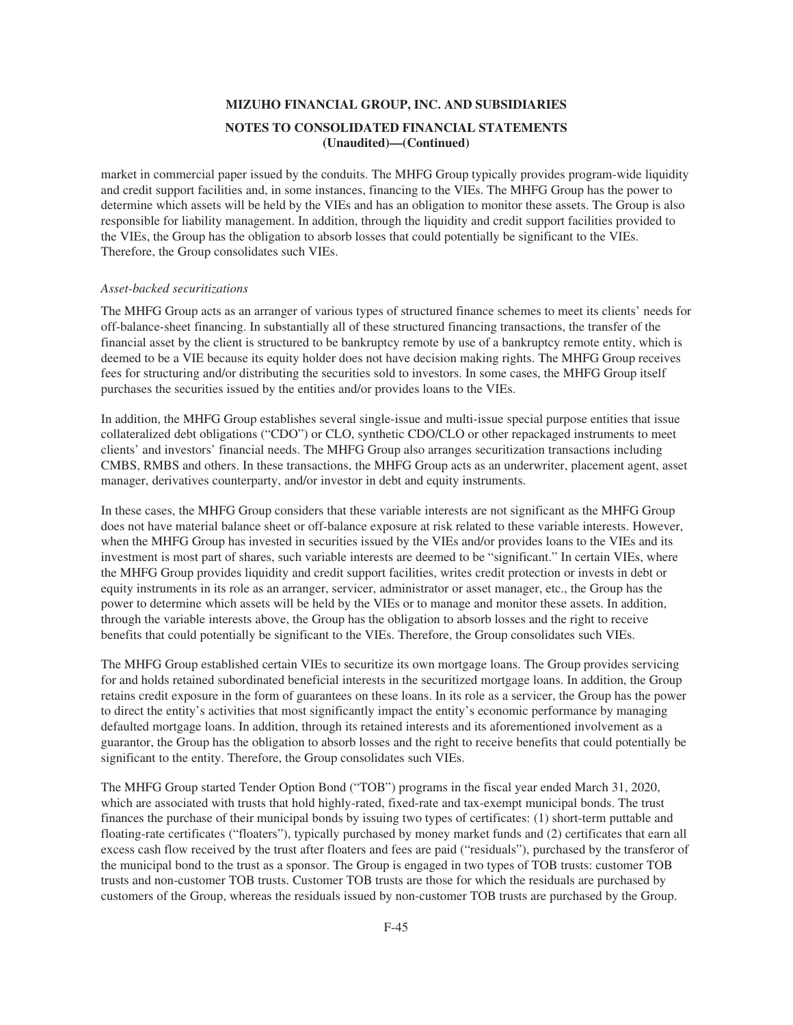market in commercial paper issued by the conduits. The MHFG Group typically provides program-wide liquidity and credit support facilities and, in some instances, financing to the VIEs. The MHFG Group has the power to determine which assets will be held by the VIEs and has an obligation to monitor these assets. The Group is also responsible for liability management. In addition, through the liquidity and credit support facilities provided to the VIEs, the Group has the obligation to absorb losses that could potentially be significant to the VIEs. Therefore, the Group consolidates such VIEs.

#### *Asset-backed securitizations*

The MHFG Group acts as an arranger of various types of structured finance schemes to meet its clients' needs for off-balance-sheet financing. In substantially all of these structured financing transactions, the transfer of the financial asset by the client is structured to be bankruptcy remote by use of a bankruptcy remote entity, which is deemed to be a VIE because its equity holder does not have decision making rights. The MHFG Group receives fees for structuring and/or distributing the securities sold to investors. In some cases, the MHFG Group itself purchases the securities issued by the entities and/or provides loans to the VIEs.

In addition, the MHFG Group establishes several single-issue and multi-issue special purpose entities that issue collateralized debt obligations ("CDO") or CLO, synthetic CDO/CLO or other repackaged instruments to meet clients' and investors' financial needs. The MHFG Group also arranges securitization transactions including CMBS, RMBS and others. In these transactions, the MHFG Group acts as an underwriter, placement agent, asset manager, derivatives counterparty, and/or investor in debt and equity instruments.

In these cases, the MHFG Group considers that these variable interests are not significant as the MHFG Group does not have material balance sheet or off-balance exposure at risk related to these variable interests. However, when the MHFG Group has invested in securities issued by the VIEs and/or provides loans to the VIEs and its investment is most part of shares, such variable interests are deemed to be "significant." In certain VIEs, where the MHFG Group provides liquidity and credit support facilities, writes credit protection or invests in debt or equity instruments in its role as an arranger, servicer, administrator or asset manager, etc., the Group has the power to determine which assets will be held by the VIEs or to manage and monitor these assets. In addition, through the variable interests above, the Group has the obligation to absorb losses and the right to receive benefits that could potentially be significant to the VIEs. Therefore, the Group consolidates such VIEs.

The MHFG Group established certain VIEs to securitize its own mortgage loans. The Group provides servicing for and holds retained subordinated beneficial interests in the securitized mortgage loans. In addition, the Group retains credit exposure in the form of guarantees on these loans. In its role as a servicer, the Group has the power to direct the entity's activities that most significantly impact the entity's economic performance by managing defaulted mortgage loans. In addition, through its retained interests and its aforementioned involvement as a guarantor, the Group has the obligation to absorb losses and the right to receive benefits that could potentially be significant to the entity. Therefore, the Group consolidates such VIEs.

The MHFG Group started Tender Option Bond ("TOB") programs in the fiscal year ended March 31, 2020, which are associated with trusts that hold highly-rated, fixed-rate and tax-exempt municipal bonds. The trust finances the purchase of their municipal bonds by issuing two types of certificates: (1) short-term puttable and floating-rate certificates ("floaters"), typically purchased by money market funds and (2) certificates that earn all excess cash flow received by the trust after floaters and fees are paid ("residuals"), purchased by the transferor of the municipal bond to the trust as a sponsor. The Group is engaged in two types of TOB trusts: customer TOB trusts and non-customer TOB trusts. Customer TOB trusts are those for which the residuals are purchased by customers of the Group, whereas the residuals issued by non-customer TOB trusts are purchased by the Group.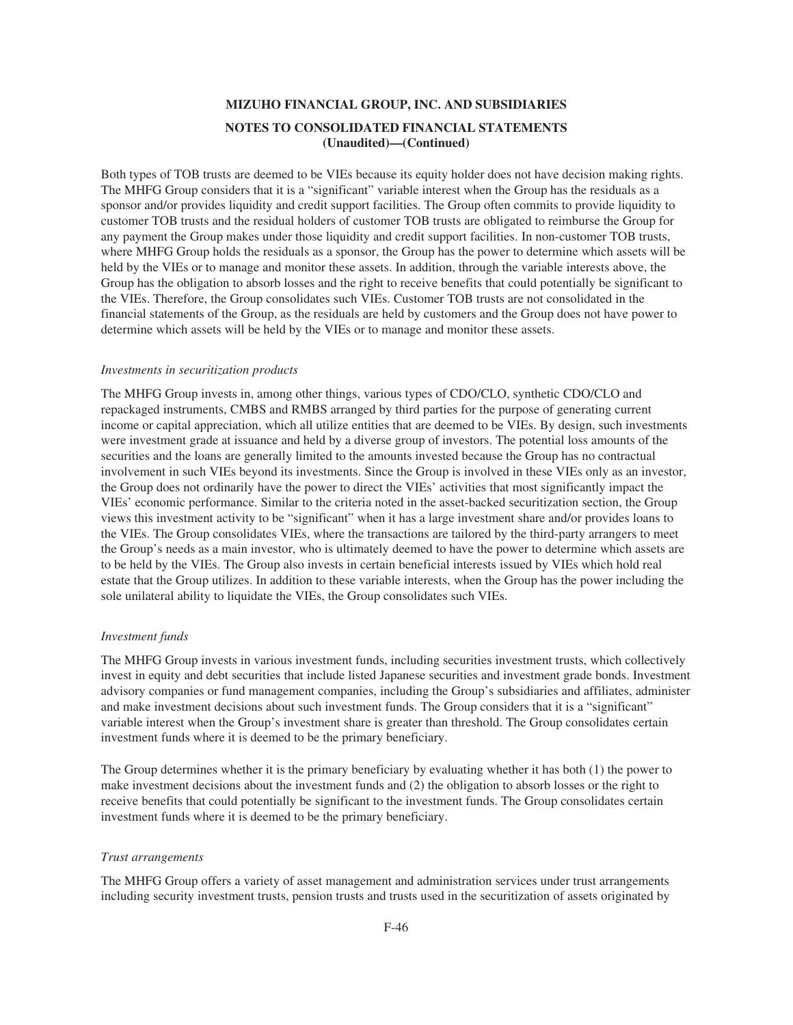Both types of TOB trusts are deemed to be VIEs because its equity holder does not have decision making rights. The MHFG Group considers that it is a "significant" variable interest when the Group has the residuals as a sponsor and/or provides liquidity and credit support facilities. The Group often commits to provide liquidity to customer TOB trusts and the residual holders of customer TOB trusts are obligated to reimburse the Group for any payment the Group makes under those liquidity and credit support facilities. In non-customer TOB trusts, where MHFG Group holds the residuals as a sponsor, the Group has the power to determine which assets will be held by the VIEs or to manage and monitor these assets. In addition, through the variable interests above, the Group has the obligation to absorb losses and the right to receive benefits that could potentially be significant to the VIEs. Therefore, the Group consolidates such VIEs. Customer TOB trusts are not consolidated in the financial statements of the Group, as the residuals are held by customers and the Group does not have power to determine which assets will be held by the VIEs or to manage and monitor these assets.

#### *Investments in securitization products*

The MHFG Group invests in, among other things, various types of CDO/CLO, synthetic CDO/CLO and repackaged instruments, CMBS and RMBS arranged by third parties for the purpose of generating current income or capital appreciation, which all utilize entities that are deemed to be VIEs. By design, such investments were investment grade at issuance and held by a diverse group of investors. The potential loss amounts of the securities and the loans are generally limited to the amounts invested because the Group has no contractual involvement in such VIEs beyond its investments. Since the Group is involved in these VIEs only as an investor, the Group does not ordinarily have the power to direct the VIEs' activities that most significantly impact the VIEs' economic performance. Similar to the criteria noted in the asset-backed securitization section, the Group views this investment activity to be "significant" when it has a large investment share and/or provides loans to the VIEs. The Group consolidates VIEs, where the transactions are tailored by the third-party arrangers to meet the Group's needs as a main investor, who is ultimately deemed to have the power to determine which assets are to be held by the VIEs. The Group also invests in certain beneficial interests issued by VIEs which hold real estate that the Group utilizes. In addition to these variable interests, when the Group has the power including the sole unilateral ability to liquidate the VIEs, the Group consolidates such VIEs.

#### *Investment funds*

The MHFG Group invests in various investment funds, including securities investment trusts, which collectively invest in equity and debt securities that include listed Japanese securities and investment grade bonds. Investment advisory companies or fund management companies, including the Group's subsidiaries and affiliates, administer and make investment decisions about such investment funds. The Group considers that it is a "significant" variable interest when the Group's investment share is greater than threshold. The Group consolidates certain investment funds where it is deemed to be the primary beneficiary.

The Group determines whether it is the primary beneficiary by evaluating whether it has both (1) the power to make investment decisions about the investment funds and (2) the obligation to absorb losses or the right to receive benefits that could potentially be significant to the investment funds. The Group consolidates certain investment funds where it is deemed to be the primary beneficiary.

### *Trust arrangements*

The MHFG Group offers a variety of asset management and administration services under trust arrangements including security investment trusts, pension trusts and trusts used in the securitization of assets originated by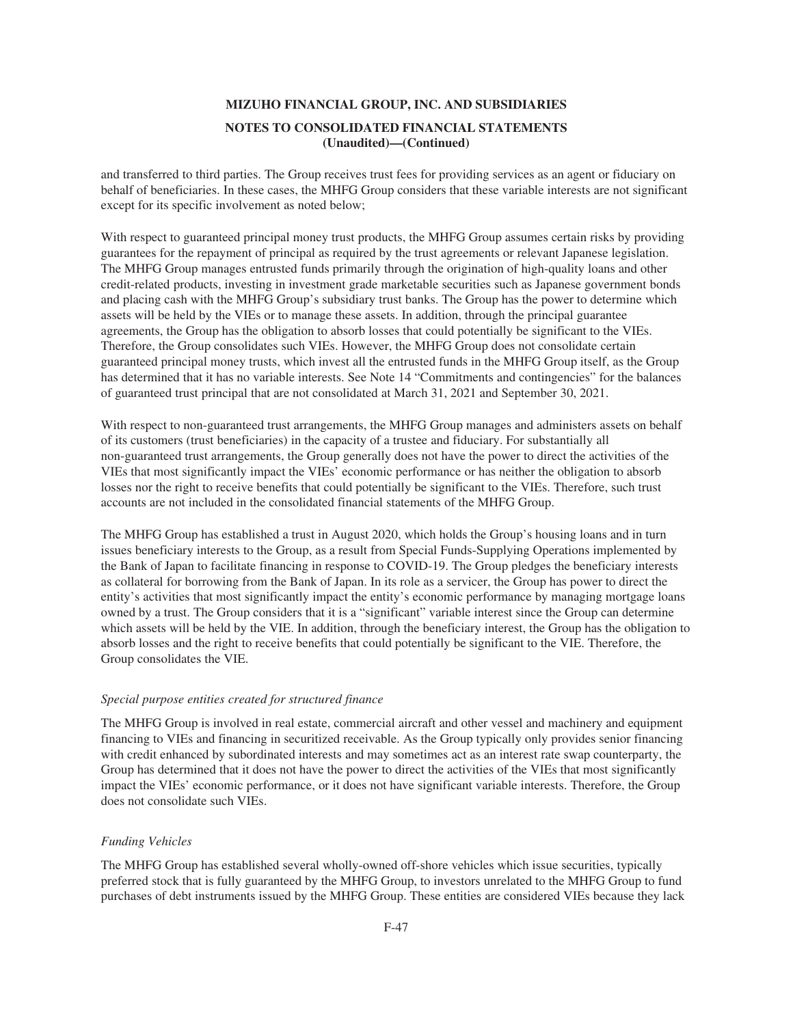and transferred to third parties. The Group receives trust fees for providing services as an agent or fiduciary on behalf of beneficiaries. In these cases, the MHFG Group considers that these variable interests are not significant except for its specific involvement as noted below;

With respect to guaranteed principal money trust products, the MHFG Group assumes certain risks by providing guarantees for the repayment of principal as required by the trust agreements or relevant Japanese legislation. The MHFG Group manages entrusted funds primarily through the origination of high-quality loans and other credit-related products, investing in investment grade marketable securities such as Japanese government bonds and placing cash with the MHFG Group's subsidiary trust banks. The Group has the power to determine which assets will be held by the VIEs or to manage these assets. In addition, through the principal guarantee agreements, the Group has the obligation to absorb losses that could potentially be significant to the VIEs. Therefore, the Group consolidates such VIEs. However, the MHFG Group does not consolidate certain guaranteed principal money trusts, which invest all the entrusted funds in the MHFG Group itself, as the Group has determined that it has no variable interests. See Note 14 "Commitments and contingencies" for the balances of guaranteed trust principal that are not consolidated at March 31, 2021 and September 30, 2021.

With respect to non-guaranteed trust arrangements, the MHFG Group manages and administers assets on behalf of its customers (trust beneficiaries) in the capacity of a trustee and fiduciary. For substantially all non-guaranteed trust arrangements, the Group generally does not have the power to direct the activities of the VIEs that most significantly impact the VIEs' economic performance or has neither the obligation to absorb losses nor the right to receive benefits that could potentially be significant to the VIEs. Therefore, such trust accounts are not included in the consolidated financial statements of the MHFG Group.

The MHFG Group has established a trust in August 2020, which holds the Group's housing loans and in turn issues beneficiary interests to the Group, as a result from Special Funds-Supplying Operations implemented by the Bank of Japan to facilitate financing in response to COVID-19. The Group pledges the beneficiary interests as collateral for borrowing from the Bank of Japan. In its role as a servicer, the Group has power to direct the entity's activities that most significantly impact the entity's economic performance by managing mortgage loans owned by a trust. The Group considers that it is a "significant" variable interest since the Group can determine which assets will be held by the VIE. In addition, through the beneficiary interest, the Group has the obligation to absorb losses and the right to receive benefits that could potentially be significant to the VIE. Therefore, the Group consolidates the VIE.

#### *Special purpose entities created for structured finance*

The MHFG Group is involved in real estate, commercial aircraft and other vessel and machinery and equipment financing to VIEs and financing in securitized receivable. As the Group typically only provides senior financing with credit enhanced by subordinated interests and may sometimes act as an interest rate swap counterparty, the Group has determined that it does not have the power to direct the activities of the VIEs that most significantly impact the VIEs' economic performance, or it does not have significant variable interests. Therefore, the Group does not consolidate such VIEs.

#### *Funding Vehicles*

The MHFG Group has established several wholly-owned off-shore vehicles which issue securities, typically preferred stock that is fully guaranteed by the MHFG Group, to investors unrelated to the MHFG Group to fund purchases of debt instruments issued by the MHFG Group. These entities are considered VIEs because they lack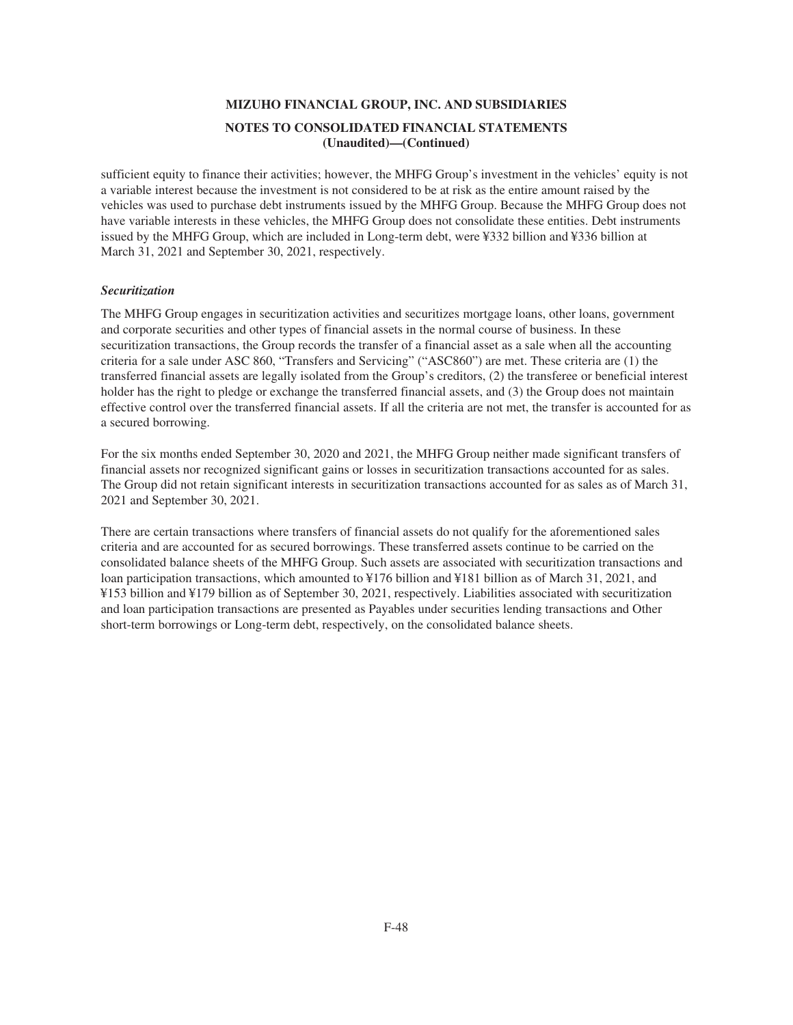sufficient equity to finance their activities; however, the MHFG Group's investment in the vehicles' equity is not a variable interest because the investment is not considered to be at risk as the entire amount raised by the vehicles was used to purchase debt instruments issued by the MHFG Group. Because the MHFG Group does not have variable interests in these vehicles, the MHFG Group does not consolidate these entities. Debt instruments issued by the MHFG Group, which are included in Long-term debt, were ¥332 billion and ¥336 billion at March 31, 2021 and September 30, 2021, respectively.

## *Securitization*

The MHFG Group engages in securitization activities and securitizes mortgage loans, other loans, government and corporate securities and other types of financial assets in the normal course of business. In these securitization transactions, the Group records the transfer of a financial asset as a sale when all the accounting criteria for a sale under ASC 860, "Transfers and Servicing" ("ASC860") are met. These criteria are (1) the transferred financial assets are legally isolated from the Group's creditors, (2) the transferee or beneficial interest holder has the right to pledge or exchange the transferred financial assets, and (3) the Group does not maintain effective control over the transferred financial assets. If all the criteria are not met, the transfer is accounted for as a secured borrowing.

For the six months ended September 30, 2020 and 2021, the MHFG Group neither made significant transfers of financial assets nor recognized significant gains or losses in securitization transactions accounted for as sales. The Group did not retain significant interests in securitization transactions accounted for as sales as of March 31, 2021 and September 30, 2021.

There are certain transactions where transfers of financial assets do not qualify for the aforementioned sales criteria and are accounted for as secured borrowings. These transferred assets continue to be carried on the consolidated balance sheets of the MHFG Group. Such assets are associated with securitization transactions and loan participation transactions, which amounted to ¥176 billion and ¥181 billion as of March 31, 2021, and ¥153 billion and ¥179 billion as of September 30, 2021, respectively. Liabilities associated with securitization and loan participation transactions are presented as Payables under securities lending transactions and Other short-term borrowings or Long-term debt, respectively, on the consolidated balance sheets.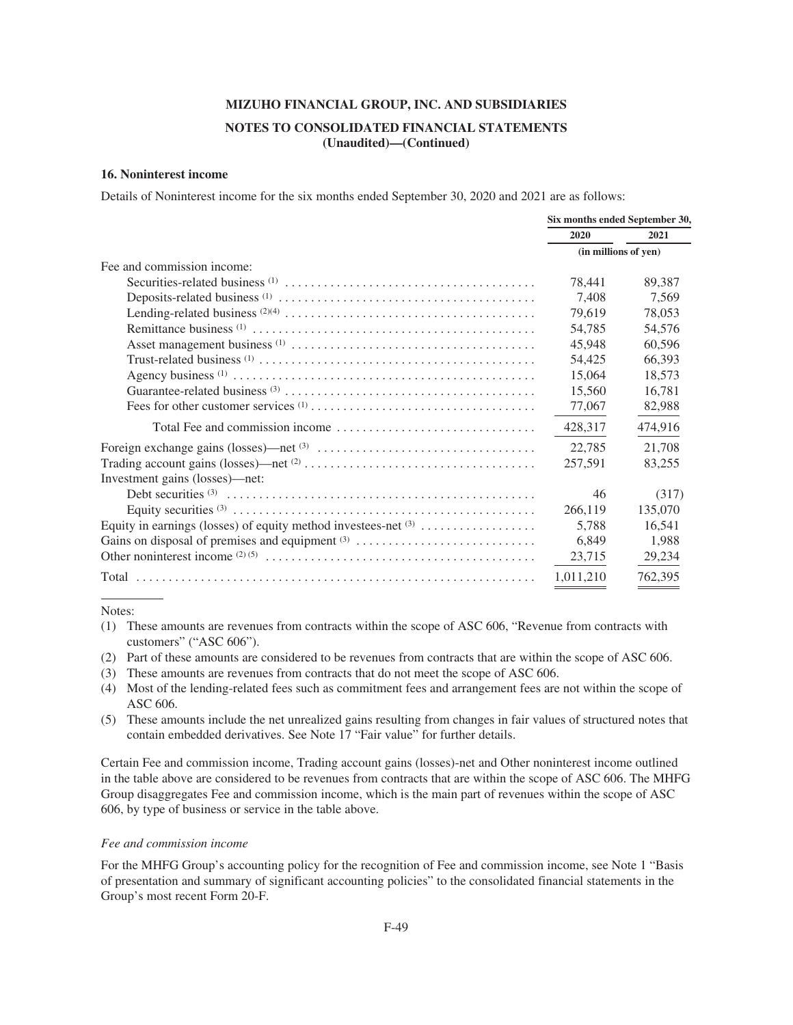## **NOTES TO CONSOLIDATED FINANCIAL STATEMENTS (Unaudited)—(Continued)**

### **16. Noninterest income**

Details of Noninterest income for the six months ended September 30, 2020 and 2021 are as follows:

|                                                                  | Six months ended September 30, |         |
|------------------------------------------------------------------|--------------------------------|---------|
|                                                                  | 2020                           | 2021    |
|                                                                  | (in millions of yen)           |         |
| Fee and commission income:                                       |                                |         |
|                                                                  | 78,441                         | 89,387  |
|                                                                  | 7,408                          | 7,569   |
|                                                                  | 79,619                         | 78,053  |
|                                                                  | 54,785                         | 54,576  |
|                                                                  | 45,948                         | 60,596  |
|                                                                  | 54,425                         | 66,393  |
|                                                                  | 15,064                         | 18,573  |
|                                                                  | 15,560                         | 16,781  |
|                                                                  | 77,067                         | 82,988  |
|                                                                  | 428,317                        | 474,916 |
|                                                                  | 22,785                         | 21,708  |
|                                                                  | 257,591                        | 83,255  |
| Investment gains (losses)—net:                                   |                                |         |
|                                                                  | 46                             | (317)   |
|                                                                  | 266,119                        | 135,070 |
| Equity in earnings (losses) of equity method investees-net $(3)$ | 5,788                          | 16,541  |
|                                                                  | 6,849                          | 1,988   |
|                                                                  | 23,715                         | 29,234  |
|                                                                  | 1,011,210                      | 762,395 |

Notes:

- (1) These amounts are revenues from contracts within the scope of ASC 606, "Revenue from contracts with customers" ("ASC 606").
- (2) Part of these amounts are considered to be revenues from contracts that are within the scope of ASC 606.
- (3) These amounts are revenues from contracts that do not meet the scope of ASC 606.
- (4) Most of the lending-related fees such as commitment fees and arrangement fees are not within the scope of ASC 606.
- (5) These amounts include the net unrealized gains resulting from changes in fair values of structured notes that contain embedded derivatives. See Note 17 "Fair value" for further details.

Certain Fee and commission income, Trading account gains (losses)-net and Other noninterest income outlined in the table above are considered to be revenues from contracts that are within the scope of ASC 606. The MHFG Group disaggregates Fee and commission income, which is the main part of revenues within the scope of ASC 606, by type of business or service in the table above.

### *Fee and commission income*

For the MHFG Group's accounting policy for the recognition of Fee and commission income, see Note 1 "Basis of presentation and summary of significant accounting policies" to the consolidated financial statements in the Group's most recent Form 20-F.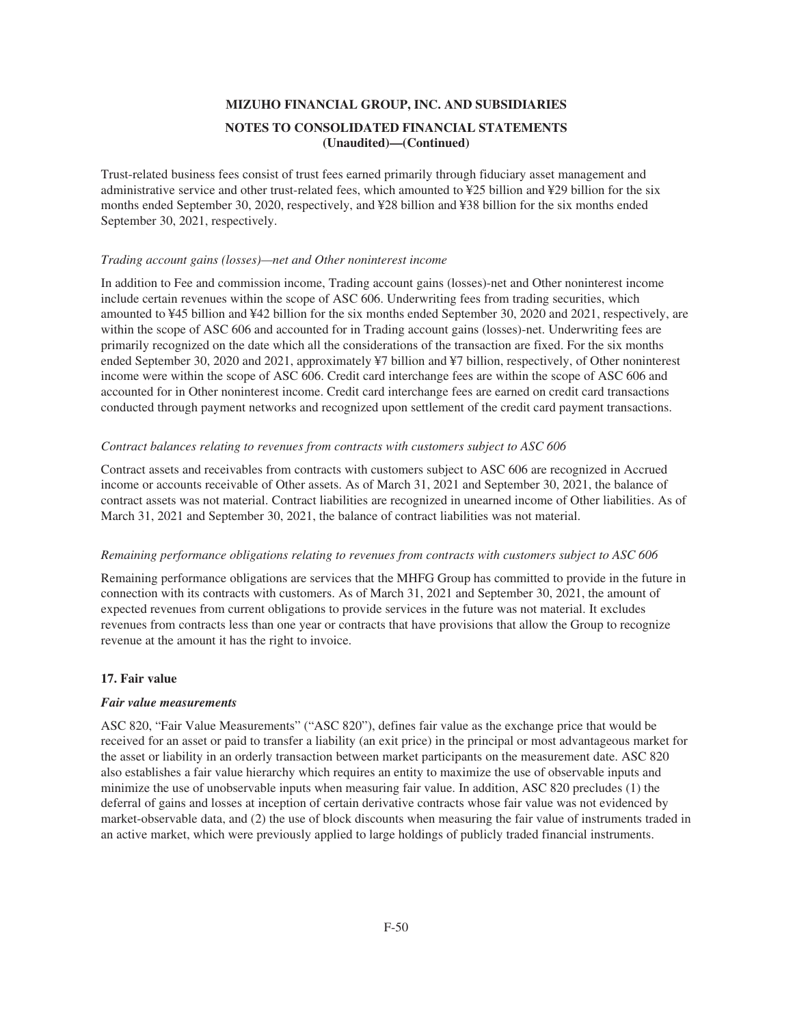Trust-related business fees consist of trust fees earned primarily through fiduciary asset management and administrative service and other trust-related fees, which amounted to ¥25 billion and ¥29 billion for the six months ended September 30, 2020, respectively, and ¥28 billion and ¥38 billion for the six months ended September 30, 2021, respectively.

### *Trading account gains (losses)—net and Other noninterest income*

In addition to Fee and commission income, Trading account gains (losses)-net and Other noninterest income include certain revenues within the scope of ASC 606. Underwriting fees from trading securities, which amounted to ¥45 billion and ¥42 billion for the six months ended September 30, 2020 and 2021, respectively, are within the scope of ASC 606 and accounted for in Trading account gains (losses)-net. Underwriting fees are primarily recognized on the date which all the considerations of the transaction are fixed. For the six months ended September 30, 2020 and 2021, approximately ¥7 billion and ¥7 billion, respectively, of Other noninterest income were within the scope of ASC 606. Credit card interchange fees are within the scope of ASC 606 and accounted for in Other noninterest income. Credit card interchange fees are earned on credit card transactions conducted through payment networks and recognized upon settlement of the credit card payment transactions.

#### *Contract balances relating to revenues from contracts with customers subject to ASC 606*

Contract assets and receivables from contracts with customers subject to ASC 606 are recognized in Accrued income or accounts receivable of Other assets. As of March 31, 2021 and September 30, 2021, the balance of contract assets was not material. Contract liabilities are recognized in unearned income of Other liabilities. As of March 31, 2021 and September 30, 2021, the balance of contract liabilities was not material.

#### *Remaining performance obligations relating to revenues from contracts with customers subject to ASC 606*

Remaining performance obligations are services that the MHFG Group has committed to provide in the future in connection with its contracts with customers. As of March 31, 2021 and September 30, 2021, the amount of expected revenues from current obligations to provide services in the future was not material. It excludes revenues from contracts less than one year or contracts that have provisions that allow the Group to recognize revenue at the amount it has the right to invoice.

## **17. Fair value**

#### *Fair value measurements*

ASC 820, "Fair Value Measurements" ("ASC 820"), defines fair value as the exchange price that would be received for an asset or paid to transfer a liability (an exit price) in the principal or most advantageous market for the asset or liability in an orderly transaction between market participants on the measurement date. ASC 820 also establishes a fair value hierarchy which requires an entity to maximize the use of observable inputs and minimize the use of unobservable inputs when measuring fair value. In addition, ASC 820 precludes (1) the deferral of gains and losses at inception of certain derivative contracts whose fair value was not evidenced by market-observable data, and (2) the use of block discounts when measuring the fair value of instruments traded in an active market, which were previously applied to large holdings of publicly traded financial instruments.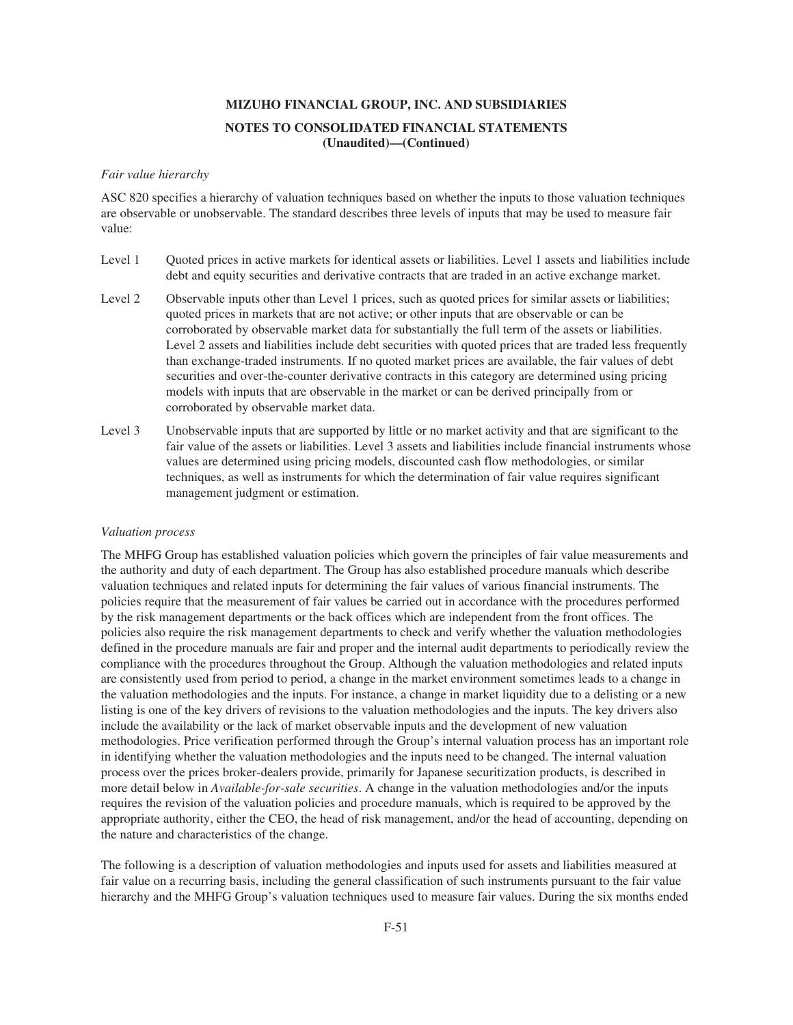### *Fair value hierarchy*

ASC 820 specifies a hierarchy of valuation techniques based on whether the inputs to those valuation techniques are observable or unobservable. The standard describes three levels of inputs that may be used to measure fair value:

- Level 1 Quoted prices in active markets for identical assets or liabilities. Level 1 assets and liabilities include debt and equity securities and derivative contracts that are traded in an active exchange market.
- Level 2 Observable inputs other than Level 1 prices, such as quoted prices for similar assets or liabilities; quoted prices in markets that are not active; or other inputs that are observable or can be corroborated by observable market data for substantially the full term of the assets or liabilities. Level 2 assets and liabilities include debt securities with quoted prices that are traded less frequently than exchange-traded instruments. If no quoted market prices are available, the fair values of debt securities and over-the-counter derivative contracts in this category are determined using pricing models with inputs that are observable in the market or can be derived principally from or corroborated by observable market data.
- Level 3 Unobservable inputs that are supported by little or no market activity and that are significant to the fair value of the assets or liabilities. Level 3 assets and liabilities include financial instruments whose values are determined using pricing models, discounted cash flow methodologies, or similar techniques, as well as instruments for which the determination of fair value requires significant management judgment or estimation.

#### *Valuation process*

The MHFG Group has established valuation policies which govern the principles of fair value measurements and the authority and duty of each department. The Group has also established procedure manuals which describe valuation techniques and related inputs for determining the fair values of various financial instruments. The policies require that the measurement of fair values be carried out in accordance with the procedures performed by the risk management departments or the back offices which are independent from the front offices. The policies also require the risk management departments to check and verify whether the valuation methodologies defined in the procedure manuals are fair and proper and the internal audit departments to periodically review the compliance with the procedures throughout the Group. Although the valuation methodologies and related inputs are consistently used from period to period, a change in the market environment sometimes leads to a change in the valuation methodologies and the inputs. For instance, a change in market liquidity due to a delisting or a new listing is one of the key drivers of revisions to the valuation methodologies and the inputs. The key drivers also include the availability or the lack of market observable inputs and the development of new valuation methodologies. Price verification performed through the Group's internal valuation process has an important role in identifying whether the valuation methodologies and the inputs need to be changed. The internal valuation process over the prices broker-dealers provide, primarily for Japanese securitization products, is described in more detail below in *Available-for-sale securities*. A change in the valuation methodologies and/or the inputs requires the revision of the valuation policies and procedure manuals, which is required to be approved by the appropriate authority, either the CEO, the head of risk management, and/or the head of accounting, depending on the nature and characteristics of the change.

The following is a description of valuation methodologies and inputs used for assets and liabilities measured at fair value on a recurring basis, including the general classification of such instruments pursuant to the fair value hierarchy and the MHFG Group's valuation techniques used to measure fair values. During the six months ended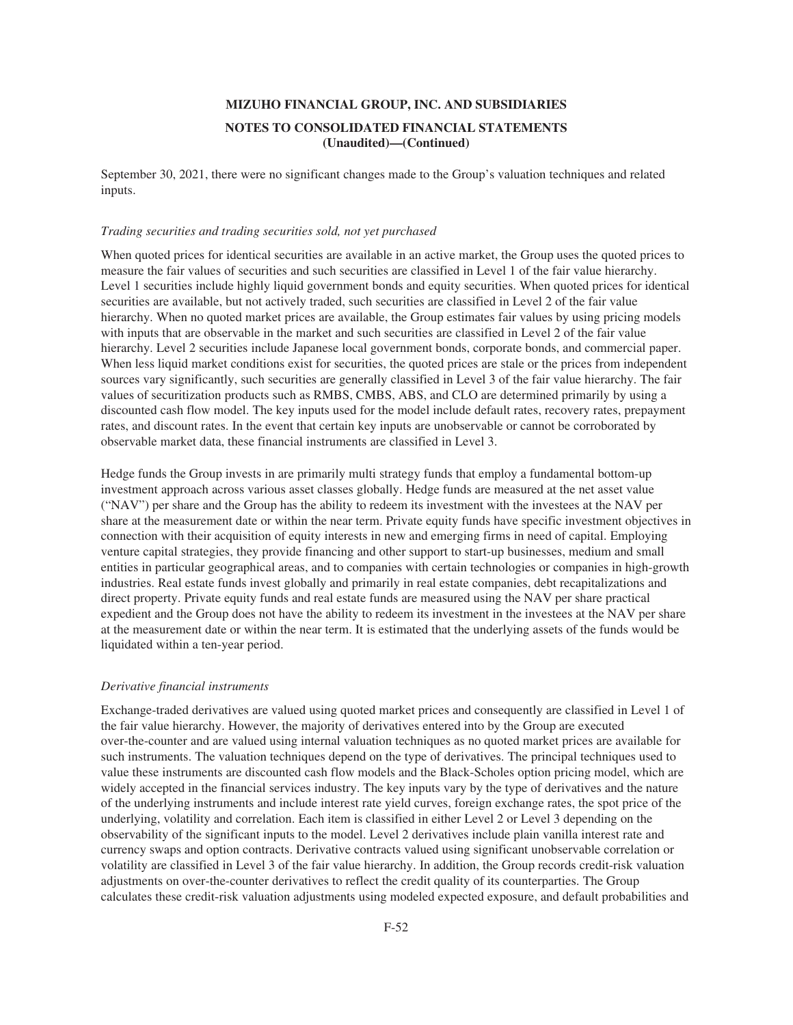September 30, 2021, there were no significant changes made to the Group's valuation techniques and related inputs.

#### *Trading securities and trading securities sold, not yet purchased*

When quoted prices for identical securities are available in an active market, the Group uses the quoted prices to measure the fair values of securities and such securities are classified in Level 1 of the fair value hierarchy. Level 1 securities include highly liquid government bonds and equity securities. When quoted prices for identical securities are available, but not actively traded, such securities are classified in Level 2 of the fair value hierarchy. When no quoted market prices are available, the Group estimates fair values by using pricing models with inputs that are observable in the market and such securities are classified in Level 2 of the fair value hierarchy. Level 2 securities include Japanese local government bonds, corporate bonds, and commercial paper. When less liquid market conditions exist for securities, the quoted prices are stale or the prices from independent sources vary significantly, such securities are generally classified in Level 3 of the fair value hierarchy. The fair values of securitization products such as RMBS, CMBS, ABS, and CLO are determined primarily by using a discounted cash flow model. The key inputs used for the model include default rates, recovery rates, prepayment rates, and discount rates. In the event that certain key inputs are unobservable or cannot be corroborated by observable market data, these financial instruments are classified in Level 3.

Hedge funds the Group invests in are primarily multi strategy funds that employ a fundamental bottom-up investment approach across various asset classes globally. Hedge funds are measured at the net asset value ("NAV") per share and the Group has the ability to redeem its investment with the investees at the NAV per share at the measurement date or within the near term. Private equity funds have specific investment objectives in connection with their acquisition of equity interests in new and emerging firms in need of capital. Employing venture capital strategies, they provide financing and other support to start-up businesses, medium and small entities in particular geographical areas, and to companies with certain technologies or companies in high-growth industries. Real estate funds invest globally and primarily in real estate companies, debt recapitalizations and direct property. Private equity funds and real estate funds are measured using the NAV per share practical expedient and the Group does not have the ability to redeem its investment in the investees at the NAV per share at the measurement date or within the near term. It is estimated that the underlying assets of the funds would be liquidated within a ten-year period.

#### *Derivative financial instruments*

Exchange-traded derivatives are valued using quoted market prices and consequently are classified in Level 1 of the fair value hierarchy. However, the majority of derivatives entered into by the Group are executed over-the-counter and are valued using internal valuation techniques as no quoted market prices are available for such instruments. The valuation techniques depend on the type of derivatives. The principal techniques used to value these instruments are discounted cash flow models and the Black-Scholes option pricing model, which are widely accepted in the financial services industry. The key inputs vary by the type of derivatives and the nature of the underlying instruments and include interest rate yield curves, foreign exchange rates, the spot price of the underlying, volatility and correlation. Each item is classified in either Level 2 or Level 3 depending on the observability of the significant inputs to the model. Level 2 derivatives include plain vanilla interest rate and currency swaps and option contracts. Derivative contracts valued using significant unobservable correlation or volatility are classified in Level 3 of the fair value hierarchy. In addition, the Group records credit-risk valuation adjustments on over-the-counter derivatives to reflect the credit quality of its counterparties. The Group calculates these credit-risk valuation adjustments using modeled expected exposure, and default probabilities and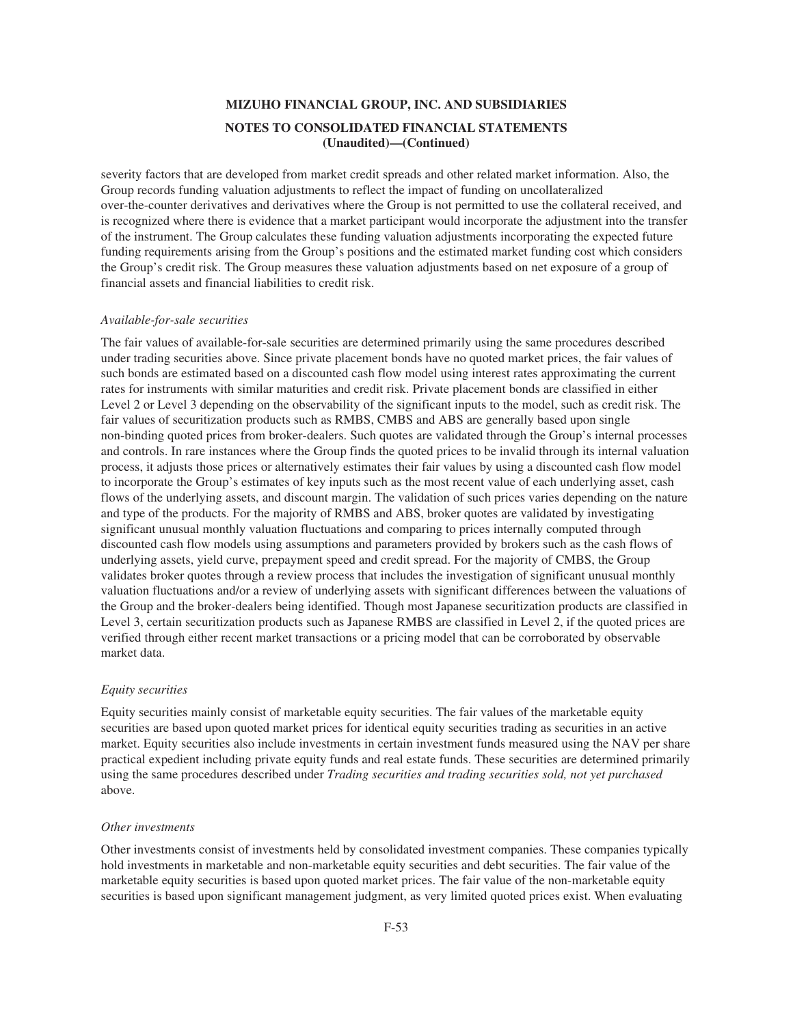severity factors that are developed from market credit spreads and other related market information. Also, the Group records funding valuation adjustments to reflect the impact of funding on uncollateralized over-the-counter derivatives and derivatives where the Group is not permitted to use the collateral received, and is recognized where there is evidence that a market participant would incorporate the adjustment into the transfer of the instrument. The Group calculates these funding valuation adjustments incorporating the expected future funding requirements arising from the Group's positions and the estimated market funding cost which considers the Group's credit risk. The Group measures these valuation adjustments based on net exposure of a group of financial assets and financial liabilities to credit risk.

#### *Available-for-sale securities*

The fair values of available-for-sale securities are determined primarily using the same procedures described under trading securities above. Since private placement bonds have no quoted market prices, the fair values of such bonds are estimated based on a discounted cash flow model using interest rates approximating the current rates for instruments with similar maturities and credit risk. Private placement bonds are classified in either Level 2 or Level 3 depending on the observability of the significant inputs to the model, such as credit risk. The fair values of securitization products such as RMBS, CMBS and ABS are generally based upon single non-binding quoted prices from broker-dealers. Such quotes are validated through the Group's internal processes and controls. In rare instances where the Group finds the quoted prices to be invalid through its internal valuation process, it adjusts those prices or alternatively estimates their fair values by using a discounted cash flow model to incorporate the Group's estimates of key inputs such as the most recent value of each underlying asset, cash flows of the underlying assets, and discount margin. The validation of such prices varies depending on the nature and type of the products. For the majority of RMBS and ABS, broker quotes are validated by investigating significant unusual monthly valuation fluctuations and comparing to prices internally computed through discounted cash flow models using assumptions and parameters provided by brokers such as the cash flows of underlying assets, yield curve, prepayment speed and credit spread. For the majority of CMBS, the Group validates broker quotes through a review process that includes the investigation of significant unusual monthly valuation fluctuations and/or a review of underlying assets with significant differences between the valuations of the Group and the broker-dealers being identified. Though most Japanese securitization products are classified in Level 3, certain securitization products such as Japanese RMBS are classified in Level 2, if the quoted prices are verified through either recent market transactions or a pricing model that can be corroborated by observable market data.

#### *Equity securities*

Equity securities mainly consist of marketable equity securities. The fair values of the marketable equity securities are based upon quoted market prices for identical equity securities trading as securities in an active market. Equity securities also include investments in certain investment funds measured using the NAV per share practical expedient including private equity funds and real estate funds. These securities are determined primarily using the same procedures described under *Trading securities and trading securities sold, not yet purchased* above.

#### *Other investments*

Other investments consist of investments held by consolidated investment companies. These companies typically hold investments in marketable and non-marketable equity securities and debt securities. The fair value of the marketable equity securities is based upon quoted market prices. The fair value of the non-marketable equity securities is based upon significant management judgment, as very limited quoted prices exist. When evaluating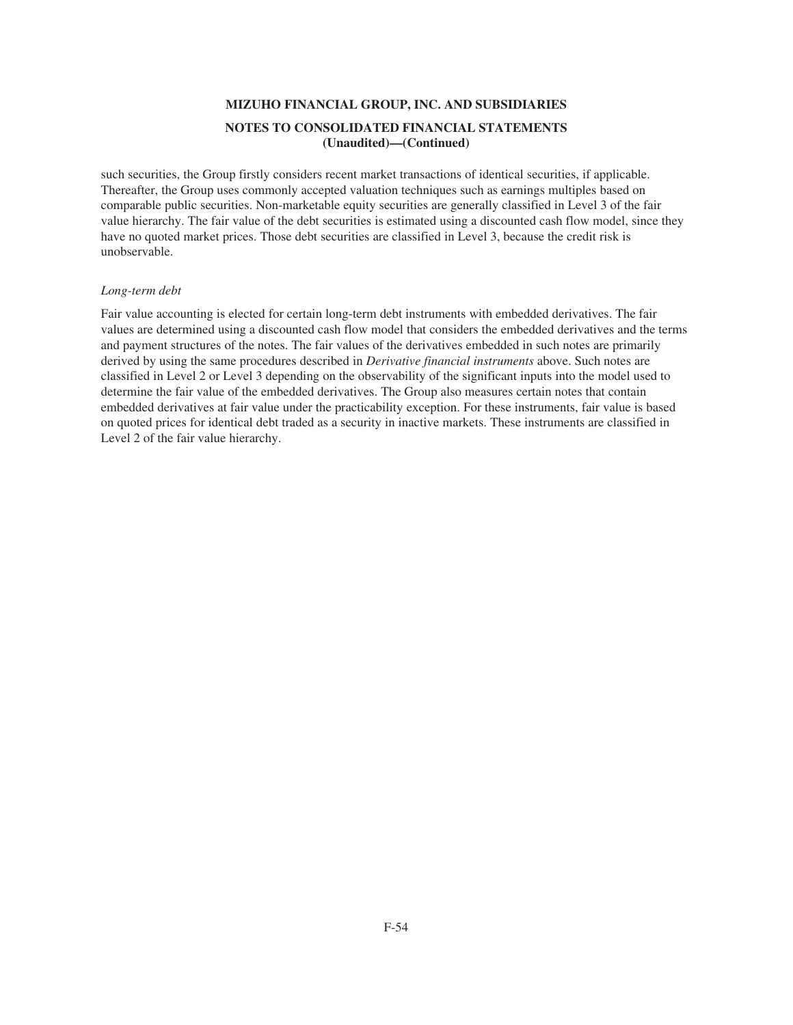such securities, the Group firstly considers recent market transactions of identical securities, if applicable. Thereafter, the Group uses commonly accepted valuation techniques such as earnings multiples based on comparable public securities. Non-marketable equity securities are generally classified in Level 3 of the fair value hierarchy. The fair value of the debt securities is estimated using a discounted cash flow model, since they have no quoted market prices. Those debt securities are classified in Level 3, because the credit risk is unobservable.

### *Long-term debt*

Fair value accounting is elected for certain long-term debt instruments with embedded derivatives. The fair values are determined using a discounted cash flow model that considers the embedded derivatives and the terms and payment structures of the notes. The fair values of the derivatives embedded in such notes are primarily derived by using the same procedures described in *Derivative financial instruments* above. Such notes are classified in Level 2 or Level 3 depending on the observability of the significant inputs into the model used to determine the fair value of the embedded derivatives. The Group also measures certain notes that contain embedded derivatives at fair value under the practicability exception. For these instruments, fair value is based on quoted prices for identical debt traded as a security in inactive markets. These instruments are classified in Level 2 of the fair value hierarchy.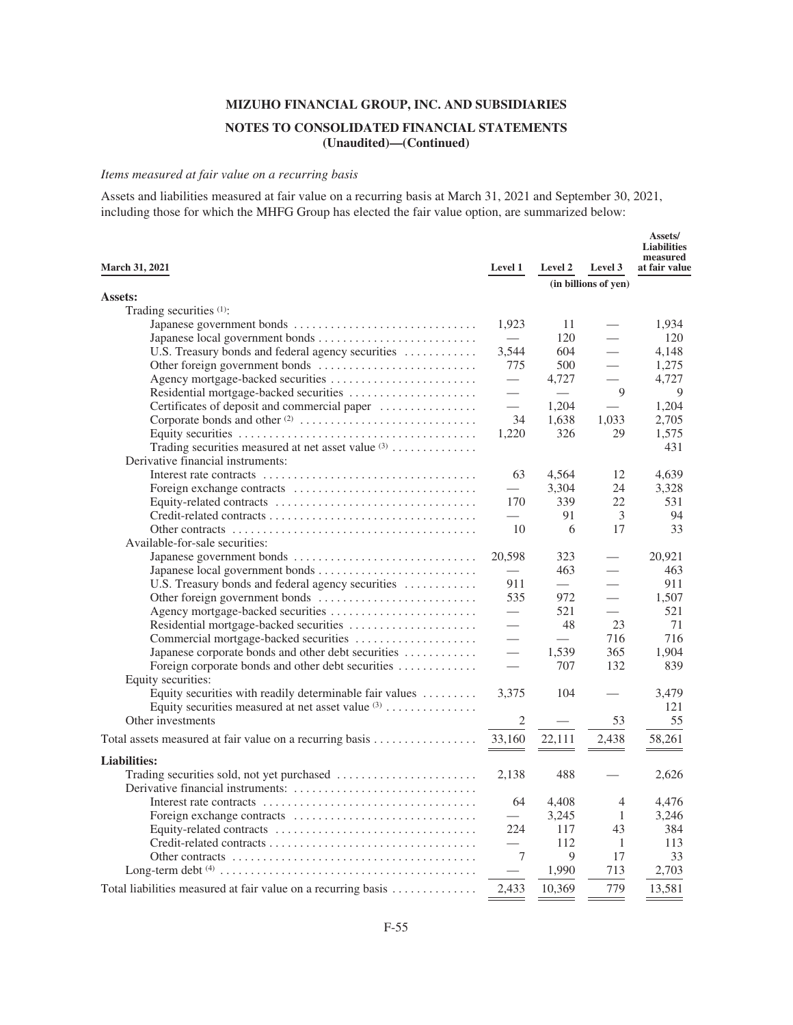# **NOTES TO CONSOLIDATED FINANCIAL STATEMENTS (Unaudited)—(Continued)**

**Assets/**

## *Items measured at fair value on a recurring basis*

Assets and liabilities measured at fair value on a recurring basis at March 31, 2021 and September 30, 2021, including those for which the MHFG Group has elected the fair value option, are summarized below:

|                                                               |                               |            |                          | лээстэл<br><b>Liabilities</b><br>measured |
|---------------------------------------------------------------|-------------------------------|------------|--------------------------|-------------------------------------------|
| <b>March 31, 2021</b>                                         | Level 1                       | Level 2    | Level 3                  | at fair value                             |
|                                                               |                               |            | (in billions of yen)     |                                           |
| Assets:                                                       |                               |            |                          |                                           |
| Trading securities (1):                                       |                               |            |                          |                                           |
|                                                               | 1,923                         | 11         |                          | 1,934                                     |
|                                                               |                               | 120        |                          | 120                                       |
| U.S. Treasury bonds and federal agency securities             | 3.544                         | 604        |                          | 4,148                                     |
|                                                               | 775                           | 500        | $\overline{\phantom{0}}$ | 1,275                                     |
| Agency mortgage-backed securities                             | $\equiv$                      | 4,727      |                          | 4,727                                     |
|                                                               |                               |            | 9                        | 9                                         |
| Certificates of deposit and commercial paper                  | $\equiv$                      | 1,204      |                          | 1,204                                     |
|                                                               | 34                            | 1,638      | 1,033                    | 2,705                                     |
|                                                               | 1,220                         | 326        | 29                       | 1,575                                     |
| Trading securities measured at net asset value (3)            |                               |            |                          | 431                                       |
| Derivative financial instruments:                             |                               |            |                          |                                           |
|                                                               | 63                            | 4,564      | 12                       | 4,639                                     |
|                                                               |                               | 3,304      | 24                       | 3,328                                     |
|                                                               | 170                           | 339        | 22                       | 531                                       |
|                                                               |                               | 91         | 3                        | 94                                        |
|                                                               | 10                            | 6          | 17                       | 33                                        |
| Available-for-sale securities:                                |                               |            |                          |                                           |
|                                                               | 20,598                        | 323<br>463 |                          | 20,921<br>463                             |
| U.S. Treasury bonds and federal agency securities             | 911                           | $\equiv$   |                          | 911                                       |
|                                                               | 535                           | 972        | $\overline{\phantom{0}}$ | 1,507                                     |
|                                                               | $\overbrace{\phantom{12333}}$ | 521        |                          | 521                                       |
|                                                               |                               | 48         | 23                       | 71                                        |
| Commercial mortgage-backed securities                         |                               | $\equiv$   | 716                      | 716                                       |
| Japanese corporate bonds and other debt securities            |                               | 1,539      | 365                      | 1,904                                     |
| Foreign corporate bonds and other debt securities             |                               | 707        | 132                      | 839                                       |
| Equity securities:                                            |                               |            |                          |                                           |
| Equity securities with readily determinable fair values       | 3,375                         | 104        |                          | 3,479                                     |
| Equity securities measured at net asset value $(3)$           |                               |            |                          | 121                                       |
| Other investments                                             | $\sqrt{2}$                    |            | 53                       | 55                                        |
|                                                               | 33,160                        |            |                          |                                           |
|                                                               |                               | 22,111     | 2,438                    | 58,261                                    |
| <b>Liabilities:</b>                                           |                               |            |                          |                                           |
|                                                               | 2,138                         | 488        |                          | 2,626                                     |
|                                                               |                               |            |                          |                                           |
|                                                               | 64                            | 4,408      | 4                        | 4,476                                     |
|                                                               |                               | 3,245      | 1                        | 3,246                                     |
|                                                               | 224                           | 117        | 43                       | 384                                       |
|                                                               |                               | 112        | -1                       | 113                                       |
|                                                               | 7                             | 9          | 17                       | 33                                        |
|                                                               |                               | 1,990      | 713                      | 2,703                                     |
| Total liabilities measured at fair value on a recurring basis | 2.433                         | 10,369     | 779                      | 13,581                                    |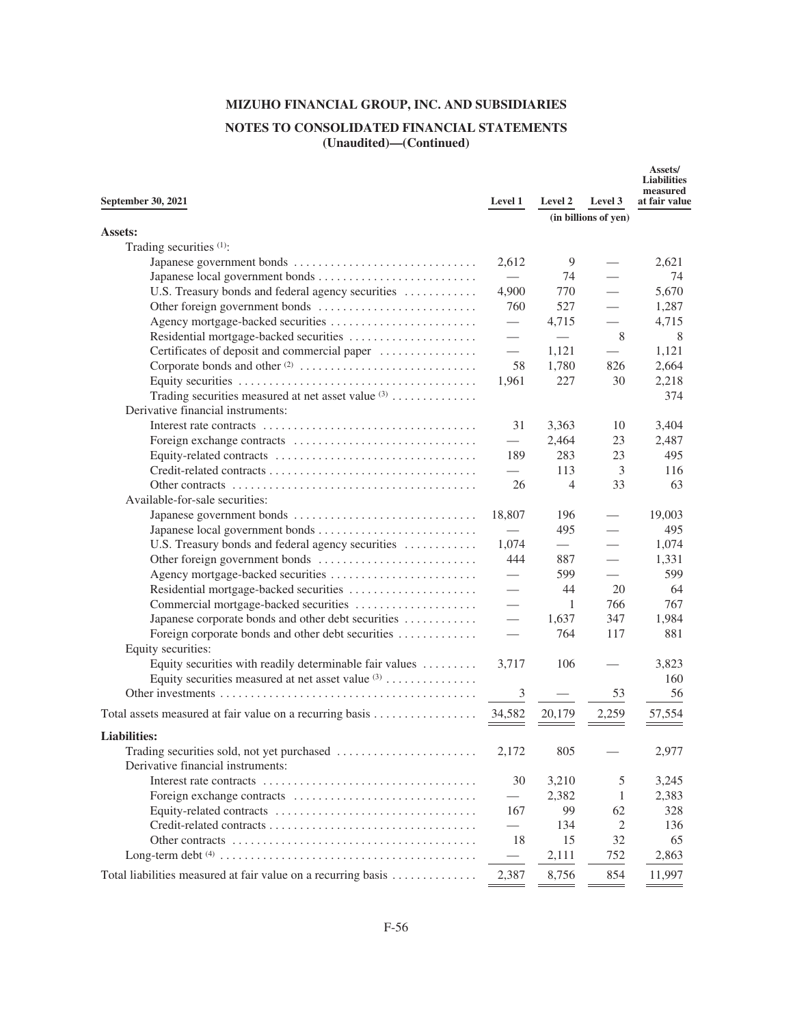# **NOTES TO CONSOLIDATED FINANCIAL STATEMENTS (Unaudited)—(Continued)**

| September 30, 2021                                                                                 | Level 1                          | Level 2                       | Level 3                  | Assets/<br><b>Liabilities</b><br>measured<br>at fair value |
|----------------------------------------------------------------------------------------------------|----------------------------------|-------------------------------|--------------------------|------------------------------------------------------------|
|                                                                                                    |                                  |                               | (in billions of yen)     |                                                            |
| <b>Assets:</b>                                                                                     |                                  |                               |                          |                                                            |
| Trading securities (1):                                                                            |                                  |                               |                          |                                                            |
|                                                                                                    | 2,612                            | 9                             |                          | 2,621                                                      |
|                                                                                                    |                                  | 74                            |                          | 74                                                         |
| U.S. Treasury bonds and federal agency securities                                                  | 4,900                            | 770                           |                          | 5,670                                                      |
|                                                                                                    | 760                              | 527                           |                          | 1,287                                                      |
|                                                                                                    |                                  | 4,715                         |                          | 4,715                                                      |
|                                                                                                    |                                  |                               | 8                        | 8                                                          |
| Certificates of deposit and commercial paper                                                       | $\overbrace{\qquad \qquad }^{ }$ | 1,121                         |                          | 1,121                                                      |
|                                                                                                    | 58                               | 1,780                         | 826                      | 2,664                                                      |
|                                                                                                    | 1,961                            | 227                           | 30                       | 2,218                                                      |
| Trading securities measured at net asset value (3)                                                 |                                  |                               |                          | 374                                                        |
| Derivative financial instruments:                                                                  |                                  |                               |                          |                                                            |
|                                                                                                    | 31                               | 3,363                         | 10                       | 3,404                                                      |
|                                                                                                    |                                  | 2,464                         | 23                       | 2,487                                                      |
|                                                                                                    | 189                              | 283                           | 23                       | 495                                                        |
| $Credit-related contracts \dots \dots \dots \dots \dots \dots \dots \dots \dots \dots \dots \dots$ | $\overline{\phantom{0}}$         | 113                           | 3                        | 116                                                        |
|                                                                                                    | 26                               | 4                             | 33                       | 63                                                         |
| Available-for-sale securities:                                                                     |                                  |                               |                          |                                                            |
|                                                                                                    | 18,807                           | 196                           |                          | 19,003                                                     |
|                                                                                                    | $\overline{\phantom{0}}$         | 495                           |                          | 495                                                        |
| U.S. Treasury bonds and federal agency securities                                                  | 1,074                            | $\overbrace{\phantom{aaaaa}}$ |                          | 1,074                                                      |
|                                                                                                    | 444                              | 887                           | $\overline{\phantom{0}}$ | 1,331                                                      |
|                                                                                                    |                                  | 599                           |                          | 599                                                        |
|                                                                                                    |                                  | 44                            | 20                       | 64                                                         |
| Commercial mortgage-backed securities                                                              |                                  | 1                             | 766                      | 767                                                        |
| Japanese corporate bonds and other debt securities                                                 |                                  | 1,637                         | 347                      | 1,984                                                      |
| Foreign corporate bonds and other debt securities                                                  |                                  | 764                           | 117                      | 881                                                        |
| Equity securities:                                                                                 |                                  |                               |                          |                                                            |
| Equity securities with readily determinable fair values                                            | 3.717                            | 106                           |                          | 3,823                                                      |
| Equity securities measured at net asset value $(3)$                                                |                                  |                               |                          | 160                                                        |
|                                                                                                    | 3                                |                               | 53                       | 56                                                         |
| Total assets measured at fair value on a recurring basis                                           | 34,582                           | 20,179                        | 2,259                    | 57,554                                                     |
|                                                                                                    |                                  |                               |                          |                                                            |
| <b>Liabilities:</b>                                                                                |                                  |                               |                          |                                                            |
|                                                                                                    | 2,172                            | 805                           |                          | 2,977                                                      |
| Derivative financial instruments:                                                                  |                                  |                               |                          |                                                            |
|                                                                                                    | 30                               | 3,210                         | 5                        | 3,245                                                      |
|                                                                                                    | $\overbrace{\phantom{123321}}$   | 2,382                         | 1                        | 2,383                                                      |
|                                                                                                    | 167                              | 99                            | 62                       | 328                                                        |
|                                                                                                    | $\overbrace{\phantom{123321}}$   | 134                           | 2                        | 136                                                        |
|                                                                                                    | 18                               | 15                            | 32                       | 65                                                         |
|                                                                                                    |                                  | 2,111                         | 752                      | 2,863                                                      |
| Total liabilities measured at fair value on a recurring basis                                      | 2,387                            | 8,756                         | 854                      | 11,997                                                     |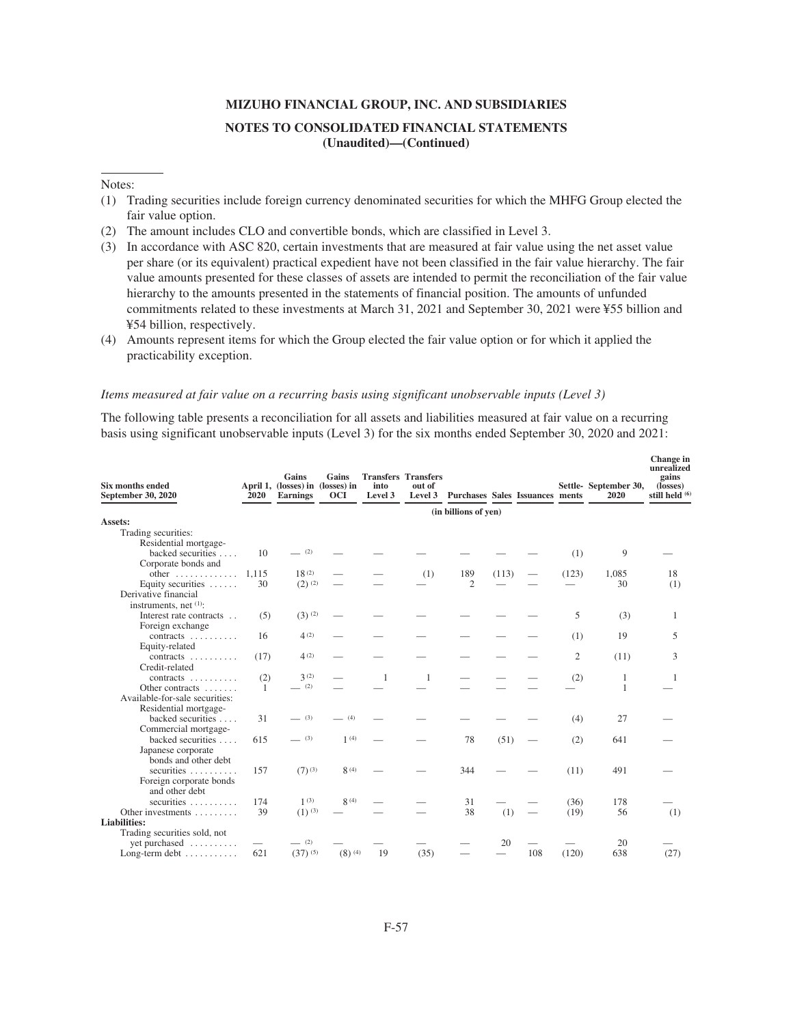#### Notes:

- (1) Trading securities include foreign currency denominated securities for which the MHFG Group elected the fair value option.
- (2) The amount includes CLO and convertible bonds, which are classified in Level 3.
- (3) In accordance with ASC 820, certain investments that are measured at fair value using the net asset value per share (or its equivalent) practical expedient have not been classified in the fair value hierarchy. The fair value amounts presented for these classes of assets are intended to permit the reconciliation of the fair value hierarchy to the amounts presented in the statements of financial position. The amounts of unfunded commitments related to these investments at March 31, 2021 and September 30, 2021 were ¥55 billion and ¥54 billion, respectively.
- (4) Amounts represent items for which the Group elected the fair value option or for which it applied the practicability exception.

#### *Items measured at fair value on a recurring basis using significant unobservable inputs (Level 3)*

The following table presents a reconciliation for all assets and liabilities measured at fair value on a recurring basis using significant unobservable inputs (Level 3) for the six months ended September 30, 2020 and 2021:

| <b>Six months ended</b><br>September 30, 2020       | <b>2020</b> | Gains<br>April 1, (losses) in (losses) in<br><b>Earnings</b> | Gains<br><b>OCI</b>  | into<br>Level 3 | <b>Transfers Transfers</b><br>out of | Level 3 Purchases Sales Issuances ments |       |     |                | Settle-September 30,<br>2020 | Change in<br>unrealized<br>gains<br>(losses)<br>still held (6) |
|-----------------------------------------------------|-------------|--------------------------------------------------------------|----------------------|-----------------|--------------------------------------|-----------------------------------------|-------|-----|----------------|------------------------------|----------------------------------------------------------------|
|                                                     |             |                                                              |                      |                 |                                      | (in billions of yen)                    |       |     |                |                              |                                                                |
| Assets:                                             |             |                                                              |                      |                 |                                      |                                         |       |     |                |                              |                                                                |
| Trading securities:                                 |             |                                                              |                      |                 |                                      |                                         |       |     |                |                              |                                                                |
| Residential mortgage-                               |             | (2)                                                          |                      |                 |                                      |                                         |       |     |                |                              |                                                                |
| backed securities                                   | 10          |                                                              |                      |                 |                                      |                                         |       |     | (1)            | 9                            |                                                                |
| Corporate bonds and<br>other $\dots\dots\dots\dots$ | 1,115       | 18(2)                                                        |                      |                 | (1)                                  | 189                                     | (113) |     | (123)          | 1,085                        | 18                                                             |
| Equity securities                                   | 30          | $(2)$ $(2)$                                                  |                      |                 |                                      | 2                                       |       |     |                | 30                           | (1)                                                            |
| Derivative financial                                |             |                                                              |                      |                 |                                      |                                         |       |     |                |                              |                                                                |
| instruments, net (1):                               |             |                                                              |                      |                 |                                      |                                         |       |     |                |                              |                                                                |
| Interest rate contracts                             | (5)         | $(3)$ <sup>(2)</sup>                                         |                      |                 |                                      |                                         |       |     | 5              | (3)                          | 1                                                              |
| Foreign exchange                                    |             |                                                              |                      |                 |                                      |                                         |       |     |                |                              |                                                                |
| contracts                                           | 16          | 4(2)                                                         |                      |                 |                                      |                                         |       |     | (1)            | 19                           | 5                                                              |
| Equity-related                                      |             |                                                              |                      |                 |                                      |                                         |       |     |                |                              |                                                                |
| contracts                                           | (17)        | 4(2)                                                         |                      |                 |                                      |                                         |       |     | $\mathfrak{2}$ | (11)                         | 3                                                              |
| Credit-related                                      |             |                                                              |                      |                 |                                      |                                         |       |     |                |                              |                                                                |
| contracts $\ldots$                                  | (2)         | 3(2)                                                         |                      | 1               | 1                                    |                                         |       |     | (2)            | 1                            | -1                                                             |
| Other contracts                                     | 1           | (2)                                                          |                      |                 |                                      |                                         |       |     |                | $\mathbf{1}$                 |                                                                |
| Available-for-sale securities:                      |             |                                                              |                      |                 |                                      |                                         |       |     |                |                              |                                                                |
| Residential mortgage-<br>backed securities          | 31          | (3)                                                          | (4)                  |                 |                                      |                                         |       |     |                | 27                           |                                                                |
| Commercial mortgage-                                |             |                                                              |                      |                 |                                      |                                         |       |     | (4)            |                              |                                                                |
| backed securities                                   | 615         | $- (3)$                                                      | 1(4)                 |                 |                                      | 78                                      | (51)  |     | (2)            | 641                          |                                                                |
| Japanese corporate                                  |             |                                                              |                      |                 |                                      |                                         |       |     |                |                              |                                                                |
| bonds and other debt                                |             |                                                              |                      |                 |                                      |                                         |       |     |                |                              |                                                                |
| securities                                          | 157         | $(7)$ <sup>(3)</sup>                                         | 8(4)                 |                 |                                      | 344                                     |       |     | (11)           | 491                          |                                                                |
| Foreign corporate bonds                             |             |                                                              |                      |                 |                                      |                                         |       |     |                |                              |                                                                |
| and other debt                                      |             |                                                              |                      |                 |                                      |                                         |       |     |                |                              |                                                                |
| securities                                          | 174         | 1(3)                                                         | 8(4)                 |                 |                                      | 31                                      |       |     | (36)           | 178                          |                                                                |
| Other investments                                   | 39          | $(1)$ (3)                                                    |                      |                 |                                      | 38                                      | (1)   |     | (19)           | 56                           | (1)                                                            |
| <b>Liabilities:</b>                                 |             |                                                              |                      |                 |                                      |                                         |       |     |                |                              |                                                                |
| Trading securities sold, not                        |             |                                                              |                      |                 |                                      |                                         |       |     |                |                              |                                                                |
| yet purchased                                       |             | $-$ (2)                                                      |                      |                 |                                      |                                         | 20    |     |                | 20                           |                                                                |
| Long-term debt                                      | 621         | $(37)^{(5)}$                                                 | $(8)$ <sup>(4)</sup> | 19              | (35)                                 |                                         |       | 108 | (120)          | 638                          | (27)                                                           |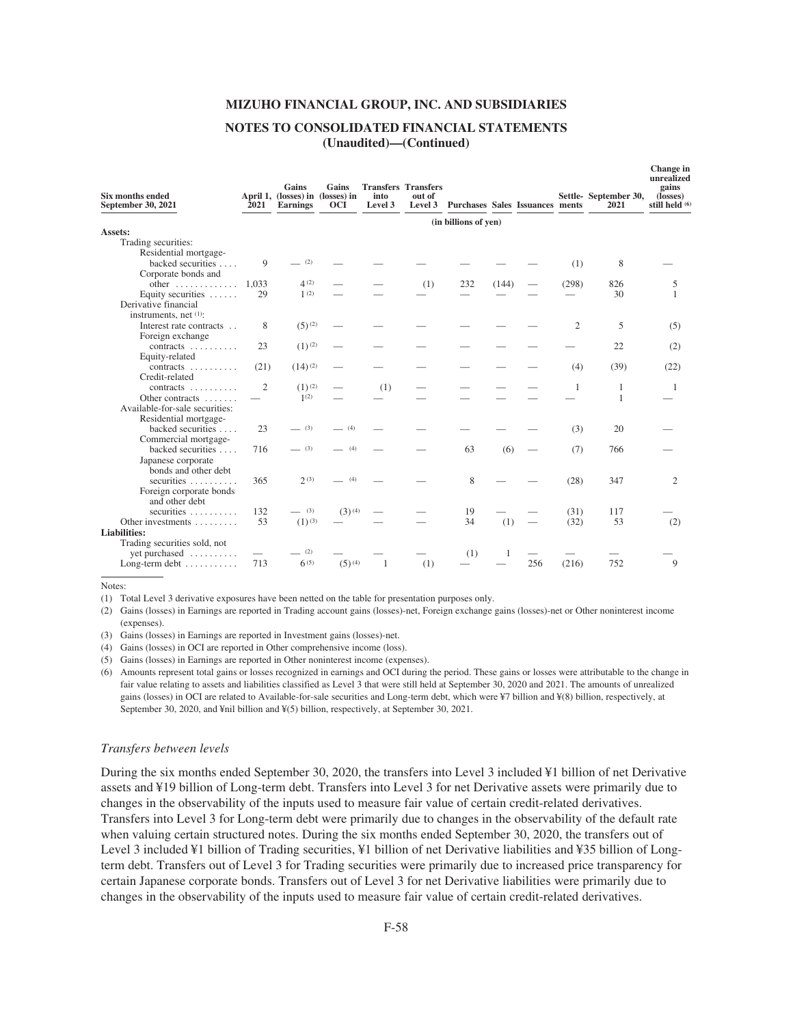### **NOTES TO CONSOLIDATED FINANCIAL STATEMENTS (Unaudited)—(Continued)**

| Six months ended<br>September 30, 2021            | 2021  | Gains<br>April 1, (losses) in (losses) in<br><b>Earnings</b> | Gains<br><b>OCI</b> | into<br>Level 3 | <b>Transfers Transfers</b><br>out of | Level 3 Purchases Sales Issuances ments |       |     |                | Settle-September 30,<br>2021 | Change in<br>unrealized<br>gains<br>(losses)<br>still held (6) |
|---------------------------------------------------|-------|--------------------------------------------------------------|---------------------|-----------------|--------------------------------------|-----------------------------------------|-------|-----|----------------|------------------------------|----------------------------------------------------------------|
|                                                   |       |                                                              |                     |                 |                                      | (in billions of yen)                    |       |     |                |                              |                                                                |
| Assets:                                           |       |                                                              |                     |                 |                                      |                                         |       |     |                |                              |                                                                |
| Trading securities:<br>Residential mortgage-      |       |                                                              |                     |                 |                                      |                                         |       |     |                |                              |                                                                |
| backed securities                                 | 9     | (2)                                                          |                     |                 |                                      |                                         |       |     | (1)            | 8                            |                                                                |
| Corporate bonds and                               |       |                                                              |                     |                 |                                      |                                         |       |     |                |                              |                                                                |
| other $\dots\dots\dots\dots$                      | 1.033 | 4(2)                                                         |                     |                 | (1)                                  | 232                                     | (144) |     | (298)          | 826                          | 5                                                              |
| Equity securities $\dots$ .                       | 29    | 1(2)                                                         |                     |                 |                                      |                                         |       |     |                | 30                           | $\mathbf{1}$                                                   |
| Derivative financial                              |       |                                                              |                     |                 |                                      |                                         |       |     |                |                              |                                                                |
| instruments, net (1):                             |       |                                                              |                     |                 |                                      |                                         |       |     |                |                              |                                                                |
| Interest rate contracts                           | 8     | $(5)$ (2)                                                    |                     |                 |                                      |                                         |       |     | $\overline{c}$ | 5                            | (5)                                                            |
| Foreign exchange                                  |       |                                                              |                     |                 |                                      |                                         |       |     |                |                              |                                                                |
| contracts $\ldots$                                | 23    | $(1)^{(2)}$                                                  |                     |                 |                                      |                                         |       |     |                | 22                           | (2)                                                            |
| Equity-related                                    |       |                                                              |                     |                 |                                      |                                         |       |     |                |                              |                                                                |
| contracts                                         | (21)  | $(14)$ <sup>(2)</sup>                                        |                     |                 |                                      |                                         |       |     | (4)            | (39)                         | (22)                                                           |
| Credit-related                                    |       |                                                              |                     |                 |                                      |                                         |       |     |                |                              |                                                                |
| contracts                                         | 2     | $(1)^{(2)}$                                                  |                     | (1)             |                                      |                                         |       |     | 1              | 1                            | $\mathbf{1}$                                                   |
| Other contracts<br>Available-for-sale securities: |       | 1(2)                                                         |                     |                 |                                      |                                         |       |     |                | 1                            |                                                                |
| Residential mortgage-                             |       |                                                              |                     |                 |                                      |                                         |       |     |                |                              |                                                                |
| backed securities                                 | 23    | (3)                                                          | (4)                 |                 |                                      |                                         |       |     | (3)            | 20                           |                                                                |
| Commercial mortgage-                              |       |                                                              |                     |                 |                                      |                                         |       |     |                |                              |                                                                |
| backed securities                                 | 716   | (3)                                                          | $-$ (4)             |                 |                                      | 63                                      | (6)   |     | (7)            | 766                          |                                                                |
| Japanese corporate                                |       |                                                              |                     |                 |                                      |                                         |       |     |                |                              |                                                                |
| bonds and other debt                              |       |                                                              |                     |                 |                                      |                                         |       |     |                |                              |                                                                |
| securities                                        | 365   | 2(3)                                                         | (4)                 |                 |                                      | 8                                       |       |     | (28)           | 347                          | $\overline{c}$                                                 |
| Foreign corporate bonds                           |       |                                                              |                     |                 |                                      |                                         |       |     |                |                              |                                                                |
| and other debt                                    |       |                                                              |                     |                 |                                      |                                         |       |     |                |                              |                                                                |
| securities                                        | 132   | $- (3)$                                                      | $(3)^{(4)}$         |                 |                                      | 19                                      |       |     | (31)           | 117                          |                                                                |
| Other investments                                 | 53    | $(1)^{(3)}$                                                  |                     |                 |                                      | 34                                      | (1)   |     | (32)           | 53                           | (2)                                                            |
| <b>Liabilities:</b>                               |       |                                                              |                     |                 |                                      |                                         |       |     |                |                              |                                                                |
| Trading securities sold, not                      |       |                                                              |                     |                 |                                      |                                         |       |     |                |                              |                                                                |
| yet purchased                                     |       | (2)<br>6(5)                                                  |                     |                 |                                      | (1)                                     | 1     |     |                |                              | 9                                                              |
| Long-term debt                                    | 713   |                                                              | $(5)^{(4)}$         | 1               | (1)                                  |                                         |       | 256 | (216)          | 752                          |                                                                |
|                                                   |       |                                                              |                     |                 |                                      |                                         |       |     |                |                              |                                                                |

Notes:

(1) Total Level 3 derivative exposures have been netted on the table for presentation purposes only.

(2) Gains (losses) in Earnings are reported in Trading account gains (losses)-net, Foreign exchange gains (losses)-net or Other noninterest income (expenses).

(3) Gains (losses) in Earnings are reported in Investment gains (losses)-net.

(4) Gains (losses) in OCI are reported in Other comprehensive income (loss).

(5) Gains (losses) in Earnings are reported in Other noninterest income (expenses).

(6) Amounts represent total gains or losses recognized in earnings and OCI during the period. These gains or losses were attributable to the change in fair value relating to assets and liabilities classified as Level 3 that were still held at September 30, 2020 and 2021. The amounts of unrealized gains (losses) in OCI are related to Available-for-sale securities and Long-term debt, which were ¥7 billion and ¥(8) billion, respectively, at September 30, 2020, and ¥nil billion and ¥(5) billion, respectively, at September 30, 2021.

#### *Transfers between levels*

During the six months ended September 30, 2020, the transfers into Level 3 included ¥1 billion of net Derivative assets and ¥19 billion of Long-term debt. Transfers into Level 3 for net Derivative assets were primarily due to changes in the observability of the inputs used to measure fair value of certain credit-related derivatives. Transfers into Level 3 for Long-term debt were primarily due to changes in the observability of the default rate when valuing certain structured notes. During the six months ended September 30, 2020, the transfers out of Level 3 included ¥1 billion of Trading securities, ¥1 billion of net Derivative liabilities and ¥35 billion of Longterm debt. Transfers out of Level 3 for Trading securities were primarily due to increased price transparency for certain Japanese corporate bonds. Transfers out of Level 3 for net Derivative liabilities were primarily due to changes in the observability of the inputs used to measure fair value of certain credit-related derivatives.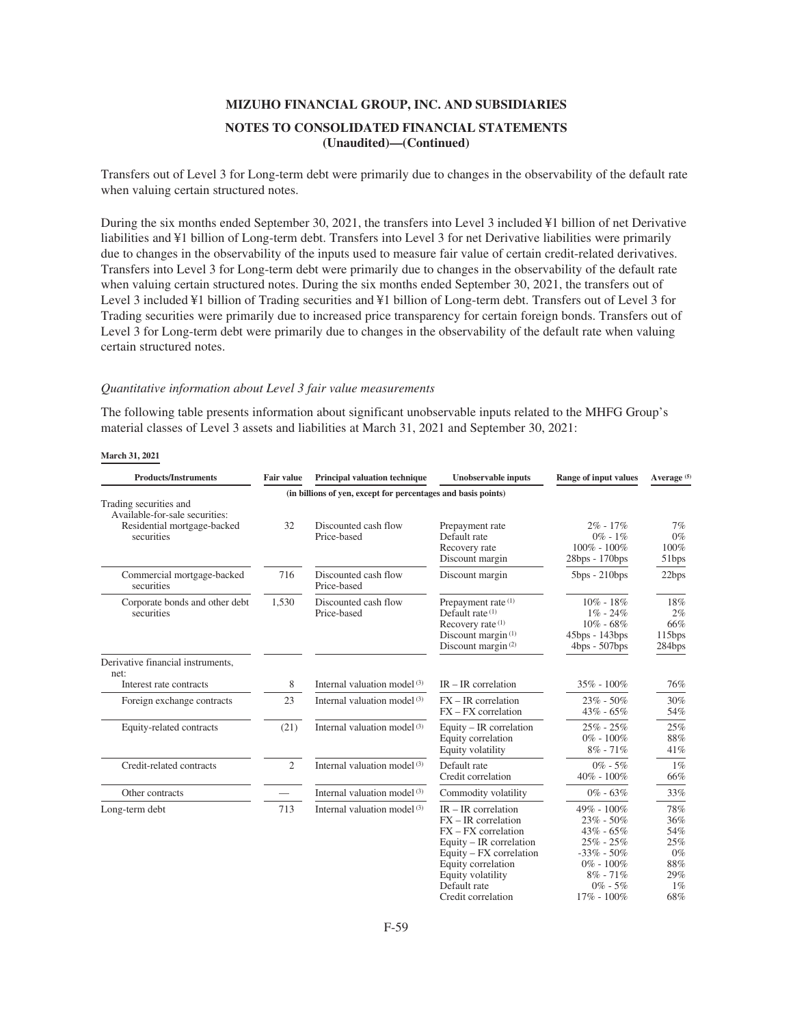Transfers out of Level 3 for Long-term debt were primarily due to changes in the observability of the default rate when valuing certain structured notes.

During the six months ended September 30, 2021, the transfers into Level 3 included ¥1 billion of net Derivative liabilities and ¥1 billion of Long-term debt. Transfers into Level 3 for net Derivative liabilities were primarily due to changes in the observability of the inputs used to measure fair value of certain credit-related derivatives. Transfers into Level 3 for Long-term debt were primarily due to changes in the observability of the default rate when valuing certain structured notes. During the six months ended September 30, 2021, the transfers out of Level 3 included ¥1 billion of Trading securities and ¥1 billion of Long-term debt. Transfers out of Level 3 for Trading securities were primarily due to increased price transparency for certain foreign bonds. Transfers out of Level 3 for Long-term debt were primarily due to changes in the observability of the default rate when valuing certain structured notes.

#### *Quantitative information about Level 3 fair value measurements*

The following table presents information about significant unobservable inputs related to the MHFG Group's material classes of Level 3 assets and liabilities at March 31, 2021 and September 30, 2021:

| <b>Products/Instruments</b>                                                                           | <b>Fair value</b>        | Principal valuation technique                                 | <b>Unobservable inputs</b>                                                                                                                            | <b>Range of input values</b>                                                                     | Average <sup>(5)</sup>                   |
|-------------------------------------------------------------------------------------------------------|--------------------------|---------------------------------------------------------------|-------------------------------------------------------------------------------------------------------------------------------------------------------|--------------------------------------------------------------------------------------------------|------------------------------------------|
|                                                                                                       |                          | (in billions of yen, except for percentages and basis points) |                                                                                                                                                       |                                                                                                  |                                          |
| Trading securities and<br>Available-for-sale securities:<br>Residential mortgage-backed<br>securities | 32                       | Discounted cash flow<br>Price-based                           | Prepayment rate<br>Default rate<br>Recovery rate<br>Discount margin                                                                                   | $2\% - 17\%$<br>$0\% - 1\%$<br>$100\% - 100\%$<br>28bps - 170bps                                 | 7%<br>$0\%$<br>100%<br>51bps             |
| Commercial mortgage-backed<br>securities                                                              | 716                      | Discounted cash flow<br>Price-based                           | Discount margin                                                                                                                                       | $5bps - 210bps$                                                                                  | 22bps                                    |
| Corporate bonds and other debt<br>securities                                                          | 1,530                    | Discounted cash flow<br>Price-based                           | Prepayment rate (1)<br>Default rate $(1)$<br>Recovery rate (1)<br>Discount margin $(1)$<br>Discount margin <sup>(2)</sup>                             | $10\% - 18\%$<br>$1\% - 24\%$<br>$10\% - 68\%$<br>45bps - 143bps<br>$4bps - 507bps$              | 18%<br>2%<br>66%<br>115bps<br>284bps     |
| Derivative financial instruments,<br>net:                                                             |                          |                                                               |                                                                                                                                                       |                                                                                                  |                                          |
| Interest rate contracts                                                                               | 8                        | Internal valuation model <sup>(3)</sup>                       | $IR - IR$ correlation                                                                                                                                 | $35\% - 100\%$                                                                                   | 76%                                      |
| Foreign exchange contracts                                                                            | 23                       | Internal valuation model <sup>(3)</sup>                       | $FX - IR$ correlation<br>$FX - FX$ correlation                                                                                                        | $23\% - 50\%$<br>$43\% - 65\%$                                                                   | 30%<br>54%                               |
| Equity-related contracts                                                                              | (21)                     | Internal valuation model <sup>(3)</sup>                       | Equity $-$ IR correlation<br>Equity correlation<br>Equity volatility                                                                                  | $25\% - 25\%$<br>$0\% - 100\%$<br>$8\% - 71\%$                                                   | 25%<br>88%<br>41%                        |
| Credit-related contracts                                                                              | $\overline{2}$           | Internal valuation model <sup>(3)</sup>                       | Default rate<br>Credit correlation                                                                                                                    | $0\% - 5\%$<br>$40\% - 100\%$                                                                    | $1\%$<br>66%                             |
| Other contracts                                                                                       | $\overline{\phantom{0}}$ | Internal valuation model <sup>(3)</sup>                       | Commodity volatility                                                                                                                                  | $0\% - 63\%$                                                                                     | 33%                                      |
| Long-term debt                                                                                        | 713                      | Internal valuation model <sup>(3)</sup>                       | $IR - IR$ correlation<br>$FX - IR$ correlation<br>$FX - FX$ correlation<br>Equity $-$ IR correlation<br>Equity – FX correlation<br>Equity correlation | 49% - 100%<br>$23\% - 50\%$<br>$43\% - 65\%$<br>$25\% - 25\%$<br>$-33\% - 50\%$<br>$0\% - 100\%$ | 78%<br>36%<br>54%<br>25%<br>$0\%$<br>88% |

#### **March 31, 2021**

Equity volatility Default rate Credit correlation

8% - 71%  $0\%$  - 5%  $17\%$  -  $100\%$ 

29% 1% 68%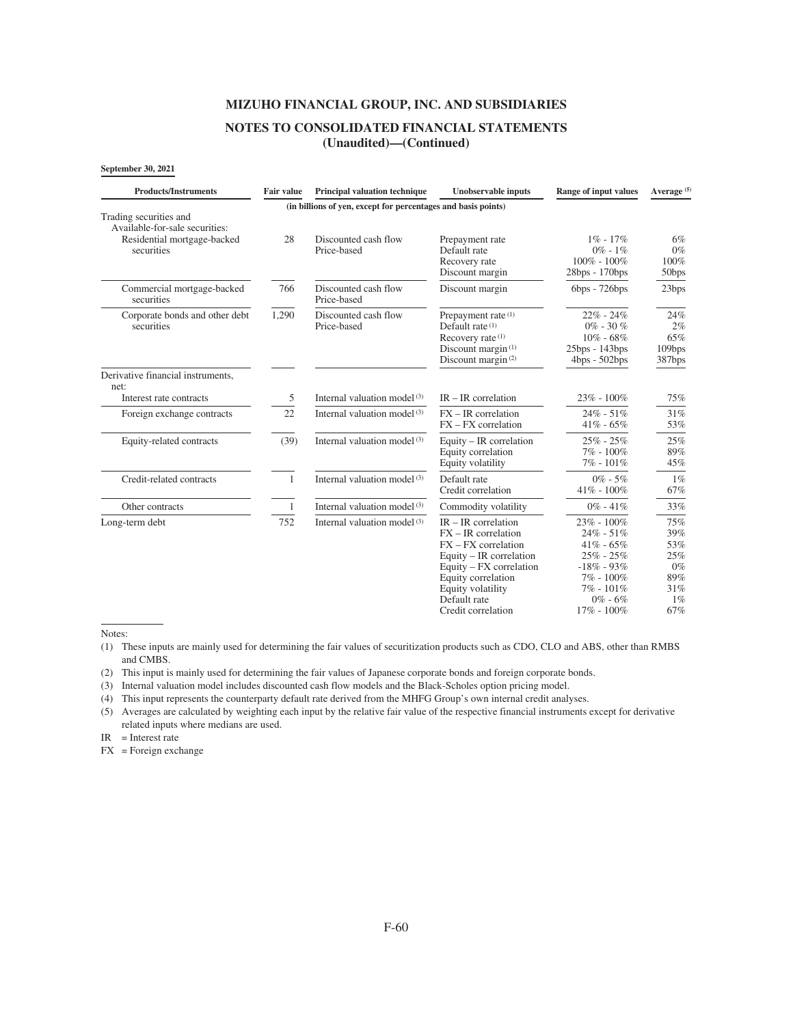## **NOTES TO CONSOLIDATED FINANCIAL STATEMENTS (Unaudited)—(Continued)**

#### **September 30, 2021**

| <b>Products/Instruments</b>                                                                           | <b>Fair value</b> | <b>Principal valuation technique</b>                          | <b>Unobservable inputs</b>                                                                                                                                                                                       | <b>Range of input values</b>                                                                                                               | Average <sup>(5)</sup>                                          |
|-------------------------------------------------------------------------------------------------------|-------------------|---------------------------------------------------------------|------------------------------------------------------------------------------------------------------------------------------------------------------------------------------------------------------------------|--------------------------------------------------------------------------------------------------------------------------------------------|-----------------------------------------------------------------|
|                                                                                                       |                   | (in billions of yen, except for percentages and basis points) |                                                                                                                                                                                                                  |                                                                                                                                            |                                                                 |
| Trading securities and<br>Available-for-sale securities:<br>Residential mortgage-backed<br>securities | 28                | Discounted cash flow<br>Price-based                           | Prepayment rate<br>Default rate<br>Recovery rate<br>Discount margin                                                                                                                                              | $1\% - 17\%$<br>$0\% - 1\%$<br>$100\% - 100\%$<br>28bps - 170bps                                                                           | 6%<br>$0\%$<br>100%<br>50bps                                    |
| Commercial mortgage-backed<br>securities                                                              | 766               | Discounted cash flow<br>Price-based                           | Discount margin                                                                                                                                                                                                  | $6bps - 726bps$                                                                                                                            | 23bps                                                           |
| Corporate bonds and other debt<br>securities                                                          | 1,290             | Discounted cash flow<br>Price-based                           | Prepayment rate (1)<br>Default rate (1)<br>Recovery rate (1)<br>Discount margin <sup>(1)</sup><br>Discount margin <sup>(2)</sup>                                                                                 | $22\% - 24\%$<br>$0\%$ - 30 $\%$<br>$10\% - 68\%$<br>25bps - 143bps<br>$4bps - 502bps$                                                     | 24%<br>2%<br>65%<br>109bps<br>387bps                            |
| Derivative financial instruments,<br>net:                                                             |                   |                                                               |                                                                                                                                                                                                                  |                                                                                                                                            |                                                                 |
| Interest rate contracts                                                                               | 5                 | Internal valuation model <sup>(3)</sup>                       | $IR - IR$ correlation                                                                                                                                                                                            | $23\% - 100\%$                                                                                                                             | 75%                                                             |
| Foreign exchange contracts                                                                            | 22                | Internal valuation model <sup>(3)</sup>                       | $FX - IR$ correlation<br>$FX - FX$ correlation                                                                                                                                                                   | $24\% - 51\%$<br>$41\% - 65\%$                                                                                                             | 31%<br>53%                                                      |
| Equity-related contracts                                                                              | (39)              | Internal valuation model <sup>(3)</sup>                       | Equity $-$ IR correlation<br>Equity correlation<br>Equity volatility                                                                                                                                             | $25\% - 25\%$<br>$7\% - 100\%$<br>$7\% - 101\%$                                                                                            | 25%<br>89%<br>45%                                               |
| Credit-related contracts                                                                              | 1                 | Internal valuation model <sup>(3)</sup>                       | Default rate<br>Credit correlation                                                                                                                                                                               | $0\% - 5\%$<br>$41\% - 100\%$                                                                                                              | $1\%$<br>67%                                                    |
| Other contracts                                                                                       | 1                 | Internal valuation model $(3)$                                | Commodity volatility                                                                                                                                                                                             | $0\% - 41\%$                                                                                                                               | 33%                                                             |
| Long-term debt                                                                                        | 752               | Internal valuation model <sup>(3)</sup>                       | $IR - IR$ correlation<br>$FX - IR$ correlation<br>$FX - FX$ correlation<br>Equity $-$ IR correlation<br>Equity – FX correlation<br>Equity correlation<br>Equity volatility<br>Default rate<br>Credit correlation | 23% - 100%<br>$24\% - 51\%$<br>$41\% - 65\%$<br>$25\% - 25\%$<br>$-18\% - 93\%$<br>$7\% - 100\%$<br>7% - 101%<br>$0\% - 6\%$<br>17% - 100% | 75%<br>39%<br>53%<br>25%<br>$0\%$<br>89%<br>31%<br>$1\%$<br>67% |

Notes:

(1) These inputs are mainly used for determining the fair values of securitization products such as CDO, CLO and ABS, other than RMBS and CMBS.

(2) This input is mainly used for determining the fair values of Japanese corporate bonds and foreign corporate bonds.

(3) Internal valuation model includes discounted cash flow models and the Black-Scholes option pricing model.

(4) This input represents the counterparty default rate derived from the MHFG Group's own internal credit analyses.

(5) Averages are calculated by weighting each input by the relative fair value of the respective financial instruments except for derivative related inputs where medians are used.

 $IR = Interest rate$ 

FX = Foreign exchange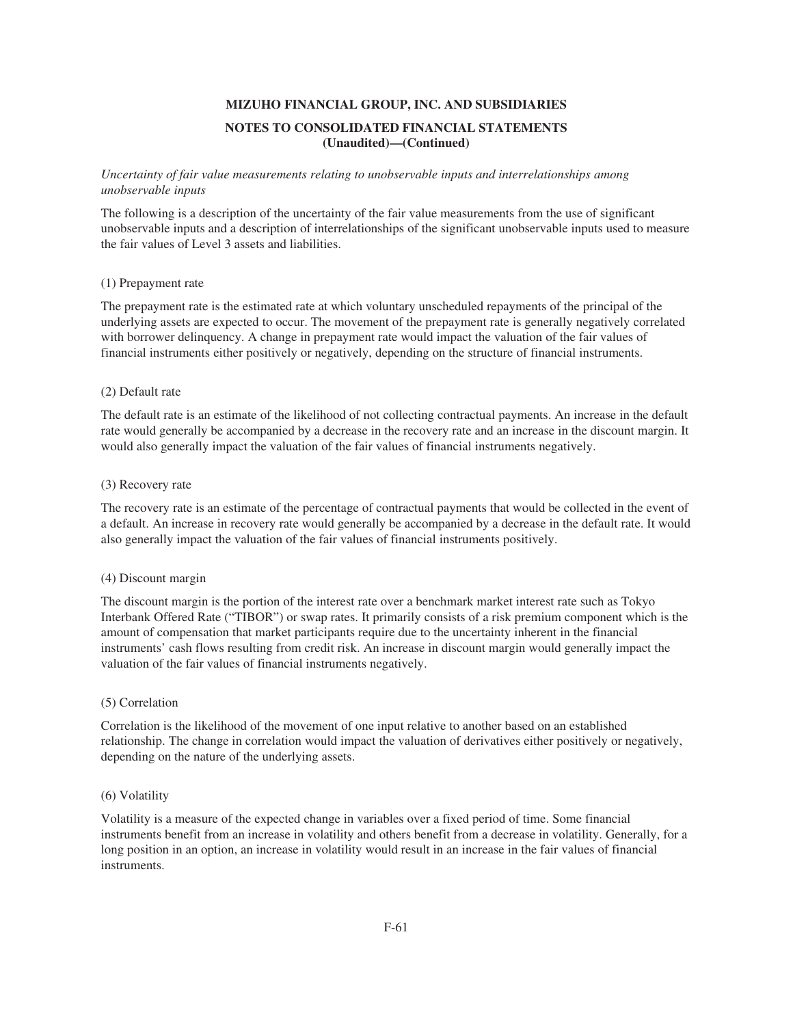## *Uncertainty of fair value measurements relating to unobservable inputs and interrelationships among unobservable inputs*

The following is a description of the uncertainty of the fair value measurements from the use of significant unobservable inputs and a description of interrelationships of the significant unobservable inputs used to measure the fair values of Level 3 assets and liabilities.

## (1) Prepayment rate

The prepayment rate is the estimated rate at which voluntary unscheduled repayments of the principal of the underlying assets are expected to occur. The movement of the prepayment rate is generally negatively correlated with borrower delinquency. A change in prepayment rate would impact the valuation of the fair values of financial instruments either positively or negatively, depending on the structure of financial instruments.

## (2) Default rate

The default rate is an estimate of the likelihood of not collecting contractual payments. An increase in the default rate would generally be accompanied by a decrease in the recovery rate and an increase in the discount margin. It would also generally impact the valuation of the fair values of financial instruments negatively.

## (3) Recovery rate

The recovery rate is an estimate of the percentage of contractual payments that would be collected in the event of a default. An increase in recovery rate would generally be accompanied by a decrease in the default rate. It would also generally impact the valuation of the fair values of financial instruments positively.

## (4) Discount margin

The discount margin is the portion of the interest rate over a benchmark market interest rate such as Tokyo Interbank Offered Rate ("TIBOR") or swap rates. It primarily consists of a risk premium component which is the amount of compensation that market participants require due to the uncertainty inherent in the financial instruments' cash flows resulting from credit risk. An increase in discount margin would generally impact the valuation of the fair values of financial instruments negatively.

## (5) Correlation

Correlation is the likelihood of the movement of one input relative to another based on an established relationship. The change in correlation would impact the valuation of derivatives either positively or negatively, depending on the nature of the underlying assets.

# (6) Volatility

Volatility is a measure of the expected change in variables over a fixed period of time. Some financial instruments benefit from an increase in volatility and others benefit from a decrease in volatility. Generally, for a long position in an option, an increase in volatility would result in an increase in the fair values of financial instruments.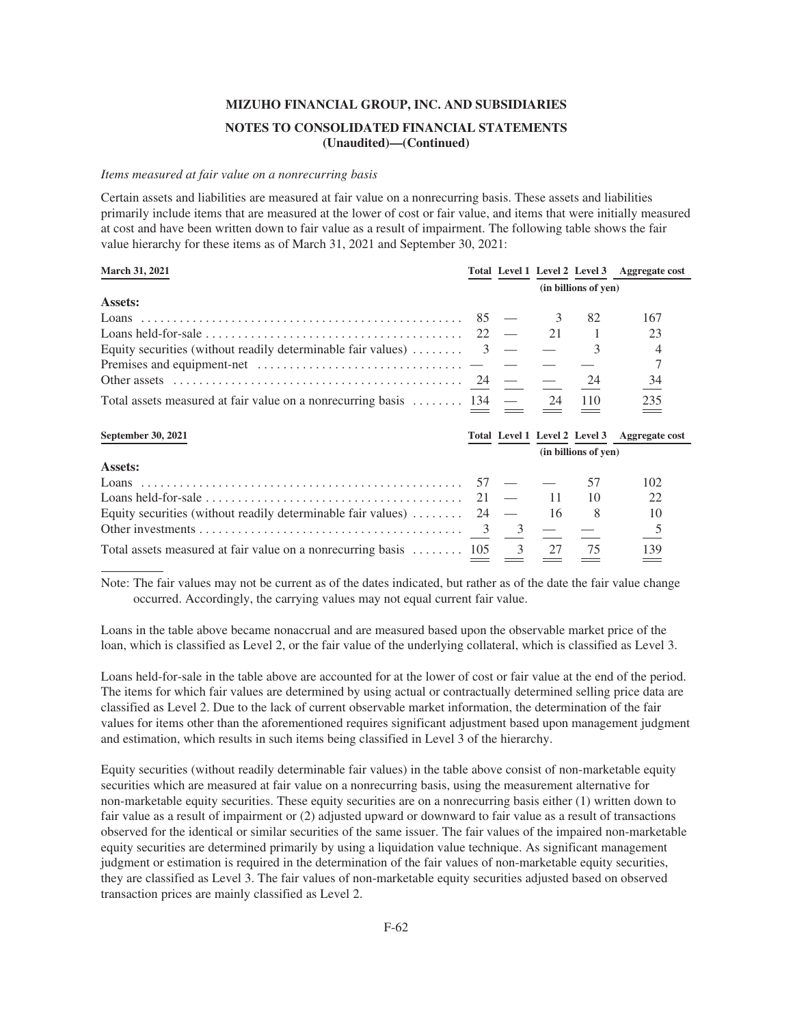### *Items measured at fair value on a nonrecurring basis*

Certain assets and liabilities are measured at fair value on a nonrecurring basis. These assets and liabilities primarily include items that are measured at the lower of cost or fair value, and items that were initially measured at cost and have been written down to fair value as a result of impairment. The following table shows the fair value hierarchy for these items as of March 31, 2021 and September 30, 2021:

| March 31, 2021                                                             |    |   | Total Level 1 Level 2 Level 3 |                      | Aggregate cost |
|----------------------------------------------------------------------------|----|---|-------------------------------|----------------------|----------------|
|                                                                            |    |   |                               | (in billions of yen) |                |
| Assets:                                                                    |    |   |                               |                      |                |
| Loans                                                                      | 85 |   |                               | 82                   | 167            |
|                                                                            | 22 |   | 21                            |                      | 23             |
| Equity securities (without readily determinable fair values)               | 3  |   |                               | 3                    |                |
|                                                                            |    |   |                               |                      | 7              |
|                                                                            |    |   |                               | 24                   | 34             |
| Total assets measured at fair value on a nonrecurring basis  134           |    |   | 24                            | 110                  | 235            |
| September 30, 2021                                                         |    |   | Total Level 1 Level 2 Level 3 |                      | Aggregate cost |
|                                                                            |    |   |                               | (in billions of yen) |                |
| Assets:                                                                    |    |   |                               |                      |                |
|                                                                            | 57 |   |                               | 57                   | 102            |
|                                                                            | 21 |   | 11                            | 10                   | 22             |
| Equity securities (without readily determinable fair values) $\dots \dots$ | 24 |   | 16                            | 8                    | 10             |
|                                                                            | 3  | 3 |                               |                      |                |
|                                                                            |    |   |                               |                      |                |

Note: The fair values may not be current as of the dates indicated, but rather as of the date the fair value change occurred. Accordingly, the carrying values may not equal current fair value.

Loans in the table above became nonaccrual and are measured based upon the observable market price of the loan, which is classified as Level 2, or the fair value of the underlying collateral, which is classified as Level 3.

Loans held-for-sale in the table above are accounted for at the lower of cost or fair value at the end of the period. The items for which fair values are determined by using actual or contractually determined selling price data are classified as Level 2. Due to the lack of current observable market information, the determination of the fair values for items other than the aforementioned requires significant adjustment based upon management judgment and estimation, which results in such items being classified in Level 3 of the hierarchy.

Equity securities (without readily determinable fair values) in the table above consist of non-marketable equity securities which are measured at fair value on a nonrecurring basis, using the measurement alternative for non-marketable equity securities. These equity securities are on a nonrecurring basis either (1) written down to fair value as a result of impairment or (2) adjusted upward or downward to fair value as a result of transactions observed for the identical or similar securities of the same issuer. The fair values of the impaired non-marketable equity securities are determined primarily by using a liquidation value technique. As significant management judgment or estimation is required in the determination of the fair values of non-marketable equity securities, they are classified as Level 3. The fair values of non-marketable equity securities adjusted based on observed transaction prices are mainly classified as Level 2.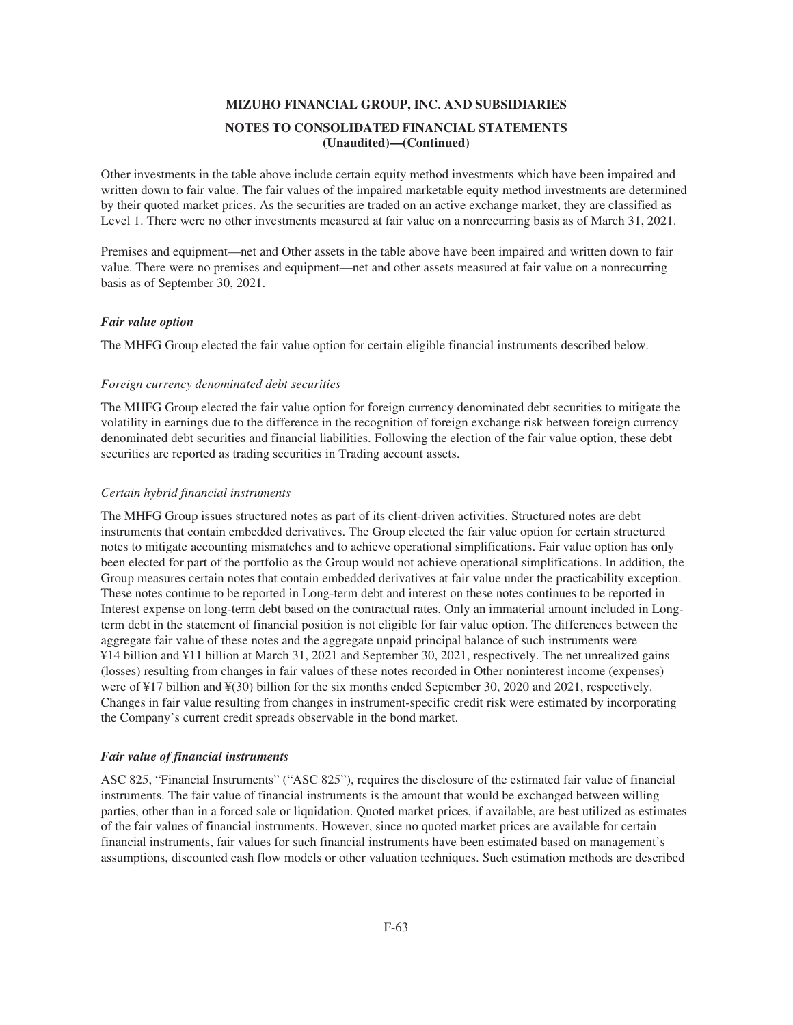Other investments in the table above include certain equity method investments which have been impaired and written down to fair value. The fair values of the impaired marketable equity method investments are determined by their quoted market prices. As the securities are traded on an active exchange market, they are classified as Level 1. There were no other investments measured at fair value on a nonrecurring basis as of March 31, 2021.

Premises and equipment—net and Other assets in the table above have been impaired and written down to fair value. There were no premises and equipment—net and other assets measured at fair value on a nonrecurring basis as of September 30, 2021.

### *Fair value option*

The MHFG Group elected the fair value option for certain eligible financial instruments described below.

### *Foreign currency denominated debt securities*

The MHFG Group elected the fair value option for foreign currency denominated debt securities to mitigate the volatility in earnings due to the difference in the recognition of foreign exchange risk between foreign currency denominated debt securities and financial liabilities. Following the election of the fair value option, these debt securities are reported as trading securities in Trading account assets.

### *Certain hybrid financial instruments*

The MHFG Group issues structured notes as part of its client-driven activities. Structured notes are debt instruments that contain embedded derivatives. The Group elected the fair value option for certain structured notes to mitigate accounting mismatches and to achieve operational simplifications. Fair value option has only been elected for part of the portfolio as the Group would not achieve operational simplifications. In addition, the Group measures certain notes that contain embedded derivatives at fair value under the practicability exception. These notes continue to be reported in Long-term debt and interest on these notes continues to be reported in Interest expense on long-term debt based on the contractual rates. Only an immaterial amount included in Longterm debt in the statement of financial position is not eligible for fair value option. The differences between the aggregate fair value of these notes and the aggregate unpaid principal balance of such instruments were ¥14 billion and ¥11 billion at March 31, 2021 and September 30, 2021, respectively. The net unrealized gains (losses) resulting from changes in fair values of these notes recorded in Other noninterest income (expenses) were of ¥17 billion and ¥(30) billion for the six months ended September 30, 2020 and 2021, respectively. Changes in fair value resulting from changes in instrument-specific credit risk were estimated by incorporating the Company's current credit spreads observable in the bond market.

#### *Fair value of financial instruments*

ASC 825, "Financial Instruments" ("ASC 825"), requires the disclosure of the estimated fair value of financial instruments. The fair value of financial instruments is the amount that would be exchanged between willing parties, other than in a forced sale or liquidation. Quoted market prices, if available, are best utilized as estimates of the fair values of financial instruments. However, since no quoted market prices are available for certain financial instruments, fair values for such financial instruments have been estimated based on management's assumptions, discounted cash flow models or other valuation techniques. Such estimation methods are described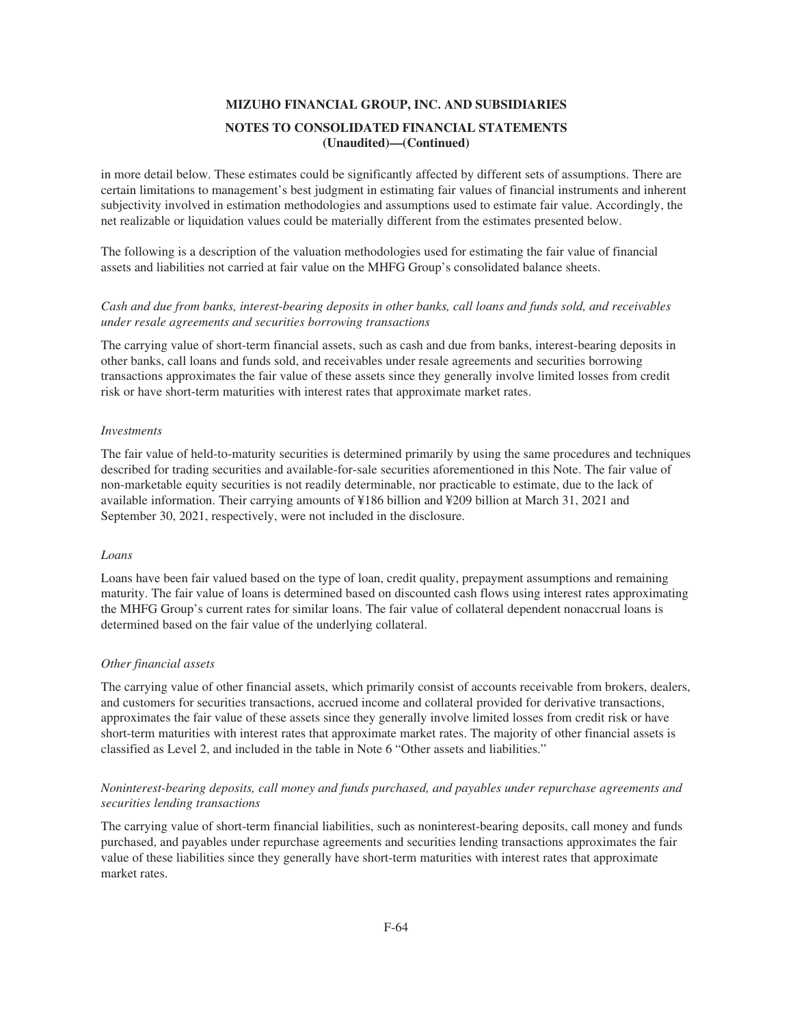in more detail below. These estimates could be significantly affected by different sets of assumptions. There are certain limitations to management's best judgment in estimating fair values of financial instruments and inherent subjectivity involved in estimation methodologies and assumptions used to estimate fair value. Accordingly, the net realizable or liquidation values could be materially different from the estimates presented below.

The following is a description of the valuation methodologies used for estimating the fair value of financial assets and liabilities not carried at fair value on the MHFG Group's consolidated balance sheets.

## *Cash and due from banks, interest-bearing deposits in other banks, call loans and funds sold, and receivables under resale agreements and securities borrowing transactions*

The carrying value of short-term financial assets, such as cash and due from banks, interest-bearing deposits in other banks, call loans and funds sold, and receivables under resale agreements and securities borrowing transactions approximates the fair value of these assets since they generally involve limited losses from credit risk or have short-term maturities with interest rates that approximate market rates.

### *Investments*

The fair value of held-to-maturity securities is determined primarily by using the same procedures and techniques described for trading securities and available-for-sale securities aforementioned in this Note. The fair value of non-marketable equity securities is not readily determinable, nor practicable to estimate, due to the lack of available information. Their carrying amounts of ¥186 billion and ¥209 billion at March 31, 2021 and September 30, 2021, respectively, were not included in the disclosure.

### *Loans*

Loans have been fair valued based on the type of loan, credit quality, prepayment assumptions and remaining maturity. The fair value of loans is determined based on discounted cash flows using interest rates approximating the MHFG Group's current rates for similar loans. The fair value of collateral dependent nonaccrual loans is determined based on the fair value of the underlying collateral.

### *Other financial assets*

The carrying value of other financial assets, which primarily consist of accounts receivable from brokers, dealers, and customers for securities transactions, accrued income and collateral provided for derivative transactions, approximates the fair value of these assets since they generally involve limited losses from credit risk or have short-term maturities with interest rates that approximate market rates. The majority of other financial assets is classified as Level 2, and included in the table in Note 6 "Other assets and liabilities."

## *Noninterest-bearing deposits, call money and funds purchased, and payables under repurchase agreements and securities lending transactions*

The carrying value of short-term financial liabilities, such as noninterest-bearing deposits, call money and funds purchased, and payables under repurchase agreements and securities lending transactions approximates the fair value of these liabilities since they generally have short-term maturities with interest rates that approximate market rates.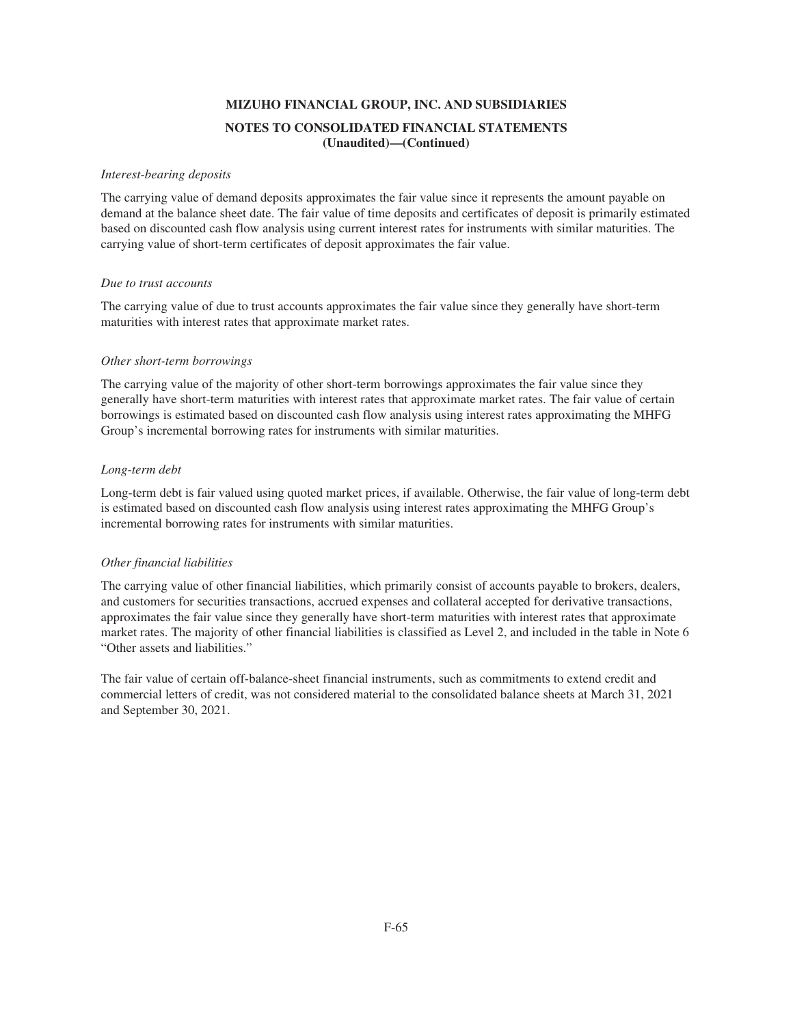### *Interest-bearing deposits*

The carrying value of demand deposits approximates the fair value since it represents the amount payable on demand at the balance sheet date. The fair value of time deposits and certificates of deposit is primarily estimated based on discounted cash flow analysis using current interest rates for instruments with similar maturities. The carrying value of short-term certificates of deposit approximates the fair value.

### *Due to trust accounts*

The carrying value of due to trust accounts approximates the fair value since they generally have short-term maturities with interest rates that approximate market rates.

### *Other short-term borrowings*

The carrying value of the majority of other short-term borrowings approximates the fair value since they generally have short-term maturities with interest rates that approximate market rates. The fair value of certain borrowings is estimated based on discounted cash flow analysis using interest rates approximating the MHFG Group's incremental borrowing rates for instruments with similar maturities.

### *Long-term debt*

Long-term debt is fair valued using quoted market prices, if available. Otherwise, the fair value of long-term debt is estimated based on discounted cash flow analysis using interest rates approximating the MHFG Group's incremental borrowing rates for instruments with similar maturities.

## *Other financial liabilities*

The carrying value of other financial liabilities, which primarily consist of accounts payable to brokers, dealers, and customers for securities transactions, accrued expenses and collateral accepted for derivative transactions, approximates the fair value since they generally have short-term maturities with interest rates that approximate market rates. The majority of other financial liabilities is classified as Level 2, and included in the table in Note 6 "Other assets and liabilities."

The fair value of certain off-balance-sheet financial instruments, such as commitments to extend credit and commercial letters of credit, was not considered material to the consolidated balance sheets at March 31, 2021 and September 30, 2021.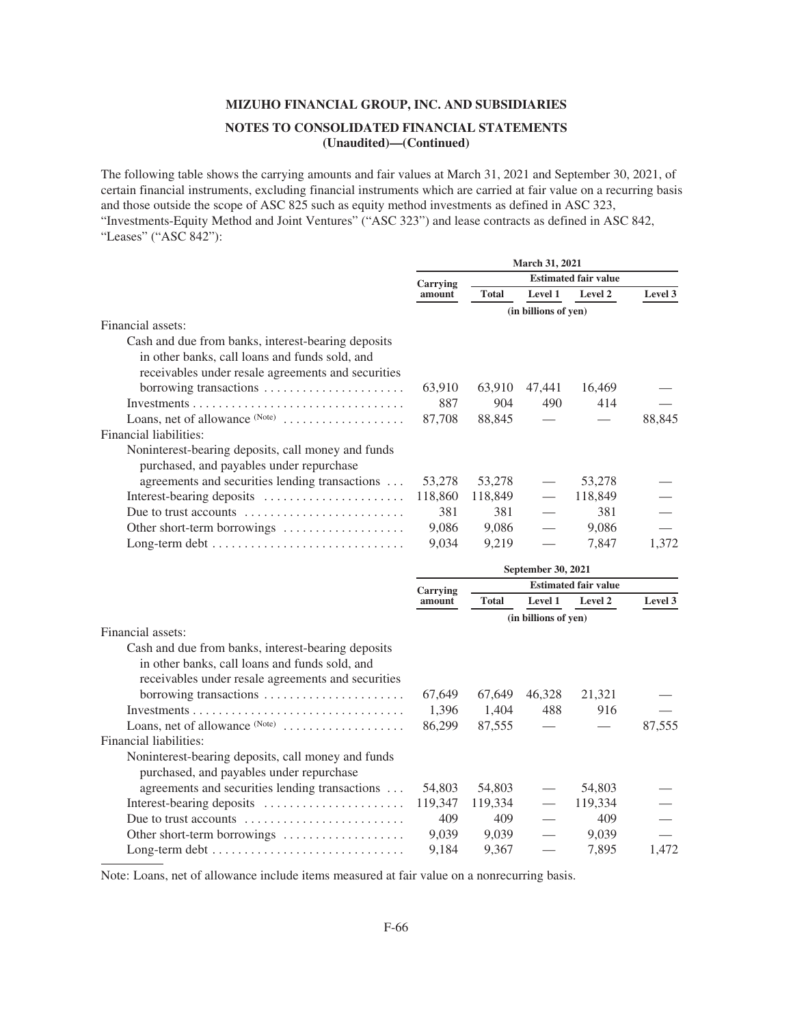The following table shows the carrying amounts and fair values at March 31, 2021 and September 30, 2021, of certain financial instruments, excluding financial instruments which are carried at fair value on a recurring basis and those outside the scope of ASC 825 such as equity method investments as defined in ASC 323, "Investments-Equity Method and Joint Ventures" ("ASC 323") and lease contracts as defined in ASC 842, "Leases" ("ASC 842"):

|                                                              | <b>March 31, 2021</b> |              |                             |         |         |  |  |
|--------------------------------------------------------------|-----------------------|--------------|-----------------------------|---------|---------|--|--|
|                                                              | Carrying              |              | <b>Estimated fair value</b> |         |         |  |  |
|                                                              | amount                | <b>Total</b> | Level 1                     | Level 2 | Level 3 |  |  |
|                                                              |                       |              | (in billions of yen)        |         |         |  |  |
| Financial assets:                                            |                       |              |                             |         |         |  |  |
| Cash and due from banks, interest-bearing deposits           |                       |              |                             |         |         |  |  |
| in other banks, call loans and funds sold, and               |                       |              |                             |         |         |  |  |
| receivables under resale agreements and securities           |                       |              |                             |         |         |  |  |
| borrowing transactions                                       | 63,910                | 63,910       | 47,441                      | 16,469  |         |  |  |
|                                                              | 887                   | 904          | 490                         | 414     |         |  |  |
| Loans, net of allowance $(Note)$                             | 87,708                | 88,845       |                             |         | 88,845  |  |  |
| Financial liabilities:                                       |                       |              |                             |         |         |  |  |
| Noninterest-bearing deposits, call money and funds           |                       |              |                             |         |         |  |  |
| purchased, and payables under repurchase                     |                       |              |                             |         |         |  |  |
| agreements and securities lending transactions               | 53,278                | 53,278       |                             | 53,278  |         |  |  |
| Interest-bearing deposits                                    | 118,860               | 118,849      |                             | 118,849 |         |  |  |
| Due to trust accounts                                        | 381                   | 381          |                             | 381     |         |  |  |
| Other short-term borrowings $\dots\dots\dots\dots\dots\dots$ | 9,086                 | 9,086        |                             | 9,086   |         |  |  |
|                                                              | 9,034                 | 9,219        |                             | 7,847   | 1,372   |  |  |
|                                                              |                       |              |                             |         |         |  |  |

|                                                                         | September 30, 2021 |              |                             |         |         |  |  |
|-------------------------------------------------------------------------|--------------------|--------------|-----------------------------|---------|---------|--|--|
|                                                                         | Carrying           |              | <b>Estimated fair value</b> |         |         |  |  |
|                                                                         | amount             | <b>Total</b> | <b>Level 1</b>              | Level 2 | Level 3 |  |  |
|                                                                         |                    |              | (in billions of yen)        |         |         |  |  |
| Financial assets:                                                       |                    |              |                             |         |         |  |  |
| Cash and due from banks, interest-bearing deposits                      |                    |              |                             |         |         |  |  |
| in other banks, call loans and funds sold, and                          |                    |              |                             |         |         |  |  |
| receivables under resale agreements and securities                      |                    |              |                             |         |         |  |  |
| borrowing transactions                                                  | 67,649             | 67,649       | 46,328                      | 21,321  |         |  |  |
|                                                                         | 1,396              | 1,404        | 488                         | 916     |         |  |  |
| Loans, net of allowance $(Note)$                                        | 86,299             | 87,555       |                             |         | 87,555  |  |  |
| Financial liabilities:                                                  |                    |              |                             |         |         |  |  |
| Noninterest-bearing deposits, call money and funds                      |                    |              |                             |         |         |  |  |
| purchased, and payables under repurchase                                |                    |              |                             |         |         |  |  |
| agreements and securities lending transactions                          | 54,803             | 54,803       |                             | 54,803  |         |  |  |
| Interest-bearing deposits                                               | 119,347            | 119,334      |                             | 119,334 |         |  |  |
| Due to trust accounts $\dots \dots \dots \dots \dots \dots \dots \dots$ | 409                | 409          |                             | 409     |         |  |  |
| Other short-term borrowings $\dots\dots\dots\dots\dots\dots$            | 9.039              | 9,039        |                             | 9,039   |         |  |  |
|                                                                         | 9.184              | 9.367        |                             | 7,895   | 1.472   |  |  |

Note: Loans, net of allowance include items measured at fair value on a nonrecurring basis.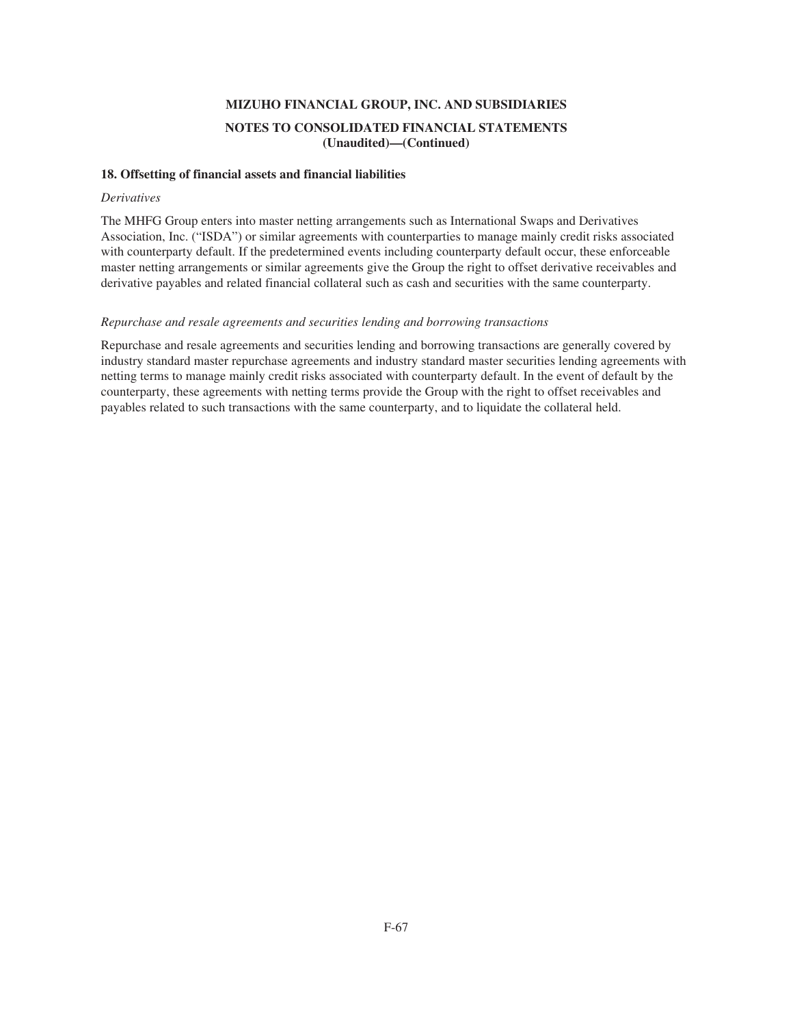### **18. Offsetting of financial assets and financial liabilities**

#### *Derivatives*

The MHFG Group enters into master netting arrangements such as International Swaps and Derivatives Association, Inc. ("ISDA") or similar agreements with counterparties to manage mainly credit risks associated with counterparty default. If the predetermined events including counterparty default occur, these enforceable master netting arrangements or similar agreements give the Group the right to offset derivative receivables and derivative payables and related financial collateral such as cash and securities with the same counterparty.

### *Repurchase and resale agreements and securities lending and borrowing transactions*

Repurchase and resale agreements and securities lending and borrowing transactions are generally covered by industry standard master repurchase agreements and industry standard master securities lending agreements with netting terms to manage mainly credit risks associated with counterparty default. In the event of default by the counterparty, these agreements with netting terms provide the Group with the right to offset receivables and payables related to such transactions with the same counterparty, and to liquidate the collateral held.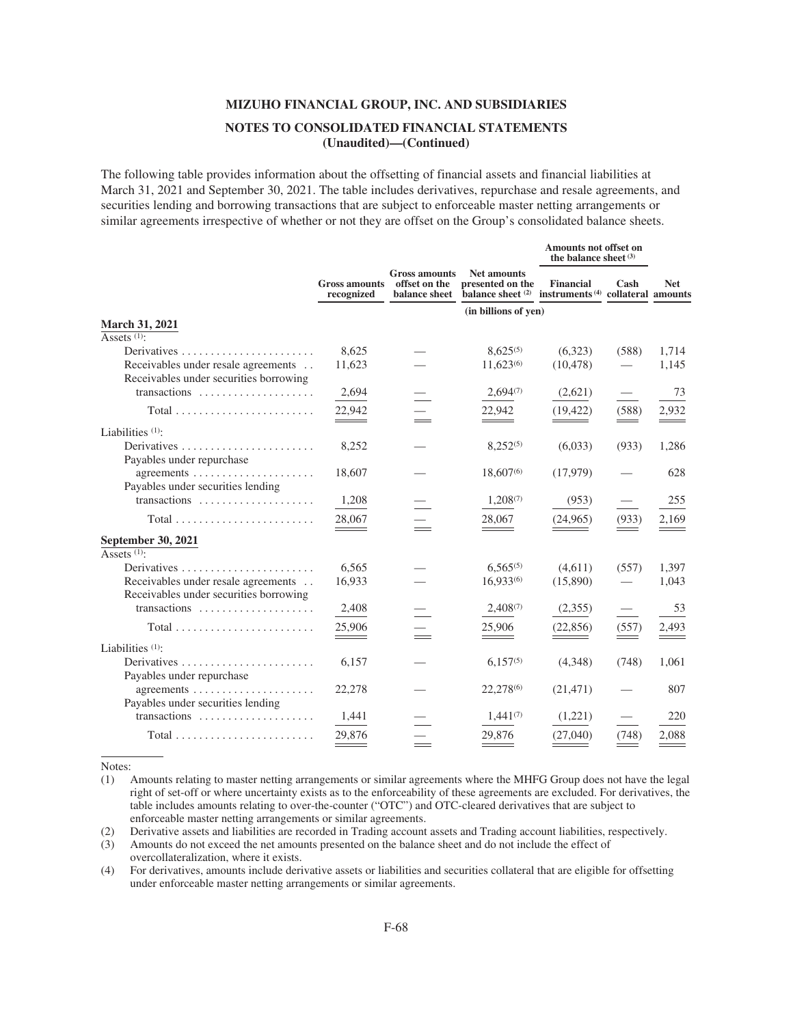The following table provides information about the offsetting of financial assets and financial liabilities at March 31, 2021 and September 30, 2021. The table includes derivatives, repurchase and resale agreements, and securities lending and borrowing transactions that are subject to enforceable master netting arrangements or similar agreements irrespective of whether or not they are offset on the Group's consolidated balance sheets.

|                                                            |                                    |                                                        |                                                                                                | Amounts not offset on<br>the balance sheet $(3)$ |       |            |
|------------------------------------------------------------|------------------------------------|--------------------------------------------------------|------------------------------------------------------------------------------------------------|--------------------------------------------------|-------|------------|
|                                                            | <b>Gross amounts</b><br>recognized | <b>Gross amounts</b><br>offset on the<br>balance sheet | <b>Net amounts</b><br>presented on the<br>balance sheet (2) instruments (4) collateral amounts | <b>Financial</b>                                 | Cash  | <b>Net</b> |
|                                                            |                                    |                                                        | (in billions of yen)                                                                           |                                                  |       |            |
| <b>March 31, 2021</b>                                      |                                    |                                                        |                                                                                                |                                                  |       |            |
| Assets <sup>(1)</sup> :                                    |                                    |                                                        |                                                                                                |                                                  |       |            |
|                                                            | 8,625                              |                                                        | $8.625^{(5)}$                                                                                  | (6,323)                                          | (588) | 1,714      |
| Receivables under resale agreements                        | 11,623                             |                                                        | 11,623(6)                                                                                      | (10, 478)                                        |       | 1,145      |
| Receivables under securities borrowing                     |                                    |                                                        |                                                                                                |                                                  |       |            |
| transactions                                               | 2,694                              |                                                        | $2,694^{(7)}$                                                                                  | (2,621)                                          |       | 73         |
|                                                            | $\frac{22,942}{2}$                 |                                                        | 22,942                                                                                         | (19, 422)                                        | (588) | 2,932      |
| Liabilities <sup>(1)</sup> :                               |                                    |                                                        |                                                                                                |                                                  |       |            |
|                                                            | 8,252                              |                                                        | $8,252^{(5)}$                                                                                  | (6,033)                                          | (933) | 1,286      |
| Payables under repurchase                                  |                                    |                                                        |                                                                                                |                                                  |       |            |
| agreements $\dots\dots\dots\dots\dots\dots\dots\dots\dots$ | 18,607                             |                                                        | 18,607(6)                                                                                      | (17,979)                                         |       | 628        |
| Payables under securities lending                          |                                    |                                                        |                                                                                                |                                                  |       |            |
| transactions                                               | 1,208                              |                                                        | 1,208(7)                                                                                       | (953)                                            |       | 255        |
|                                                            |                                    |                                                        |                                                                                                |                                                  |       |            |
| $Total \dots \dots \dots \dots \dots \dots \dots \dots$    | 28,067                             |                                                        | 28,067                                                                                         | (24, 965)                                        | (933) | 2,169      |
| September 30, 2021                                         |                                    |                                                        |                                                                                                |                                                  |       |            |
| Assets <sup>(1)</sup> :                                    |                                    |                                                        |                                                                                                |                                                  |       |            |
| Derivatives                                                | 6.565                              |                                                        | $6.565^{(5)}$                                                                                  | (4,611)                                          | (557) | 1,397      |
| Receivables under resale agreements                        | 16,933                             |                                                        | 16.933(6)                                                                                      | (15,890)                                         |       | 1,043      |
| Receivables under securities borrowing                     |                                    |                                                        |                                                                                                |                                                  |       |            |
| transactions                                               | 2,408                              |                                                        | $2,408^{(7)}$                                                                                  | (2,355)                                          |       | 53         |
| $Total \dots \dots \dots \dots \dots \dots \dots \dots$    | 25,906                             |                                                        | 25,906                                                                                         | (22, 856)                                        | (557) | 2,493      |
|                                                            |                                    |                                                        |                                                                                                |                                                  |       |            |
| Liabilities $(1)$ :                                        |                                    |                                                        |                                                                                                |                                                  |       |            |
|                                                            | 6,157                              |                                                        | $6,157^{(5)}$                                                                                  | (4,348)                                          | (748) | 1,061      |
| Payables under repurchase                                  |                                    |                                                        |                                                                                                |                                                  |       |            |
| agreements $\dots\dots\dots\dots\dots\dots\dots\dots$      | 22,278                             |                                                        | 22,278 <sup>(6)</sup>                                                                          | (21, 471)                                        |       | 807        |
| Payables under securities lending                          |                                    |                                                        |                                                                                                |                                                  |       |            |
| transactions                                               | 1,441                              |                                                        | $1,441^{(7)}$                                                                                  | (1,221)                                          |       | 220        |
|                                                            | 29,876                             |                                                        | 29,876                                                                                         | (27,040)                                         | (748) | 2,088      |
|                                                            |                                    |                                                        |                                                                                                |                                                  |       |            |

Notes:

(1) Amounts relating to master netting arrangements or similar agreements where the MHFG Group does not have the legal right of set-off or where uncertainty exists as to the enforceability of these agreements are excluded. For derivatives, the table includes amounts relating to over-the-counter ("OTC") and OTC-cleared derivatives that are subject to enforceable master netting arrangements or similar agreements.

(2) Derivative assets and liabilities are recorded in Trading account assets and Trading account liabilities, respectively.

(3) Amounts do not exceed the net amounts presented on the balance sheet and do not include the effect of

overcollateralization, where it exists.

(4) For derivatives, amounts include derivative assets or liabilities and securities collateral that are eligible for offsetting under enforceable master netting arrangements or similar agreements.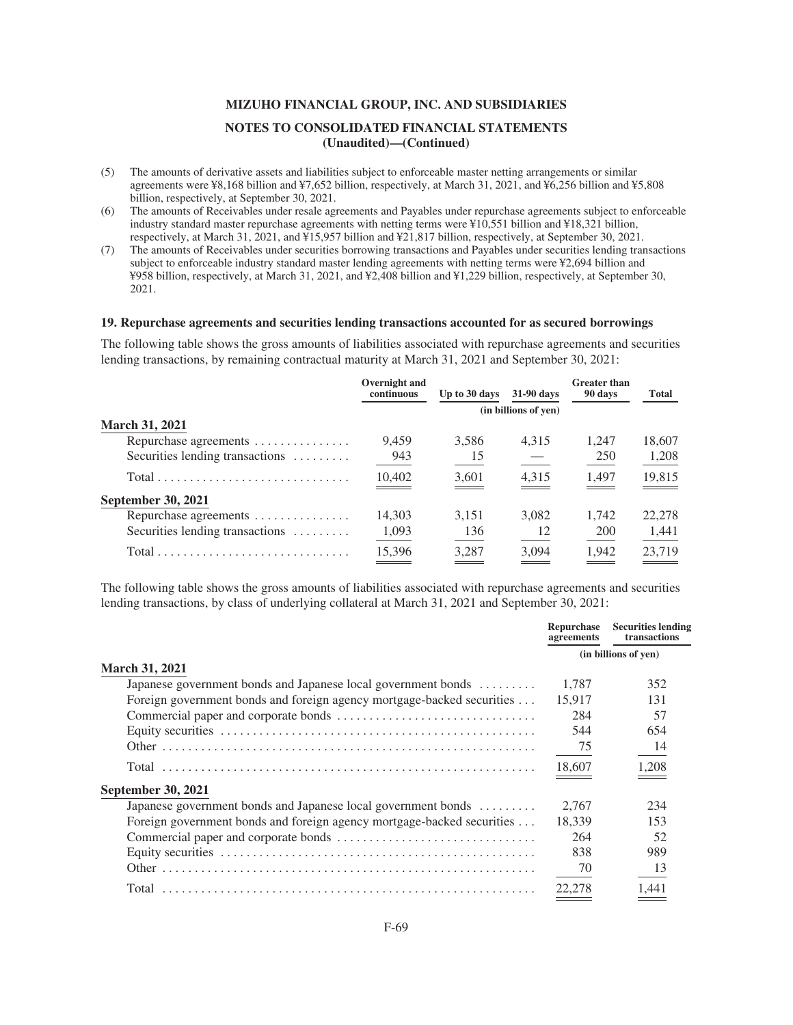- (5) The amounts of derivative assets and liabilities subject to enforceable master netting arrangements or similar agreements were ¥8,168 billion and ¥7,652 billion, respectively, at March 31, 2021, and ¥6,256 billion and ¥5,808 billion, respectively, at September 30, 2021.
- (6) The amounts of Receivables under resale agreements and Payables under repurchase agreements subject to enforceable industry standard master repurchase agreements with netting terms were ¥10,551 billion and ¥18,321 billion, respectively, at March 31, 2021, and ¥15,957 billion and ¥21,817 billion, respectively, at September 30, 2021.
- (7) The amounts of Receivables under securities borrowing transactions and Payables under securities lending transactions subject to enforceable industry standard master lending agreements with netting terms were ¥2,694 billion and ¥958 billion, respectively, at March 31, 2021, and ¥2,408 billion and ¥1,229 billion, respectively, at September 30, 2021.

#### **19. Repurchase agreements and securities lending transactions accounted for as secured borrowings**

The following table shows the gross amounts of liabilities associated with repurchase agreements and securities lending transactions, by remaining contractual maturity at March 31, 2021 and September 30, 2021:

|                                                                           | Overnight and<br>continuous | Up to 30 days | 31-90 days           | <b>Greater than</b><br>90 days | <b>Total</b> |
|---------------------------------------------------------------------------|-----------------------------|---------------|----------------------|--------------------------------|--------------|
|                                                                           |                             |               | (in billions of yen) |                                |              |
| <b>March 31, 2021</b>                                                     |                             |               |                      |                                |              |
| Repurchase agreements                                                     | 9.459                       | 3,586         | 4,315                | 1,247                          | 18,607       |
| Securities lending transactions                                           | 943                         | 15            |                      | 250                            | 1,208        |
| $Total \dots \dots \dots \dots \dots \dots \dots \dots \dots \dots \dots$ | 10,402                      | 3,601         | 4,315                | 1,497                          | 19,815       |
| <b>September 30, 2021</b>                                                 |                             |               |                      |                                |              |
| Repurchase agreements                                                     | 14,303                      | 3,151         | 3.082                | 1.742                          | 22,278       |
| Securities lending transactions                                           | 1,093                       | 136           | 12                   | 200                            | 1,441        |
| $Total \dots \dots \dots \dots \dots \dots \dots \dots \dots \dots \dots$ | 15,396                      | 3.287         | 3.094                | 1,942                          | 23,719       |

The following table shows the gross amounts of liabilities associated with repurchase agreements and securities lending transactions, by class of underlying collateral at March 31, 2021 and September 30, 2021:

|                                                                        | Repurchase<br>agreements | <b>Securities lending</b><br>transactions |
|------------------------------------------------------------------------|--------------------------|-------------------------------------------|
|                                                                        |                          | (in billions of yen)                      |
| <b>March 31, 2021</b>                                                  |                          |                                           |
| Japanese government bonds and Japanese local government bonds          | 1.787                    | 352                                       |
| Foreign government bonds and foreign agency mortgage-backed securities | 15.917                   | 131                                       |
|                                                                        | 284                      | 57                                        |
|                                                                        | 544                      | 654                                       |
|                                                                        | 75                       | 14                                        |
|                                                                        | 18,607                   | 1,208                                     |
| <b>September 30, 2021</b>                                              |                          |                                           |
| Japanese government bonds and Japanese local government bonds          | 2.767                    | 234                                       |
| Foreign government bonds and foreign agency mortgage-backed securities | 18.339                   | 153                                       |
|                                                                        | 264                      | 52                                        |
|                                                                        | 838                      | 989                                       |
|                                                                        | 70                       | 13                                        |
|                                                                        | 22,278                   | 1.441                                     |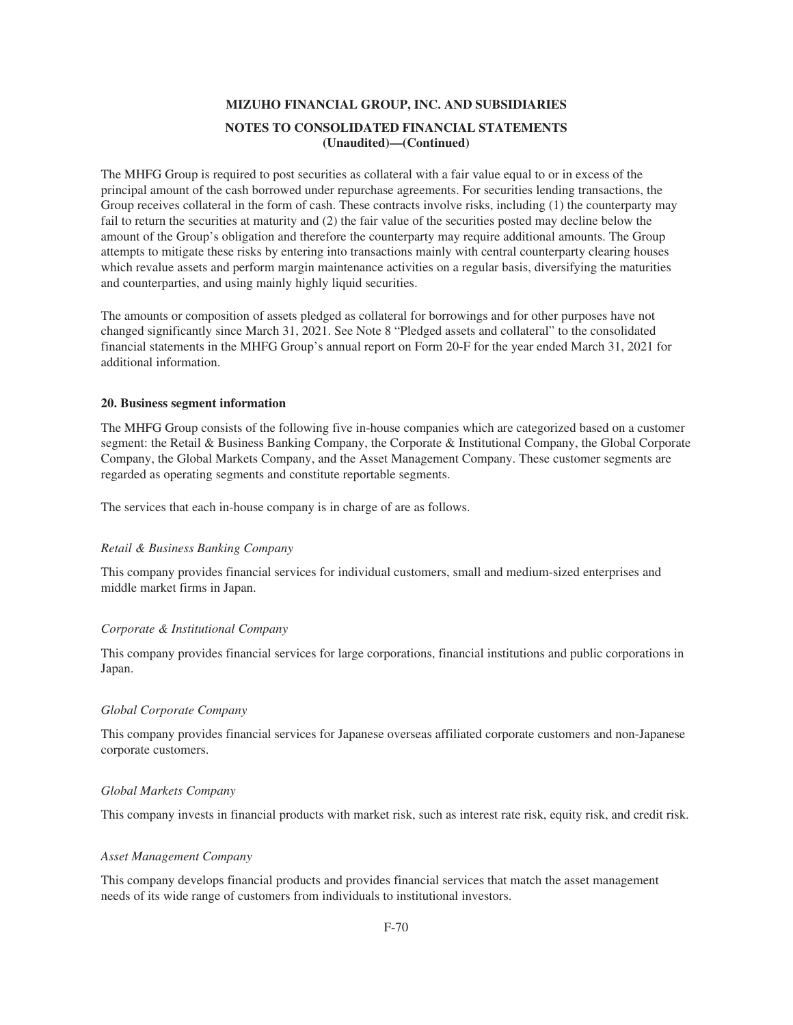The MHFG Group is required to post securities as collateral with a fair value equal to or in excess of the principal amount of the cash borrowed under repurchase agreements. For securities lending transactions, the Group receives collateral in the form of cash. These contracts involve risks, including (1) the counterparty may fail to return the securities at maturity and (2) the fair value of the securities posted may decline below the amount of the Group's obligation and therefore the counterparty may require additional amounts. The Group attempts to mitigate these risks by entering into transactions mainly with central counterparty clearing houses which revalue assets and perform margin maintenance activities on a regular basis, diversifying the maturities and counterparties, and using mainly highly liquid securities.

The amounts or composition of assets pledged as collateral for borrowings and for other purposes have not changed significantly since March 31, 2021. See Note 8 "Pledged assets and collateral" to the consolidated financial statements in the MHFG Group's annual report on Form 20-F for the year ended March 31, 2021 for additional information.

#### **20. Business segment information**

The MHFG Group consists of the following five in-house companies which are categorized based on a customer segment: the Retail & Business Banking Company, the Corporate & Institutional Company, the Global Corporate Company, the Global Markets Company, and the Asset Management Company. These customer segments are regarded as operating segments and constitute reportable segments.

The services that each in-house company is in charge of are as follows.

### *Retail & Business Banking Company*

This company provides financial services for individual customers, small and medium-sized enterprises and middle market firms in Japan.

#### *Corporate & Institutional Company*

This company provides financial services for large corporations, financial institutions and public corporations in Japan.

#### *Global Corporate Company*

This company provides financial services for Japanese overseas affiliated corporate customers and non-Japanese corporate customers.

#### *Global Markets Company*

This company invests in financial products with market risk, such as interest rate risk, equity risk, and credit risk.

#### *Asset Management Company*

This company develops financial products and provides financial services that match the asset management needs of its wide range of customers from individuals to institutional investors.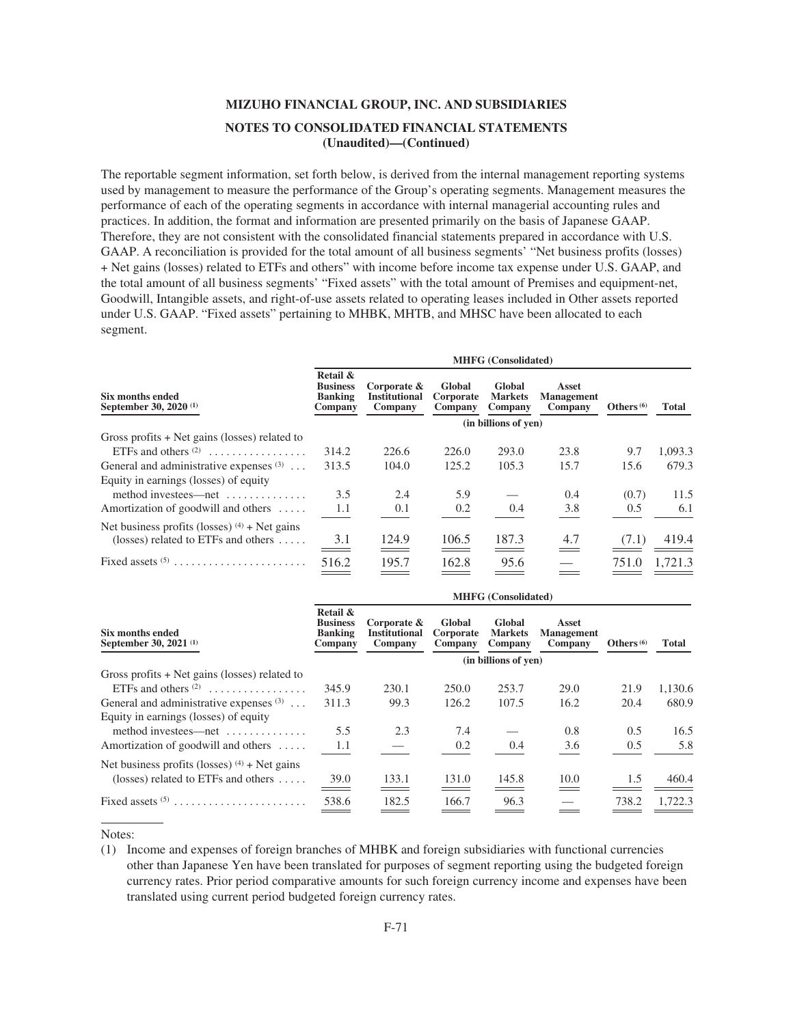The reportable segment information, set forth below, is derived from the internal management reporting systems used by management to measure the performance of the Group's operating segments. Management measures the performance of each of the operating segments in accordance with internal managerial accounting rules and practices. In addition, the format and information are presented primarily on the basis of Japanese GAAP. Therefore, they are not consistent with the consolidated financial statements prepared in accordance with U.S. GAAP. A reconciliation is provided for the total amount of all business segments' "Net business profits (losses) + Net gains (losses) related to ETFs and others" with income before income tax expense under U.S. GAAP, and the total amount of all business segments' "Fixed assets" with the total amount of Premises and equipment-net, Goodwill, Intangible assets, and right-of-use assets related to operating leases included in Other assets reported under U.S. GAAP. "Fixed assets" pertaining to MHBK, MHTB, and MHSC have been allocated to each segment.

| Six months ended<br>September 30, 2020 <sup>(1)</sup> | <b>MHFG</b> (Consolidated)                               |                                                |                                |                                     |                                       |              |         |  |
|-------------------------------------------------------|----------------------------------------------------------|------------------------------------------------|--------------------------------|-------------------------------------|---------------------------------------|--------------|---------|--|
|                                                       | Retail &<br><b>Business</b><br><b>Banking</b><br>Company | Corporate &<br><b>Institutional</b><br>Company | Global<br>Corporate<br>Company | Global<br><b>Markets</b><br>Company | Asset<br><b>Management</b><br>Company | Others $(6)$ | Total   |  |
|                                                       | (in billions of yen)                                     |                                                |                                |                                     |                                       |              |         |  |
| Gross profits $+$ Net gains (losses) related to       |                                                          |                                                |                                |                                     |                                       |              |         |  |
| ETFs and others $(2)$                                 | 314.2                                                    | 226.6                                          | 226.0                          | 293.0                               | 23.8                                  | 9.7          | 1,093.3 |  |
| General and administrative expenses $(3)$             | 313.5                                                    | 104.0                                          | 125.2                          | 105.3                               | 15.7                                  | 15.6         | 679.3   |  |
| Equity in earnings (losses) of equity                 |                                                          |                                                |                                |                                     |                                       |              |         |  |
| method investees—net $\dots\dots\dots\dots$           | 3.5                                                      | 2.4                                            | 5.9                            |                                     | 0.4                                   | (0.7)        | 11.5    |  |
| Amortization of goodwill and others $\dots$ .         | 1.1                                                      | 0.1                                            | 0.2                            | 0.4                                 | 3.8                                   | 0.5          | 6.1     |  |
| Net business profits (losses) $(4)$ + Net gains       |                                                          |                                                |                                |                                     |                                       |              |         |  |
| (losses) related to ETFs and others $\dots$ .         | 3.1                                                      | 124.9                                          | 106.5                          | 187.3                               | 4.7                                   | (7.1)        | 419.4   |  |
| Fixed assets $(5)$                                    | 516.2                                                    | 195.7                                          | 162.8                          | 95.6                                |                                       | 751.0        | 1.721.3 |  |

| Six months ended<br>September 30, 2021 <sup>(1)</sup> | <b>MHFG</b> (Consolidated)                               |                                                |                                |                                     |                                       |              |         |  |
|-------------------------------------------------------|----------------------------------------------------------|------------------------------------------------|--------------------------------|-------------------------------------|---------------------------------------|--------------|---------|--|
|                                                       | Retail &<br><b>Business</b><br><b>Banking</b><br>Company | Corporate &<br><b>Institutional</b><br>Company | Global<br>Corporate<br>Company | Global<br><b>Markets</b><br>Company | Asset<br><b>Management</b><br>Company | Others $(6)$ | Total   |  |
|                                                       | (in billions of yen)                                     |                                                |                                |                                     |                                       |              |         |  |
| Gross profits $+$ Net gains (losses) related to       |                                                          |                                                |                                |                                     |                                       |              |         |  |
| ETFs and others $(2)$                                 | 345.9                                                    | 230.1                                          | 250.0                          | 253.7                               | 29.0                                  | 21.9         | 1.130.6 |  |
| General and administrative expenses $(3)$             | 311.3                                                    | 99.3                                           | 126.2                          | 107.5                               | 16.2                                  | 20.4         | 680.9   |  |
| Equity in earnings (losses) of equity                 |                                                          |                                                |                                |                                     |                                       |              |         |  |
| method investees—net                                  | 5.5                                                      | 2.3                                            | 7.4                            |                                     | 0.8                                   | 0.5          | 16.5    |  |
| Amortization of goodwill and others $\dots$ .         | 1.1                                                      |                                                | 0.2                            | 0.4                                 | 3.6                                   | 0.5          | 5.8     |  |
| Net business profits (losses) $(4)$ + Net gains       |                                                          |                                                |                                |                                     |                                       |              |         |  |
| (losses) related to ETFs and others $\dots$ .         | 39.0<br>$\sim$                                           | 133.1                                          | 131.0                          | 145.8                               | 10.0<br>$\sim$                        | 1.5          | 460.4   |  |
|                                                       | 538.6                                                    | 182.5                                          | 166.7                          | 96.3                                |                                       | 738.2        | 1.722.3 |  |

Notes:

<sup>(1)</sup> Income and expenses of foreign branches of MHBK and foreign subsidiaries with functional currencies other than Japanese Yen have been translated for purposes of segment reporting using the budgeted foreign currency rates. Prior period comparative amounts for such foreign currency income and expenses have been translated using current period budgeted foreign currency rates.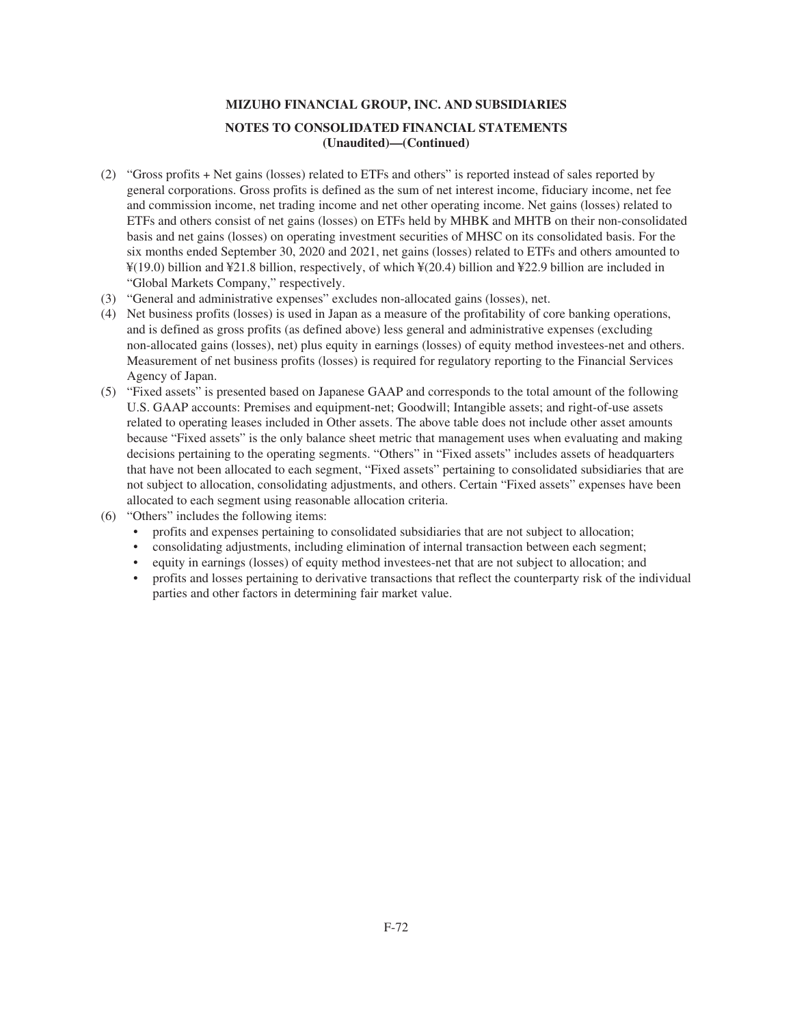- (2) "Gross profits + Net gains (losses) related to ETFs and others" is reported instead of sales reported by general corporations. Gross profits is defined as the sum of net interest income, fiduciary income, net fee and commission income, net trading income and net other operating income. Net gains (losses) related to ETFs and others consist of net gains (losses) on ETFs held by MHBK and MHTB on their non-consolidated basis and net gains (losses) on operating investment securities of MHSC on its consolidated basis. For the six months ended September 30, 2020 and 2021, net gains (losses) related to ETFs and others amounted to ¥(19.0) billion and ¥21.8 billion, respectively, of which ¥(20.4) billion and ¥22.9 billion are included in "Global Markets Company," respectively.
- (3) "General and administrative expenses" excludes non-allocated gains (losses), net.
- (4) Net business profits (losses) is used in Japan as a measure of the profitability of core banking operations, and is defined as gross profits (as defined above) less general and administrative expenses (excluding non-allocated gains (losses), net) plus equity in earnings (losses) of equity method investees-net and others. Measurement of net business profits (losses) is required for regulatory reporting to the Financial Services Agency of Japan.
- (5) "Fixed assets" is presented based on Japanese GAAP and corresponds to the total amount of the following U.S. GAAP accounts: Premises and equipment-net; Goodwill; Intangible assets; and right-of-use assets related to operating leases included in Other assets. The above table does not include other asset amounts because "Fixed assets" is the only balance sheet metric that management uses when evaluating and making decisions pertaining to the operating segments. "Others" in "Fixed assets" includes assets of headquarters that have not been allocated to each segment, "Fixed assets" pertaining to consolidated subsidiaries that are not subject to allocation, consolidating adjustments, and others. Certain "Fixed assets" expenses have been allocated to each segment using reasonable allocation criteria.
- (6) "Others" includes the following items:
	- profits and expenses pertaining to consolidated subsidiaries that are not subject to allocation;
	- consolidating adjustments, including elimination of internal transaction between each segment;
	- equity in earnings (losses) of equity method investees-net that are not subject to allocation; and
	- profits and losses pertaining to derivative transactions that reflect the counterparty risk of the individual parties and other factors in determining fair market value.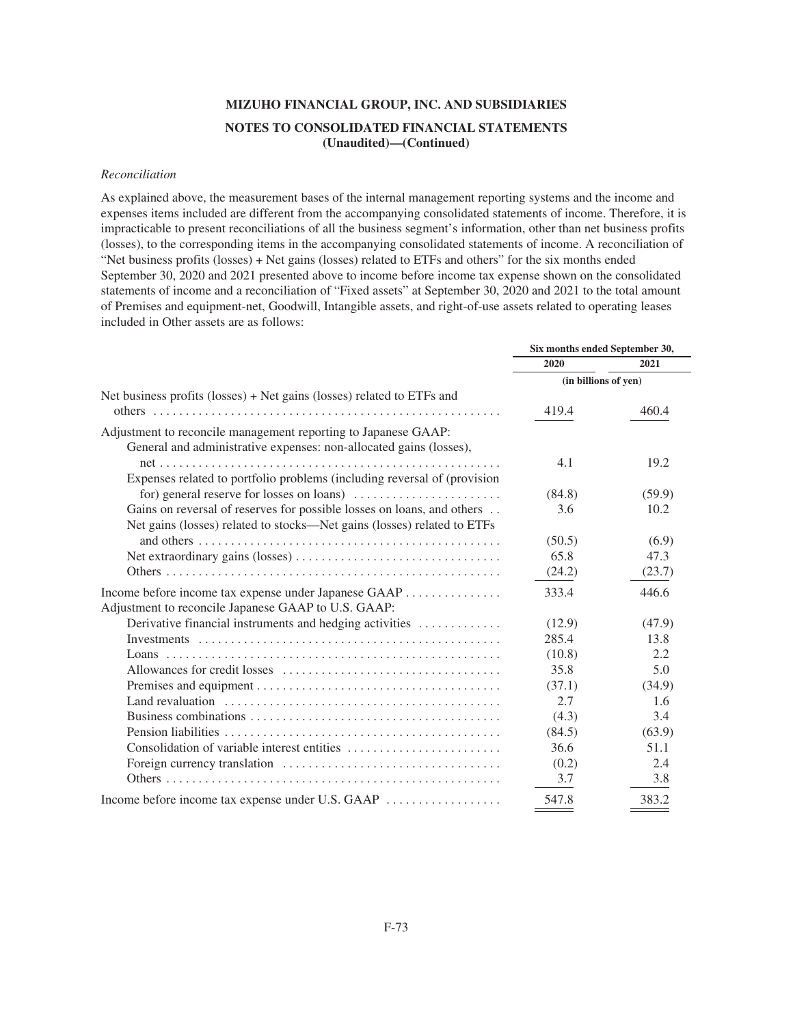## *Reconciliation*

As explained above, the measurement bases of the internal management reporting systems and the income and expenses items included are different from the accompanying consolidated statements of income. Therefore, it is impracticable to present reconciliations of all the business segment's information, other than net business profits (losses), to the corresponding items in the accompanying consolidated statements of income. A reconciliation of "Net business profits (losses) + Net gains (losses) related to ETFs and others" for the six months ended September 30, 2020 and 2021 presented above to income before income tax expense shown on the consolidated statements of income and a reconciliation of "Fixed assets" at September 30, 2020 and 2021 to the total amount of Premises and equipment-net, Goodwill, Intangible assets, and right-of-use assets related to operating leases included in Other assets are as follows:

|                                                                                                        | Six months ended September 30, |        |
|--------------------------------------------------------------------------------------------------------|--------------------------------|--------|
|                                                                                                        | 2020                           | 2021   |
|                                                                                                        | (in billions of yen)           |        |
| Net business profits (losses) $+$ Net gains (losses) related to ETFs and                               |                                |        |
|                                                                                                        | 419.4                          | 460.4  |
| Adjustment to reconcile management reporting to Japanese GAAP:                                         |                                |        |
| General and administrative expenses: non-allocated gains (losses),                                     |                                |        |
|                                                                                                        | 4.1                            | 19.2   |
| Expenses related to portfolio problems (including reversal of (provision                               |                                |        |
| for) general reserve for losses on loans) $\dots \dots \dots \dots \dots \dots \dots$                  | (84.8)                         | (59.9) |
| Gains on reversal of reserves for possible losses on loans, and others                                 | 3.6                            | 10.2   |
| Net gains (losses) related to stocks—Net gains (losses) related to ETFs                                |                                |        |
|                                                                                                        | (50.5)                         | (6.9)  |
|                                                                                                        | 65.8                           | 47.3   |
|                                                                                                        | (24.2)                         | (23.7) |
| Income before income tax expense under Japanese GAAP                                                   | 333.4                          | 446.6  |
| Adjustment to reconcile Japanese GAAP to U.S. GAAP:                                                    |                                |        |
| Derivative financial instruments and hedging activities                                                | (12.9)                         | (47.9) |
|                                                                                                        | 285.4                          | 13.8   |
|                                                                                                        | (10.8)                         | 2.2    |
|                                                                                                        | 35.8                           | 5.0    |
|                                                                                                        | (37.1)                         | (34.9) |
| Land revaluation $\dots \dots \dots \dots \dots \dots \dots \dots \dots \dots \dots \dots \dots \dots$ | 2.7                            | 1.6    |
|                                                                                                        | (4.3)                          | 3.4    |
|                                                                                                        | (84.5)                         | (63.9) |
|                                                                                                        | 36.6                           | 51.1   |
|                                                                                                        | (0.2)                          | 2.4    |
|                                                                                                        | 3.7                            | 3.8    |
| Income before income tax expense under U.S. GAAP                                                       | 547.8                          | 383.2  |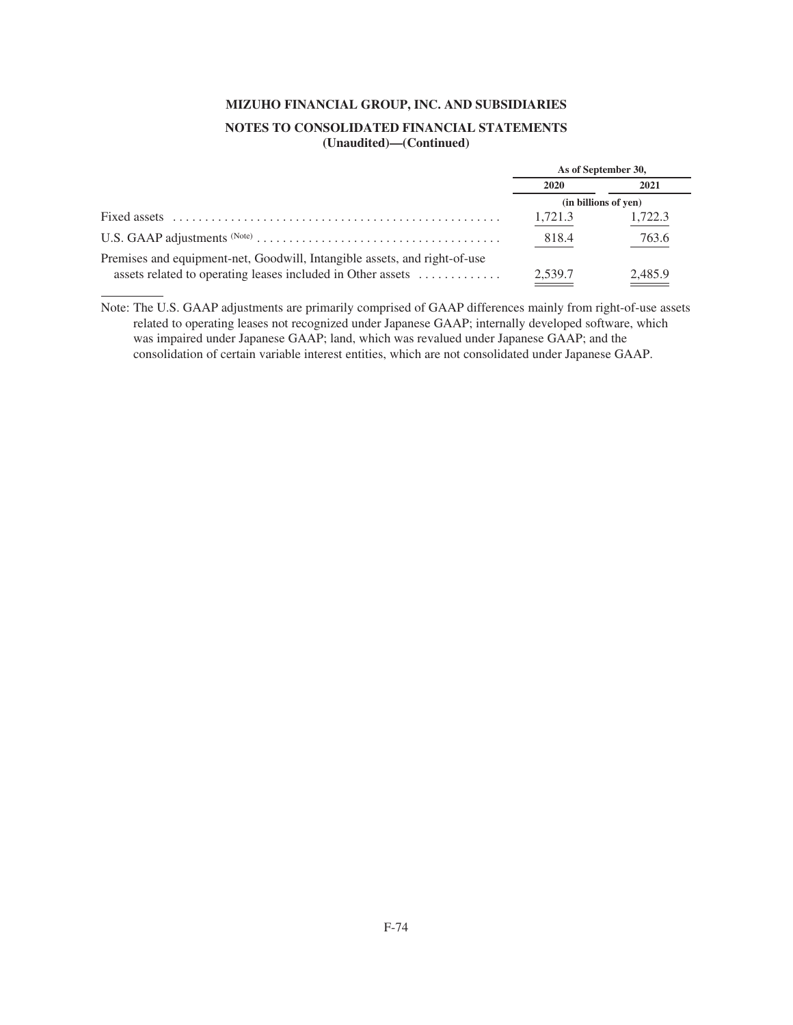# **MIZUHO FINANCIAL GROUP, INC. AND SUBSIDIARIES**

# **NOTES TO CONSOLIDATED FINANCIAL STATEMENTS (Unaudited)—(Continued)**

|                                                                                                                                          | As of September 30,  |         |
|------------------------------------------------------------------------------------------------------------------------------------------|----------------------|---------|
|                                                                                                                                          | 2020                 | 2021    |
|                                                                                                                                          | (in billions of yen) |         |
|                                                                                                                                          | 1,721.3              | 1,722.3 |
|                                                                                                                                          | 818.4                | 763.6   |
| Premises and equipment-net, Goodwill, Intangible assets, and right-of-use<br>assets related to operating leases included in Other assets | 2,539.7              | 2,485.9 |

Note: The U.S. GAAP adjustments are primarily comprised of GAAP differences mainly from right-of-use assets related to operating leases not recognized under Japanese GAAP; internally developed software, which was impaired under Japanese GAAP; land, which was revalued under Japanese GAAP; and the consolidation of certain variable interest entities, which are not consolidated under Japanese GAAP.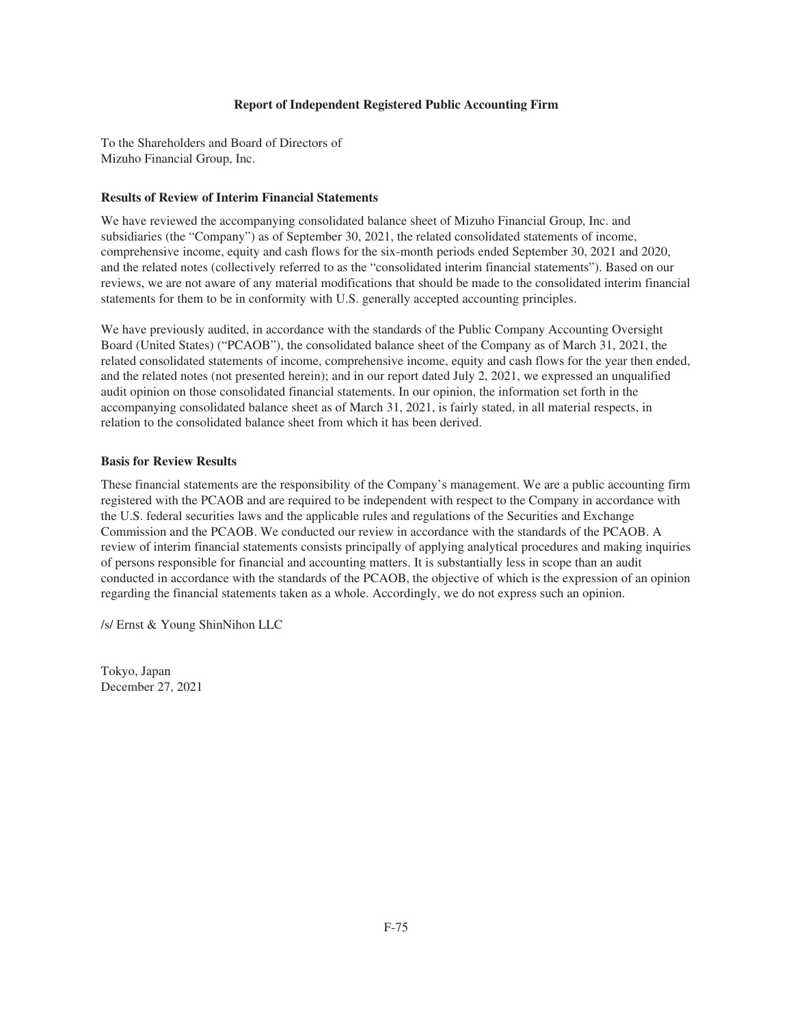### **Report of Independent Registered Public Accounting Firm**

To the Shareholders and Board of Directors of Mizuho Financial Group, Inc.

#### **Results of Review of Interim Financial Statements**

We have reviewed the accompanying consolidated balance sheet of Mizuho Financial Group, Inc. and subsidiaries (the "Company") as of September 30, 2021, the related consolidated statements of income, comprehensive income, equity and cash flows for the six-month periods ended September 30, 2021 and 2020, and the related notes (collectively referred to as the "consolidated interim financial statements"). Based on our reviews, we are not aware of any material modifications that should be made to the consolidated interim financial statements for them to be in conformity with U.S. generally accepted accounting principles.

We have previously audited, in accordance with the standards of the Public Company Accounting Oversight Board (United States) ("PCAOB"), the consolidated balance sheet of the Company as of March 31, 2021, the related consolidated statements of income, comprehensive income, equity and cash flows for the year then ended, and the related notes (not presented herein); and in our report dated July 2, 2021, we expressed an unqualified audit opinion on those consolidated financial statements. In our opinion, the information set forth in the accompanying consolidated balance sheet as of March 31, 2021, is fairly stated, in all material respects, in relation to the consolidated balance sheet from which it has been derived.

### **Basis for Review Results**

These financial statements are the responsibility of the Company's management. We are a public accounting firm registered with the PCAOB and are required to be independent with respect to the Company in accordance with the U.S. federal securities laws and the applicable rules and regulations of the Securities and Exchange Commission and the PCAOB. We conducted our review in accordance with the standards of the PCAOB. A review of interim financial statements consists principally of applying analytical procedures and making inquiries of persons responsible for financial and accounting matters. It is substantially less in scope than an audit conducted in accordance with the standards of the PCAOB, the objective of which is the expression of an opinion regarding the financial statements taken as a whole. Accordingly, we do not express such an opinion.

/s/ Ernst & Young ShinNihon LLC

Tokyo, Japan December 27, 2021